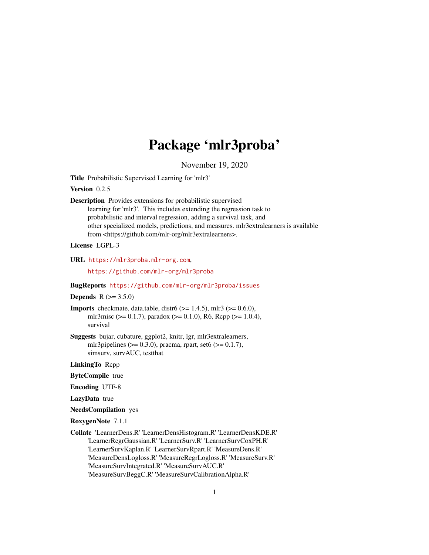# Package 'mlr3proba'

November 19, 2020

<span id="page-0-0"></span>Title Probabilistic Supervised Learning for 'mlr3'

Version 0.2.5

Description Provides extensions for probabilistic supervised learning for 'mlr3'. This includes extending the regression task to probabilistic and interval regression, adding a survival task, and other specialized models, predictions, and measures. mlr3extralearners is available from <https://github.com/mlr-org/mlr3extralearners>.

License LGPL-3

URL <https://mlr3proba.mlr-org.com>,

<https://github.com/mlr-org/mlr3proba>

BugReports <https://github.com/mlr-org/mlr3proba/issues>

# **Depends** R  $(>= 3.5.0)$

**Imports** checkmate, data.table, distr $6$  ( $> = 1.4.5$ ), mlr3 ( $> = 0.6.0$ ), mlr3misc ( $> = 0.1.7$ ), paradox ( $> = 0.1.0$ ), R6, Rcpp ( $> = 1.0.4$ ), survival

Suggests bujar, cubature, ggplot2, knitr, lgr, mlr3extralearners, mlr3pipelines ( $> = 0.3.0$ ), pracma, rpart, set6 ( $> = 0.1.7$ ), simsurv, survAUC, testthat

# LinkingTo Rcpp

ByteCompile true

Encoding UTF-8

LazyData true

NeedsCompilation yes

### RoxygenNote 7.1.1

Collate 'LearnerDens.R' 'LearnerDensHistogram.R' 'LearnerDensKDE.R' 'LearnerRegrGaussian.R' 'LearnerSurv.R' 'LearnerSurvCoxPH.R' 'LearnerSurvKaplan.R' 'LearnerSurvRpart.R' 'MeasureDens.R' 'MeasureDensLogloss.R' 'MeasureRegrLogloss.R' 'MeasureSurv.R' 'MeasureSurvIntegrated.R' 'MeasureSurvAUC.R' 'MeasureSurvBeggC.R' 'MeasureSurvCalibrationAlpha.R'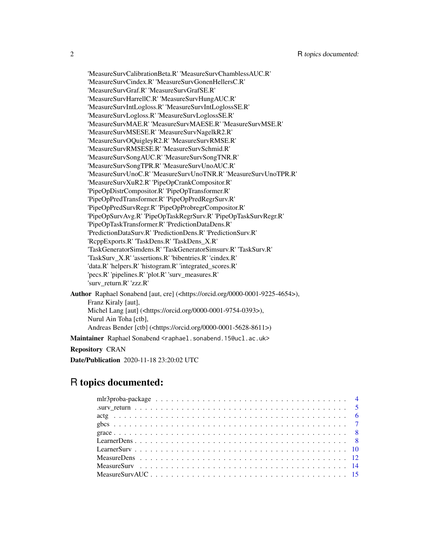'MeasureSurvCalibrationBeta.R' 'MeasureSurvChamblessAUC.R' 'MeasureSurvCindex.R' 'MeasureSurvGonenHellersC.R' 'MeasureSurvGraf.R' 'MeasureSurvGrafSE.R' 'MeasureSurvHarrellC.R' 'MeasureSurvHungAUC.R' 'MeasureSurvIntLogloss.R' 'MeasureSurvIntLoglossSE.R' 'MeasureSurvLogloss.R' 'MeasureSurvLoglossSE.R' 'MeasureSurvMAE.R' 'MeasureSurvMAESE.R' 'MeasureSurvMSE.R' 'MeasureSurvMSESE.R' 'MeasureSurvNagelkR2.R' 'MeasureSurvOQuigleyR2.R' 'MeasureSurvRMSE.R' 'MeasureSurvRMSESE.R' 'MeasureSurvSchmid.R' 'MeasureSurvSongAUC.R' 'MeasureSurvSongTNR.R' 'MeasureSurvSongTPR.R' 'MeasureSurvUnoAUC.R' 'MeasureSurvUnoC.R' 'MeasureSurvUnoTNR.R' 'MeasureSurvUnoTPR.R' 'MeasureSurvXuR2.R' 'PipeOpCrankCompositor.R' 'PipeOpDistrCompositor.R' 'PipeOpTransformer.R' 'PipeOpPredTransformer.R' 'PipeOpPredRegrSurv.R' 'PipeOpPredSurvRegr.R' 'PipeOpProbregrCompositor.R' 'PipeOpSurvAvg.R' 'PipeOpTaskRegrSurv.R' 'PipeOpTaskSurvRegr.R' 'PipeOpTaskTransformer.R' 'PredictionDataDens.R' 'PredictionDataSurv.R' 'PredictionDens.R' 'PredictionSurv.R' 'RcppExports.R' 'TaskDens.R' 'TaskDens\_X.R' 'TaskGeneratorSimdens.R' 'TaskGeneratorSimsurv.R' 'TaskSurv.R' 'TaskSurv\_X.R' 'assertions.R' 'bibentries.R' 'cindex.R' 'data.R' 'helpers.R' 'histogram.R' 'integrated\_scores.R' 'pecs.R' 'pipelines.R' 'plot.R' 'surv\_measures.R' 'surv\_return.R' 'zzz.R' Author Raphael Sonabend [aut, cre] (<https://orcid.org/0000-0001-9225-4654>), Franz Kiraly [aut], Michel Lang [aut] (<https://orcid.org/0000-0001-9754-0393>), Nurul Ain Toha [ctb], Andreas Bender [ctb] (<https://orcid.org/0000-0001-5628-8611>) Maintainer Raphael Sonabend <raphael.sonabend.15@ucl.ac.uk>

### Repository CRAN

Date/Publication 2020-11-18 23:20:02 UTC

# R topics documented: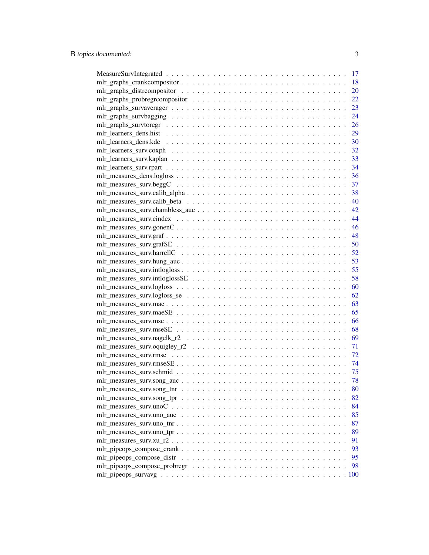| 17       |
|----------|
| 18       |
| 20       |
| 22       |
| 23       |
| 24       |
| 26       |
| 29       |
| 30       |
| 32       |
| 33       |
| 34       |
| 36       |
| 37       |
| 38       |
| 40       |
| 42       |
| 44       |
| 46       |
| 48       |
| 50       |
| 52       |
| 53       |
| 55       |
| 58       |
| 60       |
| 62       |
| 63       |
| 65       |
| 66       |
| 68       |
| 69       |
| 71       |
| 72       |
| 74       |
| 75       |
| 78       |
| 80       |
| 82       |
| 84       |
| 85       |
| 87       |
|          |
| 89<br>91 |
|          |
| 93       |
| 95       |
| 98       |
|          |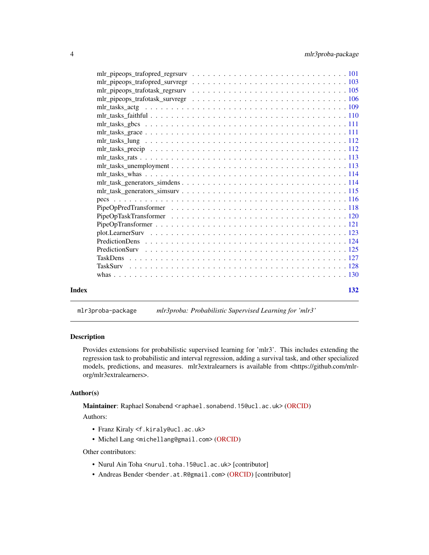<span id="page-3-0"></span>

| Index |                                     | 132 |
|-------|-------------------------------------|-----|
|       |                                     |     |
|       |                                     |     |
|       |                                     |     |
|       |                                     |     |
|       |                                     |     |
|       |                                     |     |
|       |                                     |     |
|       |                                     |     |
|       |                                     |     |
|       |                                     |     |
|       |                                     |     |
|       | $mlr\_task\_generators\_simdens114$ |     |
|       |                                     |     |
|       |                                     |     |
|       |                                     |     |
|       |                                     |     |
|       |                                     |     |
|       |                                     |     |
|       |                                     |     |
|       |                                     |     |
|       |                                     |     |
|       |                                     |     |
|       |                                     |     |
|       |                                     |     |
|       |                                     |     |

mlr3proba-package *mlr3proba: Probabilistic Supervised Learning for 'mlr3'*

# Description

Provides extensions for probabilistic supervised learning for 'mlr3'. This includes extending the regression task to probabilistic and interval regression, adding a survival task, and other specialized models, predictions, and measures. mlr3extralearners is available from <https://github.com/mlrorg/mlr3extralearners>.

# Author(s)

Maintainer: Raphael Sonabend <raphael.sonabend.15@ucl.ac.uk> [\(ORCID\)](https://orcid.org/0000-0001-9225-4654)

Authors:

- Franz Kiraly <f.kiraly@ucl.ac.uk>
- Michel Lang <michellang@gmail.com> [\(ORCID\)](https://orcid.org/0000-0001-9754-0393)

Other contributors:

- Nurul Ain Toha <nurul.toha.15@ucl.ac.uk> [contributor]
- Andreas Bender <bender.at.R@gmail.com> [\(ORCID\)](https://orcid.org/0000-0001-5628-8611) [contributor]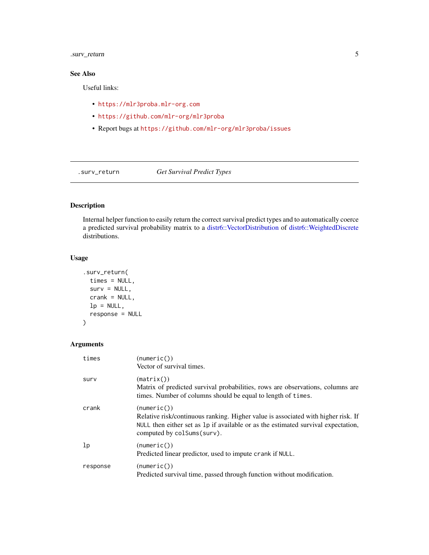# <span id="page-4-0"></span>.surv\_return 5

# See Also

Useful links:

- <https://mlr3proba.mlr-org.com>
- <https://github.com/mlr-org/mlr3proba>
- Report bugs at <https://github.com/mlr-org/mlr3proba/issues>

.surv\_return *Get Survival Predict Types*

# Description

Internal helper function to easily return the correct survival predict types and to automatically coerce a predicted survival probability matrix to a [distr6::VectorDistribution](#page-0-0) of [distr6::WeightedDiscrete](#page-0-0) distributions.

# Usage

```
.surv_return(
 times = NULL,
  surv = NULL,crank = NULL,lp = NULL,response = NULL
)
```

```
Arguments
```

| times          | (numeric())<br>Vector of survival times.                                                                                                                                                                             |
|----------------|----------------------------------------------------------------------------------------------------------------------------------------------------------------------------------------------------------------------|
| surv           | $(\text{matrix}()$<br>Matrix of predicted survival probabilities, rows are observations, columns are<br>times. Number of columns should be equal to length of times.                                                 |
| crank          | (numeric())<br>Relative risk/continuous ranking. Higher value is associated with higher risk. If<br>NULL then either set as 1p if available or as the estimated survival expectation,<br>computed by colSums (surv). |
| 1 <sub>p</sub> | (numeric())<br>Predicted linear predictor, used to impute crank if NULL.                                                                                                                                             |
| response       | (numeric())<br>Predicted survival time, passed through function without modification.                                                                                                                                |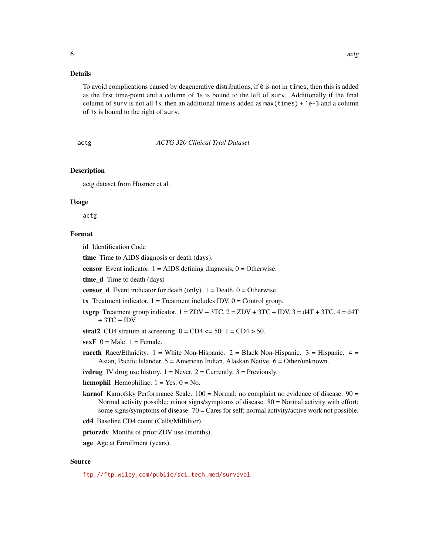# <span id="page-5-0"></span>Details

To avoid complications caused by degenerative distributions, if  $\theta$  is not in times, then this is added as the first time-point and a column of 1s is bound to the left of surv. Additionally if the final column of surv is not all 1s, then an additional time is added as max(times) + 1e-3 and a column of 1s is bound to the right of surv.

# actg *ACTG 320 Clinical Trial Dataset*

#### Description

actg dataset from Hosmer et al.

#### Usage

actg

### Format

id Identification Code

time Time to AIDS diagnosis or death (days).

censor Event indicator.  $1 = \text{AIDS}$  defining diagnosis,  $0 = \text{Otherwise}$ .

time\_d Time to death (days)

**censor\_d** Event indicator for death (only).  $1 =$  Death,  $0 =$  Otherwise.

```
tx Treatment indicator. 1 = Treatment includes IDV, 0 = Control group.
```
txgrp Treatment group indicator.  $1 = ZDV + 3TC$ .  $2 = ZDV + 3TC + IDV$ .  $3 = d4T + 3TC$ .  $4 = d4T$ + 3TC + IDV.

strat2 CD4 stratum at screening.  $0 = CD4 \le 50$ .  $1 = CD4 > 50$ .

- $sexF$  0 = Male. 1 = Female.
- **raceth** Race/Ethnicity.  $1 =$  White Non-Hispanic.  $2 =$  Black Non-Hispanic.  $3 =$  Hispanic.  $4 =$ Asian, Pacific Islander. 5 = American Indian, Alaskan Native. 6 = Other/unknown.

**ivdrug** IV drug use history.  $1 =$  Never.  $2 =$  Currently.  $3 =$  Previously.

**hemophil** Hemophiliac.  $1 = Yes$ .  $0 = No$ .

**karnof** Karnofsky Performance Scale.  $100 =$  Normal; no complaint no evidence of disease.  $90 =$ Normal activity possible; minor signs/symptoms of disease.  $80 =$  Normal activity with effort; some signs/symptoms of disease. 70 = Cares for self; normal activity/active work not possible.

cd4 Baseline CD4 count (Cells/Milliliter).

priorzdy Months of prior ZDV use (months).

age Age at Enrollment (years).

# Source

[ftp://ftp.wiley.com/public/sci\\_tech\\_med/survival](ftp://ftp.wiley.com/public/sci_tech_med/survival)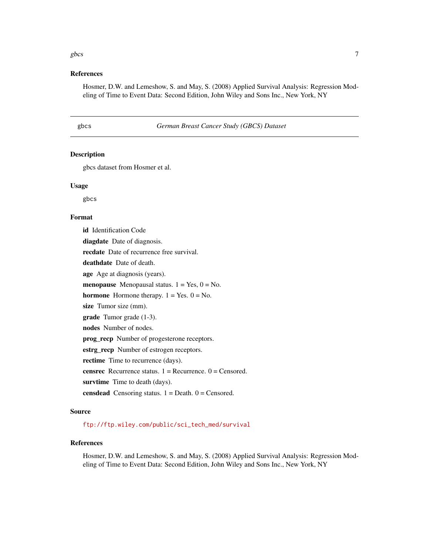# <span id="page-6-0"></span> $g$ bcs 7

# References

Hosmer, D.W. and Lemeshow, S. and May, S. (2008) Applied Survival Analysis: Regression Modeling of Time to Event Data: Second Edition, John Wiley and Sons Inc., New York, NY

gbcs *German Breast Cancer Study (GBCS) Dataset*

# **Description**

gbcs dataset from Hosmer et al.

### Usage

gbcs

# Format

id Identification Code diagdate Date of diagnosis. recdate Date of recurrence free survival. deathdate Date of death. age Age at diagnosis (years). **menopause** Menopausal status.  $1 = Yes, 0 = No$ . hormone Hormone therapy.  $1 = Yes. 0 = No.$ size Tumor size (mm). grade Tumor grade (1-3). nodes Number of nodes. prog\_recp Number of progesterone receptors. estrg\_recp Number of estrogen receptors. rectime Time to recurrence (days). **censrec** Recurrence status.  $1 =$  Recurrence.  $0 =$  Censored. survtime Time to death (days). censdead Censoring status.  $1 =$ Death.  $0 =$ Censored.

# Source

# [ftp://ftp.wiley.com/public/sci\\_tech\\_med/survival](ftp://ftp.wiley.com/public/sci_tech_med/survival)

## References

Hosmer, D.W. and Lemeshow, S. and May, S. (2008) Applied Survival Analysis: Regression Modeling of Time to Event Data: Second Edition, John Wiley and Sons Inc., New York, NY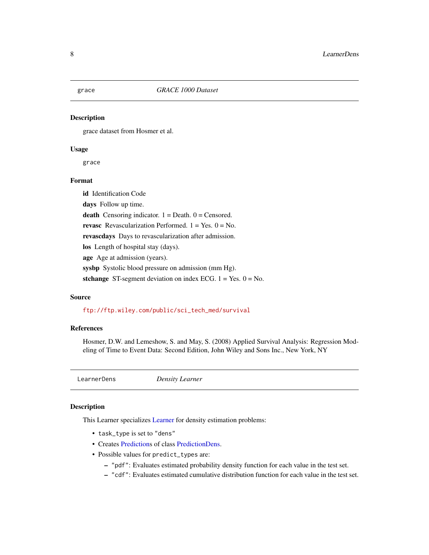<span id="page-7-0"></span>

### Description

grace dataset from Hosmer et al.

### Usage

grace

# Format

id Identification Code days Follow up time. death Censoring indicator.  $1 =$  Death.  $0 =$  Censored. revasc Revascularization Performed.  $1 = Yes. 0 = No.$ revascdays Days to revascularization after admission. los Length of hospital stay (days). age Age at admission (years). sysbp Systolic blood pressure on admission (mm Hg). stchange ST-segment deviation on index ECG.  $1 = Yes. 0 = No.$ 

#### Source

[ftp://ftp.wiley.com/public/sci\\_tech\\_med/survival](ftp://ftp.wiley.com/public/sci_tech_med/survival)

# References

Hosmer, D.W. and Lemeshow, S. and May, S. (2008) Applied Survival Analysis: Regression Modeling of Time to Event Data: Second Edition, John Wiley and Sons Inc., New York, NY

<span id="page-7-1"></span>

LearnerDens *Density Learner*

### Description

This Learner specializes [Learner](#page-0-0) for density estimation problems:

- task\_type is set to "dens"
- Creates [Predictions](#page-0-0) of class [PredictionDens.](#page-123-1)
- Possible values for predict\_types are:
	- "pdf": Evaluates estimated probability density function for each value in the test set.
	- "cdf": Evaluates estimated cumulative distribution function for each value in the test set.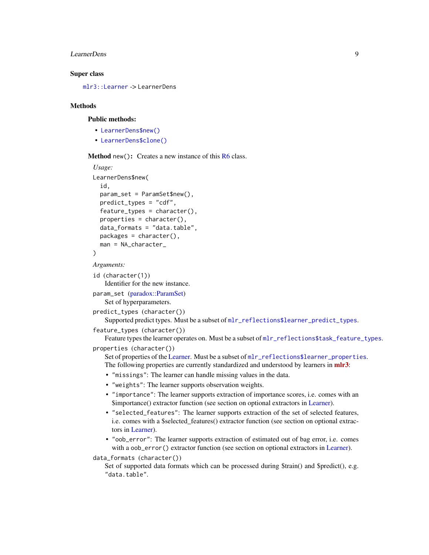#### LearnerDens 9

### Super class

[mlr3::Learner](#page-0-0) -> LearnerDens

### **Methods**

# Public methods:

- [LearnerDens\\$new\(\)](#page-8-0)
- [LearnerDens\\$clone\(\)](#page-9-1)

<span id="page-8-0"></span>Method new(): Creates a new instance of this [R6](#page-0-0) class.

```
Usage:
LearnerDens$new(
  id,
  param_set = ParamSet$new(),
  predict_types = "cdf",
  feature_types = character(),
  properties = character(),
  data_formats = "data.table",
  packages = character(),
  man = NA_character_
)
Arguments:
id (character(1))
   Identifier for the new instance.
param_set (paradox::ParamSet)
   Set of hyperparameters.
predict_types (character())
   Supported predict types. Must be a subset of mlr_reflections$learner_predict_types.
feature_types (character())
   Feature types the learner operates on. Must be a subset of m1r_reflections$task_feature_typess.properties (character())
   Learner. Must be a subset of m1r_reflections$learner_properties.The following properties are currently standardized and understood by learners in mlr3:
    • "missings": The learner can handle missing values in the data.
    • "weights": The learner supports observation weights.
    • "importance": The learner supports extraction of importance scores, i.e. comes with an
      $importance() extractor function (see section on optional extractors in Learner).
    • "selected_features": The learner supports extraction of the set of selected features,
     i.e. comes with a $selected_features() extractor function (see section on optional extrac-
      tors in Learner).
    • "oob_error": The learner supports extraction of estimated out of bag error, i.e. comes
      Learner).
data_formats (character())
   Set of supported data formats which can be processed during $train() and $predict(), e.g.
    "data.table".
```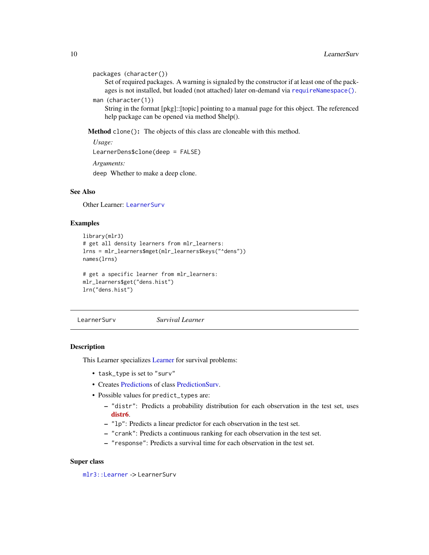```
packages (character())
```
Set of required packages. A warning is signaled by the constructor if at least one of the packages is not installed, but loaded (not attached) later on-demand via [requireNamespace\(\)](#page-0-0).

man (character(1))

String in the format [pkg]::[topic] pointing to a manual page for this object. The referenced help package can be opened via method \$help().

<span id="page-9-1"></span>Method clone(): The objects of this class are cloneable with this method.

*Usage:*

LearnerDens\$clone(deep = FALSE)

*Arguments:*

deep Whether to make a deep clone.

### See Also

Other Learner: [LearnerSurv](#page-9-2)

### Examples

```
library(mlr3)
# get all density learners from mlr_learners:
lrns = mlr_learners$mget(mlr_learners$keys("^dens"))
names(lrns)
# get a specific learner from mlr_learners:
```

```
mlr_learners$get("dens.hist")
lrn("dens.hist")
```
<span id="page-9-2"></span>LearnerSurv *Survival Learner*

# Description

This Learner specializes [Learner](#page-0-0) for survival problems:

- task\_type is set to "surv"
- Creates [Predictions](#page-0-0) of class [PredictionSurv.](#page-124-1)
- Possible values for predict\_types are:
	- "distr": Predicts a probability distribution for each observation in the test set, uses [distr6](https://CRAN.R-project.org/package=distr6).
	- "lp": Predicts a linear predictor for each observation in the test set.
	- "crank": Predicts a continuous ranking for each observation in the test set.
	- "response": Predicts a survival time for each observation in the test set.

### Super class

[mlr3::Learner](#page-0-0) -> LearnerSurv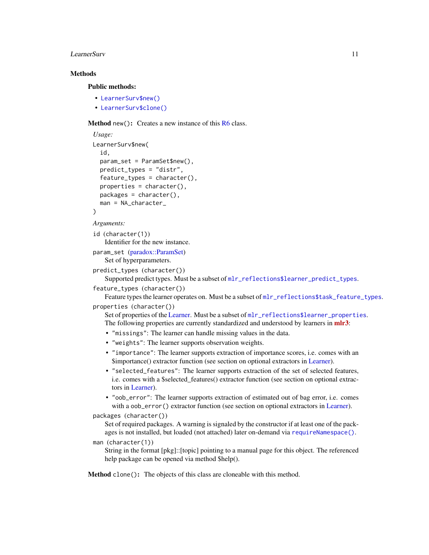### LearnerSurv 11

# **Methods**

### Public methods:

- [LearnerSurv\\$new\(\)](#page-8-0)
- [LearnerSurv\\$clone\(\)](#page-9-1)

### Method new(): Creates a new instance of this [R6](#page-0-0) class.

```
Usage:
LearnerSurv$new(
  id,
  param_set = ParamSet$new(),
 predict_types = "distr",
  feature_types = character(),
  properties = character(),
 packages = character(),
  man = NA_character_
)
```
*Arguments:*

```
id (character(1))
   Identifier for the new instance.
```
param\_set [\(paradox::ParamSet\)](#page-0-0) Set of hyperparameters.

```
predict_types (character())
```
Supported predict types. Must be a subset of [mlr\\_reflections\\$learner\\_predict\\_types](#page-0-0).

```
feature_types (character())
```
Feature types the learner operates on. Must be a subset of  $mlr_reflections$task_feature_typess.$  $mlr_reflections$task_feature_typess.$ 

```
properties (character())
```
Set of properties of the [Learner.](#page-0-0) Must be a subset of [mlr\\_reflections\\$learner\\_properties](#page-0-0). The following properties are currently standardized and understood by learners in **[mlr3](https://CRAN.R-project.org/package=mlr3)**:

- "missings": The learner can handle missing values in the data.
- "weights": The learner supports observation weights.
- "importance": The learner supports extraction of importance scores, i.e. comes with an \$importance() extractor function (see section on optional extractors in [Learner\)](#page-0-0).
- "selected\_features": The learner supports extraction of the set of selected features, i.e. comes with a \$selected\_features() extractor function (see section on optional extractors in [Learner\)](#page-0-0).
- "oob\_error": The learner supports extraction of estimated out of bag error, i.e. comes with a oob\_error() extractor function (see section on optional extractors in [Learner\)](#page-0-0).

```
packages (character())
```
Set of required packages. A warning is signaled by the constructor if at least one of the packages is not installed, but loaded (not attached) later on-demand via [requireNamespace\(\)](#page-0-0).

```
man (character(1))
```
String in the format [pkg]::[topic] pointing to a manual page for this object. The referenced help package can be opened via method \$help().

Method clone(): The objects of this class are cloneable with this method.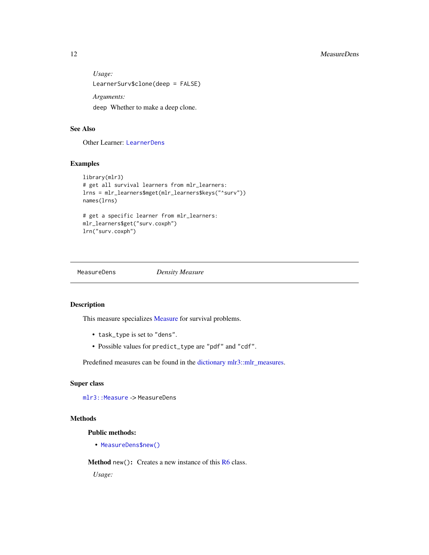<span id="page-11-0"></span>*Usage:* LearnerSurv\$clone(deep = FALSE) *Arguments:* deep Whether to make a deep clone.

# See Also

Other Learner: [LearnerDens](#page-7-1)

# Examples

```
library(mlr3)
# get all survival learners from mlr_learners:
lrns = mlr_learners$mget(mlr_learners$keys("^surv"))
names(lrns)
# get a specific learner from mlr_learners:
mlr_learners$get("surv.coxph")
lrn("surv.coxph")
```

```
MeasureDens Density Measure
```
# Description

This measure specializes [Measure](#page-0-0) for survival problems.

- task\_type is set to "dens".
- Possible values for predict\_type are "pdf" and "cdf".

Predefined measures can be found in the [dictionary](#page-0-0) [mlr3::mlr\\_measures.](#page-0-0)

# Super class

[mlr3::Measure](#page-0-0) -> MeasureDens

# Methods

Public methods:

• [MeasureDens\\$new\(\)](#page-8-0)

Method new(): Creates a new instance of this [R6](#page-0-0) class.

*Usage:*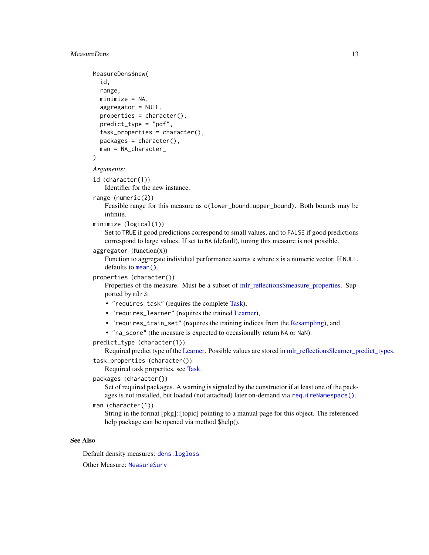# MeasureDens 13

```
MeasureDens$new(
  id,
  range,
 minimize = NA,
  aggregator = NULL,
  properties = character(),
 predict_type = "pdf",
  task_properties = character(),
 packages = character(),
 man = NA_character_
\lambda
```
*Arguments:*

id (character(1))

Identifier for the new instance.

```
range (numeric(2))
```
Feasible range for this measure as  $c(1$  ower\_bound,upper\_bound). Both bounds may be infinite.

```
minimize (logical(1))
```
Set to TRUE if good predictions correspond to small values, and to FALSE if good predictions correspond to large values. If set to NA (default), tuning this measure is not possible.

 $aggregation (function(x))$ 

Function to aggregate individual performance scores x where x is a numeric vector. If NULL, defaults to [mean\(\)](#page-0-0).

```
properties (character())
```
Properties of the measure. Must be a subset of [mlr\\_reflections\\$measure\\_properties.](#page-0-0) Supported by mlr3:

- "requires\_task" (requires the complete [Task\)](#page-0-0),
- "requires\_learner" (requires the trained [Learner\)](#page-0-0),
- "requires\_train\_set" (requires the training indices from the [Resampling\)](#page-0-0), and
- "na\_score" (the measure is expected to occasionally return NA or NaN).

# predict\_type (character(1))

Required predict type of the [Learner.](#page-0-0) Possible values are stored in [mlr\\_reflections\\$learner\\_predict\\_types.](#page-0-0) task\_properties (character())

Required task properties, see [Task.](#page-0-0)

packages (character())

Set of required packages. A warning is signaled by the constructor if at least one of the packages is not installed, but loaded (not attached) later on-demand via [requireNamespace\(\)](#page-0-0).

man (character(1))

String in the format [pkg]::[topic] pointing to a manual page for this object. The referenced help package can be opened via method \$help().

### See Also

Default density measures: [dens.logloss](#page-35-1)

Other Measure: [MeasureSurv](#page-13-1)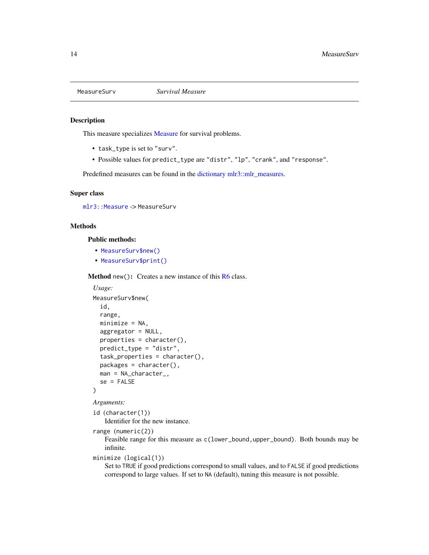<span id="page-13-1"></span><span id="page-13-0"></span>

### Description

This measure specializes [Measure](#page-0-0) for survival problems.

- task\_type is set to "surv".
- Possible values for predict\_type are "distr", "lp", "crank", and "response".

Predefined measures can be found in the [dictionary](#page-0-0) [mlr3::mlr\\_measures.](#page-0-0)

#### Super class

```
mlr3::Measure -> MeasureSurv
```
### Methods

Public methods:

- [MeasureSurv\\$new\(\)](#page-8-0)
- [MeasureSurv\\$print\(\)](#page-14-1)

**Method** new( $)$ : Creates a new instance of this  $R6$  class.

```
Usage:
MeasureSurv$new(
  id,
 range,
 minimize = NA,
  aggregator = NULL,
 properties = character(),
 predict_type = "distr",
  task_properties = character(),
 packages = character(),
 man = NA_character_,
  se = FALSE)
```

```
Arguments:
```
id (character(1))

Identifier for the new instance.

```
range (numeric(2))
```
Feasible range for this measure as c(lower\_bound,upper\_bound). Both bounds may be infinite.

```
minimize (logical(1))
```
Set to TRUE if good predictions correspond to small values, and to FALSE if good predictions correspond to large values. If set to NA (default), tuning this measure is not possible.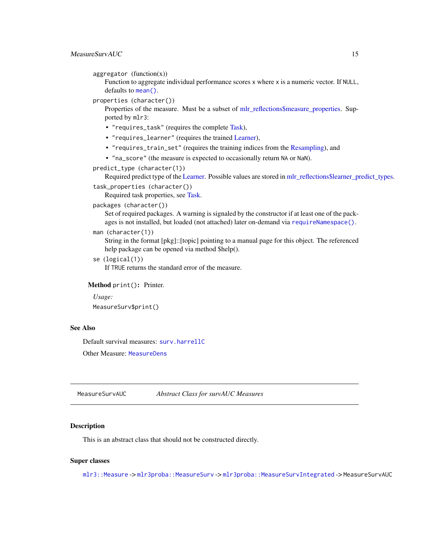```
aggregation (function(x))
```
Function to aggregate individual performance scores x where x is a numeric vector. If NULL, defaults to [mean\(\)](#page-0-0).

```
properties (character())
```
Properties of the measure. Must be a subset of [mlr\\_reflections\\$measure\\_properties.](#page-0-0) Supported by mlr3:

- "requires\_task" (requires the complete [Task\)](#page-0-0),
- "requires\_learner" (requires the trained [Learner\)](#page-0-0),
- "requires\_train\_set" (requires the training indices from the [Resampling\)](#page-0-0), and
- "na\_score" (the measure is expected to occasionally return NA or NaN).

### predict\_type (character(1))

Required predict type of the [Learner.](#page-0-0) Possible values are stored in [mlr\\_reflections\\$learner\\_predict\\_types.](#page-0-0)

task\_properties (character()) Required task properties, see [Task.](#page-0-0)

#### packages (character())

Set of required packages. A warning is signaled by the constructor if at least one of the packages is not installed, but loaded (not attached) later on-demand via [requireNamespace\(\)](#page-0-0).

#### man (character(1))

String in the format [pkg]::[topic] pointing to a manual page for this object. The referenced help package can be opened via method \$help().

se (logical(1))

If TRUE returns the standard error of the measure.

### <span id="page-14-1"></span>Method print(): Printer.

*Usage:*

MeasureSurv\$print()

# See Also

Default survival measures: [surv.harrellC](#page-51-1)

Other Measure: [MeasureDens](#page-11-1)

MeasureSurvAUC *Abstract Class for survAUC Measures*

### Description

This is an abstract class that should not be constructed directly.

#### Super classes

[mlr3::Measure](#page-0-0) -> [mlr3proba::MeasureSurv](#page-0-0) -> [mlr3proba::MeasureSurvIntegrated](#page-0-0) -> MeasureSurvAUC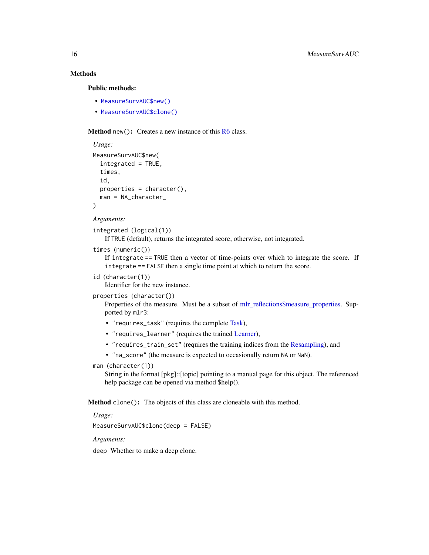# **Methods**

Public methods:

- [MeasureSurvAUC\\$new\(\)](#page-8-0)
- [MeasureSurvAUC\\$clone\(\)](#page-9-1)

Method new(): Creates a new instance of this [R6](#page-0-0) class.

```
Usage:
MeasureSurvAUC$new(
  integrated = TRUE,
  times,
  id,
  properties = character(),
  man = NA_character_
)
```
*Arguments:*

integrated (logical(1))

If TRUE (default), returns the integrated score; otherwise, not integrated.

```
times (numeric())
```
If integrate == TRUE then a vector of time-points over which to integrate the score. If integrate == FALSE then a single time point at which to return the score.

id (character(1))

Identifier for the new instance.

properties (character())

Properties of the measure. Must be a subset of [mlr\\_reflections\\$measure\\_properties.](#page-0-0) Supported by mlr3:

- "requires\_task" (requires the complete [Task\)](#page-0-0),
- "requires\_learner" (requires the trained [Learner\)](#page-0-0),
- "requires\_train\_set" (requires the training indices from the [Resampling\)](#page-0-0), and
- "na\_score" (the measure is expected to occasionally return NA or NaN).

# man (character(1))

String in the format [pkg]::[topic] pointing to a manual page for this object. The referenced help package can be opened via method \$help().

Method clone(): The objects of this class are cloneable with this method.

*Usage:*

MeasureSurvAUC\$clone(deep = FALSE)

*Arguments:*

deep Whether to make a deep clone.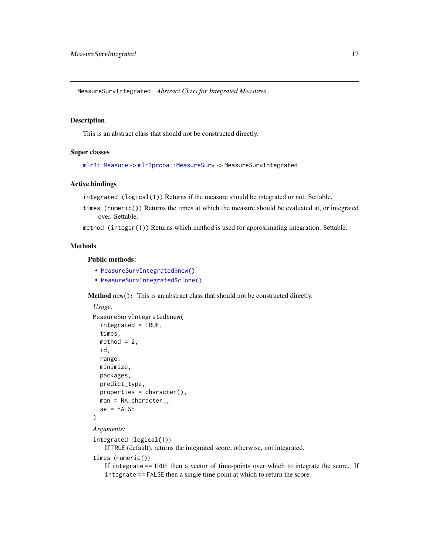<span id="page-16-0"></span>MeasureSurvIntegrated *Abstract Class for Integrated Measures*

### Description

This is an abstract class that should not be constructed directly.

### Super classes

[mlr3::Measure](#page-0-0) -> [mlr3proba::MeasureSurv](#page-0-0) -> MeasureSurvIntegrated

### Active bindings

integrated (logical(1)) Returns if the measure should be integrated or not. Settable.

times (numeric()) Returns the times at which the measure should be evaluated at, or integrated over. Settable.

method (integer(1)) Returns which method is used for approximating integration. Settable.

# Methods

# Public methods:

- [MeasureSurvIntegrated\\$new\(\)](#page-8-0)
- [MeasureSurvIntegrated\\$clone\(\)](#page-9-1)

Method new(): This is an abstract class that should not be constructed directly.

```
Usage:
MeasureSurvIntegrated$new(
  integrated = TRUE,
  times,
  method = 2,
  id,
  range,
  minimize,
  packages,
 predict_type,
  properties = character(),
  man = NA_character_,
  se = FALSE)
```
### *Arguments:*

```
integrated (logical(1))
```
If TRUE (default), returns the integrated score; otherwise, not integrated.

```
times (numeric())
```
If integrate == TRUE then a vector of time-points over which to integrate the score. If integrate == FALSE then a single time point at which to return the score.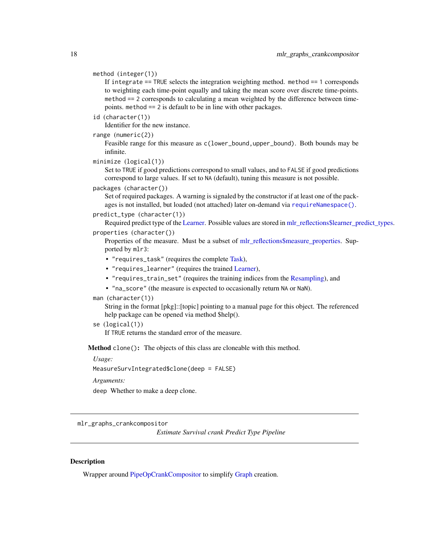### <span id="page-17-0"></span>method (integer(1))

If integrate == TRUE selects the integration weighting method. method == 1 corresponds to weighting each time-point equally and taking the mean score over discrete time-points. method == 2 corresponds to calculating a mean weighted by the difference between timepoints. method == 2 is default to be in line with other packages.

id (character(1))

Identifier for the new instance.

range (numeric(2))

Feasible range for this measure as c(lower\_bound,upper\_bound). Both bounds may be infinite.

minimize (logical(1))

Set to TRUE if good predictions correspond to small values, and to FALSE if good predictions correspond to large values. If set to NA (default), tuning this measure is not possible.

```
packages (character())
```
Set of required packages. A warning is signaled by the constructor if at least one of the packages is not installed, but loaded (not attached) later on-demand via [requireNamespace\(\)](#page-0-0).

```
predict_type (character(1))
```
Required predict type of the [Learner.](#page-0-0) Possible values are stored in [mlr\\_reflections\\$learner\\_predict\\_types.](#page-0-0) properties (character())

Properties of the measure. Must be a subset of [mlr\\_reflections\\$measure\\_properties.](#page-0-0) Supported by mlr3:

- "requires\_task" (requires the complete [Task\)](#page-0-0),
- "requires\_learner" (requires the trained [Learner\)](#page-0-0),
- "requires\_train\_set" (requires the training indices from the [Resampling\)](#page-0-0), and
- "na\_score" (the measure is expected to occasionally return NA or NaN).

man (character(1))

String in the format [pkg]::[topic] pointing to a manual page for this object. The referenced help package can be opened via method \$help().

se (logical(1))

If TRUE returns the standard error of the measure.

Method clone(): The objects of this class are cloneable with this method.

*Usage:*

MeasureSurvIntegrated\$clone(deep = FALSE)

*Arguments:*

deep Whether to make a deep clone.

<span id="page-17-1"></span>mlr\_graphs\_crankcompositor

*Estimate Survival crank Predict Type Pipeline*

# Description

Wrapper around [PipeOpCrankCompositor](#page-92-1) to simplify [Graph](#page-0-0) creation.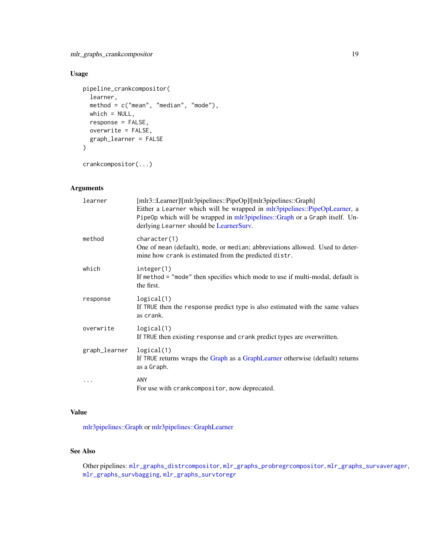# Usage

```
pipeline_crankcompositor(
  learner,
  method = c("mean", "median", "mode"),
  which = NULL,
  response = FALSE,
  overwrite = FALSE,
  graph_learner = FALSE
\mathcal{L}
```

```
crankcompositor(...)
```
# Arguments

| learner       | [mlr3::Learner]l[mlr3pipelines::PipeOp]l[mlr3pipelines::Graph]<br>Either a Learner which will be wrapped in mlr3pipelines::PipeOpLearner, a<br>Pipe0p which will be wrapped in mlr3pipelines::Graph or a Graph itself. Un-<br>derlying Learner should be LearnerSurv. |
|---------------|-----------------------------------------------------------------------------------------------------------------------------------------------------------------------------------------------------------------------------------------------------------------------|
| method        | character(1)<br>One of mean (default), mode, or median; abbreviations allowed. Used to deter-<br>mine how crank is estimated from the predicted distr.                                                                                                                |
| which         | integer(1)<br>If method = "mode" then specifies which mode to use if multi-modal, default is<br>the first.                                                                                                                                                            |
| response      | logical(1)<br>If TRUE then the response predict type is also estimated with the same values<br>as crank.                                                                                                                                                              |
| overwrite     | logical(1)<br>If TRUE then existing response and crank predict types are overwritten.                                                                                                                                                                                 |
| graph_learner | logical(1)<br>If TRUE returns wraps the Graph as a GraphLearner otherwise (default) returns<br>as a Graph.                                                                                                                                                            |
|               | <b>ANY</b><br>For use with crankcompositor, now deprecated.                                                                                                                                                                                                           |

# Value

[mlr3pipelines::Graph](#page-0-0) or [mlr3pipelines::GraphLearner](#page-0-0)

# See Also

Other pipelines: [mlr\\_graphs\\_distrcompositor](#page-19-1), [mlr\\_graphs\\_probregrcompositor](#page-21-1), [mlr\\_graphs\\_survaverager](#page-22-1), [mlr\\_graphs\\_survbagging](#page-23-1), [mlr\\_graphs\\_survtoregr](#page-25-1)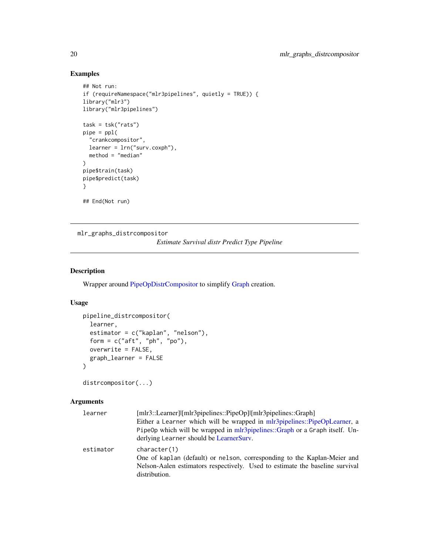# Examples

```
## Not run:
if (requireNamespace("mlr3pipelines", quietly = TRUE)) {
library("mlr3")
library("mlr3pipelines")
task = tsk("rats")
pipe = ppl(
  "crankcompositor",
  learner = lrn("surv.coxph"),
  method = "median"
)
pipe$train(task)
pipe$predict(task)
}
## End(Not run)
```
<span id="page-19-1"></span>mlr\_graphs\_distrcompositor

*Estimate Survival distr Predict Type Pipeline*

# Description

Wrapper around [PipeOpDistrCompositor](#page-94-1) to simplify [Graph](#page-0-0) creation.

# Usage

```
pipeline_distrcompositor(
  learner,
  estimator = c("kaplan", "nelson"),
 form = c("aft", "ph", "po"),
 overwrite = FALSE,
  graph_learner = FALSE
\mathcal{L}
```
distrcompositor(...)

# Arguments

| learner   | [mlr3::Learner] [mlr3pipelines::PipeOp] [mlr3pipelines::Graph]               |
|-----------|------------------------------------------------------------------------------|
|           | Either a Learner which will be wrapped in mlr3pipelines::PipeOpLearner, a    |
|           | Pipe Op which will be wrapped in mlr3pipelines: Graph or a Graph itself. Un- |
|           | derlying Learner should be LearnerSurv.                                      |
| estimator | character(1)                                                                 |
|           | One of kaplan (default) or nelson, corresponding to the Kaplan-Meier and     |
|           | Nelson-Aalen estimators respectively. Used to estimate the baseline survival |
|           | distribution.                                                                |

<span id="page-19-0"></span>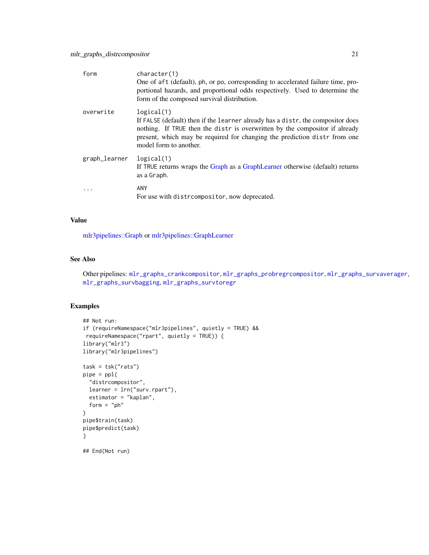| form          | character(1)<br>One of aft (default), ph, or po, corresponding to accelerated failure time, pro-<br>portional hazards, and proportional odds respectively. Used to determine the<br>form of the composed survival distribution.                                                     |
|---------------|-------------------------------------------------------------------------------------------------------------------------------------------------------------------------------------------------------------------------------------------------------------------------------------|
| overwrite     | logical(1)<br>If FALSE (default) then if the learner already has a distr, the compositor does<br>nothing. If TRUE then the distr is overwritten by the compositor if already<br>present, which may be required for changing the prediction distr from one<br>model form to another. |
| graph_learner | logical(1)<br>If TRUE returns wraps the Graph as a GraphLearner otherwise (default) returns<br>as a Graph.                                                                                                                                                                          |
|               | ANY<br>For use with distreased itor, now deprecated.                                                                                                                                                                                                                                |

### Value

[mlr3pipelines::Graph](#page-0-0) or [mlr3pipelines::GraphLearner](#page-0-0)

# See Also

Other pipelines: [mlr\\_graphs\\_crankcompositor](#page-17-1), [mlr\\_graphs\\_probregrcompositor](#page-21-1), [mlr\\_graphs\\_survaverager](#page-22-1), [mlr\\_graphs\\_survbagging](#page-23-1), [mlr\\_graphs\\_survtoregr](#page-25-1)

# Examples

```
## Not run:
if (requireNamespace("mlr3pipelines", quietly = TRUE) &&
requireNamespace("rpart", quietly = TRUE)) {
library("mlr3")
library("mlr3pipelines")
task = tsk("rats")
pipe = pp1("distrcompositor",
  learner = lrn("surv.rpart"),
  estimator = "kaplan",
  form = "ph"
\lambdapipe$train(task)
pipe$predict(task)
}
## End(Not run)
```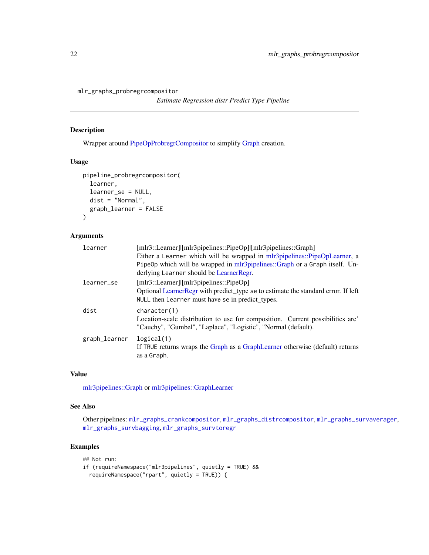<span id="page-21-1"></span><span id="page-21-0"></span>mlr\_graphs\_probregrcompositor

*Estimate Regression distr Predict Type Pipeline*

# Description

Wrapper around [PipeOpProbregrCompositor](#page-97-1) to simplify [Graph](#page-0-0) creation.

# Usage

```
pipeline_probregrcompositor(
  learner,
  learner_se = NULL,
  dist = "Normal",
  graph_learner = FALSE
\mathcal{L}
```
# Arguments

| learner       | [mlr3::Learner] [mlr3pipelines::PipeOp] [mlr3pipelines::Graph]                                                                                  |
|---------------|-------------------------------------------------------------------------------------------------------------------------------------------------|
|               | Either a Learner which will be wrapped in mlr3pipelines::PipeOpLearner, a                                                                       |
|               | Pipe Op which will be wrapped in mlr3pipelines: Graph or a Graph itself. Un-                                                                    |
|               | derlying Learner should be LearnerRegr.                                                                                                         |
| learner_se    | [mlr3::Learner] [mlr3pipelines::PipeOp]                                                                                                         |
|               | Optional Learner Regr with predict type se to estimate the standard error. If left                                                              |
|               | NULL then learner must have se in predict_types.                                                                                                |
| dist          | character(1)                                                                                                                                    |
|               | Location-scale distribution to use for composition. Current possibilities are'<br>"Cauchy", "Gumbel", "Laplace", "Logistic", "Normal (default). |
| graph_learner | logical(1)                                                                                                                                      |
|               | If TRUE returns wraps the Graph as a GraphLearner otherwise (default) returns                                                                   |
|               | as a Graph.                                                                                                                                     |

# Value

[mlr3pipelines::Graph](#page-0-0) or [mlr3pipelines::GraphLearner](#page-0-0)

# See Also

Other pipelines: [mlr\\_graphs\\_crankcompositor](#page-17-1), [mlr\\_graphs\\_distrcompositor](#page-19-1), [mlr\\_graphs\\_survaverager](#page-22-1), [mlr\\_graphs\\_survbagging](#page-23-1), [mlr\\_graphs\\_survtoregr](#page-25-1)

# Examples

```
## Not run:
if (requireNamespace("mlr3pipelines", quietly = TRUE) &&
  requireNamespace("rpart", quietly = TRUE)) {
```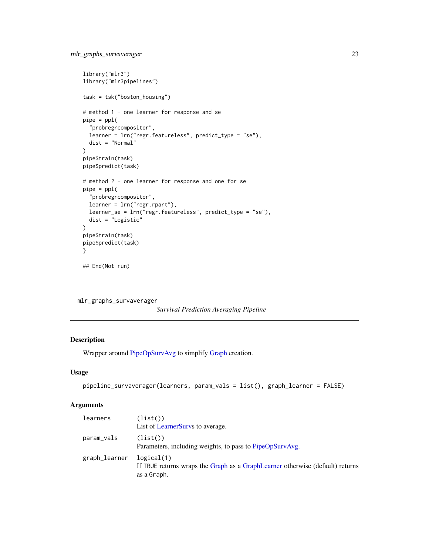```
library("mlr3")
library("mlr3pipelines")
task = tsk("boston_housing")
# method 1 - one learner for response and se
pipe = pp1("probregrcompositor",
  learner = lrn("regr.featureless", predict_type = "se"),
  dist = "Normal"
)
pipe$train(task)
pipe$predict(task)
# method 2 - one learner for response and one for se
pipe = pp1("probregrcompositor",
  learner = lrn("regr.rpart"),
  learner_se = lrn("regr.featureless", predict_type = "se"),
  dist = "Logistic"
\lambdapipe$train(task)
pipe$predict(task)
}
## End(Not run)
```

```
mlr_graphs_survaverager
```
*Survival Prediction Averaging Pipeline*

# Description

Wrapper around [PipeOpSurvAvg](#page-99-1) to simplify [Graph](#page-0-0) creation.

### Usage

```
pipeline_survaverager(learners, param_vals = list(), graph_learner = FALSE)
```
# Arguments

| learners      | (list()<br>List of Learner Survs to average.                                                               |
|---------------|------------------------------------------------------------------------------------------------------------|
| param_vals    | (list()<br>Parameters, including weights, to pass to PipeOpSurvAvg.                                        |
| graph_learner | logical(1)<br>If TRUE returns wraps the Graph as a GraphLearner otherwise (default) returns<br>as a Graph. |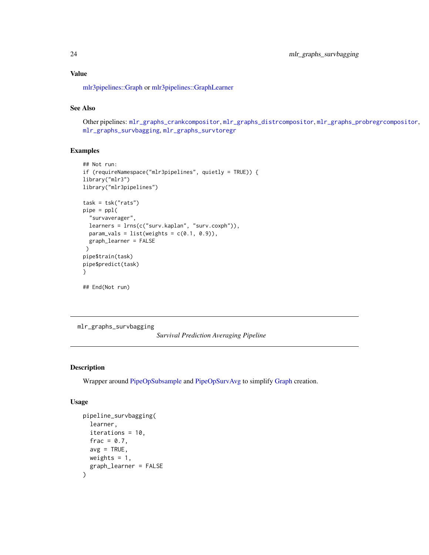#### <span id="page-23-0"></span>Value

[mlr3pipelines::Graph](#page-0-0) or [mlr3pipelines::GraphLearner](#page-0-0)

# See Also

Other pipelines: [mlr\\_graphs\\_crankcompositor](#page-17-1), [mlr\\_graphs\\_distrcompositor](#page-19-1), [mlr\\_graphs\\_probregrcompositor](#page-21-1), [mlr\\_graphs\\_survbagging](#page-23-1), [mlr\\_graphs\\_survtoregr](#page-25-1)

# Examples

```
## Not run:
if (requireNamespace("mlr3pipelines", quietly = TRUE)) {
library("mlr3")
library("mlr3pipelines")
task = tsk("rats")pipe = pp1("survaverager",
  learners = lrns(c("surv.kaplan", "surv.coxph")),
  param_vals = list(weights = c(0.1, 0.9)),
  graph_learner = FALSE
 \lambdapipe$train(task)
pipe$predict(task)
}
## End(Not run)
```
<span id="page-23-1"></span>mlr\_graphs\_survbagging

*Survival Prediction Averaging Pipeline*

# Description

Wrapper around [PipeOpSubsample](#page-0-0) and [PipeOpSurvAvg](#page-99-1) to simplify [Graph](#page-0-0) creation.

# Usage

```
pipeline_survbagging(
  learner,
  iterations = 10,
  frac = 0.7,
  avg = TRUE,
 weights = 1,
  graph_learner = FALSE
)
```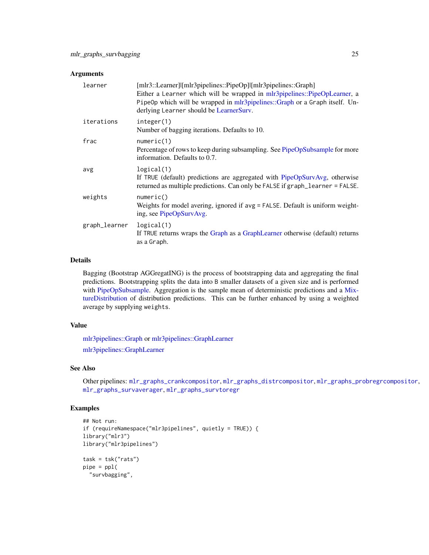# Arguments

| learner       | [mlr3::Learner] [mlr3pipelines::PipeOp] [mlr3pipelines::Graph]<br>Either a Learner which will be wrapped in mlr3pipelines::PipeOpLearner, a<br>PipeOp which will be wrapped in mlr3pipelines::Graph or a Graph itself. Un-<br>derlying Learner should be LearnerSurv. |
|---------------|-----------------------------------------------------------------------------------------------------------------------------------------------------------------------------------------------------------------------------------------------------------------------|
| iterations    | integer(1)<br>Number of bagging iterations. Defaults to 10.                                                                                                                                                                                                           |
| frac          | numeric(1)<br>Percentage of rows to keep during subsampling. See PipeOpSubsample for more<br>information. Defaults to 0.7.                                                                                                                                            |
| avg           | logical(1)<br>If TRUE (default) predictions are aggregated with PipeOpSurvAvg, otherwise<br>returned as multiple predictions. Can only be FALSE if graph_learner = FALSE.                                                                                             |
| weights       | numeric()<br>Weights for model avering, ignored if avg = FALSE. Default is uniform weight-<br>ing, see PipeOpSurvAvg.                                                                                                                                                 |
| graph_learner | logical(1)<br>If TRUE returns wraps the Graph as a GraphLearner otherwise (default) returns<br>as a Graph.                                                                                                                                                            |

# Details

Bagging (Bootstrap AGGregatING) is the process of bootstrapping data and aggregating the final predictions. Bootstrapping splits the data into B smaller datasets of a given size and is performed with [PipeOpSubsample.](#page-0-0) Aggregation is the sample mean of deterministic predictions and a [Mix](#page-0-0)[tureDistribution](#page-0-0) of distribution predictions. This can be further enhanced by using a weighted average by supplying weights.

# Value

[mlr3pipelines::Graph](#page-0-0) or [mlr3pipelines::GraphLearner](#page-0-0)

[mlr3pipelines::GraphLearner](#page-0-0)

# See Also

Other pipelines: [mlr\\_graphs\\_crankcompositor](#page-17-1), [mlr\\_graphs\\_distrcompositor](#page-19-1), [mlr\\_graphs\\_probregrcompositor](#page-21-1), [mlr\\_graphs\\_survaverager](#page-22-1), [mlr\\_graphs\\_survtoregr](#page-25-1)

# Examples

```
## Not run:
if (requireNamespace("mlr3pipelines", quietly = TRUE)) {
library("mlr3")
library("mlr3pipelines")
task = tsk("rats")
pipe = pp1("survbagging",
```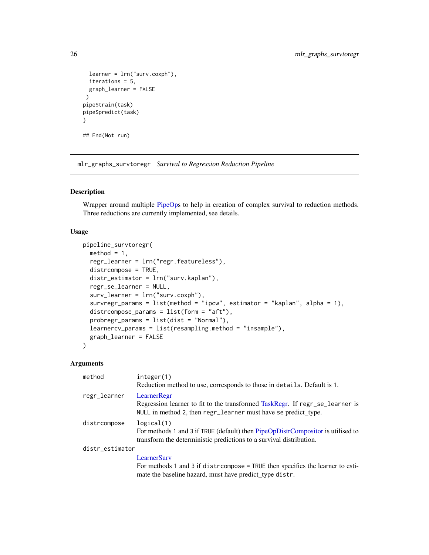```
learner = lrn("surv.coxph"),
 iterations = 5,
 graph_learner = FALSE
)
pipe$train(task)
pipe$predict(task)
}
## End(Not run)
```
<span id="page-25-1"></span>mlr\_graphs\_survtoregr *Survival to Regression Reduction Pipeline*

# Description

Wrapper around multiple [PipeOps](#page-0-0) to help in creation of complex survival to reduction methods. Three reductions are currently implemented, see details.

# Usage

```
pipeline_survtoregr(
 method = 1,
  regr_learner = lrn("regr.featureless"),
  distrcompose = TRUE,
  distr_estimator = lrn("surv.kaplan"),
  regr_se_learner = NULL,
  surv_learner = lrn("surv.coxph"),
  survregr_params = list(method = "ipcw", estimator = "kaplan", alpha = 1),
  distrcompose_params = list(form = "aft"),
 probregr_params = list(dist = "Normal"),
  learnercv_params = list(resampling.method = "insample"),
  graph_learner = FALSE
)
```
# Arguments

| method          | integer(1)<br>Reduction method to use, corresponds to those in details. Default is 1.                                                                                |
|-----------------|----------------------------------------------------------------------------------------------------------------------------------------------------------------------|
| regr_learner    | LearnerRegr<br>Regression learner to fit to the transformed TaskRegr. If regr_se_learner is<br>NULL in method 2, then regr_learner must have se predict_type.        |
| distrcompose    | logical(1)<br>For methods 1 and 3 if TRUE (default) then PipeOpDistrCompositor is utilised to<br>transform the deterministic predictions to a survival distribution. |
| distr_estimator |                                                                                                                                                                      |
|                 | <b>LearnerSury</b><br>For methods 1 and 3 if district on poster FRUE then specifies the learner to esti-<br>mate the baseline hazard, must have predict type distr.  |

<span id="page-25-0"></span>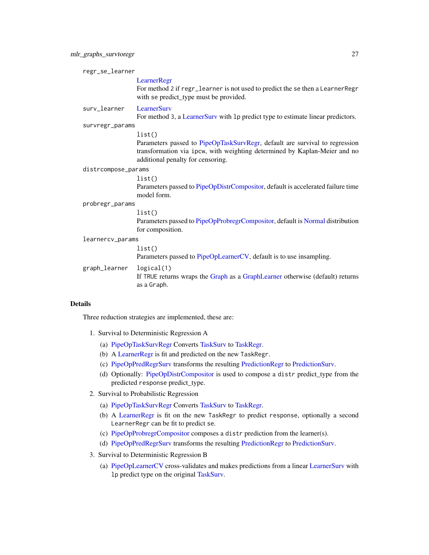regr\_se\_learner

### **[LearnerRegr](#page-0-0)**

For method 2 if regr\_learner is not used to predict the se then a LearnerRegr with se predict\_type must be provided.

surv\_learner [LearnerSurv](#page-9-2)

For method 3, a [LearnerSurv](#page-9-2) with 1p predict type to estimate linear predictors.

survregr\_params

#### list()

Parameters passed to [PipeOpTaskSurvRegr,](#page-105-1) default are survival to regression transformation via ipcw, with weighting determined by Kaplan-Meier and no additional penalty for censoring.

distrcompose\_params

#### list()

Parameters passed to [PipeOpDistrCompositor,](#page-94-1) default is accelerated failure time model form.

#### probregr\_params

list()

Parameters passed to [PipeOpProbregrCompositor,](#page-97-1) default is [Normal](#page-0-0) distribution for composition.

### learnercv\_params

|               | list()<br>Parameters passed to PipeOpLearnerCV, default is to use insampling.                              |
|---------------|------------------------------------------------------------------------------------------------------------|
| graph_learner | logical(1)<br>If TRUE returns wraps the Graph as a GraphLearner otherwise (default) returns<br>as a Graph. |

# Details

Three reduction strategies are implemented, these are:

- 1. Survival to Deterministic Regression A
	- (a) [PipeOpTaskSurvRegr](#page-105-1) Converts [TaskSurv](#page-127-1) to [TaskRegr.](#page-0-0)
	- (b) A [LearnerRegr](#page-0-0) is fit and predicted on the new TaskRegr.
	- (c) [PipeOpPredRegrSurv](#page-100-1) transforms the resulting [PredictionRegr](#page-0-0) to [PredictionSurv.](#page-124-1)
	- (d) Optionally: [PipeOpDistrCompositor](#page-94-1) is used to compose a distr predict\_type from the predicted response predict\_type.
- 2. Survival to Probabilistic Regression
	- (a) [PipeOpTaskSurvRegr](#page-105-1) Converts [TaskSurv](#page-127-1) to [TaskRegr.](#page-0-0)
	- (b) A [LearnerRegr](#page-0-0) is fit on the new TaskRegr to predict response, optionally a second LearnerRegr can be fit to predict se.
	- (c) [PipeOpProbregrCompositor](#page-97-1) composes a distr prediction from the learner(s).
	- (d) [PipeOpPredRegrSurv](#page-100-1) transforms the resulting [PredictionRegr](#page-0-0) to [PredictionSurv.](#page-124-1)
- 3. Survival to Deterministic Regression B
	- (a) [PipeOpLearnerCV](#page-0-0) cross-validates and makes predictions from a linear [LearnerSurv](#page-9-2) with lp predict type on the original [TaskSurv.](#page-127-1)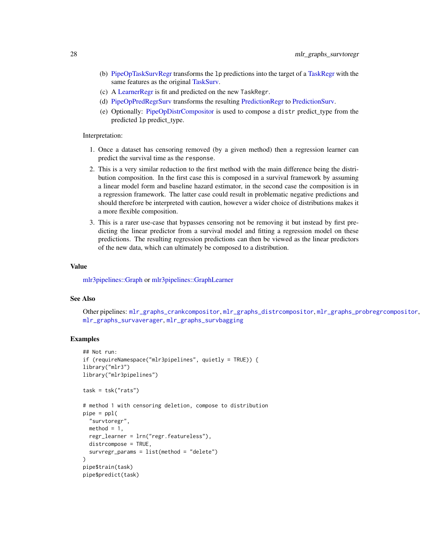- (b) [PipeOpTaskSurvRegr](#page-105-1) transforms the lp predictions into the target of a [TaskRegr](#page-0-0) with the same features as the original [TaskSurv.](#page-127-1)
- (c) A [LearnerRegr](#page-0-0) is fit and predicted on the new TaskRegr.
- (d) [PipeOpPredRegrSurv](#page-100-1) transforms the resulting [PredictionRegr](#page-0-0) to [PredictionSurv.](#page-124-1)
- (e) Optionally: [PipeOpDistrCompositor](#page-94-1) is used to compose a distr predict\_type from the predicted lp predict\_type.

### Interpretation:

- 1. Once a dataset has censoring removed (by a given method) then a regression learner can predict the survival time as the response.
- 2. This is a very similar reduction to the first method with the main difference being the distribution composition. In the first case this is composed in a survival framework by assuming a linear model form and baseline hazard estimator, in the second case the composition is in a regression framework. The latter case could result in problematic negative predictions and should therefore be interpreted with caution, however a wider choice of distributions makes it a more flexible composition.
- 3. This is a rarer use-case that bypasses censoring not be removing it but instead by first predicting the linear predictor from a survival model and fitting a regression model on these predictions. The resulting regression predictions can then be viewed as the linear predictors of the new data, which can ultimately be composed to a distribution.

### Value

[mlr3pipelines::Graph](#page-0-0) or [mlr3pipelines::GraphLearner](#page-0-0)

### See Also

Other pipelines: [mlr\\_graphs\\_crankcompositor](#page-17-1), [mlr\\_graphs\\_distrcompositor](#page-19-1), [mlr\\_graphs\\_probregrcompositor](#page-21-1), [mlr\\_graphs\\_survaverager](#page-22-1), [mlr\\_graphs\\_survbagging](#page-23-1)

# Examples

```
## Not run:
if (requireNamespace("mlr3pipelines", quietly = TRUE)) {
library("mlr3")
library("mlr3pipelines")
task = tsk("rats")
# method 1 with censoring deletion, compose to distribution
pipe = ppl(
  "survtoregr",
 method = 1,
 regr_learner = lrn("regr.featureless"),
 distrcompose = TRUE,
 survregr_params = list(method = "delete")
)
pipe$train(task)
pipe$predict(task)
```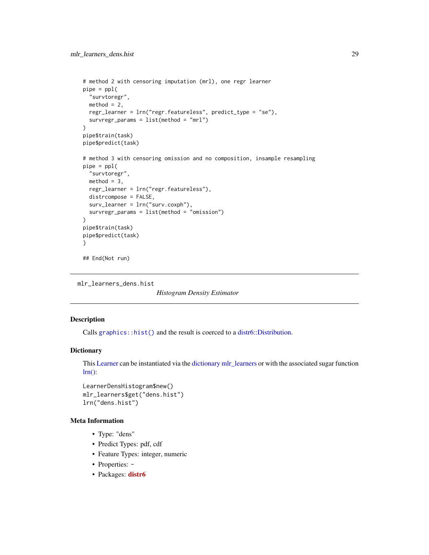```
# method 2 with censoring imputation (mrl), one regr learner
pipe = pp1("survtoregr",
  method = 2,regr_learner = lrn("regr.featureless", predict_type = "se"),
  survregr_params = list(method = "mrl")
\mathcal{L}pipe$train(task)
pipe$predict(task)
# method 3 with censoring omission and no composition, insample resampling
pipe = pp1("survtoregr",
  method = 3,
  regr_learner = lrn("regr.featureless"),
  distrcompose = FALSE,
  surv_learner = lrn("surv.coxph"),
  survregr_params = list(method = "omission")
)
pipe$train(task)
pipe$predict(task)
}
## End(Not run)
```

```
mlr_learners_dens.hist
```
*Histogram Density Estimator*

# Description

Calls [graphics::hist\(\)](#page-0-0) and the result is coerced to a [distr6::Distribution.](#page-0-0)

### **Dictionary**

This [Learner](#page-0-0) can be instantiated via the [dictionary](#page-0-0) [mlr\\_learners](#page-0-0) or with the associated sugar function  $lrn()$ :

```
LearnerDensHistogram$new()
mlr_learners$get("dens.hist")
lrn("dens.hist")
```
### Meta Information

- Type: "dens"
- Predict Types: pdf, cdf
- Feature Types: integer, numeric
- Properties: -
- Packages: [distr6](https://CRAN.R-project.org/package=distr6)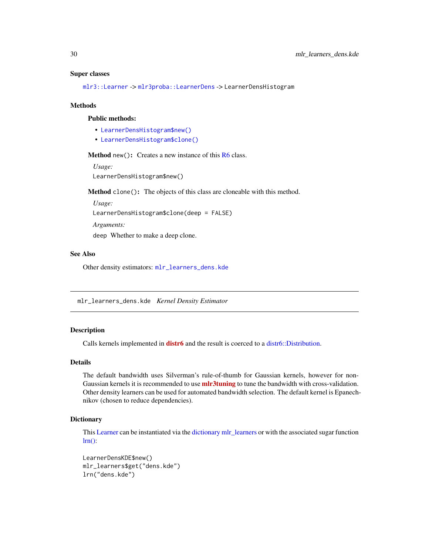#### <span id="page-29-0"></span>Super classes

[mlr3::Learner](#page-0-0) -> [mlr3proba::LearnerDens](#page-0-0) -> LearnerDensHistogram

#### Methods

#### Public methods:

- [LearnerDensHistogram\\$new\(\)](#page-8-0)
- [LearnerDensHistogram\\$clone\(\)](#page-9-1)

### **Method** new(): Creates a new instance of this  $R6$  class.

*Usage:*

LearnerDensHistogram\$new()

Method clone(): The objects of this class are cloneable with this method.

*Usage:*

LearnerDensHistogram\$clone(deep = FALSE)

*Arguments:*

deep Whether to make a deep clone.

# See Also

Other density estimators: [mlr\\_learners\\_dens.kde](#page-29-1)

<span id="page-29-1"></span>mlr\_learners\_dens.kde *Kernel Density Estimator*

# Description

Calls kernels implemented in **[distr6](https://CRAN.R-project.org/package=distr6)** and the result is coerced to a [distr6::Distribution.](#page-0-0)

# Details

The default bandwidth uses Silverman's rule-of-thumb for Gaussian kernels, however for non-Gaussian kernels it is recommended to use **minitally as the standard value of the standard Conservation**. Other density learners can be used for automated bandwidth selection. The default kernel is Epanechnikov (chosen to reduce dependencies).

### **Dictionary**

This [Learner](#page-0-0) can be instantiated via the [dictionary](#page-0-0) [mlr\\_learners](#page-0-0) or with the associated sugar function  $lrn$ :

LearnerDensKDE\$new() mlr\_learners\$get("dens.kde") lrn("dens.kde")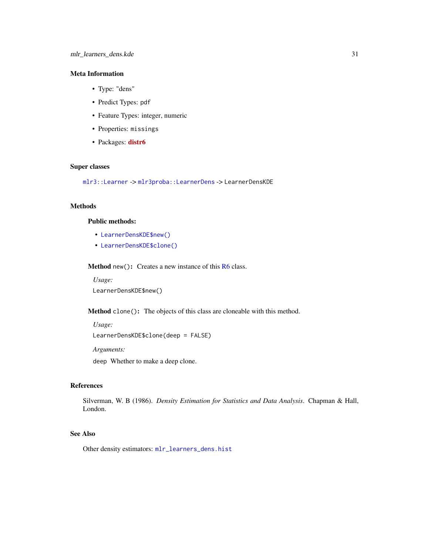# Meta Information

- Type: "dens"
- Predict Types: pdf
- Feature Types: integer, numeric
- Properties: missings
- Packages: [distr6](https://CRAN.R-project.org/package=distr6)

# Super classes

[mlr3::Learner](#page-0-0) -> [mlr3proba::LearnerDens](#page-0-0) -> LearnerDensKDE

# Methods

# Public methods:

- [LearnerDensKDE\\$new\(\)](#page-8-0)
- [LearnerDensKDE\\$clone\(\)](#page-9-1)

Method new(): Creates a new instance of this [R6](#page-0-0) class.

*Usage:* LearnerDensKDE\$new()

Method clone(): The objects of this class are cloneable with this method.

```
Usage:
LearnerDensKDE$clone(deep = FALSE)
Arguments:
```
deep Whether to make a deep clone.

# References

Silverman, W. B (1986). *Density Estimation for Statistics and Data Analysis*. Chapman & Hall, London.

# See Also

Other density estimators: [mlr\\_learners\\_dens.hist](#page-28-1)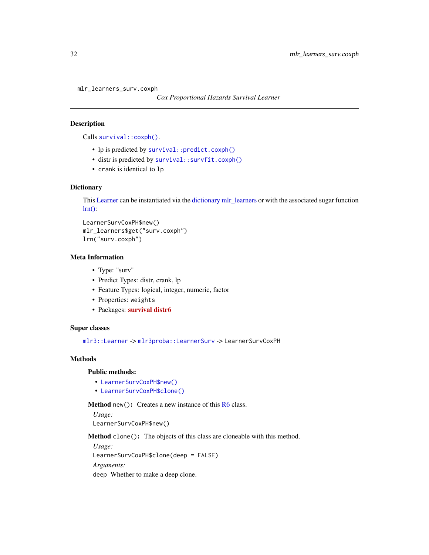<span id="page-31-1"></span><span id="page-31-0"></span>mlr\_learners\_surv.coxph

*Cox Proportional Hazards Survival Learner*

# Description

Calls [survival::coxph\(\)](#page-0-0).

- lp is predicted by [survival::predict.coxph\(\)](#page-0-0)
- distr is predicted by [survival::survfit.coxph\(\)](#page-0-0)
- crank is identical to lp

# **Dictionary**

This [Learner](#page-0-0) can be instantiated via the [dictionary](#page-0-0) [mlr\\_learners](#page-0-0) or with the associated sugar function  $lrn$ :

```
LearnerSurvCoxPH$new()
mlr_learners$get("surv.coxph")
lrn("surv.coxph")
```
# Meta Information

- Type: "surv"
- Predict Types: distr, crank, lp
- Feature Types: logical, integer, numeric, factor
- Properties: weights
- Packages: [survival](https://CRAN.R-project.org/package=survival) [distr6](https://CRAN.R-project.org/package=distr6)

# Super classes

[mlr3::Learner](#page-0-0) -> [mlr3proba::LearnerSurv](#page-0-0) -> LearnerSurvCoxPH

# Methods

### Public methods:

- [LearnerSurvCoxPH\\$new\(\)](#page-8-0)
- [LearnerSurvCoxPH\\$clone\(\)](#page-9-1)

Method new(): Creates a new instance of this [R6](#page-0-0) class.

*Usage:* LearnerSurvCoxPH\$new()

Method clone(): The objects of this class are cloneable with this method.

*Usage:*

LearnerSurvCoxPH\$clone(deep = FALSE)

*Arguments:*

deep Whether to make a deep clone.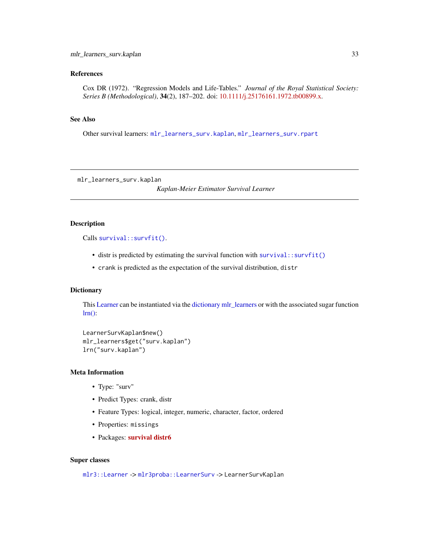# <span id="page-32-0"></span>References

Cox DR (1972). "Regression Models and Life-Tables." *Journal of the Royal Statistical Society: Series B (Methodological)*, 34(2), 187–202. doi: [10.1111/j.25176161.1972.tb00899.x.](https://doi.org/10.1111/j.2517-6161.1972.tb00899.x)

# See Also

Other survival learners: [mlr\\_learners\\_surv.kaplan](#page-32-1), [mlr\\_learners\\_surv.rpart](#page-33-1)

<span id="page-32-1"></span>mlr\_learners\_surv.kaplan

*Kaplan-Meier Estimator Survival Learner*

### Description

Calls [survival::survfit\(\)](#page-0-0).

- distr is predicted by estimating the survival function with [survival::survfit\(\)](#page-0-0)
- crank is predicted as the expectation of the survival distribution, distr

### Dictionary

This [Learner](#page-0-0) can be instantiated via the [dictionary](#page-0-0) [mlr\\_learners](#page-0-0) or with the associated sugar function  $lrn$ :

```
LearnerSurvKaplan$new()
mlr_learners$get("surv.kaplan")
lrn("surv.kaplan")
```
### Meta Information

- Type: "surv"
- Predict Types: crank, distr
- Feature Types: logical, integer, numeric, character, factor, ordered
- Properties: missings
- Packages: [survival](https://CRAN.R-project.org/package=survival) [distr6](https://CRAN.R-project.org/package=distr6)

#### Super classes

[mlr3::Learner](#page-0-0) -> [mlr3proba::LearnerSurv](#page-0-0) -> LearnerSurvKaplan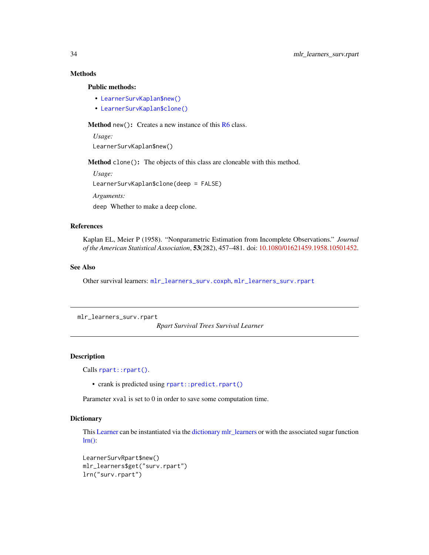# Methods

### Public methods:

- [LearnerSurvKaplan\\$new\(\)](#page-8-0)
- [LearnerSurvKaplan\\$clone\(\)](#page-9-1)

#### **Method** new( $)$ : Creates a new instance of this  $R6$  class.

*Usage:* LearnerSurvKaplan\$new()

Method clone(): The objects of this class are cloneable with this method.

*Usage:* LearnerSurvKaplan\$clone(deep = FALSE) *Arguments:* deep Whether to make a deep clone.

# References

Kaplan EL, Meier P (1958). "Nonparametric Estimation from Incomplete Observations." *Journal of the American Statistical Association*, 53(282), 457–481. doi: [10.1080/01621459.1958.10501452.](https://doi.org/10.1080/01621459.1958.10501452)

# See Also

Other survival learners: [mlr\\_learners\\_surv.coxph](#page-31-1), [mlr\\_learners\\_surv.rpart](#page-33-1)

<span id="page-33-1"></span>mlr\_learners\_surv.rpart

*Rpart Survival Trees Survival Learner*

# Description

Calls [rpart::rpart\(\)](#page-0-0).

• crank is predicted using [rpart::predict.rpart\(\)](#page-0-0)

Parameter xval is set to 0 in order to save some computation time.

#### Dictionary

This [Learner](#page-0-0) can be instantiated via the [dictionary](#page-0-0) [mlr\\_learners](#page-0-0) or with the associated sugar function  $lrn()$ :

```
LearnerSurvRpart$new()
mlr_learners$get("surv.rpart")
lrn("surv.rpart")
```
<span id="page-33-0"></span>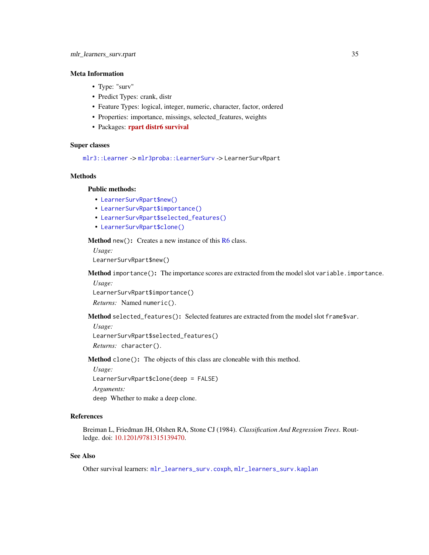# Meta Information

- Type: "surv"
- Predict Types: crank, distr
- Feature Types: logical, integer, numeric, character, factor, ordered
- Properties: importance, missings, selected\_features, weights
- Packages: [rpart](https://CRAN.R-project.org/package=rpart) [distr6](https://CRAN.R-project.org/package=distr6) [survival](https://CRAN.R-project.org/package=survival)

### Super classes

[mlr3::Learner](#page-0-0) -> [mlr3proba::LearnerSurv](#page-0-0) -> LearnerSurvRpart

# **Methods**

# Public methods:

- [LearnerSurvRpart\\$new\(\)](#page-8-0)
- [LearnerSurvRpart\\$importance\(\)](#page-34-0)
- [LearnerSurvRpart\\$selected\\_features\(\)](#page-34-1)
- [LearnerSurvRpart\\$clone\(\)](#page-9-1)

Method new(): Creates a new instance of this [R6](#page-0-0) class.

*Usage:*

LearnerSurvRpart\$new()

<span id="page-34-0"></span>Method importance(): The importance scores are extracted from the model slot variable.importance. *Usage:*

LearnerSurvRpart\$importance()

*Returns:* Named numeric().

<span id="page-34-1"></span>Method selected\_features(): Selected features are extracted from the model slot frame\$var.

*Usage:*

LearnerSurvRpart\$selected\_features()

*Returns:* character().

Method clone(): The objects of this class are cloneable with this method.

*Usage:*

LearnerSurvRpart\$clone(deep = FALSE)

*Arguments:*

deep Whether to make a deep clone.

# References

Breiman L, Friedman JH, Olshen RA, Stone CJ (1984). *Classification And Regression Trees*. Routledge. doi: [10.1201/9781315139470.](https://doi.org/10.1201/9781315139470)

# See Also

Other survival learners: [mlr\\_learners\\_surv.coxph](#page-31-1), [mlr\\_learners\\_surv.kaplan](#page-32-1)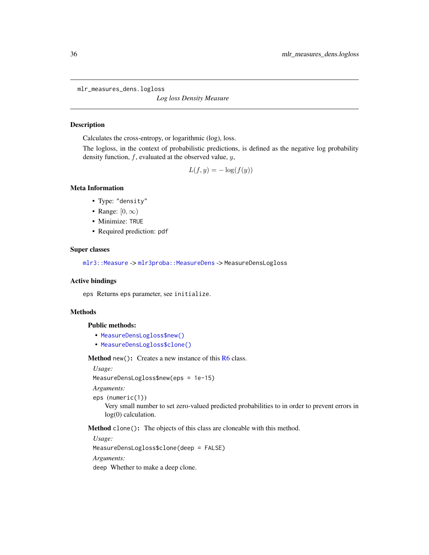<span id="page-35-1"></span><span id="page-35-0"></span>mlr\_measures\_dens.logloss

*Log loss Density Measure*

# Description

Calculates the cross-entropy, or logarithmic (log), loss.

The logloss, in the context of probabilistic predictions, is defined as the negative log probability density function,  $f$ , evaluated at the observed value,  $y$ ,

 $L(f, y) = -\log(f(y))$ 

#### Meta Information

- Type: "density"
- Range:  $[0, \infty)$
- Minimize: TRUE
- Required prediction: pdf

### Super classes

[mlr3::Measure](#page-0-0) -> [mlr3proba::MeasureDens](#page-0-0) -> MeasureDensLogloss

# Active bindings

eps Returns eps parameter, see initialize.

# Methods

### Public methods:

- [MeasureDensLogloss\\$new\(\)](#page-8-0)
- [MeasureDensLogloss\\$clone\(\)](#page-9-1)

Method new(): Creates a new instance of this [R6](#page-0-0) class.

*Usage:*

MeasureDensLogloss\$new(eps = 1e-15)

*Arguments:*

eps (numeric(1))

Very small number to set zero-valued predicted probabilities to in order to prevent errors in log(0) calculation.

Method clone(): The objects of this class are cloneable with this method.

*Usage:*

MeasureDensLogloss\$clone(deep = FALSE)

*Arguments:*

deep Whether to make a deep clone.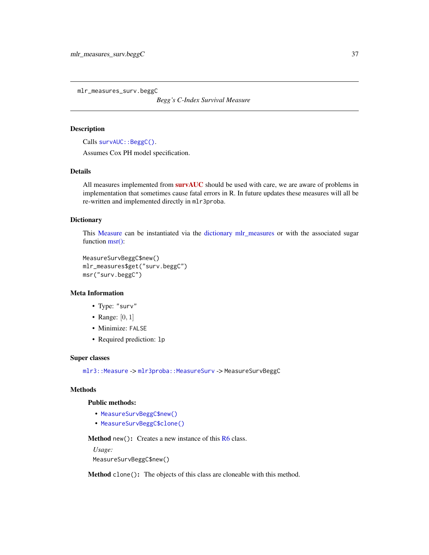<span id="page-36-0"></span>mlr\_measures\_surv.beggC

*Begg's C-Index Survival Measure*

# Description

Calls [survAUC::BeggC\(\)](#page-0-0).

Assumes Cox PH model specification.

## Details

All measures implemented from [survAUC](https://CRAN.R-project.org/package=survAUC) should be used with care, we are aware of problems in implementation that sometimes cause fatal errors in R. In future updates these measures will all be re-written and implemented directly in mlr3proba.

## Dictionary

This [Measure](#page-0-0) can be instantiated via the [dictionary](#page-0-0) [mlr\\_measures](#page-0-0) or with the associated sugar function [msr\(\):](#page-0-0)

```
MeasureSurvBeggC$new()
mlr_measures$get("surv.beggC")
msr("surv.beggC")
```
# Meta Information

- Type: "surv"
- Range:  $[0, 1]$
- Minimize: FALSE
- Required prediction: lp

# Super classes

[mlr3::Measure](#page-0-0) -> [mlr3proba::MeasureSurv](#page-0-0) -> MeasureSurvBeggC

# Methods

# Public methods:

- [MeasureSurvBeggC\\$new\(\)](#page-8-0)
- [MeasureSurvBeggC\\$clone\(\)](#page-9-0)

Method new(): Creates a new instance of this [R6](#page-0-0) class.

```
Usage:
MeasureSurvBeggC$new()
```
Method clone(): The objects of this class are cloneable with this method.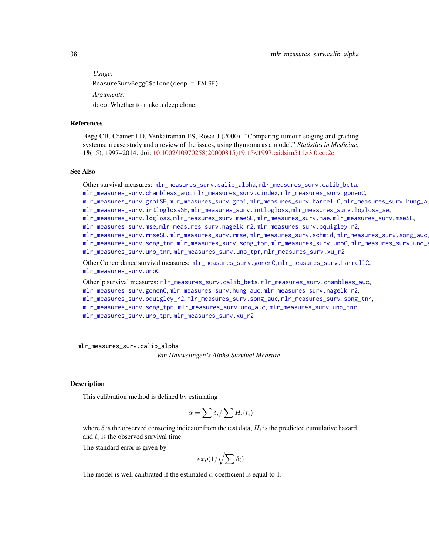*Usage:* MeasureSurvBeggC\$clone(deep = FALSE) *Arguments:* deep Whether to make a deep clone.

## References

Begg CB, Cramer LD, Venkatraman ES, Rosai J (2000). "Comparing tumour staging and grading systems: a case study and a review of the issues, using thymoma as a model." *Statistics in Medicine*, 19(15), 1997–2014. doi: [10.1002/10970258\(20000815\)19:15<1997::aidsim511>3.0.co;2c.](https://doi.org/10.1002/1097-0258(20000815)19:15<1997::aid-sim511>3.0.co;2-c)

#### See Also

```
Other survival measures: mlr_measures_surv.calib_alpha, mlr_measures_surv.calib_beta,
mlr_measures_surv.chambless_auc, mlr_measures_surv.cindex, mlr_measures_surv.gonenC,
mlr_measures_surv.grafSE, mlr_measures_surv.graf, mlr_measures_surv.harrellC, mlr_measures_surv.hung_auc,
mlr_measures_surv.intloglossSE, mlr_measures_surv.intlogloss, mlr_measures_surv.logloss_se,
mlr_measures_surv.logloss, mlr_measures_surv.maeSE, mlr_measures_surv.mae, mlr_measures_surv.mseSE,
mlr_measures_surv.mse, mlr_measures_surv.nagelk_r2, mlr_measures_surv.oquigley_r2,
mlr_measures_surv.rmseSE, mlr_measures_surv.rmse, mlr_measures_surv.schmid, mlr_measures_surv.song_auc,
mlr_measures_surv.song_tnr, mlr_measures_surv.song_tpr, mlr_measures_surv.unoC, mlr_measures_surv.uno_auc,
mlr_measures_surv.uno_tnr, mlr_measures_surv.uno_tpr, mlr_measures_surv.xu_r2
Other Concordance survival measures: mlr_measures_surv.gonenC, mlr_measures_surv.harrellC,
mlr_measures_surv.unoC
Other lp survival measures: mlr_measures_surv.calib_beta, mlr_measures_surv.chambless_auc,
mlr_measures_surv.gonenC, mlr_measures_surv.hung_auc, mlr_measures_surv.nagelk_r2,
mlr_measures_surv.oquigley_r2, mlr_measures_surv.song_auc, mlr_measures_surv.song_tnr,
```

```
mlr_measures_surv.song_tpr, mlr_measures_surv.uno_auc, mlr_measures_surv.uno_tnr,
```

```
mlr_measures_surv.uno_tpr, mlr_measures_surv.xu_r2
```
<span id="page-37-0"></span>mlr\_measures\_surv.calib\_alpha *Van Houwelingen's Alpha Survival Measure*

#### Description

This calibration method is defined by estimating

$$
\alpha = \sum \delta_i / \sum H_i(t_i)
$$

where  $\delta$  is the observed censoring indicator from the test data,  $H_i$  is the predicted cumulative hazard, and  $t_i$  is the observed survival time.

The standard error is given by

$$
\exp(1/\sqrt{\sum \delta_i})
$$

The model is well calibrated if the estimated  $\alpha$  coefficient is equal to 1.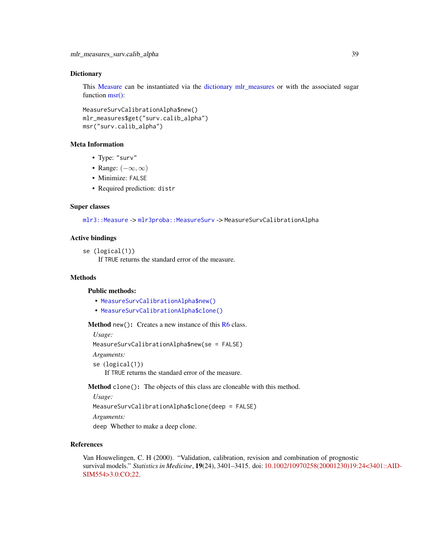# **Dictionary**

This [Measure](#page-0-0) can be instantiated via the [dictionary](#page-0-0) [mlr\\_measures](#page-0-0) or with the associated sugar function [msr\(\):](#page-0-0)

```
MeasureSurvCalibrationAlpha$new()
mlr_measures$get("surv.calib_alpha")
msr("surv.calib_alpha")
```
## Meta Information

- Type: "surv"
- Range:  $(-\infty, \infty)$
- Minimize: FALSE
- Required prediction: distr

#### Super classes

[mlr3::Measure](#page-0-0) -> [mlr3proba::MeasureSurv](#page-0-0) -> MeasureSurvCalibrationAlpha

## Active bindings

```
se (logical(1))
```
If TRUE returns the standard error of the measure.

# Methods

#### Public methods:

- [MeasureSurvCalibrationAlpha\\$new\(\)](#page-8-0)
- [MeasureSurvCalibrationAlpha\\$clone\(\)](#page-9-0)

**Method** new( $)$ : Creates a new instance of this  $R6$  class.

*Usage:*

MeasureSurvCalibrationAlpha\$new(se = FALSE)

*Arguments:*

se (logical(1))

If TRUE returns the standard error of the measure.

Method clone(): The objects of this class are cloneable with this method.

*Usage:*

MeasureSurvCalibrationAlpha\$clone(deep = FALSE)

*Arguments:*

deep Whether to make a deep clone.

# References

Van Houwelingen, C. H (2000). "Validation, calibration, revision and combination of prognostic survival models." *Statistics in Medicine*, 19(24), 3401–3415. doi: [10.1002/10970258\(20001230\)19:2](https://doi.org/10.1002/1097-0258(20001230)19:24<3401::AID-SIM554>3.0.CO;2-2)4<3401::AID-[SIM554>3.0.CO;22.](https://doi.org/10.1002/1097-0258(20001230)19:24<3401::AID-SIM554>3.0.CO;2-2)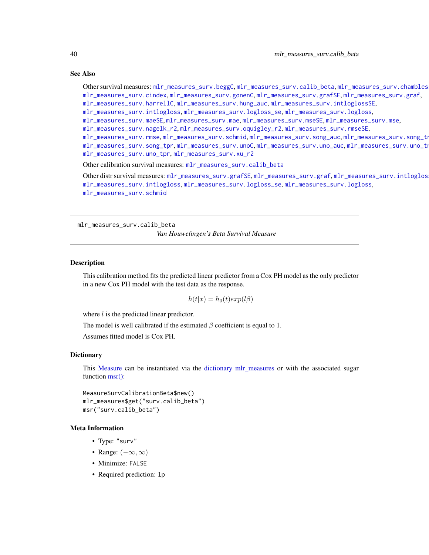# See Also

Other survival measures: [mlr\\_measures\\_surv.beggC](#page-36-0), [mlr\\_measures\\_surv.calib\\_beta](#page-39-0), [mlr\\_measures\\_surv.chambless\\_auc](#page-41-0), [mlr\\_measures\\_surv.cindex](#page-43-0), [mlr\\_measures\\_surv.gonenC](#page-45-0), [mlr\\_measures\\_surv.grafSE](#page-49-0), [mlr\\_measures\\_surv.graf](#page-47-0), [mlr\\_measures\\_surv.harrellC](#page-51-0), [mlr\\_measures\\_surv.hung\\_auc](#page-52-0), [mlr\\_measures\\_surv.intloglossSE](#page-57-0), [mlr\\_measures\\_surv.intlogloss](#page-54-0), [mlr\\_measures\\_surv.logloss\\_se](#page-61-0), [mlr\\_measures\\_surv.logloss](#page-59-0), [mlr\\_measures\\_surv.maeSE](#page-64-0), [mlr\\_measures\\_surv.mae](#page-62-0), [mlr\\_measures\\_surv.mseSE](#page-67-0), [mlr\\_measures\\_surv.mse](#page-65-0), [mlr\\_measures\\_surv.nagelk\\_r2](#page-68-0), [mlr\\_measures\\_surv.oquigley\\_r2](#page-70-0), [mlr\\_measures\\_surv.rmseSE](#page-73-0), [mlr\\_measures\\_surv.rmse](#page-71-0), [mlr\\_measures\\_surv.schmid](#page-74-0), [mlr\\_measures\\_surv.song\\_auc](#page-77-0), mlr\_measures\_surv.song\_tn [mlr\\_measures\\_surv.song\\_tpr](#page-81-0), [mlr\\_measures\\_surv.unoC](#page-83-0), [mlr\\_measures\\_surv.uno\\_auc](#page-84-0), mlr\_measures\_surv.uno\_tn

[mlr\\_measures\\_surv.uno\\_tpr](#page-88-0), [mlr\\_measures\\_surv.xu\\_r2](#page-90-0)

Other calibration survival measures: [mlr\\_measures\\_surv.calib\\_beta](#page-39-0)

Other distr survival measures: [mlr\\_measures\\_surv.grafSE](#page-49-0), [mlr\\_measures\\_surv.graf](#page-47-0), mlr\_measures\_surv.intloglos [mlr\\_measures\\_surv.intlogloss](#page-54-0), [mlr\\_measures\\_surv.logloss\\_se](#page-61-0), [mlr\\_measures\\_surv.logloss](#page-59-0), [mlr\\_measures\\_surv.schmid](#page-74-0)

<span id="page-39-0"></span>mlr\_measures\_surv.calib\_beta

*Van Houwelingen's Beta Survival Measure*

## Description

This calibration method fits the predicted linear predictor from a Cox PH model as the only predictor in a new Cox PH model with the test data as the response.

$$
h(t|x) = h_0(t)exp(l\beta)
$$

where  $l$  is the predicted linear predictor.

The model is well calibrated if the estimated  $\beta$  coefficient is equal to 1.

Assumes fitted model is Cox PH.

# **Dictionary**

This [Measure](#page-0-0) can be instantiated via the [dictionary](#page-0-0) [mlr\\_measures](#page-0-0) or with the associated sugar function [msr\(\):](#page-0-0)

MeasureSurvCalibrationBeta\$new() mlr\_measures\$get("surv.calib\_beta") msr("surv.calib\_beta")

# Meta Information

- Type: "surv"
- Range:  $(-\infty, \infty)$
- Minimize: FALSE
- Required prediction: lp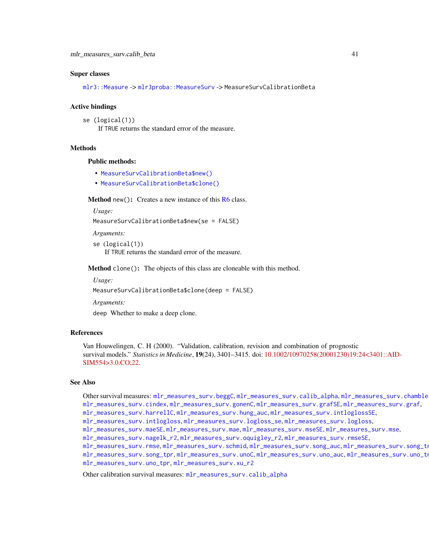#### Super classes

[mlr3::Measure](#page-0-0) -> [mlr3proba::MeasureSurv](#page-0-0) -> MeasureSurvCalibrationBeta

#### Active bindings

se (logical(1))

If TRUE returns the standard error of the measure.

#### **Methods**

# Public methods:

- [MeasureSurvCalibrationBeta\\$new\(\)](#page-8-0)
- [MeasureSurvCalibrationBeta\\$clone\(\)](#page-9-0)

Method new(): Creates a new instance of this [R6](#page-0-0) class.

*Usage:*

MeasureSurvCalibrationBeta\$new(se = FALSE)

*Arguments:*

```
se (logical(1))
   If TRUE returns the standard error of the measure.
```
Method clone(): The objects of this class are cloneable with this method.

*Usage:*

MeasureSurvCalibrationBeta\$clone(deep = FALSE)

*Arguments:*

deep Whether to make a deep clone.

#### References

Van Houwelingen, C. H (2000). "Validation, calibration, revision and combination of prognostic survival models." *Statistics in Medicine*, 19(24), 3401–3415. doi: [10.1002/10970258\(20001230\)19:2](https://doi.org/10.1002/1097-0258(20001230)19:24<3401::AID-SIM554>3.0.CO;2-2)4<3401::AID-[SIM554>3.0.CO;22.](https://doi.org/10.1002/1097-0258(20001230)19:24<3401::AID-SIM554>3.0.CO;2-2)

## See Also

Other survival measures: [mlr\\_measures\\_surv.beggC](#page-36-0), [mlr\\_measures\\_surv.calib\\_alpha](#page-37-0), mlr\_measures\_surv.chamble [mlr\\_measures\\_surv.cindex](#page-43-0), [mlr\\_measures\\_surv.gonenC](#page-45-0), [mlr\\_measures\\_surv.grafSE](#page-49-0), [mlr\\_measures\\_surv.graf](#page-47-0), [mlr\\_measures\\_surv.harrellC](#page-51-0), [mlr\\_measures\\_surv.hung\\_auc](#page-52-0), [mlr\\_measures\\_surv.intloglossSE](#page-57-0),

[mlr\\_measures\\_surv.intlogloss](#page-54-0), [mlr\\_measures\\_surv.logloss\\_se](#page-61-0), [mlr\\_measures\\_surv.logloss](#page-59-0),

[mlr\\_measures\\_surv.maeSE](#page-64-0), [mlr\\_measures\\_surv.mae](#page-62-0), [mlr\\_measures\\_surv.mseSE](#page-67-0), [mlr\\_measures\\_surv.mse](#page-65-0),

[mlr\\_measures\\_surv.nagelk\\_r2](#page-68-0), [mlr\\_measures\\_surv.oquigley\\_r2](#page-70-0), [mlr\\_measures\\_surv.rmseSE](#page-73-0),

[mlr\\_measures\\_surv.rmse](#page-71-0), [mlr\\_measures\\_surv.schmid](#page-74-0), [mlr\\_measures\\_surv.song\\_auc](#page-77-0), mlr\_measures\_surv.song\_tn [mlr\\_measures\\_surv.song\\_tpr](#page-81-0),[mlr\\_measures\\_surv.unoC](#page-83-0),[mlr\\_measures\\_surv.uno\\_auc](#page-84-0),mlr\_measures\_surv.uno\_tn [mlr\\_measures\\_surv.uno\\_tpr](#page-88-0), [mlr\\_measures\\_surv.xu\\_r2](#page-90-0)

Other calibration survival measures: [mlr\\_measures\\_surv.calib\\_alpha](#page-37-0)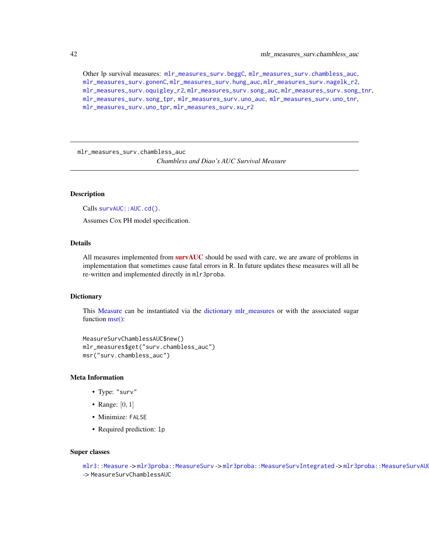Other lp survival measures: [mlr\\_measures\\_surv.beggC](#page-36-0), [mlr\\_measures\\_surv.chambless\\_auc](#page-41-0), [mlr\\_measures\\_surv.gonenC](#page-45-0), [mlr\\_measures\\_surv.hung\\_auc](#page-52-0), [mlr\\_measures\\_surv.nagelk\\_r2](#page-68-0), [mlr\\_measures\\_surv.oquigley\\_r2](#page-70-0), [mlr\\_measures\\_surv.song\\_auc](#page-77-0), [mlr\\_measures\\_surv.song\\_tnr](#page-79-0), [mlr\\_measures\\_surv.song\\_tpr](#page-81-0), [mlr\\_measures\\_surv.uno\\_auc](#page-84-0), [mlr\\_measures\\_surv.uno\\_tnr](#page-86-0), [mlr\\_measures\\_surv.uno\\_tpr](#page-88-0), [mlr\\_measures\\_surv.xu\\_r2](#page-90-0)

<span id="page-41-0"></span>mlr\_measures\_surv.chambless\_auc

*Chambless and Diao's AUC Survival Measure*

## Description

Calls survAUC:: AUC.cd().

Assumes Cox PH model specification.

# Details

All measures implemented from [survAUC](https://CRAN.R-project.org/package=survAUC) should be used with care, we are aware of problems in implementation that sometimes cause fatal errors in R. In future updates these measures will all be re-written and implemented directly in mlr3proba.

# **Dictionary**

This [Measure](#page-0-0) can be instantiated via the [dictionary](#page-0-0) [mlr\\_measures](#page-0-0) or with the associated sugar function [msr\(\):](#page-0-0)

```
MeasureSurvChamblessAUC$new()
mlr_measures$get("surv.chambless_auc")
msr("surv.chambless_auc")
```
# Meta Information

- Type: "surv"
- Range:  $[0, 1]$
- Minimize: FALSE
- Required prediction: lp

#### Super classes

[mlr3::Measure](#page-0-0) -> [mlr3proba::MeasureSurv](#page-0-0) -> [mlr3proba::MeasureSurvIntegrated](#page-0-0) -> mlr3proba::MeasureSurvAU -> MeasureSurvChamblessAUC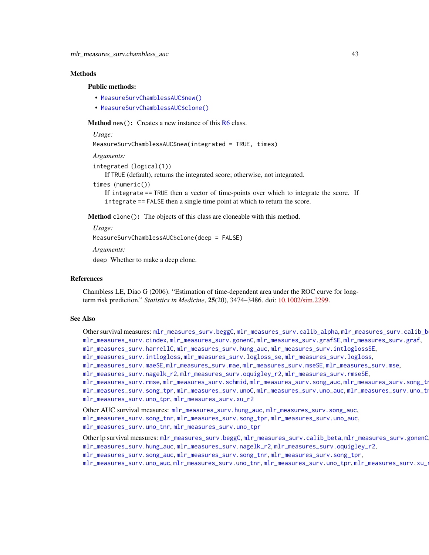## **Methods**

#### Public methods:

- [MeasureSurvChamblessAUC\\$new\(\)](#page-8-0)
- [MeasureSurvChamblessAUC\\$clone\(\)](#page-9-0)

**Method** new(): Creates a new instance of this  $R6$  class.

*Usage:*

```
MeasureSurvChamblessAUC$new(integrated = TRUE, times)
```
*Arguments:*

```
integrated (logical(1))
```
If TRUE (default), returns the integrated score; otherwise, not integrated.

```
times (numeric())
```
If integrate == TRUE then a vector of time-points over which to integrate the score. If integrate == FALSE then a single time point at which to return the score.

Method clone(): The objects of this class are cloneable with this method.

*Usage:*

MeasureSurvChamblessAUC\$clone(deep = FALSE)

*Arguments:*

deep Whether to make a deep clone.

#### References

Chambless LE, Diao G (2006). "Estimation of time-dependent area under the ROC curve for longterm risk prediction." *Statistics in Medicine*, 25(20), 3474–3486. doi: [10.1002/sim.2299.](https://doi.org/10.1002/sim.2299)

## See Also

Other survival measures: [mlr\\_measures\\_surv.beggC](#page-36-0), [mlr\\_measures\\_surv.calib\\_alpha](#page-37-0), [mlr\\_measures\\_surv.calib\\_beta](#page-39-0), [mlr\\_measures\\_surv.cindex](#page-43-0), [mlr\\_measures\\_surv.gonenC](#page-45-0), [mlr\\_measures\\_surv.grafSE](#page-49-0), [mlr\\_measures\\_surv.graf](#page-47-0), [mlr\\_measures\\_surv.harrellC](#page-51-0), [mlr\\_measures\\_surv.hung\\_auc](#page-52-0), [mlr\\_measures\\_surv.intloglossSE](#page-57-0), [mlr\\_measures\\_surv.intlogloss](#page-54-0), [mlr\\_measures\\_surv.logloss\\_se](#page-61-0), [mlr\\_measures\\_surv.logloss](#page-59-0), [mlr\\_measures\\_surv.maeSE](#page-64-0), [mlr\\_measures\\_surv.mae](#page-62-0), [mlr\\_measures\\_surv.mseSE](#page-67-0), [mlr\\_measures\\_surv.mse](#page-65-0), [mlr\\_measures\\_surv.nagelk\\_r2](#page-68-0), [mlr\\_measures\\_surv.oquigley\\_r2](#page-70-0), [mlr\\_measures\\_surv.rmseSE](#page-73-0), [mlr\\_measures\\_surv.rmse](#page-71-0), [mlr\\_measures\\_surv.schmid](#page-74-0), [mlr\\_measures\\_surv.song\\_auc](#page-77-0), mlr\_measures\_surv.song\_tn [mlr\\_measures\\_surv.song\\_tpr](#page-81-0),[mlr\\_measures\\_surv.unoC](#page-83-0),[mlr\\_measures\\_surv.uno\\_auc](#page-84-0),mlr\_measures\_surv.uno\_tn

```
mlr_measures_surv.uno_tpr, mlr_measures_surv.xu_r2
```
Other AUC survival measures: [mlr\\_measures\\_surv.hung\\_auc](#page-52-0), [mlr\\_measures\\_surv.song\\_auc](#page-77-0), [mlr\\_measures\\_surv.song\\_tnr](#page-79-0), [mlr\\_measures\\_surv.song\\_tpr](#page-81-0), [mlr\\_measures\\_surv.uno\\_auc](#page-84-0), [mlr\\_measures\\_surv.uno\\_tnr](#page-86-0), [mlr\\_measures\\_surv.uno\\_tpr](#page-88-0)

Other lp survival measures: [mlr\\_measures\\_surv.beggC](#page-36-0), [mlr\\_measures\\_surv.calib\\_beta](#page-39-0), [mlr\\_measures\\_surv.gonenC](#page-45-0), [mlr\\_measures\\_surv.hung\\_auc](#page-52-0), [mlr\\_measures\\_surv.nagelk\\_r2](#page-68-0), [mlr\\_measures\\_surv.oquigley\\_r2](#page-70-0), [mlr\\_measures\\_surv.song\\_auc](#page-77-0), [mlr\\_measures\\_surv.song\\_tnr](#page-79-0), [mlr\\_measures\\_surv.song\\_tpr](#page-81-0), [mlr\\_measures\\_surv.uno\\_auc](#page-84-0), [mlr\\_measures\\_surv.uno\\_tnr](#page-86-0), [mlr\\_measures\\_surv.uno\\_tpr](#page-88-0), [mlr\\_measures\\_surv.xu\\_r2](#page-90-0)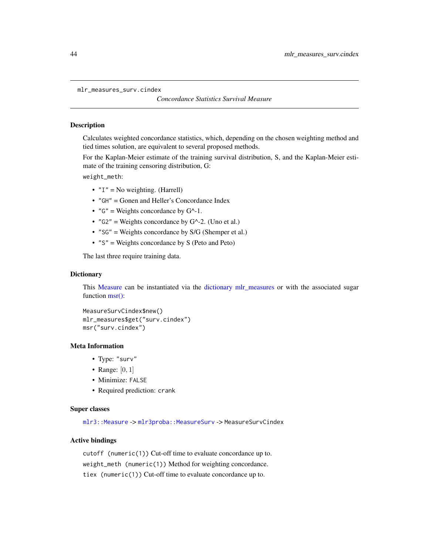```
mlr_measures_surv.cindex
```
## *Concordance Statistics Survival Measure*

## Description

Calculates weighted concordance statistics, which, depending on the chosen weighting method and tied times solution, are equivalent to several proposed methods.

For the Kaplan-Meier estimate of the training survival distribution, S, and the Kaplan-Meier estimate of the training censoring distribution, G:

weight\_meth:

- $"I" = No weighting. (Harrell)$
- "GH" = Gonen and Heller's Concordance Index
- " $G''$  = Weights concordance by  $G^{\wedge}$ -1.
- " $G2$ " = Weights concordance by  $G^{\wedge}$ -2. (Uno et al.)
- "SG" = Weights concordance by S/G (Shemper et al.)
- "S" = Weights concordance by S (Peto and Peto)

The last three require training data.

# **Dictionary**

This [Measure](#page-0-0) can be instantiated via the [dictionary](#page-0-0) [mlr\\_measures](#page-0-0) or with the associated sugar function [msr\(\):](#page-0-0)

```
MeasureSurvCindex$new()
mlr_measures$get("surv.cindex")
msr("surv.cindex")
```
# Meta Information

- Type: "surv"
- Range:  $[0, 1]$
- Minimize: FALSE
- Required prediction: crank

## Super classes

[mlr3::Measure](#page-0-0) -> [mlr3proba::MeasureSurv](#page-0-0) -> MeasureSurvCindex

# Active bindings

cutoff (numeric(1)) Cut-off time to evaluate concordance up to. weight\_meth (numeric(1)) Method for weighting concordance. tiex (numeric(1)) Cut-off time to evaluate concordance up to.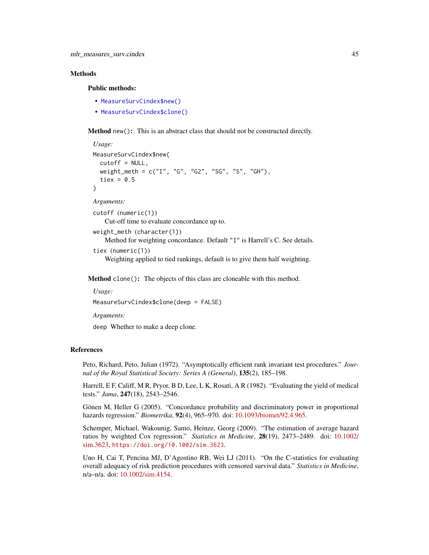## **Methods**

# Public methods:

- [MeasureSurvCindex\\$new\(\)](#page-8-0)
- [MeasureSurvCindex\\$clone\(\)](#page-9-0)

Method new(): This is an abstract class that should not be constructed directly.

```
Usage:
MeasureSurvCindex$new(
  cutoff = NULL,
  weight_meth = c("I", "G", "G2", "SG", "S", "GH"),
  tiex = 0.5)
```
*Arguments:*

```
cutoff (numeric(1))
   Cut-off time to evaluate concordance up to.
```
Method for weighting concordance. Default "I" is Harrell's C. See details.

```
tiex (numeric(1))
```
weight\_meth (character(1))

Weighting applied to tied rankings, default is to give them half weighting.

Method clone(): The objects of this class are cloneable with this method.

```
Usage:
MeasureSurvCindex$clone(deep = FALSE)
```
*Arguments:*

deep Whether to make a deep clone.

#### References

Peto, Richard, Peto, Julian (1972). "Asymptotically efficient rank invariant test procedures." *Journal of the Royal Statistical Society: Series A (General)*, 135(2), 185–198.

Harrell, E F, Califf, M R, Pryor, B D, Lee, L K, Rosati, A R (1982). "Evaluating the yield of medical tests." *Jama*, 247(18), 2543–2546.

Gönen M, Heller G (2005). "Concordance probability and discriminatory power in proportional hazards regression." *Biometrika*, 92(4), 965–970. doi: [10.1093/biomet/92.4.965.](https://doi.org/10.1093/biomet/92.4.965)

Schemper, Michael, Wakounig, Samo, Heinze, Georg (2009). "The estimation of average hazard ratios by weighted Cox regression." *Statistics in Medicine*, 28(19), 2473–2489. doi: [10.1002/](https://doi.org/10.1002/sim.3623) [sim.3623,](https://doi.org/10.1002/sim.3623) <https://doi.org/10.1002/sim.3623>.

Uno H, Cai T, Pencina MJ, D'Agostino RB, Wei LJ (2011). "On the C-statistics for evaluating overall adequacy of risk prediction procedures with censored survival data." *Statistics in Medicine*, n/a–n/a. doi: [10.1002/sim.4154.](https://doi.org/10.1002/sim.4154)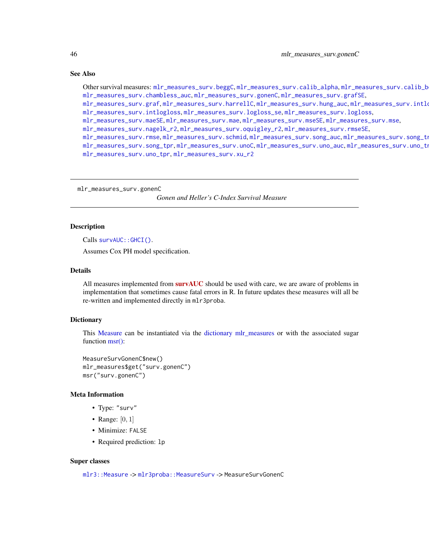# See Also

Other survival measures: [mlr\\_measures\\_surv.beggC](#page-36-0), [mlr\\_measures\\_surv.calib\\_alpha](#page-37-0), [mlr\\_measures\\_surv.calib\\_beta](#page-39-0), [mlr\\_measures\\_surv.chambless\\_auc](#page-41-0), [mlr\\_measures\\_surv.gonenC](#page-45-0), [mlr\\_measures\\_surv.grafSE](#page-49-0), [mlr\\_measures\\_surv.graf](#page-47-0), [mlr\\_measures\\_surv.harrellC](#page-51-0), [mlr\\_measures\\_surv.hung\\_auc](#page-52-0), mlr\_measures\_surv.intlo

[mlr\\_measures\\_surv.intlogloss](#page-54-0), [mlr\\_measures\\_surv.logloss\\_se](#page-61-0), [mlr\\_measures\\_surv.logloss](#page-59-0),

[mlr\\_measures\\_surv.maeSE](#page-64-0), [mlr\\_measures\\_surv.mae](#page-62-0), [mlr\\_measures\\_surv.mseSE](#page-67-0), [mlr\\_measures\\_surv.mse](#page-65-0),

[mlr\\_measures\\_surv.nagelk\\_r2](#page-68-0), [mlr\\_measures\\_surv.oquigley\\_r2](#page-70-0), [mlr\\_measures\\_surv.rmseSE](#page-73-0),

[mlr\\_measures\\_surv.rmse](#page-71-0), [mlr\\_measures\\_surv.schmid](#page-74-0), [mlr\\_measures\\_surv.song\\_auc](#page-77-0), mlr\_measures\_surv.song\_tn [mlr\\_measures\\_surv.song\\_tpr](#page-81-0), [mlr\\_measures\\_surv.unoC](#page-83-0), [mlr\\_measures\\_surv.uno\\_auc](#page-84-0), mlr\_measures\_surv.uno\_tn [mlr\\_measures\\_surv.uno\\_tpr](#page-88-0), [mlr\\_measures\\_surv.xu\\_r2](#page-90-0)

<span id="page-45-0"></span>mlr\_measures\_surv.gonenC

*Gonen and Heller's C-Index Survival Measure*

# Description

Calls [survAUC::GHCI\(\)](#page-0-0).

Assumes Cox PH model specification.

# Details

All measures implemented from **[survAUC](https://CRAN.R-project.org/package=survAUC)** should be used with care, we are aware of problems in implementation that sometimes cause fatal errors in R. In future updates these measures will all be re-written and implemented directly in mlr3proba.

## Dictionary

This [Measure](#page-0-0) can be instantiated via the [dictionary](#page-0-0) [mlr\\_measures](#page-0-0) or with the associated sugar function [msr\(\):](#page-0-0)

```
MeasureSurvGonenC$new()
mlr_measures$get("surv.gonenC")
msr("surv.gonenC")
```
#### Meta Information

- Type: "surv"
- Range:  $[0, 1]$
- Minimize: FALSE
- Required prediction: lp

## Super classes

[mlr3::Measure](#page-0-0) -> [mlr3proba::MeasureSurv](#page-0-0) -> MeasureSurvGonenC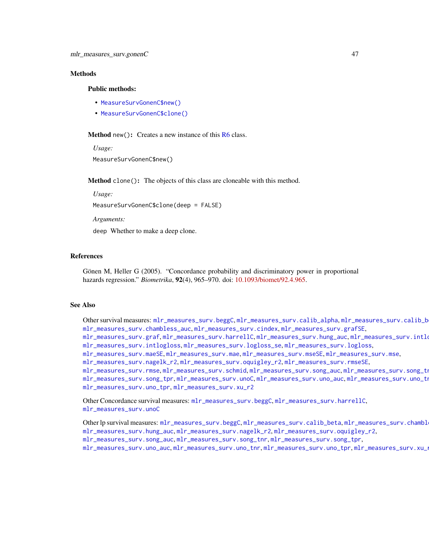## **Methods**

# Public methods:

- [MeasureSurvGonenC\\$new\(\)](#page-8-0)
- [MeasureSurvGonenC\\$clone\(\)](#page-9-0)

Method new(): Creates a new instance of this  $R6$  class.

*Usage:* MeasureSurvGonenC\$new()

Method clone(): The objects of this class are cloneable with this method.

*Usage:*

MeasureSurvGonenC\$clone(deep = FALSE)

*Arguments:*

deep Whether to make a deep clone.

#### References

Gönen M, Heller G (2005). "Concordance probability and discriminatory power in proportional hazards regression." *Biometrika*, 92(4), 965–970. doi: [10.1093/biomet/92.4.965.](https://doi.org/10.1093/biomet/92.4.965)

#### See Also

Other survival measures: [mlr\\_measures\\_surv.beggC](#page-36-0), [mlr\\_measures\\_surv.calib\\_alpha](#page-37-0), mlr\_measures\_surv.calib\_b [mlr\\_measures\\_surv.chambless\\_auc](#page-41-0), [mlr\\_measures\\_surv.cindex](#page-43-0), [mlr\\_measures\\_surv.grafSE](#page-49-0), [mlr\\_measures\\_surv.graf](#page-47-0), [mlr\\_measures\\_surv.harrellC](#page-51-0), [mlr\\_measures\\_surv.hung\\_auc](#page-52-0), mlr\_measures\_surv.intlo [mlr\\_measures\\_surv.intlogloss](#page-54-0), [mlr\\_measures\\_surv.logloss\\_se](#page-61-0), [mlr\\_measures\\_surv.logloss](#page-59-0), [mlr\\_measures\\_surv.maeSE](#page-64-0), [mlr\\_measures\\_surv.mae](#page-62-0), [mlr\\_measures\\_surv.mseSE](#page-67-0), [mlr\\_measures\\_surv.mse](#page-65-0), [mlr\\_measures\\_surv.nagelk\\_r2](#page-68-0), [mlr\\_measures\\_surv.oquigley\\_r2](#page-70-0), [mlr\\_measures\\_surv.rmseSE](#page-73-0), [mlr\\_measures\\_surv.rmse](#page-71-0), [mlr\\_measures\\_surv.schmid](#page-74-0), [mlr\\_measures\\_surv.song\\_auc](#page-77-0), mlr\_measures\_surv.song\_tn [mlr\\_measures\\_surv.song\\_tpr](#page-81-0),[mlr\\_measures\\_surv.unoC](#page-83-0),[mlr\\_measures\\_surv.uno\\_auc](#page-84-0),mlr\_measures\_surv.uno\_tn [mlr\\_measures\\_surv.uno\\_tpr](#page-88-0), [mlr\\_measures\\_surv.xu\\_r2](#page-90-0)

Other Concordance survival measures: [mlr\\_measures\\_surv.beggC](#page-36-0), [mlr\\_measures\\_surv.harrellC](#page-51-0), [mlr\\_measures\\_surv.unoC](#page-83-0)

Other lp survival measures: [mlr\\_measures\\_surv.beggC](#page-36-0), [mlr\\_measures\\_surv.calib\\_beta](#page-39-0), mlr\_measures\_surv.chambl [mlr\\_measures\\_surv.hung\\_auc](#page-52-0), [mlr\\_measures\\_surv.nagelk\\_r2](#page-68-0), [mlr\\_measures\\_surv.oquigley\\_r2](#page-70-0), [mlr\\_measures\\_surv.song\\_auc](#page-77-0), [mlr\\_measures\\_surv.song\\_tnr](#page-79-0), [mlr\\_measures\\_surv.song\\_tpr](#page-81-0), [mlr\\_measures\\_surv.uno\\_auc](#page-84-0), [mlr\\_measures\\_surv.uno\\_tnr](#page-86-0), [mlr\\_measures\\_surv.uno\\_tpr](#page-88-0), [mlr\\_measures\\_surv.xu\\_r2](#page-90-0)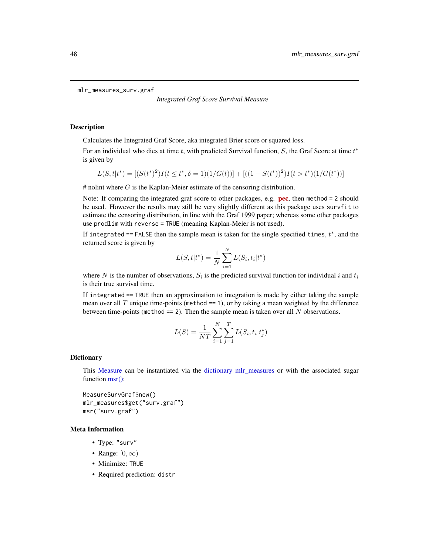```
mlr_measures_surv.graf
```
## *Integrated Graf Score Survival Measure*

# <span id="page-47-1"></span>Description

Calculates the Integrated Graf Score, aka integrated Brier score or squared loss.

For an individual who dies at time  $t$ , with predicted Survival function,  $S$ , the Graf Score at time  $t^*$ is given by

$$
L(S, t|t^*) = [(S(t^*)^2)I(t \le t^*, \delta = 1)(1/G(t))] + [(1 - S(t^*))^2)I(t > t^*)(1/G(t^*))]
$$

 $#$  nolint where  $G$  is the Kaplan-Meier estimate of the censoring distribution.

Note: If comparing the integrated graf score to other packages, e.g. **[pec](https://CRAN.R-project.org/package=pec)**, then method  $= 2$  should be used. However the results may still be very slightly different as this package uses survfit to estimate the censoring distribution, in line with the Graf 1999 paper; whereas some other packages use prodlim with reverse = TRUE (meaning Kaplan-Meier is not used).

If integrated == FALSE then the sample mean is taken for the single specified times,  $t^*$ , and the returned score is given by

$$
L(S, t | t^*) = \frac{1}{N} \sum_{i=1}^{N} L(S_i, t_i | t^*)
$$

where N is the number of observations,  $S_i$  is the predicted survival function for individual i and  $t_i$ is their true survival time.

If integrated == TRUE then an approximation to integration is made by either taking the sample mean over all  $T$  unique time-points (method  $== 1$ ), or by taking a mean weighted by the difference between time-points (method  $== 2$ ). Then the sample mean is taken over all N observations.

$$
L(S) = \frac{1}{NT} \sum_{i=1}^{N} \sum_{j=1}^{T} L(S_i, t_i | t_j^*)
$$

# **Dictionary**

This [Measure](#page-0-0) can be instantiated via the [dictionary](#page-0-0) [mlr\\_measures](#page-0-0) or with the associated sugar function [msr\(\):](#page-0-0)

MeasureSurvGraf\$new() mlr\_measures\$get("surv.graf") msr("surv.graf")

# Meta Information

- Type: "surv"
- Range:  $[0, \infty)$
- Minimize: TRUE
- Required prediction: distr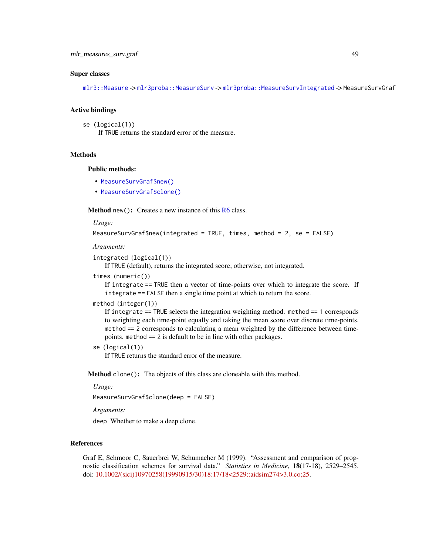## Super classes

[mlr3::Measure](#page-0-0) -> [mlr3proba::MeasureSurv](#page-0-0) -> [mlr3proba::MeasureSurvIntegrated](#page-0-0) -> MeasureSurvGraf

## Active bindings

```
se (logical(1))
     If TRUE returns the standard error of the measure.
```
# **Methods**

# Public methods:

- [MeasureSurvGraf\\$new\(\)](#page-8-0)
- [MeasureSurvGraf\\$clone\(\)](#page-9-0)

**Method** new(): Creates a new instance of this  $R6$  class.

*Usage:*

```
MeasureSurvGraf$new(integrated = TRUE, times, method = 2, se = FALSE)
```
*Arguments:*

```
integrated (logical(1))
```
If TRUE (default), returns the integrated score; otherwise, not integrated.

times (numeric())

If integrate == TRUE then a vector of time-points over which to integrate the score. If integrate == FALSE then a single time point at which to return the score.

#### method (integer(1))

If integrate == TRUE selects the integration weighting method. method == 1 corresponds to weighting each time-point equally and taking the mean score over discrete time-points. method == 2 corresponds to calculating a mean weighted by the difference between timepoints. method == 2 is default to be in line with other packages.

se (logical(1))

If TRUE returns the standard error of the measure.

Method clone(): The objects of this class are cloneable with this method.

#### *Usage:*

MeasureSurvGraf\$clone(deep = FALSE)

*Arguments:*

deep Whether to make a deep clone.

# References

Graf E, Schmoor C, Sauerbrei W, Schumacher M (1999). "Assessment and comparison of prognostic classification schemes for survival data." *Statistics in Medicine*, 18(17-18), 2529–2545. doi: [10.1002/\(sici\)10970258\(19990915/30\)18:17/18<2529::aidsim274>3.0.co;25.](https://doi.org/10.1002/(sici)1097-0258(19990915/30)18:17/18<2529::aid-sim274>3.0.co;2-5)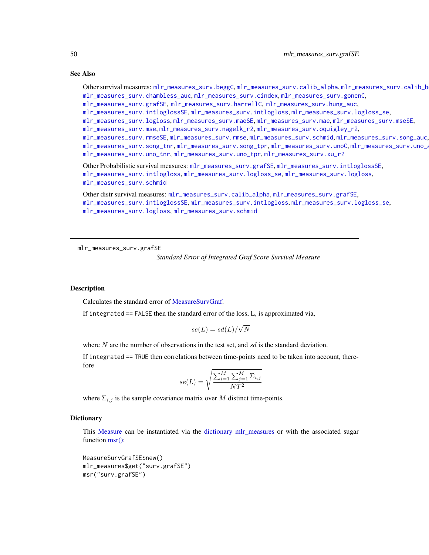# See Also

Other survival measures: [mlr\\_measures\\_surv.beggC](#page-36-0), [mlr\\_measures\\_surv.calib\\_alpha](#page-37-0), [mlr\\_measures\\_surv.calib\\_beta](#page-39-0), [mlr\\_measures\\_surv.chambless\\_auc](#page-41-0), [mlr\\_measures\\_surv.cindex](#page-43-0), [mlr\\_measures\\_surv.gonenC](#page-45-0), [mlr\\_measures\\_surv.grafSE](#page-49-0), [mlr\\_measures\\_surv.harrellC](#page-51-0), [mlr\\_measures\\_surv.hung\\_auc](#page-52-0), [mlr\\_measures\\_surv.intloglossSE](#page-57-0), [mlr\\_measures\\_surv.intlogloss](#page-54-0), [mlr\\_measures\\_surv.logloss\\_se](#page-61-0), [mlr\\_measures\\_surv.logloss](#page-59-0), [mlr\\_measures\\_surv.maeSE](#page-64-0), [mlr\\_measures\\_surv.mae](#page-62-0), [mlr\\_measures\\_surv.mseSE](#page-67-0), [mlr\\_measures\\_surv.mse](#page-65-0), [mlr\\_measures\\_surv.nagelk\\_r2](#page-68-0), [mlr\\_measures\\_surv.oquigley\\_r2](#page-70-0), [mlr\\_measures\\_surv.rmseSE](#page-73-0), [mlr\\_measures\\_surv.rmse](#page-71-0), [mlr\\_measures\\_surv.schmid](#page-74-0), [mlr\\_measures\\_surv.song\\_auc](#page-77-0), [mlr\\_measures\\_surv.song\\_tnr](#page-79-0), [mlr\\_measures\\_surv.song\\_tpr](#page-81-0), [mlr\\_measures\\_surv.unoC](#page-83-0), [mlr\\_measures\\_surv.uno\\_auc](#page-84-0), [mlr\\_measures\\_surv.uno\\_tnr](#page-86-0), [mlr\\_measures\\_surv.uno\\_tpr](#page-88-0), [mlr\\_measures\\_surv.xu\\_r2](#page-90-0) Other Probabilistic survival measures: [mlr\\_measures\\_surv.grafSE](#page-49-0), [mlr\\_measures\\_surv.intloglossSE](#page-57-0),

```
mlr_measures_surv.intlogloss, mlr_measures_surv.logloss_se, mlr_measures_surv.logloss,
mlr_measures_surv.schmid
```

```
Other distr survival measures: mlr_measures_surv.calib_alpha, mlr_measures_surv.grafSE,
mlr_measures_surv.intloglossSE, mlr_measures_surv.intlogloss, mlr_measures_surv.logloss_se,
mlr_measures_surv.logloss, mlr_measures_surv.schmid
```
<span id="page-49-0"></span>mlr\_measures\_surv.grafSE

*Standard Error of Integrated Graf Score Survival Measure*

## **Description**

Calculates the standard error of [MeasureSurvGraf.](#page-47-1)

If integrated == FALSE then the standard error of the loss, L, is approximated via,

$$
se(L) = sd(L)/\sqrt{N}
$$

where N are the number of observations in the test set, and sd is the standard deviation.

If integrated == TRUE then correlations between time-points need to be taken into account, therefore

$$
se(L) = \sqrt{\frac{\sum_{i=1}^{M} \sum_{j=1}^{M} \Sigma_{i,j}}{NT^2}}
$$

where  $\Sigma_{i,j}$  is the sample covariance matrix over M distinct time-points.

# **Dictionary**

This [Measure](#page-0-0) can be instantiated via the [dictionary](#page-0-0) [mlr\\_measures](#page-0-0) or with the associated sugar function [msr\(\):](#page-0-0)

```
MeasureSurvGrafSE$new()
mlr_measures$get("surv.grafSE")
msr("surv.grafSE")
```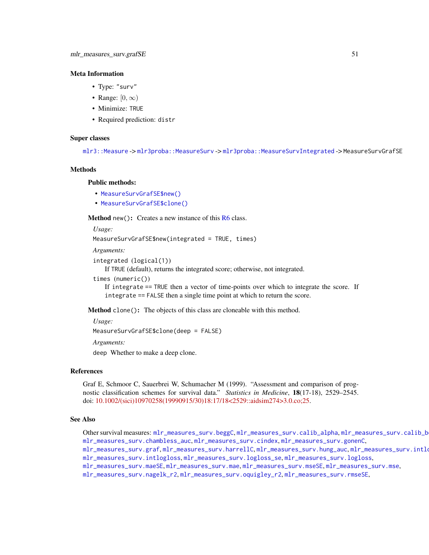#### Meta Information

- Type: "surv"
- Range:  $[0, \infty)$
- Minimize: TRUE
- Required prediction: distr

## Super classes

[mlr3::Measure](#page-0-0) -> [mlr3proba::MeasureSurv](#page-0-0) -> [mlr3proba::MeasureSurvIntegrated](#page-0-0) -> MeasureSurvGrafSE

# Methods

## Public methods:

- [MeasureSurvGrafSE\\$new\(\)](#page-8-0)
- [MeasureSurvGrafSE\\$clone\(\)](#page-9-0)

**Method** new( $)$ : Creates a new instance of this  $R6$  class.

*Usage:*

MeasureSurvGrafSE\$new(integrated = TRUE, times)

*Arguments:*

```
integrated (logical(1))
```
If TRUE (default), returns the integrated score; otherwise, not integrated.

```
times (numeric())
```
If integrate == TRUE then a vector of time-points over which to integrate the score. If integrate == FALSE then a single time point at which to return the score.

Method clone(): The objects of this class are cloneable with this method.

#### *Usage:*

MeasureSurvGrafSE\$clone(deep = FALSE)

*Arguments:*

deep Whether to make a deep clone.

## References

Graf E, Schmoor C, Sauerbrei W, Schumacher M (1999). "Assessment and comparison of prognostic classification schemes for survival data." *Statistics in Medicine*, 18(17-18), 2529–2545. doi: [10.1002/\(sici\)10970258\(19990915/30\)18:17/18<2529::aidsim274>3.0.co;25.](https://doi.org/10.1002/(sici)1097-0258(19990915/30)18:17/18<2529::aid-sim274>3.0.co;2-5)

#### See Also

Other survival measures: [mlr\\_measures\\_surv.beggC](#page-36-0), [mlr\\_measures\\_surv.calib\\_alpha](#page-37-0), [mlr\\_measures\\_surv.calib\\_beta](#page-39-0), [mlr\\_measures\\_surv.chambless\\_auc](#page-41-0), [mlr\\_measures\\_surv.cindex](#page-43-0), [mlr\\_measures\\_surv.gonenC](#page-45-0),

[mlr\\_measures\\_surv.graf](#page-47-0).[mlr\\_measures\\_surv.harrellC](#page-51-0).[mlr\\_measures\\_surv.hung\\_auc](#page-52-0).mlr\_measures\_surv.intlo [mlr\\_measures\\_surv.intlogloss](#page-54-0), [mlr\\_measures\\_surv.logloss\\_se](#page-61-0), [mlr\\_measures\\_surv.logloss](#page-59-0),

[mlr\\_measures\\_surv.maeSE](#page-64-0), [mlr\\_measures\\_surv.mae](#page-62-0), [mlr\\_measures\\_surv.mseSE](#page-67-0), [mlr\\_measures\\_surv.mse](#page-65-0),

[mlr\\_measures\\_surv.nagelk\\_r2](#page-68-0), [mlr\\_measures\\_surv.oquigley\\_r2](#page-70-0), [mlr\\_measures\\_surv.rmseSE](#page-73-0),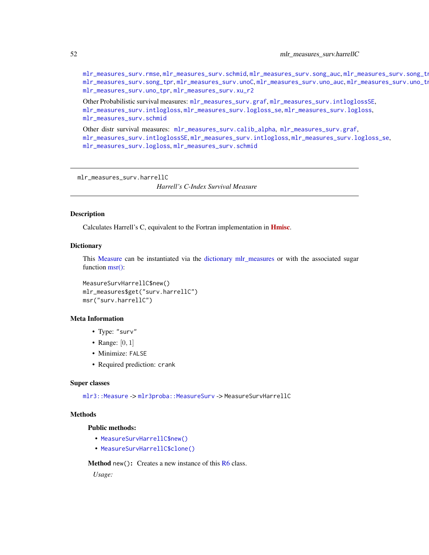[mlr\\_measures\\_surv.rmse](#page-71-0), [mlr\\_measures\\_surv.schmid](#page-74-0), [mlr\\_measures\\_surv.song\\_auc](#page-77-0), mlr\_measures\_surv.song\_tn [mlr\\_measures\\_surv.song\\_tpr](#page-81-0), [mlr\\_measures\\_surv.unoC](#page-83-0), [mlr\\_measures\\_surv.uno\\_auc](#page-84-0), mlr\_measures\_surv.uno\_tn [mlr\\_measures\\_surv.uno\\_tpr](#page-88-0), [mlr\\_measures\\_surv.xu\\_r2](#page-90-0)

Other Probabilistic survival measures: [mlr\\_measures\\_surv.graf](#page-47-0), [mlr\\_measures\\_surv.intloglossSE](#page-57-0), [mlr\\_measures\\_surv.intlogloss](#page-54-0), [mlr\\_measures\\_surv.logloss\\_se](#page-61-0), [mlr\\_measures\\_surv.logloss](#page-59-0), [mlr\\_measures\\_surv.schmid](#page-74-0)

Other distr survival measures: [mlr\\_measures\\_surv.calib\\_alpha](#page-37-0), [mlr\\_measures\\_surv.graf](#page-47-0), [mlr\\_measures\\_surv.intloglossSE](#page-57-0), [mlr\\_measures\\_surv.intlogloss](#page-54-0), [mlr\\_measures\\_surv.logloss\\_se](#page-61-0), [mlr\\_measures\\_surv.logloss](#page-59-0), [mlr\\_measures\\_surv.schmid](#page-74-0)

<span id="page-51-0"></span>mlr\_measures\_surv.harrellC

*Harrell's C-Index Survival Measure*

# Description

Calculates Harrell's C, equivalent to the Fortran implementation in **[Hmisc](https://CRAN.R-project.org/package=Hmisc)**.

# Dictionary

This [Measure](#page-0-0) can be instantiated via the [dictionary](#page-0-0) [mlr\\_measures](#page-0-0) or with the associated sugar function [msr\(\):](#page-0-0)

MeasureSurvHarrellC\$new() mlr\_measures\$get("surv.harrellC") msr("surv.harrellC")

# Meta Information

- Type: "surv"
- Range:  $[0, 1]$
- Minimize: FALSE
- Required prediction: crank

#### Super classes

[mlr3::Measure](#page-0-0) -> [mlr3proba::MeasureSurv](#page-0-0) -> MeasureSurvHarrellC

# **Methods**

# Public methods:

- [MeasureSurvHarrellC\\$new\(\)](#page-8-0)
- [MeasureSurvHarrellC\\$clone\(\)](#page-9-0)

Method new(): Creates a new instance of this [R6](#page-0-0) class.

*Usage:*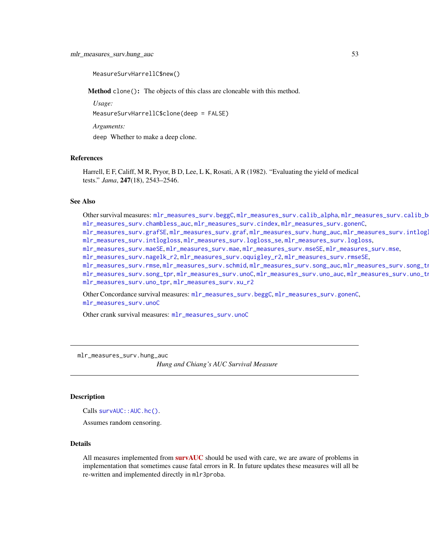MeasureSurvHarrellC\$new()

Method clone(): The objects of this class are cloneable with this method.

*Usage:*

MeasureSurvHarrellC\$clone(deep = FALSE)

*Arguments:*

deep Whether to make a deep clone.

# References

Harrell, E F, Califf, M R, Pryor, B D, Lee, L K, Rosati, A R (1982). "Evaluating the yield of medical tests." *Jama*, 247(18), 2543–2546.

# See Also

Other survival measures: [mlr\\_measures\\_surv.beggC](#page-36-0), [mlr\\_measures\\_surv.calib\\_alpha](#page-37-0), mlr\_measures\_surv.calib\_b [mlr\\_measures\\_surv.chambless\\_auc](#page-41-0), [mlr\\_measures\\_surv.cindex](#page-43-0), [mlr\\_measures\\_surv.gonenC](#page-45-0), [mlr\\_measures\\_surv.grafSE](#page-49-0),[mlr\\_measures\\_surv.graf](#page-47-0),[mlr\\_measures\\_surv.hung\\_auc](#page-52-0),mlr\_measures\_surv.intlog [mlr\\_measures\\_surv.intlogloss](#page-54-0), [mlr\\_measures\\_surv.logloss\\_se](#page-61-0), [mlr\\_measures\\_surv.logloss](#page-59-0), [mlr\\_measures\\_surv.maeSE](#page-64-0), [mlr\\_measures\\_surv.mae](#page-62-0), [mlr\\_measures\\_surv.mseSE](#page-67-0), [mlr\\_measures\\_surv.mse](#page-65-0), [mlr\\_measures\\_surv.nagelk\\_r2](#page-68-0), [mlr\\_measures\\_surv.oquigley\\_r2](#page-70-0), [mlr\\_measures\\_surv.rmseSE](#page-73-0), [mlr\\_measures\\_surv.rmse](#page-71-0), [mlr\\_measures\\_surv.schmid](#page-74-0), [mlr\\_measures\\_surv.song\\_auc](#page-77-0), mlr\_measures\_surv.song\_tn [mlr\\_measures\\_surv.song\\_tpr](#page-81-0), [mlr\\_measures\\_surv.unoC](#page-83-0), [mlr\\_measures\\_surv.uno\\_auc](#page-84-0), mlr\_measures\_surv.uno\_tn [mlr\\_measures\\_surv.uno\\_tpr](#page-88-0), [mlr\\_measures\\_surv.xu\\_r2](#page-90-0)

Other Concordance survival measures: [mlr\\_measures\\_surv.beggC](#page-36-0), [mlr\\_measures\\_surv.gonenC](#page-45-0), [mlr\\_measures\\_surv.unoC](#page-83-0)

Other crank survival measures: [mlr\\_measures\\_surv.unoC](#page-83-0)

<span id="page-52-0"></span>mlr\_measures\_surv.hung\_auc

*Hung and Chiang's AUC Survival Measure*

## Description

Calls survAUC:: AUC.hc().

Assumes random censoring.

#### Details

All measures implemented from **[survAUC](https://CRAN.R-project.org/package=survAUC)** should be used with care, we are aware of problems in implementation that sometimes cause fatal errors in R. In future updates these measures will all be re-written and implemented directly in mlr3proba.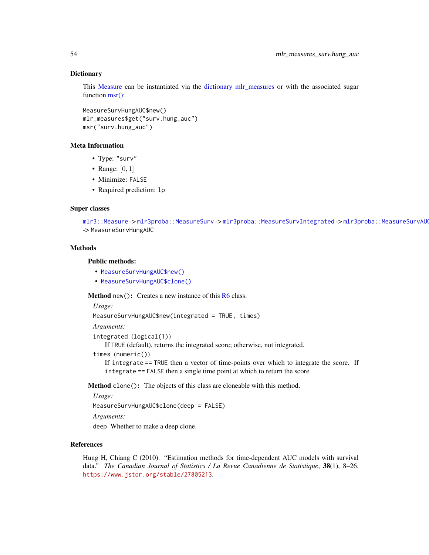## **Dictionary**

This [Measure](#page-0-0) can be instantiated via the [dictionary](#page-0-0) [mlr\\_measures](#page-0-0) or with the associated sugar function [msr\(\):](#page-0-0)

```
MeasureSurvHungAUC$new()
mlr_measures$get("surv.hung_auc")
msr("surv.hung_auc")
```
## Meta Information

- Type: "surv"
- Range:  $[0, 1]$
- Minimize: FALSE
- Required prediction: lp

#### Super classes

```
mlr3::Measuremlr3proba::MeasureSurvmlr3proba::MeasureSurvIntegrated -> mlr3proba::MeasureSurvAU
-> MeasureSurvHungAUC
```
# **Methods**

#### Public methods:

- [MeasureSurvHungAUC\\$new\(\)](#page-8-0)
- [MeasureSurvHungAUC\\$clone\(\)](#page-9-0)

Method new(): Creates a new instance of this [R6](#page-0-0) class.

*Usage:*

```
MeasureSurvHungAUC$new(integrated = TRUE, times)
```
*Arguments:*

```
integrated (logical(1))
```
If TRUE (default), returns the integrated score; otherwise, not integrated.

times (numeric())

If integrate == TRUE then a vector of time-points over which to integrate the score. If integrate == FALSE then a single time point at which to return the score.

Method clone(): The objects of this class are cloneable with this method.

*Usage:*

MeasureSurvHungAUC\$clone(deep = FALSE)

*Arguments:*

deep Whether to make a deep clone.

## References

Hung H, Chiang C (2010). "Estimation methods for time-dependent AUC models with survival data." *The Canadian Journal of Statistics / La Revue Canadienne de Statistique*, 38(1), 8–26. <https://www.jstor.org/stable/27805213>.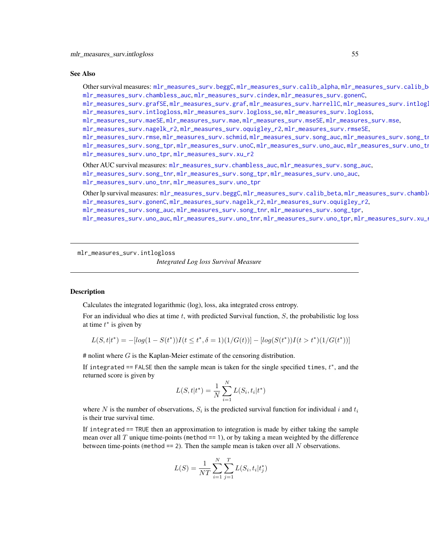#### See Also

Other survival measures: [mlr\\_measures\\_surv.beggC](#page-36-0), [mlr\\_measures\\_surv.calib\\_alpha](#page-37-0), [mlr\\_measures\\_surv.calib\\_beta](#page-39-0), [mlr\\_measures\\_surv.chambless\\_auc](#page-41-0), [mlr\\_measures\\_surv.cindex](#page-43-0), [mlr\\_measures\\_surv.gonenC](#page-45-0), [mlr\\_measures\\_surv.grafSE](#page-49-0), [mlr\\_measures\\_surv.graf](#page-47-0), [mlr\\_measures\\_surv.harrellC](#page-51-0), mlr\_measures\_surv.intlog [mlr\\_measures\\_surv.intlogloss](#page-54-0), [mlr\\_measures\\_surv.logloss\\_se](#page-61-0), [mlr\\_measures\\_surv.logloss](#page-59-0), [mlr\\_measures\\_surv.maeSE](#page-64-0), [mlr\\_measures\\_surv.mae](#page-62-0), [mlr\\_measures\\_surv.mseSE](#page-67-0), [mlr\\_measures\\_surv.mse](#page-65-0), [mlr\\_measures\\_surv.nagelk\\_r2](#page-68-0), [mlr\\_measures\\_surv.oquigley\\_r2](#page-70-0), [mlr\\_measures\\_surv.rmseSE](#page-73-0), [mlr\\_measures\\_surv.rmse](#page-71-0), [mlr\\_measures\\_surv.schmid](#page-74-0), [mlr\\_measures\\_surv.song\\_auc](#page-77-0), mlr\_measures\_surv.song\_tn [mlr\\_measures\\_surv.song\\_tpr](#page-81-0), [mlr\\_measures\\_surv.unoC](#page-83-0), [mlr\\_measures\\_surv.uno\\_auc](#page-84-0), [mlr\\_measures\\_surv.uno\\_tnr](#page-86-0), [mlr\\_measures\\_surv.uno\\_tpr](#page-88-0), [mlr\\_measures\\_surv.xu\\_r2](#page-90-0) Other AUC survival measures: [mlr\\_measures\\_surv.chambless\\_auc](#page-41-0), [mlr\\_measures\\_surv.song\\_auc](#page-77-0), [mlr\\_measures\\_surv.song\\_tnr](#page-79-0), [mlr\\_measures\\_surv.song\\_tpr](#page-81-0), [mlr\\_measures\\_surv.uno\\_auc](#page-84-0),

[mlr\\_measures\\_surv.uno\\_tnr](#page-86-0), [mlr\\_measures\\_surv.uno\\_tpr](#page-88-0)

Other lp survival measures: [mlr\\_measures\\_surv.beggC](#page-36-0), [mlr\\_measures\\_surv.calib\\_beta](#page-39-0), mlr\_measures\_surv.chambl [mlr\\_measures\\_surv.gonenC](#page-45-0), [mlr\\_measures\\_surv.nagelk\\_r2](#page-68-0), [mlr\\_measures\\_surv.oquigley\\_r2](#page-70-0), [mlr\\_measures\\_surv.song\\_auc](#page-77-0), [mlr\\_measures\\_surv.song\\_tnr](#page-79-0), [mlr\\_measures\\_surv.song\\_tpr](#page-81-0), [mlr\\_measures\\_surv.uno\\_auc](#page-84-0), [mlr\\_measures\\_surv.uno\\_tnr](#page-86-0), [mlr\\_measures\\_surv.uno\\_tpr](#page-88-0), [mlr\\_measures\\_surv.xu\\_r2](#page-90-0)

<span id="page-54-0"></span>mlr\_measures\_surv.intlogloss

*Integrated Log loss Survival Measure*

# <span id="page-54-1"></span>Description

Calculates the integrated logarithmic (log), loss, aka integrated cross entropy.

For an individual who dies at time  $t$ , with predicted Survival function,  $S$ , the probabilistic log loss at time  $t^*$  is given by

$$
L(S, t|t^*) = -[log(1 - S(t^*))I(t \le t^*, \delta = 1)(1/G(t))] - [log(S(t^*))I(t > t^*)(1/G(t^*))]
$$

 $#$  nolint where  $G$  is the Kaplan-Meier estimate of the censoring distribution.

If integrated == FALSE then the sample mean is taken for the single specified times,  $t^*$ , and the returned score is given by

$$
L(S, t | t^*) = \frac{1}{N} \sum_{i=1}^{N} L(S_i, t_i | t^*)
$$

where N is the number of observations,  $S_i$  is the predicted survival function for individual i and  $t_i$ is their true survival time.

If integrated == TRUE then an approximation to integration is made by either taking the sample mean over all T unique time-points (method  $== 1$ ), or by taking a mean weighted by the difference between time-points (method  $== 2$ ). Then the sample mean is taken over all N observations.

$$
L(S) = \frac{1}{NT} \sum_{i=1}^{N} \sum_{j=1}^{T} L(S_i, t_i | t_j^*)
$$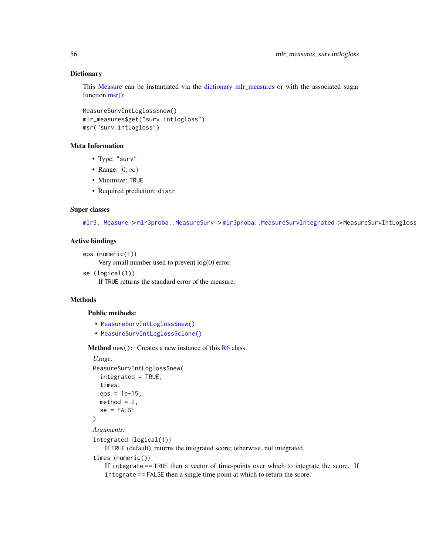## **Dictionary**

This [Measure](#page-0-0) can be instantiated via the [dictionary](#page-0-0) [mlr\\_measures](#page-0-0) or with the associated sugar function [msr\(\):](#page-0-0)

```
MeasureSurvIntLogloss$new()
mlr_measures$get("surv.intlogloss")
msr("surv.intlogloss")
```
# Meta Information

- Type: "surv"
- Range:  $[0, \infty)$
- Minimize: TRUE
- Required prediction: distr

## Super classes

[mlr3::Measure](#page-0-0) -> [mlr3proba::MeasureSurv](#page-0-0) -> [mlr3proba::MeasureSurvIntegrated](#page-0-0) -> MeasureSurvIntLogloss

## Active bindings

```
eps (numeric(1))
     Very small number used to prevent log(0) error.
```
se (logical(1))

If TRUE returns the standard error of the measure.

# Methods

# Public methods:

- [MeasureSurvIntLogloss\\$new\(\)](#page-8-0)
- [MeasureSurvIntLogloss\\$clone\(\)](#page-9-0)

**Method** new( $)$ : Creates a new instance of this  $R6$  class.

```
Usage:
MeasureSurvIntLogloss$new(
  integrated = TRUE,
  times,
 eps = 1e-15,
  method = 2,
  se = FALSE)
```
# *Arguments:*

integrated (logical(1))

If TRUE (default), returns the integrated score; otherwise, not integrated.

```
times (numeric())
```
If integrate == TRUE then a vector of time-points over which to integrate the score. If integrate == FALSE then a single time point at which to return the score.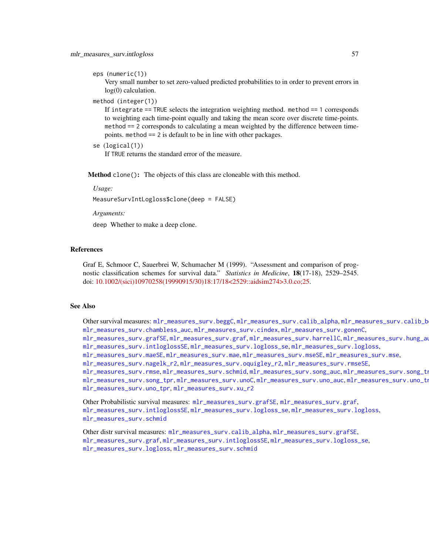```
eps (numeric(1))
```
Very small number to set zero-valued predicted probabilities to in order to prevent errors in log(0) calculation.

#### method (integer(1))

If integrate == TRUE selects the integration weighting method. method == 1 corresponds to weighting each time-point equally and taking the mean score over discrete time-points. method == 2 corresponds to calculating a mean weighted by the difference between timepoints. method == 2 is default to be in line with other packages.

```
se (logical(1))
```
If TRUE returns the standard error of the measure.

Method clone(): The objects of this class are cloneable with this method.

*Usage:*

MeasureSurvIntLogloss\$clone(deep = FALSE)

*Arguments:*

deep Whether to make a deep clone.

# References

Graf E, Schmoor C, Sauerbrei W, Schumacher M (1999). "Assessment and comparison of prognostic classification schemes for survival data." *Statistics in Medicine*, 18(17-18), 2529–2545. doi: [10.1002/\(sici\)10970258\(19990915/30\)18:17/18<2529::aidsim274>3.0.co;25.](https://doi.org/10.1002/(sici)1097-0258(19990915/30)18:17/18<2529::aid-sim274>3.0.co;2-5)

#### See Also

Other survival measures: [mlr\\_measures\\_surv.beggC](#page-36-0), [mlr\\_measures\\_surv.calib\\_alpha](#page-37-0), [mlr\\_measures\\_surv.calib\\_beta](#page-39-0), [mlr\\_measures\\_surv.chambless\\_auc](#page-41-0), [mlr\\_measures\\_surv.cindex](#page-43-0), [mlr\\_measures\\_surv.gonenC](#page-45-0), [mlr\\_measures\\_surv.grafSE](#page-49-0), [mlr\\_measures\\_surv.graf](#page-47-0), [mlr\\_measures\\_surv.harrellC](#page-51-0), [mlr\\_measures\\_surv.hung\\_auc](#page-52-0), [mlr\\_measures\\_surv.intloglossSE](#page-57-0), [mlr\\_measures\\_surv.logloss\\_se](#page-61-0), [mlr\\_measures\\_surv.logloss](#page-59-0), [mlr\\_measures\\_surv.maeSE](#page-64-0), [mlr\\_measures\\_surv.mae](#page-62-0), [mlr\\_measures\\_surv.mseSE](#page-67-0), [mlr\\_measures\\_surv.mse](#page-65-0), [mlr\\_measures\\_surv.nagelk\\_r2](#page-68-0), [mlr\\_measures\\_surv.oquigley\\_r2](#page-70-0), [mlr\\_measures\\_surv.rmseSE](#page-73-0), [mlr\\_measures\\_surv.rmse](#page-71-0), [mlr\\_measures\\_surv.schmid](#page-74-0), [mlr\\_measures\\_surv.song\\_auc](#page-77-0), mlr\_measures\_surv.song\_tn [mlr\\_measures\\_surv.song\\_tpr](#page-81-0),[mlr\\_measures\\_surv.unoC](#page-83-0),[mlr\\_measures\\_surv.uno\\_auc](#page-84-0),mlr\_measures\_surv.uno\_tn [mlr\\_measures\\_surv.uno\\_tpr](#page-88-0), [mlr\\_measures\\_surv.xu\\_r2](#page-90-0)

Other Probabilistic survival measures: [mlr\\_measures\\_surv.grafSE](#page-49-0), [mlr\\_measures\\_surv.graf](#page-47-0), [mlr\\_measures\\_surv.intloglossSE](#page-57-0), [mlr\\_measures\\_surv.logloss\\_se](#page-61-0), [mlr\\_measures\\_surv.logloss](#page-59-0), [mlr\\_measures\\_surv.schmid](#page-74-0)

Other distr survival measures: [mlr\\_measures\\_surv.calib\\_alpha](#page-37-0), [mlr\\_measures\\_surv.grafSE](#page-49-0), [mlr\\_measures\\_surv.graf](#page-47-0), [mlr\\_measures\\_surv.intloglossSE](#page-57-0), [mlr\\_measures\\_surv.logloss\\_se](#page-61-0), [mlr\\_measures\\_surv.logloss](#page-59-0), [mlr\\_measures\\_surv.schmid](#page-74-0)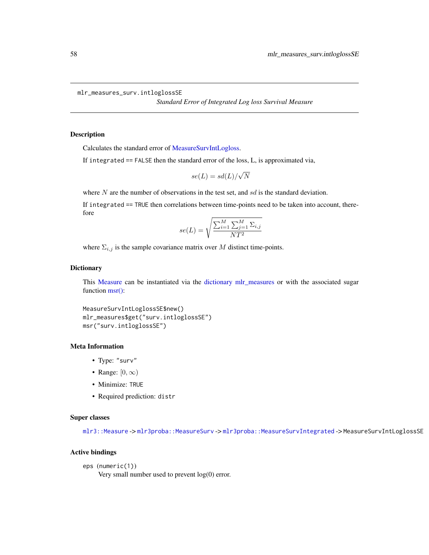<span id="page-57-0"></span>mlr\_measures\_surv.intloglossSE

*Standard Error of Integrated Log loss Survival Measure*

# Description

Calculates the standard error of [MeasureSurvIntLogloss.](#page-54-1)

If integrated == FALSE then the standard error of the loss, L, is approximated via,

$$
se(L) = sd(L)/\sqrt{N}
$$

where  $N$  are the number of observations in the test set, and  $sd$  is the standard deviation.

If integrated == TRUE then correlations between time-points need to be taken into account, therefore

$$
se(L) = \sqrt{\frac{\sum_{i=1}^{M} \sum_{j=1}^{M} \Sigma_{i,j}}{NT^2}}
$$

where  $\Sigma_{i,j}$  is the sample covariance matrix over M distinct time-points.

# Dictionary

This [Measure](#page-0-0) can be instantiated via the [dictionary](#page-0-0) [mlr\\_measures](#page-0-0) or with the associated sugar function [msr\(\):](#page-0-0)

```
MeasureSurvIntLoglossSE$new()
mlr_measures$get("surv.intloglossSE")
msr("surv.intloglossSE")
```
# Meta Information

- Type: "surv"
- Range:  $[0, \infty)$
- Minimize: TRUE
- Required prediction: distr

## Super classes

[mlr3::Measure](#page-0-0) -> [mlr3proba::MeasureSurv](#page-0-0) -> [mlr3proba::MeasureSurvIntegrated](#page-0-0) -> MeasureSurvIntLoglossSE

# Active bindings

```
eps (numeric(1))
```
Very small number used to prevent log(0) error.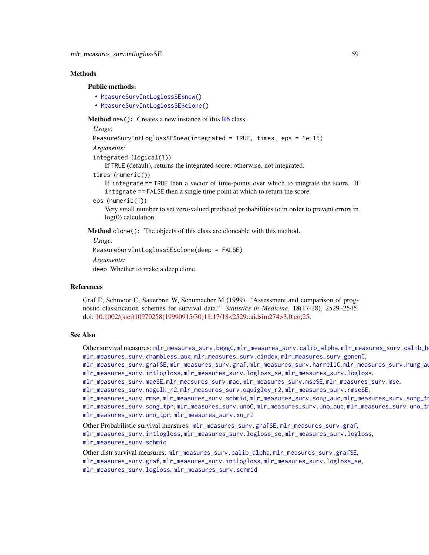## **Methods**

#### Public methods:

- [MeasureSurvIntLoglossSE\\$new\(\)](#page-8-0)
- [MeasureSurvIntLoglossSE\\$clone\(\)](#page-9-0)

Method new(): Creates a new instance of this [R6](#page-0-0) class.

*Usage:*

```
MeasureSurvIntLoglossSE$new(integrated = TRUE, times, eps = 1e-15)
```

```
Arguments:
```
integrated (logical(1))

If TRUE (default), returns the integrated score; otherwise, not integrated.

```
times (numeric())
```
If integrate == TRUE then a vector of time-points over which to integrate the score. If integrate == FALSE then a single time point at which to return the score.

# eps (numeric(1))

Very small number to set zero-valued predicted probabilities to in order to prevent errors in log(0) calculation.

Method clone(): The objects of this class are cloneable with this method.

*Usage:*

```
MeasureSurvIntLoglossSE$clone(deep = FALSE)
```
*Arguments:*

deep Whether to make a deep clone.

#### References

Graf E, Schmoor C, Sauerbrei W, Schumacher M (1999). "Assessment and comparison of prognostic classification schemes for survival data." *Statistics in Medicine*, 18(17-18), 2529–2545. doi: [10.1002/\(sici\)10970258\(19990915/30\)18:17/18<2529::aidsim274>3.0.co;25.](https://doi.org/10.1002/(sici)1097-0258(19990915/30)18:17/18<2529::aid-sim274>3.0.co;2-5)

### See Also

Other survival measures: [mlr\\_measures\\_surv.beggC](#page-36-0), [mlr\\_measures\\_surv.calib\\_alpha](#page-37-0), [mlr\\_measures\\_surv.calib\\_beta](#page-39-0), [mlr\\_measures\\_surv.chambless\\_auc](#page-41-0), [mlr\\_measures\\_surv.cindex](#page-43-0), [mlr\\_measures\\_surv.gonenC](#page-45-0),

[mlr\\_measures\\_surv.grafSE](#page-49-0), [mlr\\_measures\\_surv.graf](#page-47-0), [mlr\\_measures\\_surv.harrellC](#page-51-0), [mlr\\_measures\\_surv.hung\\_auc](#page-52-0), [mlr\\_measures\\_surv.intlogloss](#page-54-0), [mlr\\_measures\\_surv.logloss\\_se](#page-61-0), [mlr\\_measures\\_surv.logloss](#page-59-0),

[mlr\\_measures\\_surv.maeSE](#page-64-0), [mlr\\_measures\\_surv.mae](#page-62-0), [mlr\\_measures\\_surv.mseSE](#page-67-0), [mlr\\_measures\\_surv.mse](#page-65-0),

```
mlr_measures_surv.nagelk_r2, mlr_measures_surv.oquigley_r2, mlr_measures_surv.rmseSE,
```
[mlr\\_measures\\_surv.rmse](#page-71-0), [mlr\\_measures\\_surv.schmid](#page-74-0), [mlr\\_measures\\_surv.song\\_auc](#page-77-0), mlr\_measures\_surv.song\_tn [mlr\\_measures\\_surv.song\\_tpr](#page-81-0), [mlr\\_measures\\_surv.unoC](#page-83-0), [mlr\\_measures\\_surv.uno\\_auc](#page-84-0), [mlr\\_measures\\_surv.uno\\_tnr](#page-86-0), [mlr\\_measures\\_surv.uno\\_tpr](#page-88-0), [mlr\\_measures\\_surv.xu\\_r2](#page-90-0)

```
Other Probabilistic survival measures: mlr_measures_surv.grafSE, mlr_measures_surv.graf,
mlr_measures_surv.intlogloss, mlr_measures_surv.logloss_se, mlr_measures_surv.logloss,
mlr_measures_surv.schmid
```
Other distr survival measures: [mlr\\_measures\\_surv.calib\\_alpha](#page-37-0), [mlr\\_measures\\_surv.grafSE](#page-49-0), [mlr\\_measures\\_surv.graf](#page-47-0), [mlr\\_measures\\_surv.intlogloss](#page-54-0), [mlr\\_measures\\_surv.logloss\\_se](#page-61-0), [mlr\\_measures\\_surv.logloss](#page-59-0), [mlr\\_measures\\_surv.schmid](#page-74-0)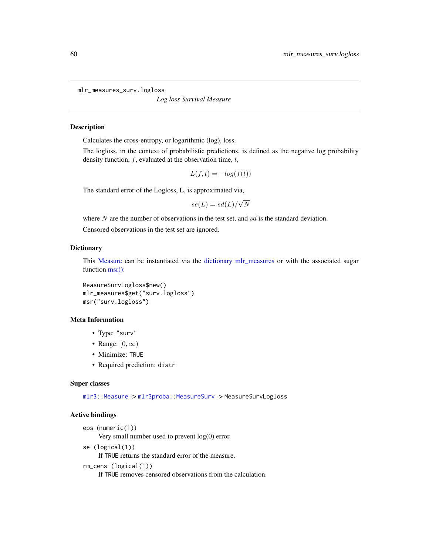<span id="page-59-0"></span>mlr\_measures\_surv.logloss

*Log loss Survival Measure*

# <span id="page-59-1"></span>Description

Calculates the cross-entropy, or logarithmic (log), loss.

The logloss, in the context of probabilistic predictions, is defined as the negative log probability density function,  $f$ , evaluated at the observation time,  $t$ ,

$$
L(f, t) = -\log(f(t))
$$

The standard error of the Logloss, L, is approximated via,

$$
se(L) = sd(L)/\sqrt{N}
$$

where N are the number of observations in the test set, and  $sd$  is the standard deviation.

Censored observations in the test set are ignored.

# Dictionary

This [Measure](#page-0-0) can be instantiated via the [dictionary](#page-0-0) [mlr\\_measures](#page-0-0) or with the associated sugar function [msr\(\):](#page-0-0)

MeasureSurvLogloss\$new() mlr\_measures\$get("surv.logloss") msr("surv.logloss")

# Meta Information

- Type: "surv"
- Range:  $[0, \infty)$
- Minimize: TRUE
- Required prediction: distr

#### Super classes

[mlr3::Measure](#page-0-0) -> [mlr3proba::MeasureSurv](#page-0-0) -> MeasureSurvLogloss

## Active bindings

```
eps (numeric(1))
     Very small number used to prevent log(0) error.
se (logical(1))
     If TRUE returns the standard error of the measure.
```
rm\_cens (logical(1))

If TRUE removes censored observations from the calculation.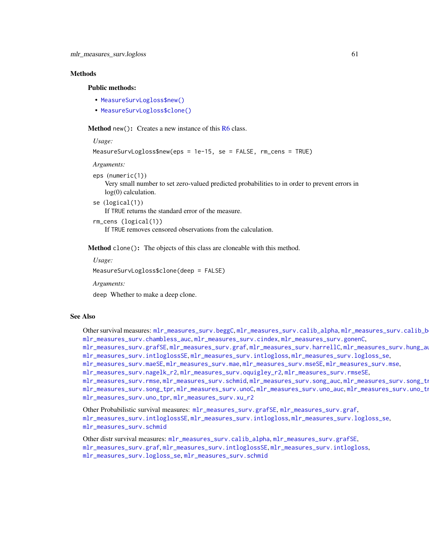## **Methods**

## Public methods:

- [MeasureSurvLogloss\\$new\(\)](#page-8-0)
- [MeasureSurvLogloss\\$clone\(\)](#page-9-0)

**Method** new(): Creates a new instance of this  $R6$  class.

#### *Usage:*

MeasureSurvLogloss\$new(eps = 1e-15, se = FALSE, rm\_cens = TRUE)

*Arguments:*

eps (numeric(1))

Very small number to set zero-valued predicted probabilities to in order to prevent errors in log(0) calculation.

se (logical(1))

If TRUE returns the standard error of the measure.

rm\_cens (logical(1))

If TRUE removes censored observations from the calculation.

Method clone(): The objects of this class are cloneable with this method.

*Usage:*

MeasureSurvLogloss\$clone(deep = FALSE)

*Arguments:*

deep Whether to make a deep clone.

#### See Also

Other survival measures: [mlr\\_measures\\_surv.beggC](#page-36-0), [mlr\\_measures\\_surv.calib\\_alpha](#page-37-0), mlr\_measures\_surv.calib\_b [mlr\\_measures\\_surv.chambless\\_auc](#page-41-0), [mlr\\_measures\\_surv.cindex](#page-43-0), [mlr\\_measures\\_surv.gonenC](#page-45-0), [mlr\\_measures\\_surv.grafSE](#page-49-0), [mlr\\_measures\\_surv.graf](#page-47-0), [mlr\\_measures\\_surv.harrellC](#page-51-0), [mlr\\_measures\\_surv.hung\\_auc](#page-52-0), [mlr\\_measures\\_surv.intloglossSE](#page-57-0), [mlr\\_measures\\_surv.intlogloss](#page-54-0), [mlr\\_measures\\_surv.logloss\\_se](#page-61-0), [mlr\\_measures\\_surv.maeSE](#page-64-0), [mlr\\_measures\\_surv.mae](#page-62-0), [mlr\\_measures\\_surv.mseSE](#page-67-0), [mlr\\_measures\\_surv.mse](#page-65-0), [mlr\\_measures\\_surv.nagelk\\_r2](#page-68-0), [mlr\\_measures\\_surv.oquigley\\_r2](#page-70-0), [mlr\\_measures\\_surv.rmseSE](#page-73-0), [mlr\\_measures\\_surv.rmse](#page-71-0), [mlr\\_measures\\_surv.schmid](#page-74-0), [mlr\\_measures\\_surv.song\\_auc](#page-77-0), mlr\_measures\_surv.song\_tn [mlr\\_measures\\_surv.song\\_tpr](#page-81-0),[mlr\\_measures\\_surv.unoC](#page-83-0),[mlr\\_measures\\_surv.uno\\_auc](#page-84-0),mlr\_measures\_surv.uno\_tn

```
mlr_measures_surv.uno_tpr, mlr_measures_surv.xu_r2
```
Other Probabilistic survival measures: [mlr\\_measures\\_surv.grafSE](#page-49-0), [mlr\\_measures\\_surv.graf](#page-47-0), [mlr\\_measures\\_surv.intloglossSE](#page-57-0), [mlr\\_measures\\_surv.intlogloss](#page-54-0), [mlr\\_measures\\_surv.logloss\\_se](#page-61-0), [mlr\\_measures\\_surv.schmid](#page-74-0)

Other distr survival measures: [mlr\\_measures\\_surv.calib\\_alpha](#page-37-0), [mlr\\_measures\\_surv.grafSE](#page-49-0), [mlr\\_measures\\_surv.graf](#page-47-0), [mlr\\_measures\\_surv.intloglossSE](#page-57-0), [mlr\\_measures\\_surv.intlogloss](#page-54-0), [mlr\\_measures\\_surv.logloss\\_se](#page-61-0), [mlr\\_measures\\_surv.schmid](#page-74-0)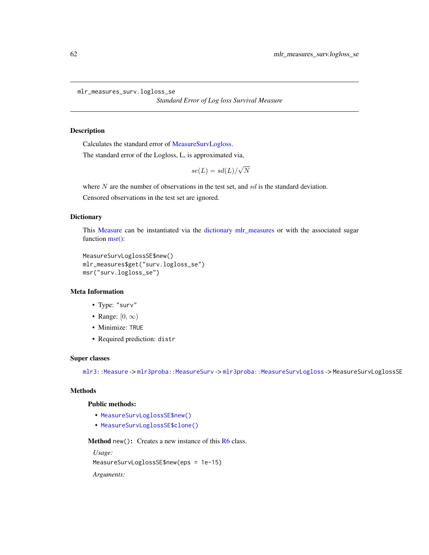<span id="page-61-0"></span>mlr\_measures\_surv.logloss\_se

*Standard Error of Log loss Survival Measure*

# Description

Calculates the standard error of [MeasureSurvLogloss.](#page-59-1)

The standard error of the Logloss, L, is approximated via,

 $se(L) = sd(L)/$ √ N

where  $N$  are the number of observations in the test set, and  $sd$  is the standard deviation.

Censored observations in the test set are ignored.

#### Dictionary

This [Measure](#page-0-0) can be instantiated via the [dictionary](#page-0-0) [mlr\\_measures](#page-0-0) or with the associated sugar function [msr\(\):](#page-0-0)

```
MeasureSurvLoglossSE$new()
mlr_measures$get("surv.logloss_se")
msr("surv.logloss_se")
```
# Meta Information

- Type: "surv"
- Range:  $[0, \infty)$
- Minimize: TRUE
- Required prediction: distr

# Super classes

[mlr3::Measure](#page-0-0) -> [mlr3proba::MeasureSurv](#page-0-0) -> [mlr3proba::MeasureSurvLogloss](#page-0-0) -> MeasureSurvLoglossSE

# Methods

# Public methods:

- [MeasureSurvLoglossSE\\$new\(\)](#page-8-0)
- [MeasureSurvLoglossSE\\$clone\(\)](#page-9-0)

**Method** new( $)$ : Creates a new instance of this  $R6$  class.

*Usage:*

MeasureSurvLoglossSE\$new(eps = 1e-15)

*Arguments:*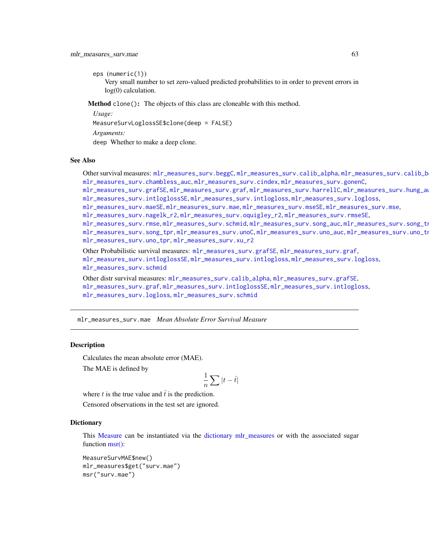## mlr\_measures\_surv.mae 63

```
eps (numeric(1))
```
Very small number to set zero-valued predicted probabilities to in order to prevent errors in log(0) calculation.

Method clone(): The objects of this class are cloneable with this method.

*Usage:*

MeasureSurvLoglossSE\$clone(deep = FALSE)

*Arguments:*

deep Whether to make a deep clone.

# See Also

Other survival measures: [mlr\\_measures\\_surv.beggC](#page-36-0), [mlr\\_measures\\_surv.calib\\_alpha](#page-37-0), mlr\_measures\_surv.calib\_b [mlr\\_measures\\_surv.chambless\\_auc](#page-41-0), [mlr\\_measures\\_surv.cindex](#page-43-0), [mlr\\_measures\\_surv.gonenC](#page-45-0), [mlr\\_measures\\_surv.grafSE](#page-49-0), [mlr\\_measures\\_surv.graf](#page-47-0), [mlr\\_measures\\_surv.harrellC](#page-51-0), [mlr\\_measures\\_surv.hung\\_auc](#page-52-0), [mlr\\_measures\\_surv.intloglossSE](#page-57-0), [mlr\\_measures\\_surv.intlogloss](#page-54-0), [mlr\\_measures\\_surv.logloss](#page-59-0), [mlr\\_measures\\_surv.maeSE](#page-64-0), [mlr\\_measures\\_surv.mae](#page-62-0), [mlr\\_measures\\_surv.mseSE](#page-67-0), [mlr\\_measures\\_surv.mse](#page-65-0),

[mlr\\_measures\\_surv.nagelk\\_r2](#page-68-0), [mlr\\_measures\\_surv.oquigley\\_r2](#page-70-0), [mlr\\_measures\\_surv.rmseSE](#page-73-0),

[mlr\\_measures\\_surv.rmse](#page-71-0), [mlr\\_measures\\_surv.schmid](#page-74-0), [mlr\\_measures\\_surv.song\\_auc](#page-77-0), mlr\_measures\_surv.song\_tn [mlr\\_measures\\_surv.song\\_tpr](#page-81-0),[mlr\\_measures\\_surv.unoC](#page-83-0),[mlr\\_measures\\_surv.uno\\_auc](#page-84-0),mlr\_measures\_surv.uno\_tn [mlr\\_measures\\_surv.uno\\_tpr](#page-88-0), [mlr\\_measures\\_surv.xu\\_r2](#page-90-0)

Other Probabilistic survival measures: [mlr\\_measures\\_surv.grafSE](#page-49-0), [mlr\\_measures\\_surv.graf](#page-47-0), [mlr\\_measures\\_surv.intloglossSE](#page-57-0), [mlr\\_measures\\_surv.intlogloss](#page-54-0), [mlr\\_measures\\_surv.logloss](#page-59-0), [mlr\\_measures\\_surv.schmid](#page-74-0)

Other distr survival measures: [mlr\\_measures\\_surv.calib\\_alpha](#page-37-0), [mlr\\_measures\\_surv.grafSE](#page-49-0), [mlr\\_measures\\_surv.graf](#page-47-0), [mlr\\_measures\\_surv.intloglossSE](#page-57-0), [mlr\\_measures\\_surv.intlogloss](#page-54-0), [mlr\\_measures\\_surv.logloss](#page-59-0), [mlr\\_measures\\_surv.schmid](#page-74-0)

<span id="page-62-0"></span>mlr\_measures\_surv.mae *Mean Absolute Error Survival Measure*

# <span id="page-62-1"></span>Description

Calculates the mean absolute error (MAE).

The MAE is defined by

$$
\frac{1}{n}\sum |t - \hat{t}|
$$

where t is the true value and  $\hat{t}$  is the prediction.

Censored observations in the test set are ignored.

#### **Dictionary**

This [Measure](#page-0-0) can be instantiated via the [dictionary](#page-0-0) [mlr\\_measures](#page-0-0) or with the associated sugar function [msr\(\):](#page-0-0)

MeasureSurvMAE\$new() mlr\_measures\$get("surv.mae") msr("surv.mae")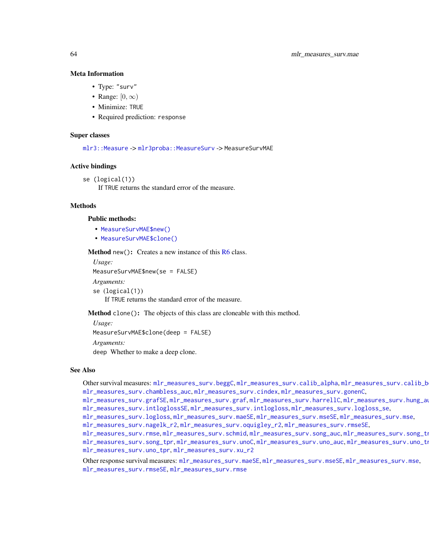#### Meta Information

- Type: "surv"
- Range:  $[0, \infty)$
- Minimize: TRUE
- Required prediction: response

## Super classes

[mlr3::Measure](#page-0-0) -> [mlr3proba::MeasureSurv](#page-0-0) -> MeasureSurvMAE

#### Active bindings

```
se (logical(1))
```
If TRUE returns the standard error of the measure.

# **Methods**

# Public methods:

- [MeasureSurvMAE\\$new\(\)](#page-8-0)
- [MeasureSurvMAE\\$clone\(\)](#page-9-0)

Method new(): Creates a new instance of this [R6](#page-0-0) class.

*Usage:* MeasureSurvMAE\$new(se = FALSE)

*Arguments:*

se (logical(1))

If TRUE returns the standard error of the measure.

Method clone(): The objects of this class are cloneable with this method.

*Usage:* MeasureSurvMAE\$clone(deep = FALSE) *Arguments:*

deep Whether to make a deep clone.

## See Also

Other survival measures: [mlr\\_measures\\_surv.beggC](#page-36-0), [mlr\\_measures\\_surv.calib\\_alpha](#page-37-0), [mlr\\_measures\\_surv.calib\\_beta](#page-39-0), [mlr\\_measures\\_surv.chambless\\_auc](#page-41-0), [mlr\\_measures\\_surv.cindex](#page-43-0), [mlr\\_measures\\_surv.gonenC](#page-45-0),

[mlr\\_measures\\_surv.grafSE](#page-49-0), [mlr\\_measures\\_surv.graf](#page-47-0), [mlr\\_measures\\_surv.harrellC](#page-51-0), [mlr\\_measures\\_surv.hung\\_auc](#page-52-0), [mlr\\_measures\\_surv.intloglossSE](#page-57-0), [mlr\\_measures\\_surv.intlogloss](#page-54-0), [mlr\\_measures\\_surv.logloss\\_se](#page-61-0),

[mlr\\_measures\\_surv.logloss](#page-59-0), [mlr\\_measures\\_surv.maeSE](#page-64-0), [mlr\\_measures\\_surv.mseSE](#page-67-0), [mlr\\_measures\\_surv.mse](#page-65-0),

[mlr\\_measures\\_surv.nagelk\\_r2](#page-68-0), [mlr\\_measures\\_surv.oquigley\\_r2](#page-70-0), [mlr\\_measures\\_surv.rmseSE](#page-73-0),

[mlr\\_measures\\_surv.rmse](#page-71-0), [mlr\\_measures\\_surv.schmid](#page-74-0), [mlr\\_measures\\_surv.song\\_auc](#page-77-0), mlr\_measures\_surv.song\_tn [mlr\\_measures\\_surv.song\\_tpr](#page-81-0),[mlr\\_measures\\_surv.unoC](#page-83-0),[mlr\\_measures\\_surv.uno\\_auc](#page-84-0),mlr\_measures\_surv.uno\_tn [mlr\\_measures\\_surv.uno\\_tpr](#page-88-0), [mlr\\_measures\\_surv.xu\\_r2](#page-90-0)

Other response survival measures: [mlr\\_measures\\_surv.maeSE](#page-64-0), [mlr\\_measures\\_surv.mseSE](#page-67-0), [mlr\\_measures\\_surv.mse](#page-65-0), [mlr\\_measures\\_surv.rmseSE](#page-73-0), [mlr\\_measures\\_surv.rmse](#page-71-0)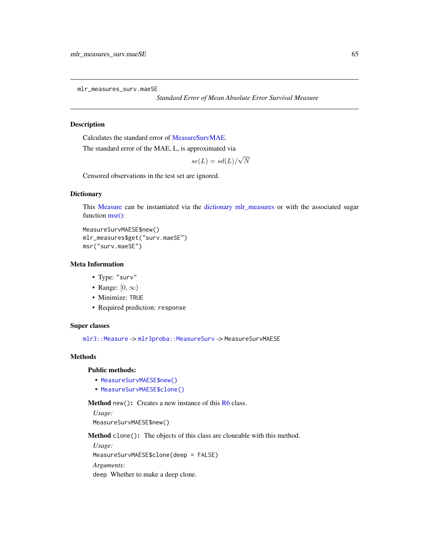<span id="page-64-0"></span>mlr\_measures\_surv.maeSE

*Standard Error of Mean Absolute Error Survival Measure*

# Description

Calculates the standard error of [MeasureSurvMAE.](#page-62-1)

The standard error of the MAE, L, is approximated via

 $se(L) = sd(L)/$ √ N

Censored observations in the test set are ignored.

#### **Dictionary**

This [Measure](#page-0-0) can be instantiated via the [dictionary](#page-0-0) [mlr\\_measures](#page-0-0) or with the associated sugar function [msr\(\):](#page-0-0)

```
MeasureSurvMAESE$new()
mlr_measures$get("surv.maeSE")
msr("surv.maeSE")
```
## Meta Information

- Type: "surv"
- Range:  $[0, \infty)$
- Minimize: TRUE
- Required prediction: response

#### Super classes

[mlr3::Measure](#page-0-0) -> [mlr3proba::MeasureSurv](#page-0-0) -> MeasureSurvMAESE

# **Methods**

# Public methods:

- [MeasureSurvMAESE\\$new\(\)](#page-8-0)
- [MeasureSurvMAESE\\$clone\(\)](#page-9-0)

Method new(): Creates a new instance of this [R6](#page-0-0) class.

*Usage:*

MeasureSurvMAESE\$new()

Method clone(): The objects of this class are cloneable with this method.

*Usage:* MeasureSurvMAESE\$clone(deep = FALSE) *Arguments:* deep Whether to make a deep clone.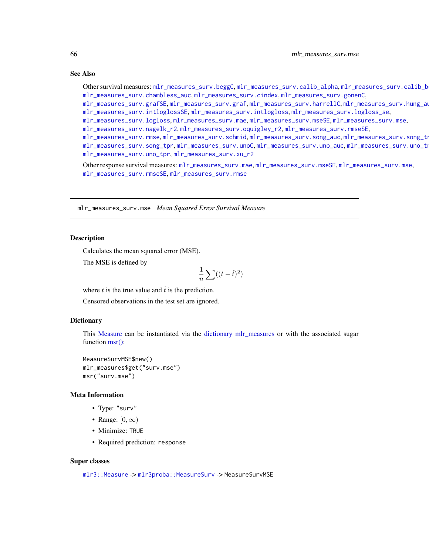# See Also

Other survival measures: [mlr\\_measures\\_surv.beggC](#page-36-0), [mlr\\_measures\\_surv.calib\\_alpha](#page-37-0), [mlr\\_measures\\_surv.calib\\_beta](#page-39-0), [mlr\\_measures\\_surv.chambless\\_auc](#page-41-0), [mlr\\_measures\\_surv.cindex](#page-43-0), [mlr\\_measures\\_surv.gonenC](#page-45-0),

[mlr\\_measures\\_surv.grafSE](#page-49-0), [mlr\\_measures\\_surv.graf](#page-47-0), [mlr\\_measures\\_surv.harrellC](#page-51-0), [mlr\\_measures\\_surv.hung\\_auc](#page-52-0), [mlr\\_measures\\_surv.intloglossSE](#page-57-0), [mlr\\_measures\\_surv.intlogloss](#page-54-0), [mlr\\_measures\\_surv.logloss\\_se](#page-61-0),

[mlr\\_measures\\_surv.logloss](#page-59-0), [mlr\\_measures\\_surv.mae](#page-62-0), [mlr\\_measures\\_surv.mseSE](#page-67-0), [mlr\\_measures\\_surv.mse](#page-65-0),

[mlr\\_measures\\_surv.nagelk\\_r2](#page-68-0), [mlr\\_measures\\_surv.oquigley\\_r2](#page-70-0), [mlr\\_measures\\_surv.rmseSE](#page-73-0),

[mlr\\_measures\\_surv.rmse](#page-71-0), [mlr\\_measures\\_surv.schmid](#page-74-0), [mlr\\_measures\\_surv.song\\_auc](#page-77-0), mlr\_measures\_surv.song\_tn [mlr\\_measures\\_surv.song\\_tpr](#page-81-0), [mlr\\_measures\\_surv.unoC](#page-83-0), [mlr\\_measures\\_surv.uno\\_auc](#page-84-0), mlr\_measures\_surv.uno\_tn [mlr\\_measures\\_surv.uno\\_tpr](#page-88-0), [mlr\\_measures\\_surv.xu\\_r2](#page-90-0)

Other response survival measures: [mlr\\_measures\\_surv.mae](#page-62-0), [mlr\\_measures\\_surv.mseSE](#page-67-0), [mlr\\_measures\\_surv.mse](#page-65-0), [mlr\\_measures\\_surv.rmseSE](#page-73-0), [mlr\\_measures\\_surv.rmse](#page-71-0)

<span id="page-65-0"></span>mlr\_measures\_surv.mse *Mean Squared Error Survival Measure*

# <span id="page-65-1"></span>**Description**

Calculates the mean squared error (MSE).

The MSE is defined by

$$
\frac{1}{n}\sum ((t-\hat{t})^2)
$$

where t is the true value and  $\hat{t}$  is the prediction.

Censored observations in the test set are ignored.

# **Dictionary**

This [Measure](#page-0-0) can be instantiated via the [dictionary](#page-0-0) [mlr\\_measures](#page-0-0) or with the associated sugar function [msr\(\):](#page-0-0)

MeasureSurvMSE\$new() mlr\_measures\$get("surv.mse") msr("surv.mse")

#### Meta Information

- Type: "surv"
- Range:  $[0, \infty)$
- Minimize: TRUE
- Required prediction: response

## Super classes

[mlr3::Measure](#page-0-0) -> [mlr3proba::MeasureSurv](#page-0-0) -> MeasureSurvMSE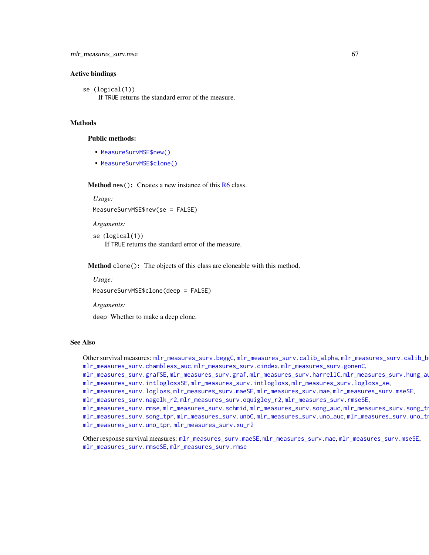## Active bindings

se (logical(1)) If TRUE returns the standard error of the measure.

# **Methods**

# Public methods:

- [MeasureSurvMSE\\$new\(\)](#page-8-0)
- [MeasureSurvMSE\\$clone\(\)](#page-9-0)

Method new(): Creates a new instance of this [R6](#page-0-0) class.

*Usage:*

MeasureSurvMSE\$new(se = FALSE)

*Arguments:*

```
se (logical(1))
   If TRUE returns the standard error of the measure.
```
Method clone(): The objects of this class are cloneable with this method.

*Usage:*

MeasureSurvMSE\$clone(deep = FALSE)

*Arguments:*

deep Whether to make a deep clone.

# See Also

Other survival measures: [mlr\\_measures\\_surv.beggC](#page-36-0), [mlr\\_measures\\_surv.calib\\_alpha](#page-37-0), mlr\_measures\_surv.calib\_b [mlr\\_measures\\_surv.chambless\\_auc](#page-41-0), [mlr\\_measures\\_surv.cindex](#page-43-0), [mlr\\_measures\\_surv.gonenC](#page-45-0),

[mlr\\_measures\\_surv.grafSE](#page-49-0), [mlr\\_measures\\_surv.graf](#page-47-0), [mlr\\_measures\\_surv.harrellC](#page-51-0), [mlr\\_measures\\_surv.hung\\_auc](#page-52-0), [mlr\\_measures\\_surv.intloglossSE](#page-57-0), [mlr\\_measures\\_surv.intlogloss](#page-54-0), [mlr\\_measures\\_surv.logloss\\_se](#page-61-0),

```
mlr_measures_surv.logloss, mlr_measures_surv.maeSE, mlr_measures_surv.mae, mlr_measures_surv.mseSE,
```
[mlr\\_measures\\_surv.nagelk\\_r2](#page-68-0), [mlr\\_measures\\_surv.oquigley\\_r2](#page-70-0), [mlr\\_measures\\_surv.rmseSE](#page-73-0),

[mlr\\_measures\\_surv.rmse](#page-71-0), [mlr\\_measures\\_surv.schmid](#page-74-0), [mlr\\_measures\\_surv.song\\_auc](#page-77-0), mlr\_measures\_surv.song\_tn [mlr\\_measures\\_surv.song\\_tpr](#page-81-0),[mlr\\_measures\\_surv.unoC](#page-83-0),[mlr\\_measures\\_surv.uno\\_auc](#page-84-0),mlr\_measures\_surv.uno\_tn [mlr\\_measures\\_surv.uno\\_tpr](#page-88-0), [mlr\\_measures\\_surv.xu\\_r2](#page-90-0)

Other response survival measures: [mlr\\_measures\\_surv.maeSE](#page-64-0), [mlr\\_measures\\_surv.mae](#page-62-0), [mlr\\_measures\\_surv.mseSE](#page-67-0), [mlr\\_measures\\_surv.rmseSE](#page-73-0), [mlr\\_measures\\_surv.rmse](#page-71-0)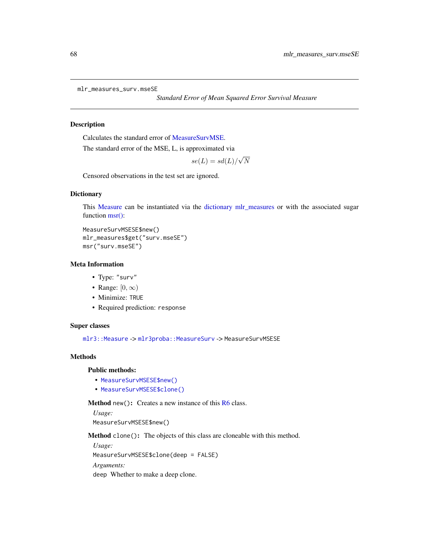```
mlr_measures_surv.mseSE
```
*Standard Error of Mean Squared Error Survival Measure*

# Description

Calculates the standard error of [MeasureSurvMSE.](#page-65-1)

The standard error of the MSE, L, is approximated via

 $se(L) = sd(L)/$ √ N

Censored observations in the test set are ignored.

#### **Dictionary**

This [Measure](#page-0-0) can be instantiated via the [dictionary](#page-0-0) [mlr\\_measures](#page-0-0) or with the associated sugar function [msr\(\):](#page-0-0)

```
MeasureSurvMSESE$new()
mlr_measures$get("surv.mseSE")
msr("surv.mseSE")
```
#### Meta Information

- Type: "surv"
- Range:  $[0, \infty)$
- Minimize: TRUE
- Required prediction: response

# Super classes

[mlr3::Measure](#page-0-0) -> [mlr3proba::MeasureSurv](#page-0-0) -> MeasureSurvMSESE

# **Methods**

# Public methods:

- [MeasureSurvMSESE\\$new\(\)](#page-8-0)
- [MeasureSurvMSESE\\$clone\(\)](#page-9-0)

Method new(): Creates a new instance of this [R6](#page-0-0) class.

*Usage:*

MeasureSurvMSESE\$new()

Method clone(): The objects of this class are cloneable with this method.

*Usage:* MeasureSurvMSESE\$clone(deep = FALSE) *Arguments:* deep Whether to make a deep clone.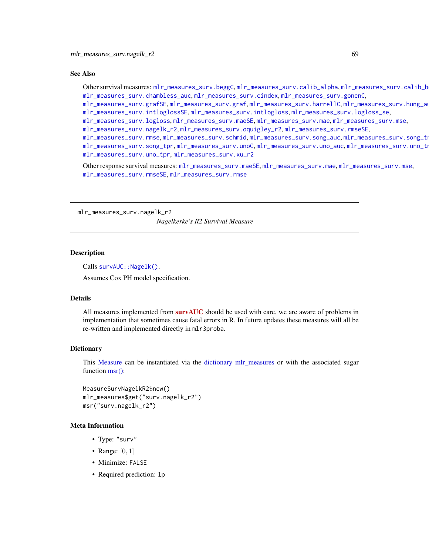#### See Also

Other survival measures: [mlr\\_measures\\_surv.beggC](#page-36-0), [mlr\\_measures\\_surv.calib\\_alpha](#page-37-0), mlr\_measures\_surv.calib\_b [mlr\\_measures\\_surv.chambless\\_auc](#page-41-0), [mlr\\_measures\\_surv.cindex](#page-43-0), [mlr\\_measures\\_surv.gonenC](#page-45-0),

[mlr\\_measures\\_surv.grafSE](#page-49-0), [mlr\\_measures\\_surv.graf](#page-47-0), [mlr\\_measures\\_surv.harrellC](#page-51-0), [mlr\\_measures\\_surv.hung\\_auc](#page-52-0), [mlr\\_measures\\_surv.intloglossSE](#page-57-0), [mlr\\_measures\\_surv.intlogloss](#page-54-0), [mlr\\_measures\\_surv.logloss\\_se](#page-61-0),

[mlr\\_measures\\_surv.logloss](#page-59-0), [mlr\\_measures\\_surv.maeSE](#page-64-0), [mlr\\_measures\\_surv.mae](#page-62-0), [mlr\\_measures\\_surv.mse](#page-65-0),

[mlr\\_measures\\_surv.nagelk\\_r2](#page-68-0), [mlr\\_measures\\_surv.oquigley\\_r2](#page-70-0), [mlr\\_measures\\_surv.rmseSE](#page-73-0),

[mlr\\_measures\\_surv.rmse](#page-71-0), [mlr\\_measures\\_surv.schmid](#page-74-0), [mlr\\_measures\\_surv.song\\_auc](#page-77-0), mlr\_measures\_surv.song\_tn [mlr\\_measures\\_surv.song\\_tpr](#page-81-0), [mlr\\_measures\\_surv.unoC](#page-83-0), [mlr\\_measures\\_surv.uno\\_auc](#page-84-0), mlr\_measures\_surv.uno\_tn [mlr\\_measures\\_surv.uno\\_tpr](#page-88-0), [mlr\\_measures\\_surv.xu\\_r2](#page-90-0)

Other response survival measures: [mlr\\_measures\\_surv.maeSE](#page-64-0), [mlr\\_measures\\_surv.mae](#page-62-0), [mlr\\_measures\\_surv.mse](#page-65-0), [mlr\\_measures\\_surv.rmseSE](#page-73-0), [mlr\\_measures\\_surv.rmse](#page-71-0)

<span id="page-68-0"></span>mlr\_measures\_surv.nagelk\_r2 *Nagelkerke's R2 Survival Measure*

#### Description

Calls survAUC:: Nagelk().

Assumes Cox PH model specification.

#### Details

All measures implemented from **[survAUC](https://CRAN.R-project.org/package=survAUC)** should be used with care, we are aware of problems in implementation that sometimes cause fatal errors in R. In future updates these measures will all be re-written and implemented directly in mlr3proba.

#### **Dictionary**

This [Measure](#page-0-0) can be instantiated via the [dictionary](#page-0-0) [mlr\\_measures](#page-0-0) or with the associated sugar function [msr\(\):](#page-0-0)

```
MeasureSurvNagelkR2$new()
mlr_measures$get("surv.nagelk_r2")
msr("surv.nagelk_r2")
```
#### Meta Information

- Type: "surv"
- Range:  $[0, 1]$
- Minimize: FALSE
- Required prediction: lp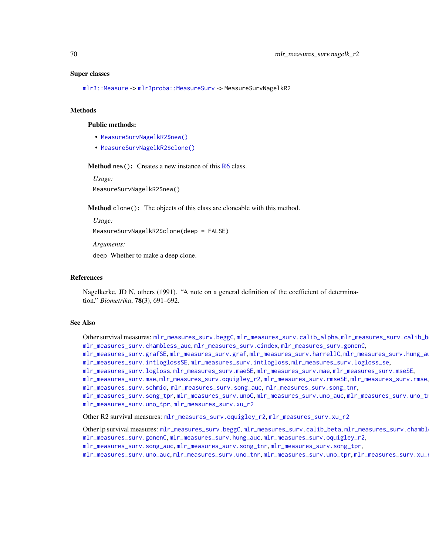#### Super classes

[mlr3::Measure](#page-0-0) -> [mlr3proba::MeasureSurv](#page-0-0) -> MeasureSurvNagelkR2

#### Methods

# Public methods:

- [MeasureSurvNagelkR2\\$new\(\)](#page-8-0)
- [MeasureSurvNagelkR2\\$clone\(\)](#page-9-0)

**Method** new(): Creates a new instance of this  $R6$  class.

*Usage:*

MeasureSurvNagelkR2\$new()

Method clone(): The objects of this class are cloneable with this method.

*Usage:*

```
MeasureSurvNagelkR2$clone(deep = FALSE)
```
*Arguments:*

deep Whether to make a deep clone.

## References

Nagelkerke, JD N, others (1991). "A note on a general definition of the coefficient of determination." *Biometrika*, 78(3), 691–692.

#### See Also

Other survival measures: [mlr\\_measures\\_surv.beggC](#page-36-0), [mlr\\_measures\\_surv.calib\\_alpha](#page-37-0), [mlr\\_measures\\_surv.calib\\_beta](#page-39-0), [mlr\\_measures\\_surv.chambless\\_auc](#page-41-0), [mlr\\_measures\\_surv.cindex](#page-43-0), [mlr\\_measures\\_surv.gonenC](#page-45-0), [mlr\\_measures\\_surv.grafSE](#page-49-0), [mlr\\_measures\\_surv.graf](#page-47-0), [mlr\\_measures\\_surv.harrellC](#page-51-0), [mlr\\_measures\\_surv.hung\\_auc](#page-52-0), [mlr\\_measures\\_surv.intloglossSE](#page-57-0), [mlr\\_measures\\_surv.intlogloss](#page-54-0), [mlr\\_measures\\_surv.logloss\\_se](#page-61-0), [mlr\\_measures\\_surv.logloss](#page-59-0), [mlr\\_measures\\_surv.maeSE](#page-64-0), [mlr\\_measures\\_surv.mae](#page-62-0), [mlr\\_measures\\_surv.mseSE](#page-67-0), [mlr\\_measures\\_surv.mse](#page-65-0), [mlr\\_measures\\_surv.oquigley\\_r2](#page-70-0), [mlr\\_measures\\_surv.rmseSE](#page-73-0), [mlr\\_measures\\_surv.rmse](#page-71-0), [mlr\\_measures\\_surv.schmid](#page-74-0), [mlr\\_measures\\_surv.song\\_auc](#page-77-0), [mlr\\_measures\\_surv.song\\_tnr](#page-79-0), [mlr\\_measures\\_surv.song\\_tpr](#page-81-0),[mlr\\_measures\\_surv.unoC](#page-83-0),[mlr\\_measures\\_surv.uno\\_auc](#page-84-0),mlr\_measures\_surv.uno\_tn [mlr\\_measures\\_surv.uno\\_tpr](#page-88-0), [mlr\\_measures\\_surv.xu\\_r2](#page-90-0)

Other R2 survival measures: [mlr\\_measures\\_surv.oquigley\\_r2](#page-70-0), [mlr\\_measures\\_surv.xu\\_r2](#page-90-0)

Other lp survival measures: [mlr\\_measures\\_surv.beggC](#page-36-0), [mlr\\_measures\\_surv.calib\\_beta](#page-39-0), mlr\_measures\_surv.chambl [mlr\\_measures\\_surv.gonenC](#page-45-0), [mlr\\_measures\\_surv.hung\\_auc](#page-52-0), [mlr\\_measures\\_surv.oquigley\\_r2](#page-70-0), [mlr\\_measures\\_surv.song\\_auc](#page-77-0), [mlr\\_measures\\_surv.song\\_tnr](#page-79-0), [mlr\\_measures\\_surv.song\\_tpr](#page-81-0), [mlr\\_measures\\_surv.uno\\_auc](#page-84-0), [mlr\\_measures\\_surv.uno\\_tnr](#page-86-0), [mlr\\_measures\\_surv.uno\\_tpr](#page-88-0), [mlr\\_measures\\_surv.xu\\_r2](#page-90-0)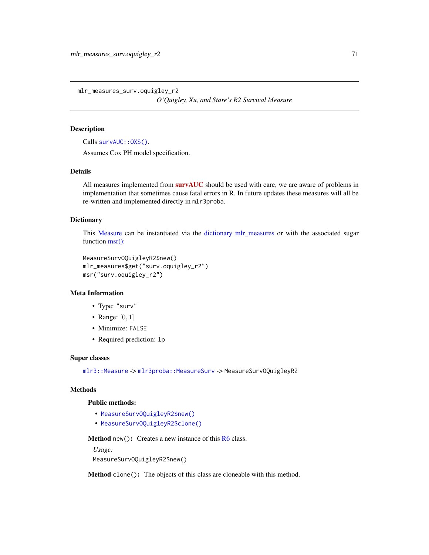<span id="page-70-0"></span>mlr\_measures\_surv.oquigley\_r2

*O'Quigley, Xu, and Stare's R2 Survival Measure*

# Description

Calls survAUC:: 0XS().

Assumes Cox PH model specification.

## Details

All measures implemented from [survAUC](https://CRAN.R-project.org/package=survAUC) should be used with care, we are aware of problems in implementation that sometimes cause fatal errors in R. In future updates these measures will all be re-written and implemented directly in mlr3proba.

## **Dictionary**

This [Measure](#page-0-0) can be instantiated via the [dictionary](#page-0-0) [mlr\\_measures](#page-0-0) or with the associated sugar function [msr\(\):](#page-0-0)

```
MeasureSurvOQuigleyR2$new()
mlr_measures$get("surv.oquigley_r2")
msr("surv.oquigley_r2")
```
# Meta Information

- Type: "surv"
- Range:  $[0, 1]$
- Minimize: FALSE
- Required prediction: lp

# Super classes

[mlr3::Measure](#page-0-0) -> [mlr3proba::MeasureSurv](#page-0-0) -> MeasureSurvOQuigleyR2

# Methods

# Public methods:

- [MeasureSurvOQuigleyR2\\$new\(\)](#page-8-0)
- [MeasureSurvOQuigleyR2\\$clone\(\)](#page-9-0)

Method new(): Creates a new instance of this [R6](#page-0-0) class.

```
Usage:
MeasureSurvOQuigleyR2$new()
```
Method clone(): The objects of this class are cloneable with this method.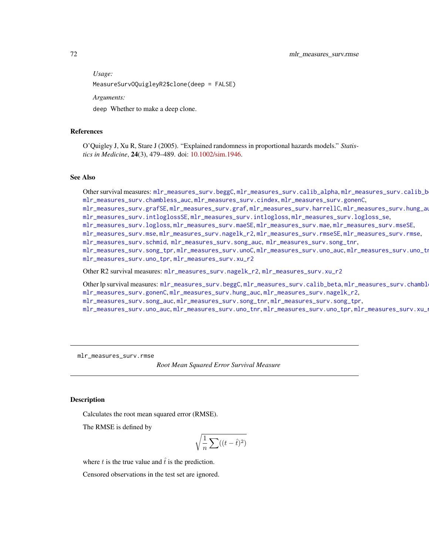*Usage:*

MeasureSurvOQuigleyR2\$clone(deep = FALSE)

*Arguments:*

deep Whether to make a deep clone.

#### References

O'Quigley J, Xu R, Stare J (2005). "Explained randomness in proportional hazards models." *Statistics in Medicine*, 24(3), 479–489. doi: [10.1002/sim.1946.](https://doi.org/10.1002/sim.1946)

## See Also

```
mlr_measures_surv.beggCmlr_measures_surv.calib_alpha, mlr_measures_surv.calib_b
mlr_measures_surv.chambless_auc, mlr_measures_surv.cindex, mlr_measures_surv.gonenC,
mlr_measures_surv.grafSE, mlr_measures_surv.graf, mlr_measures_surv.harrellC, mlr_measures_surv.hung_auc,
mlr_measures_surv.intloglossSE, mlr_measures_surv.intlogloss, mlr_measures_surv.logloss_se,
mlr_measures_surv.logloss, mlr_measures_surv.maeSE, mlr_measures_surv.mae, mlr_measures_surv.mseSE,
mlr_measures_surv.mse, mlr_measures_surv.nagelk_r2, mlr_measures_surv.rmseSE, mlr_measures_surv.rmse,
mlr_measures_surv.schmid, mlr_measures_surv.song_auc, mlr_measures_surv.song_tnr,
mlr_measures_surv.song_tprmlr_measures_surv.unoCmlr_measures_surv.uno_auc,mlr_measures_surv.uno_tn
mlr_measures_surv.uno_tpr, mlr_measures_surv.xu_r2
```
Other R2 survival measures: [mlr\\_measures\\_surv.nagelk\\_r2](#page-68-0), [mlr\\_measures\\_surv.xu\\_r2](#page-90-0)

Other lp survival measures: [mlr\\_measures\\_surv.beggC](#page-36-0), [mlr\\_measures\\_surv.calib\\_beta](#page-39-0), mlr\_measures\_surv.chambl [mlr\\_measures\\_surv.gonenC](#page-45-0), [mlr\\_measures\\_surv.hung\\_auc](#page-52-0), [mlr\\_measures\\_surv.nagelk\\_r2](#page-68-0), [mlr\\_measures\\_surv.song\\_auc](#page-77-0), [mlr\\_measures\\_surv.song\\_tnr](#page-79-0), [mlr\\_measures\\_surv.song\\_tpr](#page-81-0), [mlr\\_measures\\_surv.uno\\_auc](#page-84-0), [mlr\\_measures\\_surv.uno\\_tnr](#page-86-0), [mlr\\_measures\\_surv.uno\\_tpr](#page-88-0), [mlr\\_measures\\_surv.xu\\_r2](#page-90-0)

<span id="page-71-0"></span>mlr\_measures\_surv.rmse

*Root Mean Squared Error Survival Measure*

## Description

Calculates the root mean squared error (RMSE).

The RMSE is defined by

$$
\sqrt{\frac{1}{n}\sum((t-\hat{t})^2)}
$$

where t is the true value and  $\hat{t}$  is the prediction.

Censored observations in the test set are ignored.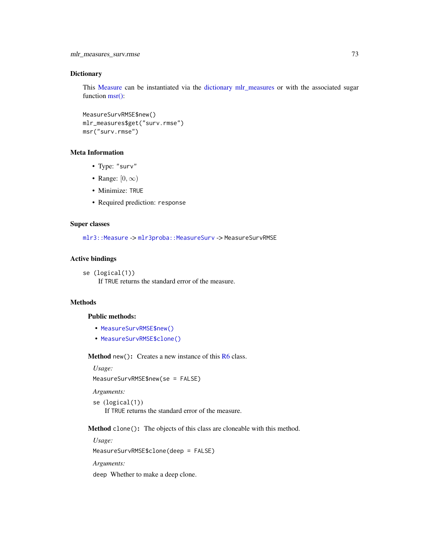mlr\_measures\_surv.rmse 73

### **Dictionary**

This [Measure](#page-0-0) can be instantiated via the [dictionary](#page-0-0) [mlr\\_measures](#page-0-0) or with the associated sugar function [msr\(\):](#page-0-0)

```
MeasureSurvRMSE$new()
mlr_measures$get("surv.rmse")
msr("surv.rmse")
```
# Meta Information

- Type: "surv"
- Range:  $[0, \infty)$
- Minimize: TRUE
- Required prediction: response

# Super classes

[mlr3::Measure](#page-0-0) -> [mlr3proba::MeasureSurv](#page-0-0) -> MeasureSurvRMSE

# Active bindings

```
se (logical(1))
```
If TRUE returns the standard error of the measure.

## Methods

# Public methods:

- [MeasureSurvRMSE\\$new\(\)](#page-8-0)
- [MeasureSurvRMSE\\$clone\(\)](#page-9-0)

Method new(): Creates a new instance of this [R6](#page-0-0) class.

### *Usage:*

MeasureSurvRMSE\$new(se = FALSE)

*Arguments:*

```
se (logical(1))
    If TRUE returns the standard error of the measure.
```
Method clone(): The objects of this class are cloneable with this method.

*Usage:* MeasureSurvRMSE\$clone(deep = FALSE)

*Arguments:*

deep Whether to make a deep clone.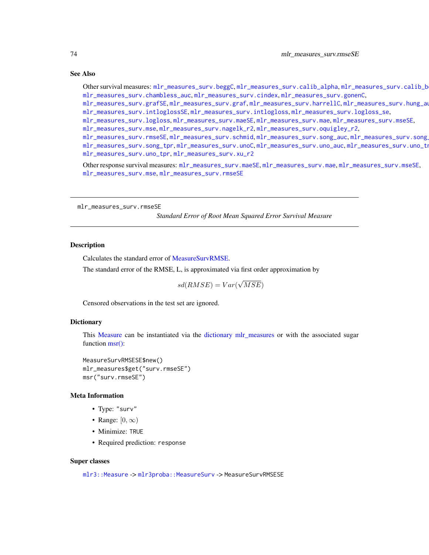# See Also

Other survival measures: [mlr\\_measures\\_surv.beggC](#page-36-0), [mlr\\_measures\\_surv.calib\\_alpha](#page-37-0), [mlr\\_measures\\_surv.calib\\_beta](#page-39-0), [mlr\\_measures\\_surv.chambless\\_auc](#page-41-0), [mlr\\_measures\\_surv.cindex](#page-43-0), [mlr\\_measures\\_surv.gonenC](#page-45-0),

[mlr\\_measures\\_surv.grafSE](#page-49-0), [mlr\\_measures\\_surv.graf](#page-47-0), [mlr\\_measures\\_surv.harrellC](#page-51-0), [mlr\\_measures\\_surv.hung\\_auc](#page-52-0), [mlr\\_measures\\_surv.intloglossSE](#page-57-0), [mlr\\_measures\\_surv.intlogloss](#page-54-0), [mlr\\_measures\\_surv.logloss\\_se](#page-61-0),

[mlr\\_measures\\_surv.logloss](#page-59-0), [mlr\\_measures\\_surv.maeSE](#page-64-0), [mlr\\_measures\\_surv.mae](#page-62-0), [mlr\\_measures\\_surv.mseSE](#page-67-0),

[mlr\\_measures\\_surv.mse](#page-65-0), [mlr\\_measures\\_surv.nagelk\\_r2](#page-68-0), [mlr\\_measures\\_surv.oquigley\\_r2](#page-70-0),

```
mlr_measures_surv.rmseSEmlr_measures_surv.schmidmlr_measures_surv.song_auc, mlr_measures_surv.song
mlr_measures_surv.song_tprmlr_measures_surv.unoCmlr_measures_surv.uno_auc, mlr_measures_surv.uno_tn
mlr_measures_surv.uno_tpr, mlr_measures_surv.xu_r2
```
Other response survival measures: [mlr\\_measures\\_surv.maeSE](#page-64-0), [mlr\\_measures\\_surv.mae](#page-62-0), [mlr\\_measures\\_surv.mseSE](#page-67-0), [mlr\\_measures\\_surv.mse](#page-65-0), [mlr\\_measures\\_surv.rmseSE](#page-73-0)

<span id="page-73-0"></span>mlr\_measures\_surv.rmseSE

*Standard Error of Root Mean Squared Error Survival Measure*

# Description

Calculates the standard error of [MeasureSurvRMSE.](#page-71-0)

The standard error of the RMSE, L, is approximated via first order approximation by

 $sd(RMSE) = Var($ √  $MSE)$ 

Censored observations in the test set are ignored.

# **Dictionary**

This [Measure](#page-0-0) can be instantiated via the [dictionary](#page-0-0) [mlr\\_measures](#page-0-0) or with the associated sugar function [msr\(\):](#page-0-0)

MeasureSurvRMSESE\$new() mlr\_measures\$get("surv.rmseSE") msr("surv.rmseSE")

# Meta Information

- Type: "surv"
- Range:  $[0, \infty)$
- Minimize: TRUE
- Required prediction: response

# Super classes

[mlr3::Measure](#page-0-0) -> [mlr3proba::MeasureSurv](#page-0-0) -> MeasureSurvRMSESE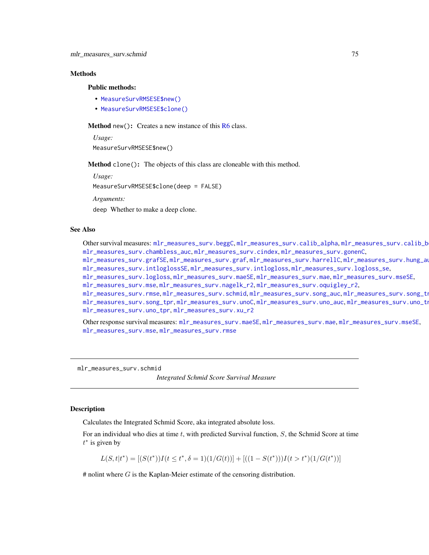### Public methods:

- [MeasureSurvRMSESE\\$new\(\)](#page-8-0)
- [MeasureSurvRMSESE\\$clone\(\)](#page-9-0)

Method new(): Creates a new instance of this [R6](#page-0-0) class.

*Usage:* MeasureSurvRMSESE\$new()

Method clone(): The objects of this class are cloneable with this method.

*Usage:*

MeasureSurvRMSESE\$clone(deep = FALSE)

*Arguments:*

deep Whether to make a deep clone.

# See Also

Other survival measures: [mlr\\_measures\\_surv.beggC](#page-36-0), [mlr\\_measures\\_surv.calib\\_alpha](#page-37-0), mlr\_measures\_surv.calib\_b [mlr\\_measures\\_surv.chambless\\_auc](#page-41-0), [mlr\\_measures\\_surv.cindex](#page-43-0), [mlr\\_measures\\_surv.gonenC](#page-45-0),

[mlr\\_measures\\_surv.grafSE](#page-49-0), [mlr\\_measures\\_surv.graf](#page-47-0), [mlr\\_measures\\_surv.harrellC](#page-51-0), [mlr\\_measures\\_surv.hung\\_auc](#page-52-0), [mlr\\_measures\\_surv.intloglossSE](#page-57-0), [mlr\\_measures\\_surv.intlogloss](#page-54-0), [mlr\\_measures\\_surv.logloss\\_se](#page-61-0),

[mlr\\_measures\\_surv.logloss](#page-59-0), [mlr\\_measures\\_surv.maeSE](#page-64-0), [mlr\\_measures\\_surv.mae](#page-62-0), [mlr\\_measures\\_surv.mseSE](#page-67-0), [mlr\\_measures\\_surv.mse](#page-65-0), [mlr\\_measures\\_surv.nagelk\\_r2](#page-68-0), [mlr\\_measures\\_surv.oquigley\\_r2](#page-70-0),

[mlr\\_measures\\_surv.rmse](#page-71-1), [mlr\\_measures\\_surv.schmid](#page-74-0), [mlr\\_measures\\_surv.song\\_auc](#page-77-0), mlr\_measures\_surv.song\_tn

[mlr\\_measures\\_surv.song\\_tpr](#page-81-0),[mlr\\_measures\\_surv.unoC](#page-83-0),[mlr\\_measures\\_surv.uno\\_auc](#page-84-0),mlr\_measures\_surv.uno\_tn [mlr\\_measures\\_surv.uno\\_tpr](#page-88-0), [mlr\\_measures\\_surv.xu\\_r2](#page-90-0)

Other response survival measures: [mlr\\_measures\\_surv.maeSE](#page-64-0), [mlr\\_measures\\_surv.mae](#page-62-0), [mlr\\_measures\\_surv.mseSE](#page-67-0), [mlr\\_measures\\_surv.mse](#page-65-0), [mlr\\_measures\\_surv.rmse](#page-71-1)

<span id="page-74-0"></span>mlr\_measures\_surv.schmid

*Integrated Schmid Score Survival Measure*

### **Description**

Calculates the Integrated Schmid Score, aka integrated absolute loss.

For an individual who dies at time  $t$ , with predicted Survival function,  $S$ , the Schmid Score at time  $t^*$  is given by

 $L(S, t|t^*) = [(S(t^*))I(t \le t^*, \delta = 1)(1/G(t))] + [(1 - S(t^*)))I(t > t^*)(1/G(t^*))]$ 

 $#$  nolint where  $G$  is the Kaplan-Meier estimate of the censoring distribution.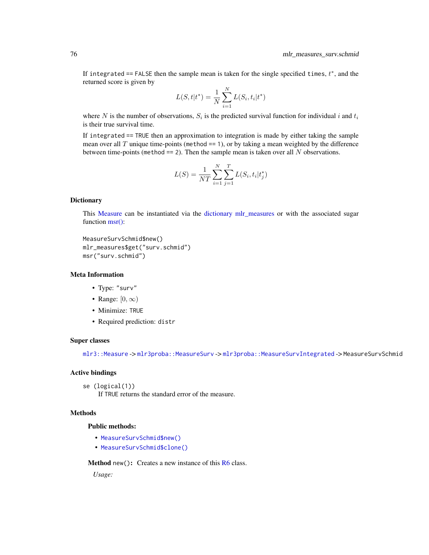If integrated == FALSE then the sample mean is taken for the single specified times,  $t^*$ , and the returned score is given by

$$
L(S, t | t^*) = \frac{1}{N} \sum_{i=1}^{N} L(S_i, t_i | t^*)
$$

where N is the number of observations,  $S_i$  is the predicted survival function for individual i and  $t_i$ is their true survival time.

If integrated == TRUE then an approximation to integration is made by either taking the sample mean over all  $T$  unique time-points (method  $== 1$ ), or by taking a mean weighted by the difference between time-points (method  $== 2$ ). Then the sample mean is taken over all N observations.

$$
L(S) = \frac{1}{NT} \sum_{i=1}^{N} \sum_{j=1}^{T} L(S_i, t_i | t_j^*)
$$

# **Dictionary**

This [Measure](#page-0-0) can be instantiated via the [dictionary](#page-0-0) [mlr\\_measures](#page-0-0) or with the associated sugar function [msr\(\):](#page-0-0)

```
MeasureSurvSchmid$new()
mlr_measures$get("surv.schmid")
msr("surv.schmid")
```
## Meta Information

- Type: "surv"
- Range:  $[0, \infty)$
- Minimize: TRUE
- Required prediction: distr

### Super classes

[mlr3::Measure](#page-0-0) -> [mlr3proba::MeasureSurv](#page-0-0) -> [mlr3proba::MeasureSurvIntegrated](#page-0-0) -> MeasureSurvSchmid

### Active bindings

se (logical(1))

If TRUE returns the standard error of the measure.

# Methods

### Public methods:

- [MeasureSurvSchmid\\$new\(\)](#page-8-0)
- [MeasureSurvSchmid\\$clone\(\)](#page-9-0)

**Method** new( $)$ : Creates a new instance of this  $R6$  class.

*Usage:*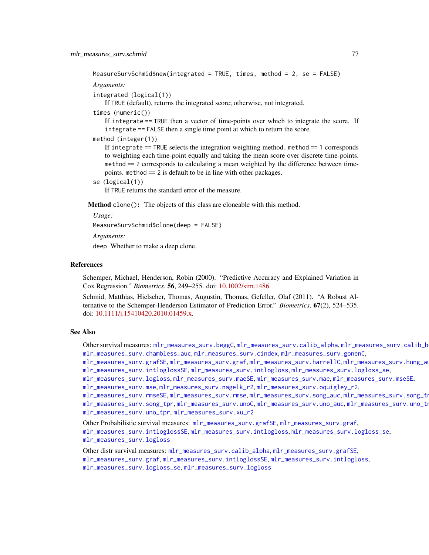MeasureSurvSchmid\$new(integrated = TRUE, times, method = 2, se = FALSE)

*Arguments:*

integrated (logical(1))

If TRUE (default), returns the integrated score; otherwise, not integrated.

times (numeric())

If integrate == TRUE then a vector of time-points over which to integrate the score. If integrate == FALSE then a single time point at which to return the score.

method (integer(1))

If integrate == TRUE selects the integration weighting method. method == 1 corresponds to weighting each time-point equally and taking the mean score over discrete time-points. method == 2 corresponds to calculating a mean weighted by the difference between timepoints. method == 2 is default to be in line with other packages.

se (logical(1))

If TRUE returns the standard error of the measure.

Method clone(): The objects of this class are cloneable with this method.

*Usage:*

MeasureSurvSchmid\$clone(deep = FALSE)

*Arguments:*

deep Whether to make a deep clone.

# References

Schemper, Michael, Henderson, Robin (2000). "Predictive Accuracy and Explained Variation in Cox Regression." *Biometrics*, 56, 249–255. doi: [10.1002/sim.1486.](https://doi.org/10.1002/sim.1486)

Schmid, Matthias, Hielscher, Thomas, Augustin, Thomas, Gefeller, Olaf (2011). "A Robust Alternative to the Schemper-Henderson Estimator of Prediction Error." *Biometrics*, 67(2), 524–535. doi: [10.1111/j.15410420.2010.01459.x.](https://doi.org/10.1111/j.1541-0420.2010.01459.x)

# See Also

Other survival measures: [mlr\\_measures\\_surv.beggC](#page-36-0), [mlr\\_measures\\_surv.calib\\_alpha](#page-37-0), [mlr\\_measures\\_surv.calib\\_beta](#page-39-0), [mlr\\_measures\\_surv.chambless\\_auc](#page-41-0), [mlr\\_measures\\_surv.cindex](#page-43-0), [mlr\\_measures\\_surv.gonenC](#page-45-0),

[mlr\\_measures\\_surv.grafSE](#page-49-0), [mlr\\_measures\\_surv.graf](#page-47-0), [mlr\\_measures\\_surv.harrellC](#page-51-0), [mlr\\_measures\\_surv.hung\\_auc](#page-52-0), [mlr\\_measures\\_surv.intloglossSE](#page-57-0), [mlr\\_measures\\_surv.intlogloss](#page-54-0), [mlr\\_measures\\_surv.logloss\\_se](#page-61-0),

[mlr\\_measures\\_surv.logloss](#page-59-0), [mlr\\_measures\\_surv.maeSE](#page-64-0), [mlr\\_measures\\_surv.mae](#page-62-0), [mlr\\_measures\\_surv.mseSE](#page-67-0),

[mlr\\_measures\\_surv.mse](#page-65-0), [mlr\\_measures\\_surv.nagelk\\_r2](#page-68-0), [mlr\\_measures\\_surv.oquigley\\_r2](#page-70-0),

[mlr\\_measures\\_surv.rmseSE](#page-73-0),[mlr\\_measures\\_surv.rmse](#page-71-1),[mlr\\_measures\\_surv.song\\_auc](#page-77-0),mlr\_measures\_surv.song\_tn [mlr\\_measures\\_surv.song\\_tpr](#page-81-0),[mlr\\_measures\\_surv.unoC](#page-83-0),[mlr\\_measures\\_surv.uno\\_auc](#page-84-0),mlr\_measures\_surv.uno\_tn [mlr\\_measures\\_surv.uno\\_tpr](#page-88-0), [mlr\\_measures\\_surv.xu\\_r2](#page-90-0)

Other Probabilistic survival measures: [mlr\\_measures\\_surv.grafSE](#page-49-0), [mlr\\_measures\\_surv.graf](#page-47-0), [mlr\\_measures\\_surv.intloglossSE](#page-57-0), [mlr\\_measures\\_surv.intlogloss](#page-54-0), [mlr\\_measures\\_surv.logloss\\_se](#page-61-0), [mlr\\_measures\\_surv.logloss](#page-59-0)

Other distr survival measures: [mlr\\_measures\\_surv.calib\\_alpha](#page-37-0), [mlr\\_measures\\_surv.grafSE](#page-49-0), [mlr\\_measures\\_surv.graf](#page-47-0), [mlr\\_measures\\_surv.intloglossSE](#page-57-0), [mlr\\_measures\\_surv.intlogloss](#page-54-0), [mlr\\_measures\\_surv.logloss\\_se](#page-61-0), [mlr\\_measures\\_surv.logloss](#page-59-0)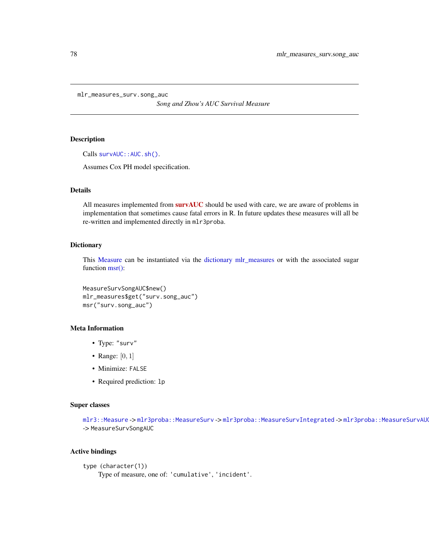<span id="page-77-0"></span>mlr\_measures\_surv.song\_auc

*Song and Zhou's AUC Survival Measure*

# Description

Calls survAUC:: AUC.sh().

Assumes Cox PH model specification.

# Details

All measures implemented from [survAUC](https://CRAN.R-project.org/package=survAUC) should be used with care, we are aware of problems in implementation that sometimes cause fatal errors in R. In future updates these measures will all be re-written and implemented directly in mlr3proba.

## **Dictionary**

This [Measure](#page-0-0) can be instantiated via the [dictionary](#page-0-0) [mlr\\_measures](#page-0-0) or with the associated sugar function [msr\(\):](#page-0-0)

MeasureSurvSongAUC\$new() mlr\_measures\$get("surv.song\_auc") msr("surv.song\_auc")

# Meta Information

- Type: "surv"
- Range:  $[0, 1]$
- Minimize: FALSE
- Required prediction: lp

## Super classes

[mlr3::Measure](#page-0-0) -> [mlr3proba::MeasureSurv](#page-0-0) -> [mlr3proba::MeasureSurvIntegrated](#page-0-0) -> mlr3proba::MeasureSurvAU -> MeasureSurvSongAUC

# Active bindings

```
type (character(1))
    Type of measure, one of: 'cumulative', 'incident'.
```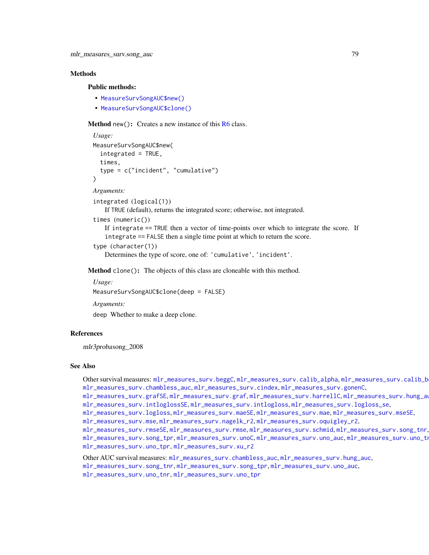## Public methods:

- [MeasureSurvSongAUC\\$new\(\)](#page-8-0)
- [MeasureSurvSongAUC\\$clone\(\)](#page-9-0)

Method new(): Creates a new instance of this [R6](#page-0-0) class.

```
Usage:
MeasureSurvSongAUC$new(
  integrated = TRUE,
  times,
  type = c("incident", "cumulative")
)
```
# *Arguments:*

```
integrated (logical(1))
```
If TRUE (default), returns the integrated score; otherwise, not integrated.

```
times (numeric())
```
If integrate == TRUE then a vector of time-points over which to integrate the score. If integrate == FALSE then a single time point at which to return the score.

```
type (character(1))
```
Determines the type of score, one of: 'cumulative', 'incident'.

Method clone(): The objects of this class are cloneable with this method.

*Usage:*

MeasureSurvSongAUC\$clone(deep = FALSE)

*Arguments:*

deep Whether to make a deep clone.

# References

mlr3probasong\_2008

#### See Also

Other survival measures: [mlr\\_measures\\_surv.beggC](#page-36-0), [mlr\\_measures\\_surv.calib\\_alpha](#page-37-0), mlr\_measures\_surv.calib\_b [mlr\\_measures\\_surv.chambless\\_auc](#page-41-0), [mlr\\_measures\\_surv.cindex](#page-43-0), [mlr\\_measures\\_surv.gonenC](#page-45-0),

[mlr\\_measures\\_surv.grafSE](#page-49-0), [mlr\\_measures\\_surv.graf](#page-47-0), [mlr\\_measures\\_surv.harrellC](#page-51-0), [mlr\\_measures\\_surv.hung\\_auc](#page-52-0), [mlr\\_measures\\_surv.intloglossSE](#page-57-0), [mlr\\_measures\\_surv.intlogloss](#page-54-0), [mlr\\_measures\\_surv.logloss\\_se](#page-61-0),

```
mlr_measures_surv.logloss, mlr_measures_surv.maeSE, mlr_measures_surv.mae, mlr_measures_surv.mseSE,
```
[mlr\\_measures\\_surv.mse](#page-65-0), [mlr\\_measures\\_surv.nagelk\\_r2](#page-68-0), [mlr\\_measures\\_surv.oquigley\\_r2](#page-70-0),

[mlr\\_measures\\_surv.rmseSE](#page-73-0), [mlr\\_measures\\_surv.rmse](#page-71-1), [mlr\\_measures\\_surv.schmid](#page-74-0), [mlr\\_measures\\_surv.song\\_tnr](#page-79-0), [mlr\\_measures\\_surv.song\\_tpr](#page-81-0), [mlr\\_measures\\_surv.unoC](#page-83-0), [mlr\\_measures\\_surv.uno\\_auc](#page-84-0), [mlr\\_measures\\_surv.uno\\_tnr](#page-86-0), [mlr\\_measures\\_surv.uno\\_tpr](#page-88-0), [mlr\\_measures\\_surv.xu\\_r2](#page-90-0)

Other AUC survival measures: [mlr\\_measures\\_surv.chambless\\_auc](#page-41-0), [mlr\\_measures\\_surv.hung\\_auc](#page-52-0),

[mlr\\_measures\\_surv.song\\_tnr](#page-79-0), [mlr\\_measures\\_surv.song\\_tpr](#page-81-0), [mlr\\_measures\\_surv.uno\\_auc](#page-84-0),

[mlr\\_measures\\_surv.uno\\_tnr](#page-86-0), [mlr\\_measures\\_surv.uno\\_tpr](#page-88-0)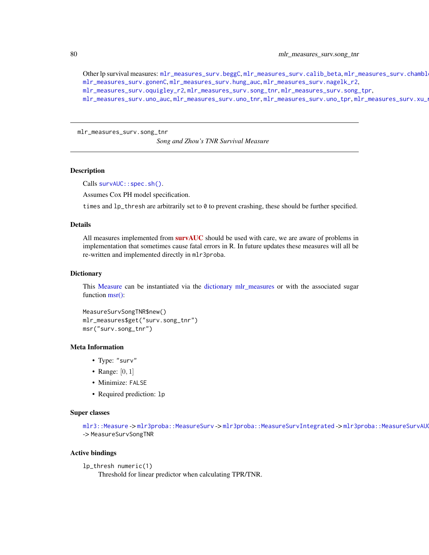Other lp survival measures: [mlr\\_measures\\_surv.beggC](#page-36-0), [mlr\\_measures\\_surv.calib\\_beta](#page-39-0), mlr\_measures\_surv.chambl [mlr\\_measures\\_surv.gonenC](#page-45-0), [mlr\\_measures\\_surv.hung\\_auc](#page-52-0), [mlr\\_measures\\_surv.nagelk\\_r2](#page-68-0), [mlr\\_measures\\_surv.oquigley\\_r2](#page-70-0), [mlr\\_measures\\_surv.song\\_tnr](#page-79-0), [mlr\\_measures\\_surv.song\\_tpr](#page-81-0), [mlr\\_measures\\_surv.uno\\_auc](#page-84-0), [mlr\\_measures\\_surv.uno\\_tnr](#page-86-0), [mlr\\_measures\\_surv.uno\\_tpr](#page-88-0), [mlr\\_measures\\_surv.xu\\_r2](#page-90-0)

<span id="page-79-0"></span>mlr\_measures\_surv.song\_tnr

*Song and Zhou's TNR Survival Measure*

#### Description

Calls survAUC:: spec.sh().

Assumes Cox PH model specification.

times and lp\_thresh are arbitrarily set to 0 to prevent crashing, these should be further specified.

### Details

All measures implemented from **[survAUC](https://CRAN.R-project.org/package=survAUC)** should be used with care, we are aware of problems in implementation that sometimes cause fatal errors in R. In future updates these measures will all be re-written and implemented directly in mlr3proba.

#### Dictionary

This [Measure](#page-0-0) can be instantiated via the [dictionary](#page-0-0) [mlr\\_measures](#page-0-0) or with the associated sugar function [msr\(\):](#page-0-0)

```
MeasureSurvSongTNR$new()
mlr_measures$get("surv.song_tnr")
msr("surv.song_tnr")
```
#### Meta Information

- Type: "surv"
- Range:  $[0, 1]$
- Minimize: FALSE
- Required prediction: lp

## Super classes

[mlr3::Measure](#page-0-0) -> [mlr3proba::MeasureSurv](#page-0-0) -> [mlr3proba::MeasureSurvIntegrated](#page-0-0) -> mlr3proba::MeasureSurvAU -> MeasureSurvSongTNR

#### Active bindings

```
lp_thresh numeric(1)
```
Threshold for linear predictor when calculating TPR/TNR.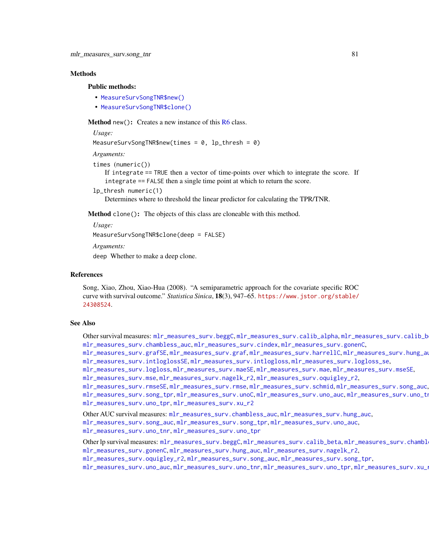#### Public methods:

- [MeasureSurvSongTNR\\$new\(\)](#page-8-0)
- [MeasureSurvSongTNR\\$clone\(\)](#page-9-0)

Method new(): Creates a new instance of this [R6](#page-0-0) class.

*Usage:*

```
MeasureSurvSongTNR$new(times = 0, lp_thresh = 0)
```
*Arguments:*

```
times (numeric())
```
If integrate == TRUE then a vector of time-points over which to integrate the score. If integrate == FALSE then a single time point at which to return the score.

```
lp_thresh numeric(1)
```
Determines where to threshold the linear predictor for calculating the TPR/TNR.

Method clone(): The objects of this class are cloneable with this method.

*Usage:*

MeasureSurvSongTNR\$clone(deep = FALSE)

*Arguments:*

deep Whether to make a deep clone.

#### References

Song, Xiao, Zhou, Xiao-Hua (2008). "A semiparametric approach for the covariate specific ROC curve with survival outcome." *Statistica Sinica*, 18(3), 947–65. [https://www.jstor.org/stable/](https://www.jstor.org/stable/24308524) [24308524](https://www.jstor.org/stable/24308524).

# See Also

Other survival measures: [mlr\\_measures\\_surv.beggC](#page-36-0), [mlr\\_measures\\_surv.calib\\_alpha](#page-37-0), [mlr\\_measures\\_surv.calib\\_beta](#page-39-0), [mlr\\_measures\\_surv.chambless\\_auc](#page-41-0), [mlr\\_measures\\_surv.cindex](#page-43-0), [mlr\\_measures\\_surv.gonenC](#page-45-0),

[mlr\\_measures\\_surv.grafSE](#page-49-0), [mlr\\_measures\\_surv.graf](#page-47-0), [mlr\\_measures\\_surv.harrellC](#page-51-0), [mlr\\_measures\\_surv.hung\\_auc](#page-52-0), [mlr\\_measures\\_surv.intloglossSE](#page-57-0), [mlr\\_measures\\_surv.intlogloss](#page-54-0), [mlr\\_measures\\_surv.logloss\\_se](#page-61-0),

```
mlr_measures_surv.logloss, mlr_measures_surv.maeSE, mlr_measures_surv.mae, mlr_measures_surv.mseSE,
```
[mlr\\_measures\\_surv.mse](#page-65-0), [mlr\\_measures\\_surv.nagelk\\_r2](#page-68-0), [mlr\\_measures\\_surv.oquigley\\_r2](#page-70-0),

[mlr\\_measures\\_surv.rmseSE](#page-73-0), [mlr\\_measures\\_surv.rmse](#page-71-1), [mlr\\_measures\\_surv.schmid](#page-74-0), [mlr\\_measures\\_surv.song\\_auc](#page-77-0), [mlr\\_measures\\_surv.song\\_tpr](#page-81-0),[mlr\\_measures\\_surv.unoC](#page-83-0),[mlr\\_measures\\_surv.uno\\_auc](#page-84-0),mlr\_measures\_surv.uno\_tn [mlr\\_measures\\_surv.uno\\_tpr](#page-88-0), [mlr\\_measures\\_surv.xu\\_r2](#page-90-0)

Other AUC survival measures: [mlr\\_measures\\_surv.chambless\\_auc](#page-41-0), [mlr\\_measures\\_surv.hung\\_auc](#page-52-0),

[mlr\\_measures\\_surv.song\\_auc](#page-77-0), [mlr\\_measures\\_surv.song\\_tpr](#page-81-0), [mlr\\_measures\\_surv.uno\\_auc](#page-84-0),

[mlr\\_measures\\_surv.uno\\_tnr](#page-86-0), [mlr\\_measures\\_surv.uno\\_tpr](#page-88-0)

Other lp survival measures: [mlr\\_measures\\_surv.beggC](#page-36-0), [mlr\\_measures\\_surv.calib\\_beta](#page-39-0), mlr\_measures\_surv.chambl [mlr\\_measures\\_surv.gonenC](#page-45-0), [mlr\\_measures\\_surv.hung\\_auc](#page-52-0), [mlr\\_measures\\_surv.nagelk\\_r2](#page-68-0),

[mlr\\_measures\\_surv.oquigley\\_r2](#page-70-0), [mlr\\_measures\\_surv.song\\_auc](#page-77-0), [mlr\\_measures\\_surv.song\\_tpr](#page-81-0),

[mlr\\_measures\\_surv.uno\\_auc](#page-84-0), [mlr\\_measures\\_surv.uno\\_tnr](#page-86-0), [mlr\\_measures\\_surv.uno\\_tpr](#page-88-0), [mlr\\_measures\\_surv.xu\\_r2](#page-90-0)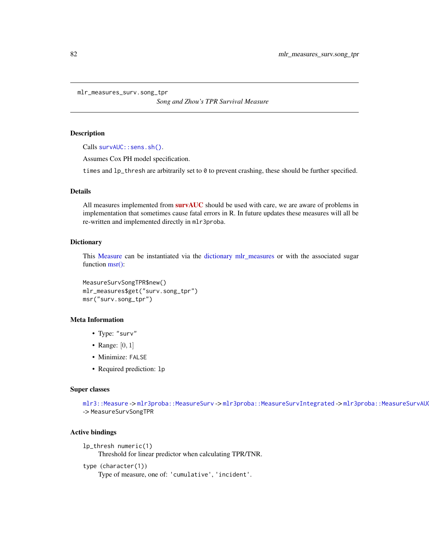<span id="page-81-0"></span>mlr\_measures\_surv.song\_tpr

*Song and Zhou's TPR Survival Measure*

## Description

Calls [survAUC::sens.sh\(\)](#page-0-0).

Assumes Cox PH model specification.

times and  $lp_t$  thresh are arbitrarily set to  $\theta$  to prevent crashing, these should be further specified.

# **Details**

All measures implemented from [survAUC](https://CRAN.R-project.org/package=survAUC) should be used with care, we are aware of problems in implementation that sometimes cause fatal errors in R. In future updates these measures will all be re-written and implemented directly in mlr3proba.

# **Dictionary**

This [Measure](#page-0-0) can be instantiated via the [dictionary](#page-0-0) [mlr\\_measures](#page-0-0) or with the associated sugar function [msr\(\):](#page-0-0)

MeasureSurvSongTPR\$new() mlr\_measures\$get("surv.song\_tpr") msr("surv.song\_tpr")

# Meta Information

- Type: "surv"
- Range:  $[0, 1]$
- Minimize: FALSE
- Required prediction: lp

# Super classes

[mlr3::Measure](#page-0-0) -> [mlr3proba::MeasureSurv](#page-0-0) -> [mlr3proba::MeasureSurvIntegrated](#page-0-0) -> mlr3proba::MeasureSurvAU -> MeasureSurvSongTPR

### Active bindings

```
lp_thresh numeric(1)
```
Threshold for linear predictor when calculating TPR/TNR.

```
type (character(1))
```

```
Type of measure, one of: 'cumulative', 'incident'.
```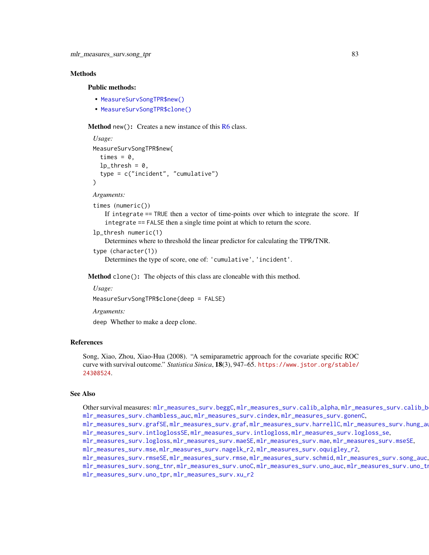## Public methods:

- [MeasureSurvSongTPR\\$new\(\)](#page-8-0)
- [MeasureSurvSongTPR\\$clone\(\)](#page-9-0)

Method new(): Creates a new instance of this [R6](#page-0-0) class.

```
Usage:
MeasureSurvSongTPR$new(
  times = \theta,
  lp_{th}resh = 0,
  type = c("incident", "cumulative")
)
```
*Arguments:*

```
times (numeric())
```
If integrate == TRUE then a vector of time-points over which to integrate the score. If integrate == FALSE then a single time point at which to return the score.

```
lp_thresh numeric(1)
```
Determines where to threshold the linear predictor for calculating the TPR/TNR.

```
type (character(1))
```
Determines the type of score, one of: 'cumulative', 'incident'.

Method clone(): The objects of this class are cloneable with this method.

*Usage:*

MeasureSurvSongTPR\$clone(deep = FALSE)

*Arguments:*

deep Whether to make a deep clone.

# References

Song, Xiao, Zhou, Xiao-Hua (2008). "A semiparametric approach for the covariate specific ROC curve with survival outcome." *Statistica Sinica*, 18(3), 947–65. [https://www.jstor.org/stable/](https://www.jstor.org/stable/24308524) [24308524](https://www.jstor.org/stable/24308524).

#### See Also

Other survival measures: [mlr\\_measures\\_surv.beggC](#page-36-0), [mlr\\_measures\\_surv.calib\\_alpha](#page-37-0), mlr\_measures\_surv.calib\_b [mlr\\_measures\\_surv.chambless\\_auc](#page-41-0), [mlr\\_measures\\_surv.cindex](#page-43-0), [mlr\\_measures\\_surv.gonenC](#page-45-0), [mlr\\_measures\\_surv.grafSE](#page-49-0), [mlr\\_measures\\_surv.graf](#page-47-0), [mlr\\_measures\\_surv.harrellC](#page-51-0), [mlr\\_measures\\_surv.hung\\_auc](#page-52-0), [mlr\\_measures\\_surv.intloglossSE](#page-57-0), [mlr\\_measures\\_surv.intlogloss](#page-54-0), [mlr\\_measures\\_surv.logloss\\_se](#page-61-0), [mlr\\_measures\\_surv.logloss](#page-59-0), [mlr\\_measures\\_surv.maeSE](#page-64-0), [mlr\\_measures\\_surv.mae](#page-62-0), [mlr\\_measures\\_surv.mseSE](#page-67-0), [mlr\\_measures\\_surv.mse](#page-65-0), [mlr\\_measures\\_surv.nagelk\\_r2](#page-68-0), [mlr\\_measures\\_surv.oquigley\\_r2](#page-70-0), [mlr\\_measures\\_surv.rmseSE](#page-73-0), [mlr\\_measures\\_surv.rmse](#page-71-1), [mlr\\_measures\\_surv.schmid](#page-74-0), [mlr\\_measures\\_surv.song\\_auc](#page-77-0), [mlr\\_measures\\_surv.song\\_tnr](#page-79-0), [mlr\\_measures\\_surv.unoC](#page-83-0), [mlr\\_measures\\_surv.uno\\_auc](#page-84-0), mlr\_measures\_surv.uno\_tn [mlr\\_measures\\_surv.uno\\_tpr](#page-88-0), [mlr\\_measures\\_surv.xu\\_r2](#page-90-0)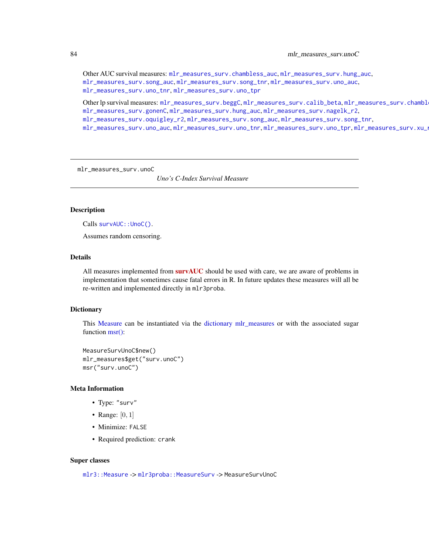Other AUC survival measures: [mlr\\_measures\\_surv.chambless\\_auc](#page-41-0), [mlr\\_measures\\_surv.hung\\_auc](#page-52-0), [mlr\\_measures\\_surv.song\\_auc](#page-77-0), [mlr\\_measures\\_surv.song\\_tnr](#page-79-0), [mlr\\_measures\\_surv.uno\\_auc](#page-84-0), [mlr\\_measures\\_surv.uno\\_tnr](#page-86-0), [mlr\\_measures\\_surv.uno\\_tpr](#page-88-0)

Other lp survival measures: [mlr\\_measures\\_surv.beggC](#page-36-0), [mlr\\_measures\\_surv.calib\\_beta](#page-39-0), mlr\_measures\_surv.chambl [mlr\\_measures\\_surv.gonenC](#page-45-0), [mlr\\_measures\\_surv.hung\\_auc](#page-52-0), [mlr\\_measures\\_surv.nagelk\\_r2](#page-68-0), [mlr\\_measures\\_surv.oquigley\\_r2](#page-70-0), [mlr\\_measures\\_surv.song\\_auc](#page-77-0), [mlr\\_measures\\_surv.song\\_tnr](#page-79-0), [mlr\\_measures\\_surv.uno\\_auc](#page-84-0), [mlr\\_measures\\_surv.uno\\_tnr](#page-86-0), [mlr\\_measures\\_surv.uno\\_tpr](#page-88-0), [mlr\\_measures\\_surv.xu\\_r2](#page-90-0)

<span id="page-83-0"></span>mlr\_measures\_surv.unoC

*Uno's C-Index Survival Measure*

### Description

Calls survAUC:: UnoC().

Assumes random censoring.

#### Details

All measures implemented from  $survAUC$  should be used with care, we are aware of problems in implementation that sometimes cause fatal errors in R. In future updates these measures will all be re-written and implemented directly in mlr3proba.

## **Dictionary**

This [Measure](#page-0-0) can be instantiated via the [dictionary](#page-0-0) [mlr\\_measures](#page-0-0) or with the associated sugar function [msr\(\):](#page-0-0)

```
MeasureSurvUnoC$new()
mlr_measures$get("surv.unoC")
msr("surv.unoC")
```
## Meta Information

- Type: "surv"
- Range:  $[0, 1]$
- Minimize: FALSE
- Required prediction: crank

#### Super classes

[mlr3::Measure](#page-0-0) -> [mlr3proba::MeasureSurv](#page-0-0) -> MeasureSurvUnoC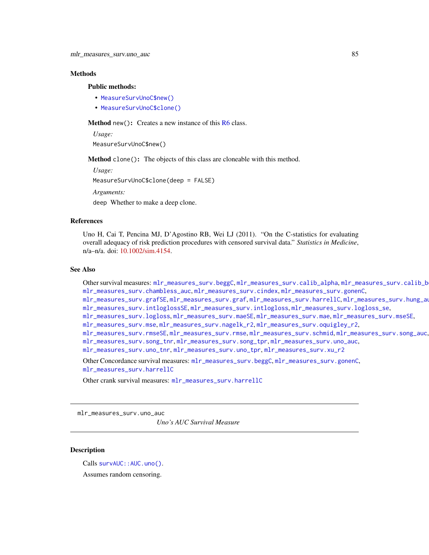#### Public methods:

- [MeasureSurvUnoC\\$new\(\)](#page-8-0)
- [MeasureSurvUnoC\\$clone\(\)](#page-9-0)

Method new(): Creates a new instance of this [R6](#page-0-0) class.

*Usage:*

MeasureSurvUnoC\$new()

Method clone(): The objects of this class are cloneable with this method.

*Usage:*

MeasureSurvUnoC\$clone(deep = FALSE)

*Arguments:*

deep Whether to make a deep clone.

#### References

Uno H, Cai T, Pencina MJ, D'Agostino RB, Wei LJ (2011). "On the C-statistics for evaluating overall adequacy of risk prediction procedures with censored survival data." *Statistics in Medicine*, n/a–n/a. doi: [10.1002/sim.4154.](https://doi.org/10.1002/sim.4154)

#### See Also

Other survival measures: [mlr\\_measures\\_surv.beggC](#page-36-0), [mlr\\_measures\\_surv.calib\\_alpha](#page-37-0), [mlr\\_measures\\_surv.calib\\_beta](#page-39-0), [mlr\\_measures\\_surv.chambless\\_auc](#page-41-0), [mlr\\_measures\\_surv.cindex](#page-43-0), [mlr\\_measures\\_surv.gonenC](#page-45-0), [mlr\\_measures\\_surv.grafSE](#page-49-0), [mlr\\_measures\\_surv.graf](#page-47-0), [mlr\\_measures\\_surv.harrellC](#page-51-0), [mlr\\_measures\\_surv.hung\\_auc](#page-52-0), [mlr\\_measures\\_surv.intloglossSE](#page-57-0), [mlr\\_measures\\_surv.intlogloss](#page-54-0), [mlr\\_measures\\_surv.logloss\\_se](#page-61-0), [mlr\\_measures\\_surv.logloss](#page-59-0), [mlr\\_measures\\_surv.maeSE](#page-64-0), [mlr\\_measures\\_surv.mae](#page-62-0), [mlr\\_measures\\_surv.mseSE](#page-67-0), [mlr\\_measures\\_surv.mse](#page-65-0), [mlr\\_measures\\_surv.nagelk\\_r2](#page-68-0), [mlr\\_measures\\_surv.oquigley\\_r2](#page-70-0), [mlr\\_measures\\_surv.rmseSE](#page-73-0), [mlr\\_measures\\_surv.rmse](#page-71-1), [mlr\\_measures\\_surv.schmid](#page-74-0), [mlr\\_measures\\_surv.song\\_auc](#page-77-0), [mlr\\_measures\\_surv.song\\_tnr](#page-79-0), [mlr\\_measures\\_surv.song\\_tpr](#page-81-0), [mlr\\_measures\\_surv.uno\\_auc](#page-84-0), [mlr\\_measures\\_surv.uno\\_tnr](#page-86-0), [mlr\\_measures\\_surv.uno\\_tpr](#page-88-0), [mlr\\_measures\\_surv.xu\\_r2](#page-90-0)

Other Concordance survival measures: [mlr\\_measures\\_surv.beggC](#page-36-0), [mlr\\_measures\\_surv.gonenC](#page-45-0), [mlr\\_measures\\_surv.harrellC](#page-51-0)

Other crank survival measures: [mlr\\_measures\\_surv.harrellC](#page-51-0)

<span id="page-84-0"></span>mlr\_measures\_surv.uno\_auc

*Uno's AUC Survival Measure*

# Description

Calls survAUC:: AUC.uno().

Assumes random censoring.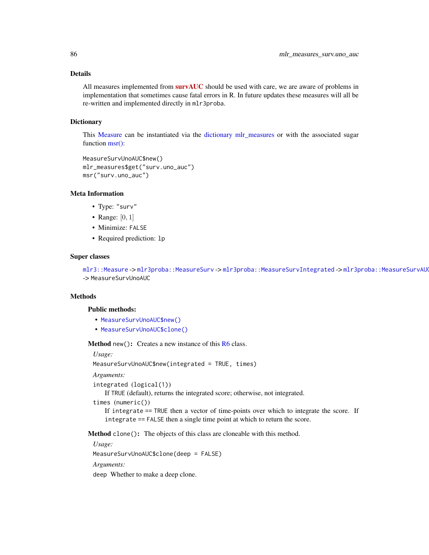# Details

All measures implemented from  $survAUC$  should be used with care, we are aware of problems in implementation that sometimes cause fatal errors in R. In future updates these measures will all be re-written and implemented directly in mlr3proba.

#### **Dictionary**

This [Measure](#page-0-0) can be instantiated via the [dictionary](#page-0-0) [mlr\\_measures](#page-0-0) or with the associated sugar function [msr\(\):](#page-0-0)

```
MeasureSurvUnoAUC$new()
mlr_measures$get("surv.uno_auc")
msr("surv.uno_auc")
```
### Meta Information

- Type: "surv"
- Range:  $[0, 1]$
- Minimize: FALSE
- Required prediction: lp

#### Super classes

[mlr3::Measure](#page-0-0) -> [mlr3proba::MeasureSurv](#page-0-0) -> [mlr3proba::MeasureSurvIntegrated](#page-0-0) -> mlr3proba::MeasureSurvAU -> MeasureSurvUnoAUC

# **Methods**

## Public methods:

- [MeasureSurvUnoAUC\\$new\(\)](#page-8-0)
- [MeasureSurvUnoAUC\\$clone\(\)](#page-9-0)

**Method** new(): Creates a new instance of this  $R6$  class.

*Usage:*

MeasureSurvUnoAUC\$new(integrated = TRUE, times)

*Arguments:*

```
integrated (logical(1))
```
If TRUE (default), returns the integrated score; otherwise, not integrated.

```
times (numeric())
```
If integrate == TRUE then a vector of time-points over which to integrate the score. If integrate == FALSE then a single time point at which to return the score.

Method clone(): The objects of this class are cloneable with this method.

*Usage:* MeasureSurvUnoAUC\$clone(deep = FALSE) *Arguments:* deep Whether to make a deep clone.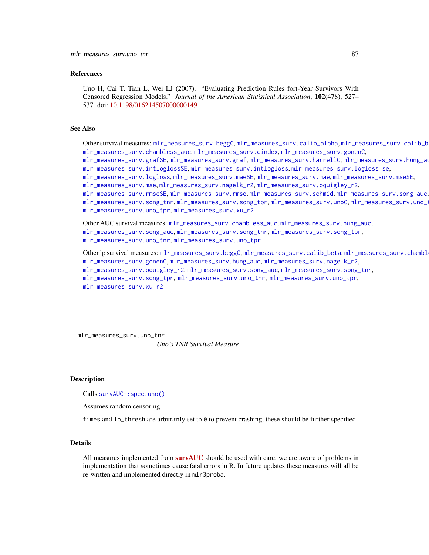#### References

Uno H, Cai T, Tian L, Wei LJ (2007). "Evaluating Prediction Rules fort-Year Survivors With Censored Regression Models." *Journal of the American Statistical Association*, 102(478), 527– 537. doi: [10.1198/016214507000000149.](https://doi.org/10.1198/016214507000000149)

#### See Also

Other survival measures: [mlr\\_measures\\_surv.beggC](#page-36-0), [mlr\\_measures\\_surv.calib\\_alpha](#page-37-0), mlr\_measures\_surv.calib\_b [mlr\\_measures\\_surv.chambless\\_auc](#page-41-0), [mlr\\_measures\\_surv.cindex](#page-43-0), [mlr\\_measures\\_surv.gonenC](#page-45-0), [mlr\\_measures\\_surv.grafSE](#page-49-0), [mlr\\_measures\\_surv.graf](#page-47-0), [mlr\\_measures\\_surv.harrellC](#page-51-0), [mlr\\_measures\\_surv.hung\\_auc](#page-52-0), [mlr\\_measures\\_surv.intloglossSE](#page-57-0), [mlr\\_measures\\_surv.intlogloss](#page-54-0), [mlr\\_measures\\_surv.logloss\\_se](#page-61-0),

[mlr\\_measures\\_surv.logloss](#page-59-0), [mlr\\_measures\\_surv.maeSE](#page-64-0), [mlr\\_measures\\_surv.mae](#page-62-0), [mlr\\_measures\\_surv.mseSE](#page-67-0),

[mlr\\_measures\\_surv.mse](#page-65-0), [mlr\\_measures\\_surv.nagelk\\_r2](#page-68-0), [mlr\\_measures\\_surv.oquigley\\_r2](#page-70-0),

[mlr\\_measures\\_surv.rmseSE](#page-73-0), [mlr\\_measures\\_surv.rmse](#page-71-1), [mlr\\_measures\\_surv.schmid](#page-74-0), [mlr\\_measures\\_surv.song\\_auc](#page-77-0), [mlr\\_measures\\_surv.song\\_tnr](#page-79-0), [mlr\\_measures\\_surv.song\\_tpr](#page-81-0), [mlr\\_measures\\_surv.unoC](#page-83-0), [mlr\\_measures\\_surv.uno\\_tnr](#page-86-0), [mlr\\_measures\\_surv.uno\\_tpr](#page-88-0), [mlr\\_measures\\_surv.xu\\_r2](#page-90-0)

Other AUC survival measures: [mlr\\_measures\\_surv.chambless\\_auc](#page-41-0), [mlr\\_measures\\_surv.hung\\_auc](#page-52-0), [mlr\\_measures\\_surv.song\\_auc](#page-77-0), [mlr\\_measures\\_surv.song\\_tnr](#page-79-0), [mlr\\_measures\\_surv.song\\_tpr](#page-81-0), [mlr\\_measures\\_surv.uno\\_tnr](#page-86-0), [mlr\\_measures\\_surv.uno\\_tpr](#page-88-0)

Other lp survival measures: [mlr\\_measures\\_surv.beggC](#page-36-0), [mlr\\_measures\\_surv.calib\\_beta](#page-39-0), mlr\_measures\_surv.chambl [mlr\\_measures\\_surv.gonenC](#page-45-0), [mlr\\_measures\\_surv.hung\\_auc](#page-52-0), [mlr\\_measures\\_surv.nagelk\\_r2](#page-68-0), [mlr\\_measures\\_surv.oquigley\\_r2](#page-70-0), [mlr\\_measures\\_surv.song\\_auc](#page-77-0), [mlr\\_measures\\_surv.song\\_tnr](#page-79-0), [mlr\\_measures\\_surv.song\\_tpr](#page-81-0), [mlr\\_measures\\_surv.uno\\_tnr](#page-86-0), [mlr\\_measures\\_surv.uno\\_tpr](#page-88-0), [mlr\\_measures\\_surv.xu\\_r2](#page-90-0)

<span id="page-86-0"></span>mlr\_measures\_surv.uno\_tnr *Uno's TNR Survival Measure*

#### **Description**

Calls [survAUC::spec.uno\(\)](#page-0-0).

Assumes random censoring.

times and  $lp_t$ thresh are arbitrarily set to 0 to prevent crashing, these should be further specified.

# Details

All measures implemented from **[survAUC](https://CRAN.R-project.org/package=survAUC)** should be used with care, we are aware of problems in implementation that sometimes cause fatal errors in R. In future updates these measures will all be re-written and implemented directly in mlr3proba.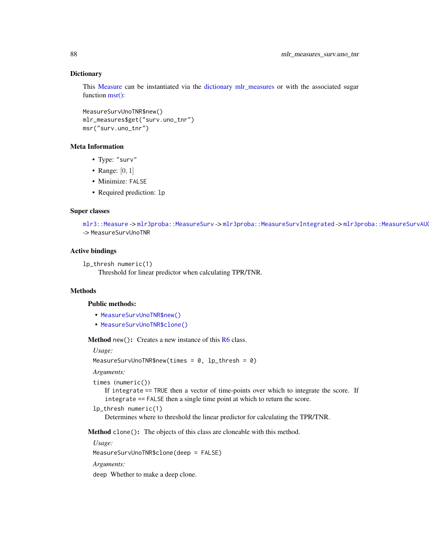## **Dictionary**

This [Measure](#page-0-0) can be instantiated via the [dictionary](#page-0-0) [mlr\\_measures](#page-0-0) or with the associated sugar function [msr\(\):](#page-0-0)

```
MeasureSurvUnoTNR$new()
mlr_measures$get("surv.uno_tnr")
msr("surv.uno_tnr")
```
## Meta Information

- Type: "surv"
- Range:  $[0, 1]$
- Minimize: FALSE
- Required prediction: lp

### Super classes

[mlr3::Measure](#page-0-0) -> [mlr3proba::MeasureSurv](#page-0-0) -> [mlr3proba::MeasureSurvIntegrated](#page-0-0) -> mlr3proba::MeasureSurvAU -> MeasureSurvUnoTNR

### Active bindings

```
lp_thresh numeric(1)
    Threshold for linear predictor when calculating TPR/TNR.
```
# **Methods**

#### Public methods:

- [MeasureSurvUnoTNR\\$new\(\)](#page-8-0)
- [MeasureSurvUnoTNR\\$clone\(\)](#page-9-0)

**Method** new(): Creates a new instance of this  $R6$  class.

*Usage:*

```
MeasureSurvUnoTNR$new(times = 0, lp_thresh = 0)
```
*Arguments:*

```
times (numeric())
```
If integrate == TRUE then a vector of time-points over which to integrate the score. If integrate == FALSE then a single time point at which to return the score.

```
lp_thresh numeric(1)
```
Determines where to threshold the linear predictor for calculating the TPR/TNR.

Method clone(): The objects of this class are cloneable with this method.

*Usage:*

MeasureSurvUnoTNR\$clone(deep = FALSE)

*Arguments:*

deep Whether to make a deep clone.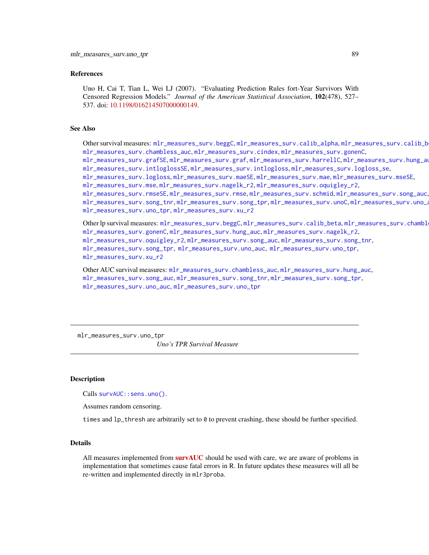#### References

Uno H, Cai T, Tian L, Wei LJ (2007). "Evaluating Prediction Rules fort-Year Survivors With Censored Regression Models." *Journal of the American Statistical Association*, 102(478), 527– 537. doi: [10.1198/016214507000000149.](https://doi.org/10.1198/016214507000000149)

#### See Also

Other survival measures: [mlr\\_measures\\_surv.beggC](#page-36-0), [mlr\\_measures\\_surv.calib\\_alpha](#page-37-0), [mlr\\_measures\\_surv.calib\\_beta](#page-39-0), [mlr\\_measures\\_surv.chambless\\_auc](#page-41-0), [mlr\\_measures\\_surv.cindex](#page-43-0), [mlr\\_measures\\_surv.gonenC](#page-45-0), [mlr\\_measures\\_surv.grafSE](#page-49-0), [mlr\\_measures\\_surv.graf](#page-47-0), [mlr\\_measures\\_surv.harrellC](#page-51-0), [mlr\\_measures\\_surv.hung\\_auc](#page-52-0), [mlr\\_measures\\_surv.intloglossSE](#page-57-0), [mlr\\_measures\\_surv.intlogloss](#page-54-0), [mlr\\_measures\\_surv.logloss\\_se](#page-61-0), [mlr\\_measures\\_surv.logloss](#page-59-0), [mlr\\_measures\\_surv.maeSE](#page-64-0), [mlr\\_measures\\_surv.mae](#page-62-0), [mlr\\_measures\\_surv.mseSE](#page-67-0), [mlr\\_measures\\_surv.mse](#page-65-0), [mlr\\_measures\\_surv.nagelk\\_r2](#page-68-0), [mlr\\_measures\\_surv.oquigley\\_r2](#page-70-0), [mlr\\_measures\\_surv.rmseSE](#page-73-0), [mlr\\_measures\\_surv.rmse](#page-71-1), [mlr\\_measures\\_surv.schmid](#page-74-0), [mlr\\_measures\\_surv.song\\_auc](#page-77-0), [mlr\\_measures\\_surv.song\\_tnr](#page-79-0), [mlr\\_measures\\_surv.song\\_tpr](#page-81-0), [mlr\\_measures\\_surv.unoC](#page-83-0), [mlr\\_measures\\_surv.uno\\_auc](#page-84-0), [mlr\\_measures\\_surv.uno\\_tpr](#page-88-0), [mlr\\_measures\\_surv.xu\\_r2](#page-90-0)

Other lp survival measures: [mlr\\_measures\\_surv.beggC](#page-36-0), [mlr\\_measures\\_surv.calib\\_beta](#page-39-0), mlr\_measures\_surv.chambl [mlr\\_measures\\_surv.gonenC](#page-45-0), [mlr\\_measures\\_surv.hung\\_auc](#page-52-0), [mlr\\_measures\\_surv.nagelk\\_r2](#page-68-0), [mlr\\_measures\\_surv.oquigley\\_r2](#page-70-0), [mlr\\_measures\\_surv.song\\_auc](#page-77-0), [mlr\\_measures\\_surv.song\\_tnr](#page-79-0), [mlr\\_measures\\_surv.song\\_tpr](#page-81-0), [mlr\\_measures\\_surv.uno\\_auc](#page-84-0), [mlr\\_measures\\_surv.uno\\_tpr](#page-88-0), [mlr\\_measures\\_surv.xu\\_r2](#page-90-0)

Other AUC survival measures: [mlr\\_measures\\_surv.chambless\\_auc](#page-41-0), [mlr\\_measures\\_surv.hung\\_auc](#page-52-0), [mlr\\_measures\\_surv.song\\_auc](#page-77-0), [mlr\\_measures\\_surv.song\\_tnr](#page-79-0), [mlr\\_measures\\_surv.song\\_tpr](#page-81-0), [mlr\\_measures\\_surv.uno\\_auc](#page-84-0), [mlr\\_measures\\_surv.uno\\_tpr](#page-88-0)

<span id="page-88-0"></span>mlr\_measures\_surv.uno\_tpr *Uno's TPR Survival Measure*

#### **Description**

Calls [survAUC::sens.uno\(\)](#page-0-0).

Assumes random censoring.

times and  $lp_t$ thresh are arbitrarily set to 0 to prevent crashing, these should be further specified.

# Details

All measures implemented from **[survAUC](https://CRAN.R-project.org/package=survAUC)** should be used with care, we are aware of problems in implementation that sometimes cause fatal errors in R. In future updates these measures will all be re-written and implemented directly in mlr3proba.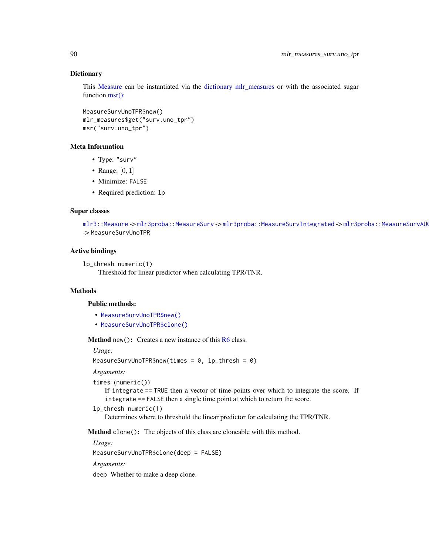## **Dictionary**

This [Measure](#page-0-0) can be instantiated via the [dictionary](#page-0-0) [mlr\\_measures](#page-0-0) or with the associated sugar function [msr\(\):](#page-0-0)

```
MeasureSurvUnoTPR$new()
mlr_measures$get("surv.uno_tpr")
msr("surv.uno_tpr")
```
# Meta Information

- Type: "surv"
- Range:  $[0, 1]$
- Minimize: FALSE
- Required prediction: lp

### Super classes

[mlr3::Measure](#page-0-0) -> [mlr3proba::MeasureSurv](#page-0-0) -> [mlr3proba::MeasureSurvIntegrated](#page-0-0) -> mlr3proba::MeasureSurvAU -> MeasureSurvUnoTPR

### Active bindings

```
lp_thresh numeric(1)
    Threshold for linear predictor when calculating TPR/TNR.
```
# **Methods**

#### Public methods:

- [MeasureSurvUnoTPR\\$new\(\)](#page-8-0)
- [MeasureSurvUnoTPR\\$clone\(\)](#page-9-0)

**Method** new(): Creates a new instance of this  $R6$  class.

*Usage:*

```
MeasureSurvUnoTPR$new(times = 0, lp_thresh = 0)
```
*Arguments:*

```
times (numeric())
```
If integrate == TRUE then a vector of time-points over which to integrate the score. If integrate == FALSE then a single time point at which to return the score.

```
lp_thresh numeric(1)
```
Determines where to threshold the linear predictor for calculating the TPR/TNR.

Method clone(): The objects of this class are cloneable with this method.

*Usage:*

MeasureSurvUnoTPR\$clone(deep = FALSE)

*Arguments:*

deep Whether to make a deep clone.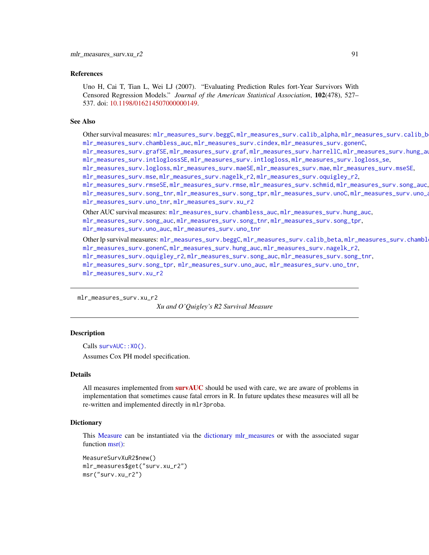### References

Uno H, Cai T, Tian L, Wei LJ (2007). "Evaluating Prediction Rules fort-Year Survivors With Censored Regression Models." *Journal of the American Statistical Association*, 102(478), 527– 537. doi: [10.1198/016214507000000149.](https://doi.org/10.1198/016214507000000149)

#### See Also

Other survival measures: [mlr\\_measures\\_surv.beggC](#page-36-0), [mlr\\_measures\\_surv.calib\\_alpha](#page-37-0), mlr\_measures\_surv.calib\_b [mlr\\_measures\\_surv.chambless\\_auc](#page-41-0), [mlr\\_measures\\_surv.cindex](#page-43-0), [mlr\\_measures\\_surv.gonenC](#page-45-0), [mlr\\_measures\\_surv.grafSE](#page-49-0), [mlr\\_measures\\_surv.graf](#page-47-0), [mlr\\_measures\\_surv.harrellC](#page-51-0), [mlr\\_measures\\_surv.hung\\_auc](#page-52-0), [mlr\\_measures\\_surv.intloglossSE](#page-57-0), [mlr\\_measures\\_surv.intlogloss](#page-54-0), [mlr\\_measures\\_surv.logloss\\_se](#page-61-0), [mlr\\_measures\\_surv.logloss](#page-59-0), [mlr\\_measures\\_surv.maeSE](#page-64-0), [mlr\\_measures\\_surv.mae](#page-62-0), [mlr\\_measures\\_surv.mseSE](#page-67-0), [mlr\\_measures\\_surv.mse](#page-65-0), [mlr\\_measures\\_surv.nagelk\\_r2](#page-68-0), [mlr\\_measures\\_surv.oquigley\\_r2](#page-70-0), [mlr\\_measures\\_surv.rmseSE](#page-73-0), [mlr\\_measures\\_surv.rmse](#page-71-1), [mlr\\_measures\\_surv.schmid](#page-74-0), [mlr\\_measures\\_surv.song\\_auc](#page-77-0), [mlr\\_measures\\_surv.song\\_tnr](#page-79-0), [mlr\\_measures\\_surv.song\\_tpr](#page-81-0), [mlr\\_measures\\_surv.unoC](#page-83-0), [mlr\\_measures\\_surv.uno\\_auc](#page-84-0),

```
mlr_measures_surv.uno_tnr, mlr_measures_surv.xu_r2
```
Other AUC survival measures: [mlr\\_measures\\_surv.chambless\\_auc](#page-41-0), [mlr\\_measures\\_surv.hung\\_auc](#page-52-0), [mlr\\_measures\\_surv.song\\_auc](#page-77-0), [mlr\\_measures\\_surv.song\\_tnr](#page-79-0), [mlr\\_measures\\_surv.song\\_tpr](#page-81-0), [mlr\\_measures\\_surv.uno\\_auc](#page-84-0), [mlr\\_measures\\_surv.uno\\_tnr](#page-86-0)

Other lp survival measures: [mlr\\_measures\\_surv.beggC](#page-36-0), [mlr\\_measures\\_surv.calib\\_beta](#page-39-0), mlr\_measures\_surv.chambl [mlr\\_measures\\_surv.gonenC](#page-45-0), [mlr\\_measures\\_surv.hung\\_auc](#page-52-0), [mlr\\_measures\\_surv.nagelk\\_r2](#page-68-0), [mlr\\_measures\\_surv.oquigley\\_r2](#page-70-0), [mlr\\_measures\\_surv.song\\_auc](#page-77-0), [mlr\\_measures\\_surv.song\\_tnr](#page-79-0), [mlr\\_measures\\_surv.song\\_tpr](#page-81-0), [mlr\\_measures\\_surv.uno\\_auc](#page-84-0), [mlr\\_measures\\_surv.uno\\_tnr](#page-86-0), [mlr\\_measures\\_surv.xu\\_r2](#page-90-0)

```
mlr_measures_surv.xu_r2
```
*Xu and O'Quigley's R2 Survival Measure*

#### **Description**

Calls survAUC:: XO().

Assumes Cox PH model specification.

# Details

All measures implemented from  $survAUC$  should be used with care, we are aware of problems in implementation that sometimes cause fatal errors in R. In future updates these measures will all be re-written and implemented directly in mlr3proba.

#### **Dictionary**

This [Measure](#page-0-0) can be instantiated via the [dictionary](#page-0-0) [mlr\\_measures](#page-0-0) or with the associated sugar function [msr\(\):](#page-0-0)

MeasureSurvXuR2\$new() mlr\_measures\$get("surv.xu\_r2") msr("surv.xu\_r2")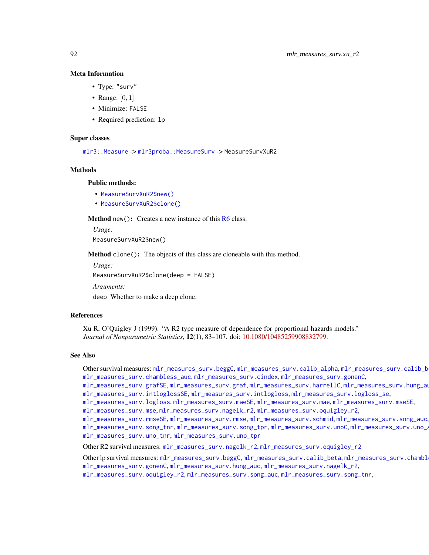#### Meta Information

- Type: "surv"
- Range:  $[0, 1]$
- Minimize: FALSE
- Required prediction: lp

### Super classes

[mlr3::Measure](#page-0-0) -> [mlr3proba::MeasureSurv](#page-0-0) -> MeasureSurvXuR2

### Methods

### Public methods:

- [MeasureSurvXuR2\\$new\(\)](#page-8-0)
- [MeasureSurvXuR2\\$clone\(\)](#page-9-0)

Method new(): Creates a new instance of this [R6](#page-0-0) class.

*Usage:* MeasureSurvXuR2\$new()

Method clone(): The objects of this class are cloneable with this method.

*Usage:*

MeasureSurvXuR2\$clone(deep = FALSE)

*Arguments:*

deep Whether to make a deep clone.

# References

Xu R, O'Quigley J (1999). "A R2 type measure of dependence for proportional hazards models." *Journal of Nonparametric Statistics*, 12(1), 83–107. doi: [10.1080/10485259908832799.](https://doi.org/10.1080/10485259908832799)

### See Also

Other survival measures: [mlr\\_measures\\_surv.beggC](#page-36-0), [mlr\\_measures\\_surv.calib\\_alpha](#page-37-0), mlr\_measures\_surv.calib\_b [mlr\\_measures\\_surv.chambless\\_auc](#page-41-0), [mlr\\_measures\\_surv.cindex](#page-43-0), [mlr\\_measures\\_surv.gonenC](#page-45-0),

[mlr\\_measures\\_surv.grafSE](#page-49-0), [mlr\\_measures\\_surv.graf](#page-47-0), [mlr\\_measures\\_surv.harrellC](#page-51-0), [mlr\\_measures\\_surv.hung\\_auc](#page-52-0), [mlr\\_measures\\_surv.intloglossSE](#page-57-0), [mlr\\_measures\\_surv.intlogloss](#page-54-0), [mlr\\_measures\\_surv.logloss\\_se](#page-61-0),

[mlr\\_measures\\_surv.logloss](#page-59-0), [mlr\\_measures\\_surv.maeSE](#page-64-0), [mlr\\_measures\\_surv.mae](#page-62-0), [mlr\\_measures\\_surv.mseSE](#page-67-0),

[mlr\\_measures\\_surv.mse](#page-65-0), [mlr\\_measures\\_surv.nagelk\\_r2](#page-68-0), [mlr\\_measures\\_surv.oquigley\\_r2](#page-70-0),

[mlr\\_measures\\_surv.rmseSE](#page-73-0), [mlr\\_measures\\_surv.rmse](#page-71-1), [mlr\\_measures\\_surv.schmid](#page-74-0), [mlr\\_measures\\_surv.song\\_auc](#page-77-0), [mlr\\_measures\\_surv.song\\_tnr](#page-79-0), [mlr\\_measures\\_surv.song\\_tpr](#page-81-0), [mlr\\_measures\\_surv.unoC](#page-83-0), [mlr\\_measures\\_surv.uno\\_auc](#page-84-0),

[mlr\\_measures\\_surv.uno\\_tnr](#page-86-0), [mlr\\_measures\\_surv.uno\\_tpr](#page-88-0)

Other R2 survival measures: [mlr\\_measures\\_surv.nagelk\\_r2](#page-68-0), [mlr\\_measures\\_surv.oquigley\\_r2](#page-70-0)

Other lp survival measures: [mlr\\_measures\\_surv.beggC](#page-36-0), [mlr\\_measures\\_surv.calib\\_beta](#page-39-0), mlr\_measures\_surv.chambl [mlr\\_measures\\_surv.gonenC](#page-45-0), [mlr\\_measures\\_surv.hung\\_auc](#page-52-0), [mlr\\_measures\\_surv.nagelk\\_r2](#page-68-0),

[mlr\\_measures\\_surv.oquigley\\_r2](#page-70-0), [mlr\\_measures\\_surv.song\\_auc](#page-77-0), [mlr\\_measures\\_surv.song\\_tnr](#page-79-0),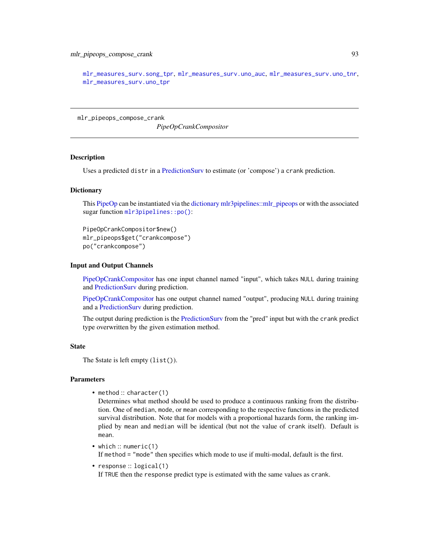[mlr\\_measures\\_surv.song\\_tpr](#page-81-0), [mlr\\_measures\\_surv.uno\\_auc](#page-84-0), [mlr\\_measures\\_surv.uno\\_tnr](#page-86-0), [mlr\\_measures\\_surv.uno\\_tpr](#page-88-0)

<span id="page-92-1"></span>mlr\_pipeops\_compose\_crank

*PipeOpCrankCompositor*

# <span id="page-92-0"></span>Description

Uses a predicted distr in a [PredictionSurv](#page-124-0) to estimate (or 'compose') a crank prediction.

### **Dictionary**

This [PipeOp](#page-0-0) can be instantiated via the [dictionary](#page-0-0) [mlr3pipelines::mlr\\_pipeops](#page-0-0) or with the associated sugar function [mlr3pipelines::po\(\)](#page-0-0):

PipeOpCrankCompositor\$new() mlr\_pipeops\$get("crankcompose") po("crankcompose")

### Input and Output Channels

[PipeOpCrankCompositor](#page-92-0) has one input channel named "input", which takes NULL during training and [PredictionSurv](#page-124-0) during prediction.

[PipeOpCrankCompositor](#page-92-0) has one output channel named "output", producing NULL during training and a [PredictionSurv](#page-124-0) during prediction.

The output during prediction is the [PredictionSurv](#page-124-0) from the "pred" input but with the crank predict type overwritten by the given estimation method.

# State

```
The $state is left empty (list()).
```
### **Parameters**

• method :: character(1)

Determines what method should be used to produce a continuous ranking from the distribution. One of median, mode, or mean corresponding to the respective functions in the predicted survival distribution. Note that for models with a proportional hazards form, the ranking implied by mean and median will be identical (but not the value of crank itself). Default is mean.

- which :: numeric(1) If method = "mode" then specifies which mode to use if multi-modal, default is the first.
- response :: logical(1) If TRUE then the response predict type is estimated with the same values as crank.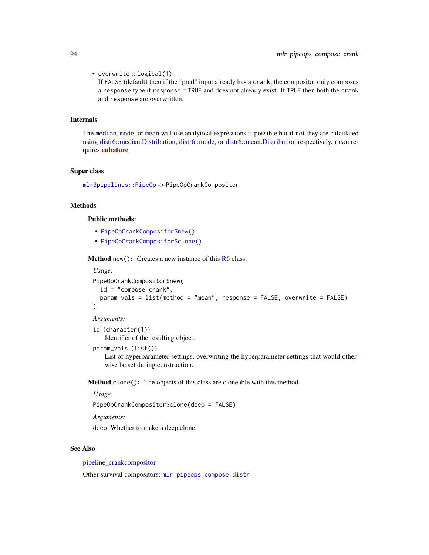```
• overwrite :: logical(1)
```
If FALSE (default) then if the "pred" input already has a crank, the compositor only composes a response type if response = TRUE and does not already exist. If TRUE then both the crank and response are overwritten.

# Internals

The median, mode, or mean will use analytical expressions if possible but if not they are calculated using [distr6::median.Distribution,](#page-0-0) [distr6::mode,](#page-0-0) or [distr6::mean.Distribution](#page-0-0) respectively. mean requires [cubature](https://CRAN.R-project.org/package=cubature).

#### Super class

[mlr3pipelines::PipeOp](#page-0-0) -> PipeOpCrankCompositor

# **Methods**

# Public methods:

- [PipeOpCrankCompositor\\$new\(\)](#page-8-0)
- [PipeOpCrankCompositor\\$clone\(\)](#page-9-0)

**Method** new(): Creates a new instance of this  $R6$  class.

### *Usage:*

```
PipeOpCrankCompositor$new(
 id = "compose_crank",
 param_vals = list(method = "mean", response = FALSE, overwrite = FALSE)
)
```
*Arguments:*

id (character(1)) Identifier of the resulting object.

```
param_vals (list())
```
List of hyperparameter settings, overwriting the hyperparameter settings that would otherwise be set during construction.

Method clone(): The objects of this class are cloneable with this method.

*Usage:*

PipeOpCrankCompositor\$clone(deep = FALSE)

*Arguments:* deep Whether to make a deep clone.

# See Also

[pipeline\\_crankcompositor](#page-17-0)

Other survival compositors: [mlr\\_pipeops\\_compose\\_distr](#page-94-0)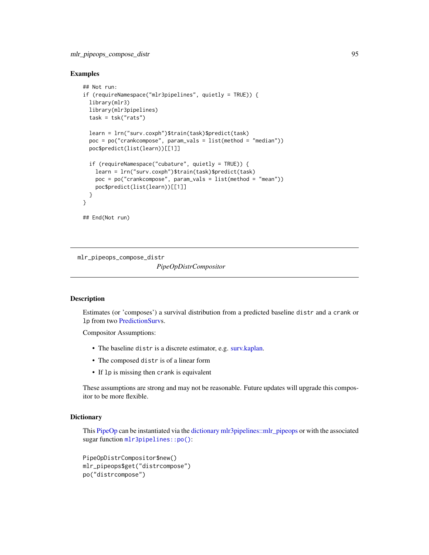### Examples

```
## Not run:
if (requireNamespace("mlr3pipelines", quietly = TRUE)) {
 library(mlr3)
 library(mlr3pipelines)
 task = tsk("rats")
 learn = lrn("surv.coxph")$train(task)$predict(task)
 poc = po("crankcompose", param_vals = list(method = "median"))
 poc$predict(list(learn))[[1]]
 if (requireNamespace("cubature", quietly = TRUE)) {
   learn = lrn("surv.coxph")$train(task)$predict(task)
   poc = po("crankcompose", param_vals = list(method = "mean"))
   poc$predict(list(learn))[[1]]
 }
}
## End(Not run)
```
<span id="page-94-0"></span>mlr\_pipeops\_compose\_distr *PipeOpDistrCompositor*

### <span id="page-94-1"></span>Description

Estimates (or 'composes') a survival distribution from a predicted baseline distr and a crank or lp from two [PredictionSurvs](#page-124-0).

Compositor Assumptions:

- The baseline distr is a discrete estimator, e.g. [surv.kaplan.](#page-32-0)
- The composed distr is of a linear form
- If lp is missing then crank is equivalent

These assumptions are strong and may not be reasonable. Future updates will upgrade this compositor to be more flexible.

# **Dictionary**

This [PipeOp](#page-0-0) can be instantiated via the [dictionary](#page-0-0) [mlr3pipelines::mlr\\_pipeops](#page-0-0) or with the associated sugar function [mlr3pipelines::po\(\)](#page-0-0):

```
PipeOpDistrCompositor$new()
mlr_pipeops$get("distrcompose")
po("distrcompose")
```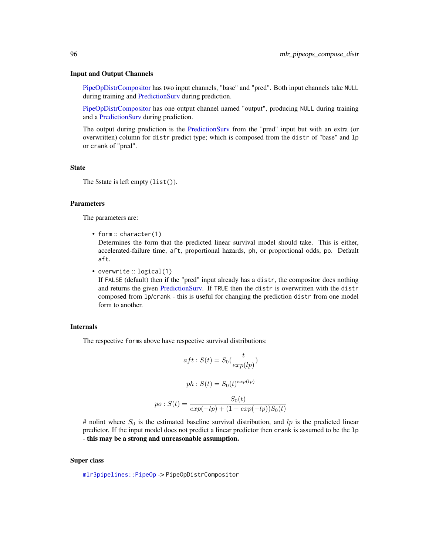#### Input and Output Channels

[PipeOpDistrCompositor](#page-94-1) has two input channels, "base" and "pred". Both input channels take NULL during training and [PredictionSurv](#page-124-0) during prediction.

[PipeOpDistrCompositor](#page-94-1) has one output channel named "output", producing NULL during training and a [PredictionSurv](#page-124-0) during prediction.

The output during prediction is the [PredictionSurv](#page-124-0) from the "pred" input but with an extra (or overwritten) column for distr predict type; which is composed from the distr of "base" and lp or crank of "pred".

# **State**

The \$state is left empty (list()).

# Parameters

The parameters are:

• form :: character(1)

Determines the form that the predicted linear survival model should take. This is either, accelerated-failure time, aft, proportional hazards, ph, or proportional odds, po. Default aft.

• overwrite: logical(1)

If FALSE (default) then if the "pred" input already has a distr, the compositor does nothing and returns the given [PredictionSurv.](#page-124-0) If TRUE then the distr is overwritten with the distr composed from lp/crank - this is useful for changing the prediction distr from one model form to another.

## Internals

The respective forms above have respective survival distributions:

$$
aft: S(t) = S_0(\frac{t}{exp(lp)})
$$

$$
ph: S(t) = S_0(t)^{exp(lp)}
$$

$$
po: S(t) = \frac{S_0(t)}{exp(-lp) + (1 - exp(-lp))S_0(t)}
$$

# nolint where  $S_0$  is the estimated baseline survival distribution, and  $lp$  is the predicted linear predictor. If the input model does not predict a linear predictor then crank is assumed to be the lp - this may be a strong and unreasonable assumption.

#### Super class

[mlr3pipelines::PipeOp](#page-0-0) -> PipeOpDistrCompositor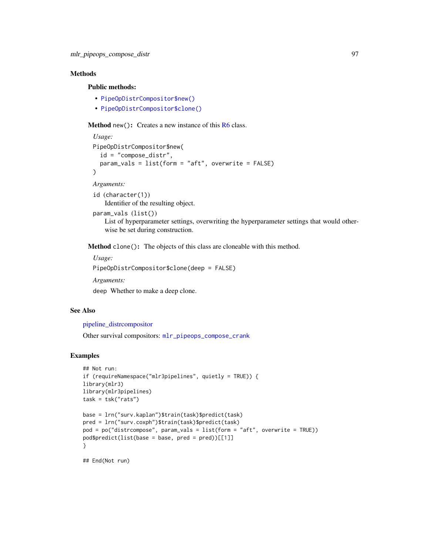## Public methods:

- [PipeOpDistrCompositor\\$new\(\)](#page-8-0)
- [PipeOpDistrCompositor\\$clone\(\)](#page-9-0)

Method new(): Creates a new instance of this [R6](#page-0-0) class.

```
Usage:
PipeOpDistrCompositor$new(
  id = "compose_distr",
  param_vals = list(form = "aft", overwrite = FALSE)
\lambdaArguments:
```
id (character(1))

Identifier of the resulting object.

```
param_vals (list())
```
List of hyperparameter settings, overwriting the hyperparameter settings that would otherwise be set during construction.

Method clone(): The objects of this class are cloneable with this method.

```
Usage:
PipeOpDistrCompositor$clone(deep = FALSE)
Arguments:
deep Whether to make a deep clone.
```
# See Also

[pipeline\\_distrcompositor](#page-19-0)

Other survival compositors: [mlr\\_pipeops\\_compose\\_crank](#page-92-1)

# Examples

```
## Not run:
if (requireNamespace("mlr3pipelines", quietly = TRUE)) {
library(mlr3)
library(mlr3pipelines)
task = tsk("rats")
base = lrn("surv.kaplan")$train(task)$predict(task)
pred = lrn("surv.coxph")$train(task)$predict(task)
pod = po("distrcompose", param_vals = list(form = "aft", overwrite = TRUE))
pod$predict(list(base = base, pred = pred))[[1]]
}
## End(Not run)
```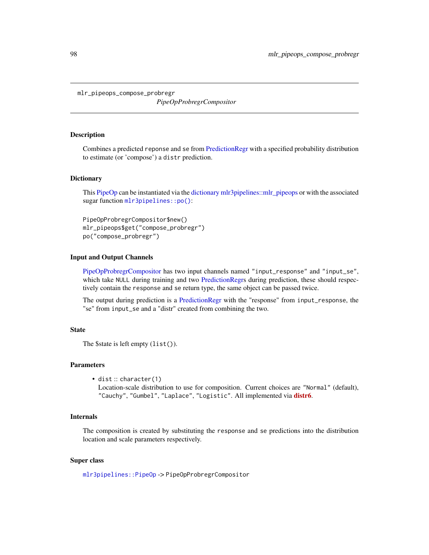```
mlr_pipeops_compose_probregr
```
*PipeOpProbregrCompositor*

### <span id="page-97-0"></span>Description

Combines a predicted reponse and se from [PredictionRegr](#page-0-0) with a specified probability distribution to estimate (or 'compose') a distr prediction.

### **Dictionary**

This [PipeOp](#page-0-0) can be instantiated via the [dictionary](#page-0-0) [mlr3pipelines::mlr\\_pipeops](#page-0-0) or with the associated sugar function [mlr3pipelines::po\(\)](#page-0-0):

PipeOpProbregrCompositor\$new() mlr\_pipeops\$get("compose\_probregr") po("compose\_probregr")

# Input and Output Channels

[PipeOpProbregrCompositor](#page-97-0) has two input channels named "input\_response" and "input\_se", which take NULL during training and two [PredictionRegrs](#page-0-0) during prediction, these should respectively contain the response and se return type, the same object can be passed twice.

The output during prediction is a [PredictionRegr](#page-0-0) with the "response" from input\_response, the "se" from input\_se and a "distr" created from combining the two.

### **State**

```
The $state is left empty (list()).
```
### **Parameters**

• dist :: character(1)

Location-scale distribution to use for composition. Current choices are "Normal" (default), "Cauchy", "Gumbel", "Laplace", "Logistic". All implemented via [distr6](https://CRAN.R-project.org/package=distr6).

# Internals

The composition is created by substituting the response and se predictions into the distribution location and scale parameters respectively.

# Super class

[mlr3pipelines::PipeOp](#page-0-0) -> PipeOpProbregrCompositor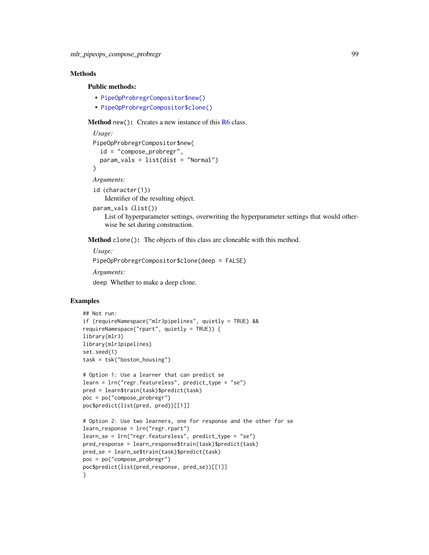### Public methods:

- [PipeOpProbregrCompositor\\$new\(\)](#page-8-0)
- [PipeOpProbregrCompositor\\$clone\(\)](#page-9-0)

Method new(): Creates a new instance of this [R6](#page-0-0) class.

```
Usage:
PipeOpProbregrCompositor$new(
 id = "compose_probregr",
 param_vals = list(dist = "Normal")
)
```
*Arguments:*

```
id (character(1))
   Identifier of the resulting object.
```

```
param_vals (list())
```
List of hyperparameter settings, overwriting the hyperparameter settings that would otherwise be set during construction.

Method clone(): The objects of this class are cloneable with this method.

```
Usage:
PipeOpProbregrCompositor$clone(deep = FALSE)
Arguments:
deep Whether to make a deep clone.
```
# Examples

```
## Not run:
if (requireNamespace("mlr3pipelines", quietly = TRUE) &&
requireNamespace("rpart", quietly = TRUE)) {
library(mlr3)
library(mlr3pipelines)
set.seed(1)
task = tsk("boston_housing")
```

```
# Option 1: Use a learner that can predict se
learn = lrn("regr.featureless", predict_type = "se")
pred = learn$train(task)$predict(task)
poc = po("compose_probregr")
poc$predict(list(pred, pred))[[1]]
```

```
# Option 2: Use two learners, one for response and the other for se
learn_response = lrn("regr.rpart")
learn_se = lrn("regr.featureless", predict_type = "se")
pred_response = learn_response$train(task)$predict(task)
pred_se = learn_se$train(task)$predict(task)
poc = po("compose_probregr")
poc$predict(list(pred_response, pred_se))[[1]]
}
```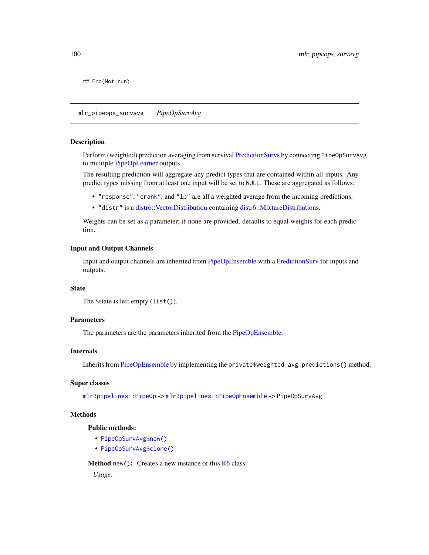## End(Not run)

<span id="page-99-0"></span>mlr\_pipeops\_survavg *PipeOpSurvAvg*

# Description

Perform (weighted) prediction averaging from survival [PredictionSurvs](#page-124-0) by connecting PipeOpSurvAvg to multiple [PipeOpLearner](#page-0-0) outputs.

The resulting prediction will aggregate any predict types that are contained within all inputs. Any predict types missing from at least one input will be set to NULL. These are aggregated as follows:

- "response", "crank", and "lp" are all a weighted average from the incoming predictions.
- "distr" is a [distr6::VectorDistribution](#page-0-0) containing [distr6::MixtureDistributions](#page-0-0).

Weights can be set as a parameter; if none are provided, defaults to equal weights for each prediction.

# Input and Output Channels

Input and output channels are inherited from [PipeOpEnsemble](#page-0-0) with a [PredictionSurv](#page-124-0) for inputs and outputs.

# **State**

```
The $state is left empty (list()).
```
### Parameters

The parameters are the parameters inherited from the [PipeOpEnsemble.](#page-0-0)

#### Internals

Inherits from [PipeOpEnsemble](#page-0-0) by implementing the private\$weighted\_avg\_predictions() method.

#### Super classes

[mlr3pipelines::PipeOp](#page-0-0) -> [mlr3pipelines::PipeOpEnsemble](#page-0-0) -> PipeOpSurvAvg

## Methods

### Public methods:

- [PipeOpSurvAvg\\$new\(\)](#page-8-0)
- [PipeOpSurvAvg\\$clone\(\)](#page-9-0)

Method new(): Creates a new instance of this [R6](#page-0-0) class.

*Usage:*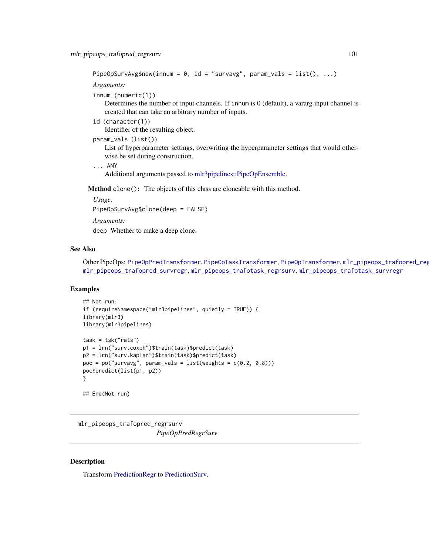```
PipeOpSurvAvg$new(innum = 0, id = "survavg", param_vals = list(), ...)
```
*Arguments:*

```
innum (numeric(1))
```
Determines the number of input channels. If innum is 0 (default), a vararg input channel is created that can take an arbitrary number of inputs.

id (character(1))

Identifier of the resulting object.

```
param_vals (list())
```
List of hyperparameter settings, overwriting the hyperparameter settings that would otherwise be set during construction.

```
... ANY
```
Additional arguments passed to [mlr3pipelines::PipeOpEnsemble.](#page-0-0)

Method clone(): The objects of this class are cloneable with this method.

*Usage:*

PipeOpSurvAvg\$clone(deep = FALSE)

*Arguments:*

deep Whether to make a deep clone.

# See Also

Other PipeOps: [PipeOpPredTransformer](#page-117-0), [PipeOpTaskTransformer](#page-119-0), [PipeOpTransformer](#page-120-0), mlr\_pipeops\_trafopred\_reg [mlr\\_pipeops\\_trafopred\\_survregr](#page-102-0), [mlr\\_pipeops\\_trafotask\\_regrsurv](#page-104-0), [mlr\\_pipeops\\_trafotask\\_survregr](#page-105-0)

# Examples

```
## Not run:
if (requireNamespace("mlr3pipelines", quietly = TRUE)) {
library(mlr3)
library(mlr3pipelines)
task = tsk("rats")p1 = lrn("surv.coxph")$train(task)$predict(task)
p2 = lrn("surv.kaplan")$train(task)$predict(task)
poc = po("survavg", param_values = list(weights = c(0.2, 0.8)))poc$predict(list(p1, p2))
}
```
## End(Not run)

<span id="page-100-0"></span>mlr\_pipeops\_trafopred\_regrsurv

*PipeOpPredRegrSurv*

# **Description**

Transform [PredictionRegr](#page-0-0) to [PredictionSurv.](#page-124-0)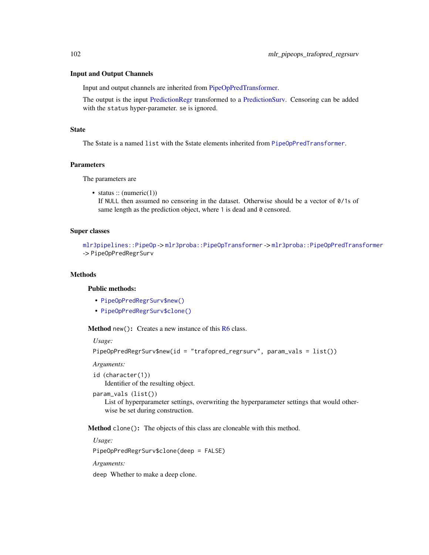### Input and Output Channels

Input and output channels are inherited from [PipeOpPredTransformer.](#page-117-0)

The output is the input [PredictionRegr](#page-0-0) transformed to a [PredictionSurv.](#page-124-0) Censoring can be added with the status hyper-parameter. se is ignored.

### State

The \$state is a named list with the \$state elements inherited from [PipeOpPredTransformer](#page-117-0).

### Parameters

The parameters are

• status ::  $(numeric(1))$ 

If NULL then assumed no censoring in the dataset. Otherwise should be a vector of 0/1s of same length as the prediction object, where 1 is dead and 0 censored.

# Super classes

[mlr3pipelines::PipeOp](#page-0-0) -> [mlr3proba::PipeOpTransformer](#page-0-0) -> [mlr3proba::PipeOpPredTransformer](#page-0-0) -> PipeOpPredRegrSurv

#### Methods

# Public methods:

- [PipeOpPredRegrSurv\\$new\(\)](#page-8-0)
- [PipeOpPredRegrSurv\\$clone\(\)](#page-9-0)

**Method** new(): Creates a new instance of this  $R6$  class.

*Usage:*

```
PipeOpPredRegrSurv$new(id = "trafopred_regrsurv", param_vals = list())
```
*Arguments:*

- id (character(1)) Identifier of the resulting object.
- param\_vals (list())

List of hyperparameter settings, overwriting the hyperparameter settings that would otherwise be set during construction.

Method clone(): The objects of this class are cloneable with this method.

*Usage:*

PipeOpPredRegrSurv\$clone(deep = FALSE)

*Arguments:*

deep Whether to make a deep clone.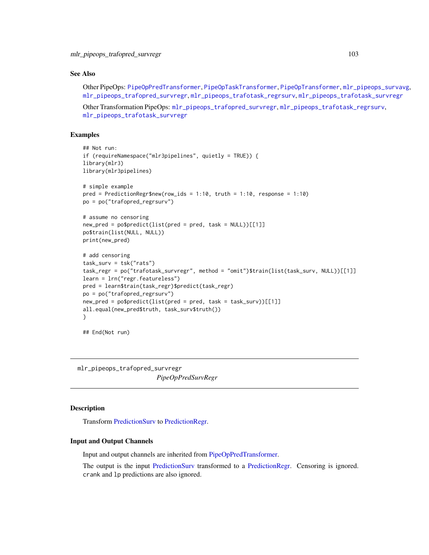# See Also

Other PipeOps: [PipeOpPredTransformer](#page-117-0), [PipeOpTaskTransformer](#page-119-0), [PipeOpTransformer](#page-120-0), [mlr\\_pipeops\\_survavg](#page-99-0), [mlr\\_pipeops\\_trafopred\\_survregr](#page-102-0), [mlr\\_pipeops\\_trafotask\\_regrsurv](#page-104-0), [mlr\\_pipeops\\_trafotask\\_survregr](#page-105-0)

Other Transformation PipeOps: [mlr\\_pipeops\\_trafopred\\_survregr](#page-102-0), [mlr\\_pipeops\\_trafotask\\_regrsurv](#page-104-0), [mlr\\_pipeops\\_trafotask\\_survregr](#page-105-0)

# Examples

```
## Not run:
if (requireNamespace("mlr3pipelines", quietly = TRUE)) {
library(mlr3)
library(mlr3pipelines)
# simple example
pred = PredictionRegr$new(row_ids = 1:10, truth = 1:10, response = 1:10)
po = po("trafopred_regrsurv")
# assume no censoring
new_pred = po$predict(list(pred = pred, task = NULL))[[1]]
po$train(list(NULL, NULL))
print(new_pred)
# add censoring
task_surv = tsk("rats")
task_regr = po("trafotask_survregr", method = "omit")$train(list(task_surv, NULL))[[1]]
learn = lrn("regr.featureless")
pred = learn$train(task_regr)$predict(task_regr)
po = po("trafopred_regrsurv")
new_pred = po$predict(list(pred = pred, task = task_surv))[[1]]
all.equal(new_pred$truth, task_surv$truth())
}
## End(Not run)
```
<span id="page-102-0"></span>mlr\_pipeops\_trafopred\_survregr *PipeOpPredSurvRegr*

# Description

Transform [PredictionSurv](#page-124-0) to [PredictionRegr.](#page-0-0)

## Input and Output Channels

Input and output channels are inherited from [PipeOpPredTransformer.](#page-117-0)

The output is the input [PredictionSurv](#page-124-0) transformed to a [PredictionRegr.](#page-0-0) Censoring is ignored. crank and lp predictions are also ignored.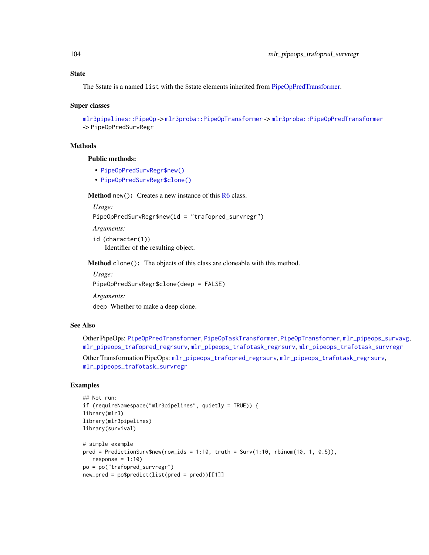The \$state is a named list with the \$state elements inherited from [PipeOpPredTransformer.](#page-117-0)

#### Super classes

```
mlr3pipelines::PipeOp -> mlr3proba::PipeOpTransformer -> mlr3proba::PipeOpPredTransformer
-> PipeOpPredSurvRegr
```
### **Methods**

#### Public methods:

- [PipeOpPredSurvRegr\\$new\(\)](#page-8-0)
- [PipeOpPredSurvRegr\\$clone\(\)](#page-9-0)

**Method** new( $)$ : Creates a new instance of this  $R6$  class.

*Usage:*

PipeOpPredSurvRegr\$new(id = "trafopred\_survregr")

*Arguments:*

id (character(1)) Identifier of the resulting object.

Method clone(): The objects of this class are cloneable with this method.

```
Usage:
```
PipeOpPredSurvRegr\$clone(deep = FALSE)

*Arguments:*

deep Whether to make a deep clone.

#### See Also

Other PipeOps: [PipeOpPredTransformer](#page-117-0), [PipeOpTaskTransformer](#page-119-0), [PipeOpTransformer](#page-120-0), [mlr\\_pipeops\\_survavg](#page-99-0), [mlr\\_pipeops\\_trafopred\\_regrsurv](#page-100-0), [mlr\\_pipeops\\_trafotask\\_regrsurv](#page-104-0), [mlr\\_pipeops\\_trafotask\\_survregr](#page-105-0)

Other Transformation PipeOps: [mlr\\_pipeops\\_trafopred\\_regrsurv](#page-100-0), [mlr\\_pipeops\\_trafotask\\_regrsurv](#page-104-0), [mlr\\_pipeops\\_trafotask\\_survregr](#page-105-0)

# Examples

```
## Not run:
if (requireNamespace("mlr3pipelines", quietly = TRUE)) {
library(mlr3)
library(mlr3pipelines)
library(survival)
# simple example
pred = PredictionSurv$new(row_ids = 1:10, truth = Surv(1:10, rbinom(10, 1, 0.5)),
  response = 1:10)
po = po("trafopred_survregr")
new_pred = po$predict(list(pred = pred))[[1]]
```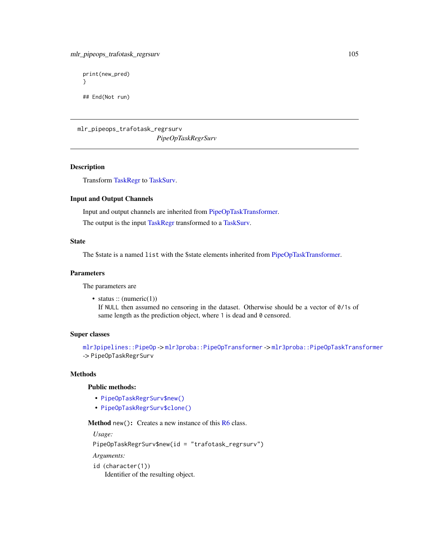# mlr\_pipeops\_trafotask\_regrsurv 105

print(new\_pred) } ## End(Not run)

<span id="page-104-0"></span>mlr\_pipeops\_trafotask\_regrsurv *PipeOpTaskRegrSurv*

# Description

Transform [TaskRegr](#page-0-0) to [TaskSurv.](#page-127-0)

### Input and Output Channels

Input and output channels are inherited from [PipeOpTaskTransformer.](#page-119-0)

The output is the input [TaskRegr](#page-0-0) transformed to a [TaskSurv.](#page-127-0)

# **State**

The \$state is a named list with the \$state elements inherited from [PipeOpTaskTransformer.](#page-119-0)

# **Parameters**

The parameters are

• status ::  $(numeric(1))$ 

If NULL then assumed no censoring in the dataset. Otherwise should be a vector of 0/1s of same length as the prediction object, where 1 is dead and 0 censored.

#### Super classes

[mlr3pipelines::PipeOp](#page-0-0) -> [mlr3proba::PipeOpTransformer](#page-0-0) -> [mlr3proba::PipeOpTaskTransformer](#page-0-0) -> PipeOpTaskRegrSurv

# Methods

# Public methods:

- [PipeOpTaskRegrSurv\\$new\(\)](#page-8-0)
- [PipeOpTaskRegrSurv\\$clone\(\)](#page-9-0)

Method new(): Creates a new instance of this [R6](#page-0-0) class.

*Usage:*

PipeOpTaskRegrSurv\$new(id = "trafotask\_regrsurv")

*Arguments:*

id (character(1))

Identifier of the resulting object.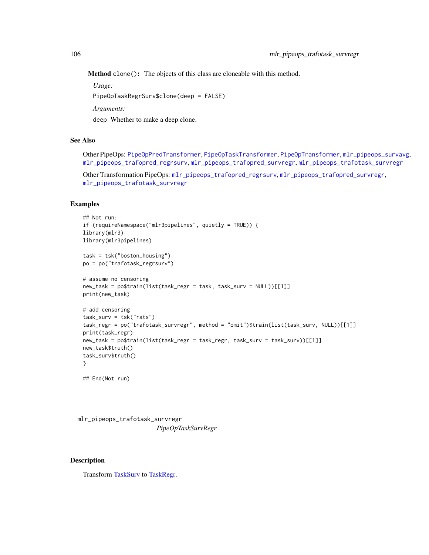Method clone(): The objects of this class are cloneable with this method.

*Usage:*

PipeOpTaskRegrSurv\$clone(deep = FALSE)

*Arguments:*

deep Whether to make a deep clone.

# See Also

Other PipeOps: [PipeOpPredTransformer](#page-117-0), [PipeOpTaskTransformer](#page-119-0), [PipeOpTransformer](#page-120-0), [mlr\\_pipeops\\_survavg](#page-99-0), [mlr\\_pipeops\\_trafopred\\_regrsurv](#page-100-0), [mlr\\_pipeops\\_trafopred\\_survregr](#page-102-0), [mlr\\_pipeops\\_trafotask\\_survregr](#page-105-0)

Other Transformation PipeOps: [mlr\\_pipeops\\_trafopred\\_regrsurv](#page-100-0), [mlr\\_pipeops\\_trafopred\\_survregr](#page-102-0), [mlr\\_pipeops\\_trafotask\\_survregr](#page-105-0)

# Examples

```
## Not run:
if (requireNamespace("mlr3pipelines", quietly = TRUE)) {
library(mlr3)
library(mlr3pipelines)
task = tsk("boston_housing")
po = po("trafotask_regrsurv")
# assume no censoring
new_task = po$train(list(task_regr = task, task_surv = NULL))[[1]]
print(new_task)
# add censoring
task_surv = tsk("rats")
task_regr = po("trafotask_survregr", method = "omit")$train(list(task_surv, NULL))[[1]]
print(task_regr)
new_task = po$train(list(task_regr = task_regr, task_surv = task_surv))[[1]]
new_task$truth()
task_surv$truth()
}
## End(Not run)
```
<span id="page-105-0"></span>mlr\_pipeops\_trafotask\_survregr *PipeOpTaskSurvRegr*

# Description

Transform [TaskSurv](#page-127-0) to [TaskRegr.](#page-0-0)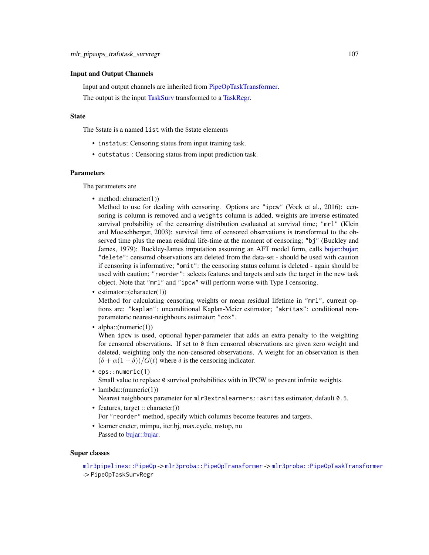## Input and Output Channels

Input and output channels are inherited from [PipeOpTaskTransformer.](#page-119-0)

The output is the input [TaskSurv](#page-127-0) transformed to a [TaskRegr.](#page-0-0)

#### State

The \$state is a named list with the \$state elements

- instatus: Censoring status from input training task.
- outstatus : Censoring status from input prediction task.

#### Parameters

The parameters are

• method::character(1))

Method to use for dealing with censoring. Options are "ipcw" (Vock et al., 2016): censoring is column is removed and a weights column is added, weights are inverse estimated survival probability of the censoring distribution evaluated at survival time; "mrl" (Klein and Moeschberger, 2003): survival time of censored observations is transformed to the observed time plus the mean residual life-time at the moment of censoring; "bj" (Buckley and James, 1979): Buckley-James imputation assuming an AFT model form, calls [bujar::bujar;](#page-0-0) "delete": censored observations are deleted from the data-set - should be used with caution if censoring is informative; "omit": the censoring status column is deleted - again should be used with caution; "reorder": selects features and targets and sets the target in the new task object. Note that "mrl" and "ipcw" will perform worse with Type I censoring.

• estimator::(character(1))

Method for calculating censoring weights or mean residual lifetime in "mrl", current options are: "kaplan": unconditional Kaplan-Meier estimator; "akritas": conditional nonparameteric nearest-neighbours estimator; "cox".

• alpha:: $(numeric(1))$ 

When ipcw is used, optional hyper-parameter that adds an extra penalty to the weighting for censored observations. If set to  $\theta$  then censored observations are given zero weight and deleted, weighting only the non-censored observations. A weight for an observation is then  $(\delta + \alpha(1 - \delta))/G(t)$  where  $\delta$  is the censoring indicator.

• eps::numeric(1)

Small value to replace 0 survival probabilities with in IPCW to prevent infinite weights.

- lambda:: $(numeric(1))$ Nearest neighbours parameter for mlr3extralearners::akritas estimator, default 0.5.
- features, target :: character()) For "reorder" method, specify which columns become features and targets.
- learner cneter, mimpu, iter.bj, max.cycle, mstop, nu Passed to [bujar::bujar.](#page-0-0)

#### Super classes

[mlr3pipelines::PipeOp](#page-0-0) -> [mlr3proba::PipeOpTransformer](#page-0-0) -> [mlr3proba::PipeOpTaskTransformer](#page-0-0) -> PipeOpTaskSurvRegr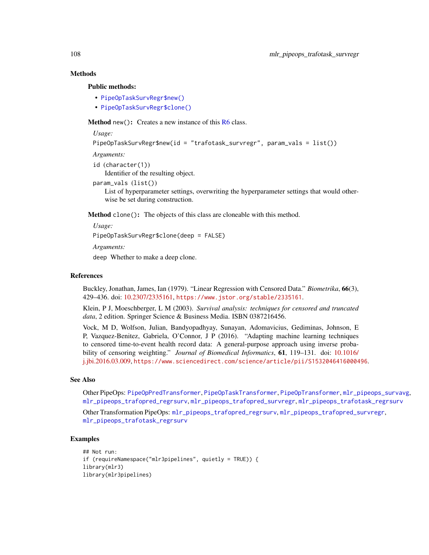### Public methods:

- [PipeOpTaskSurvRegr\\$new\(\)](#page-8-0)
- [PipeOpTaskSurvRegr\\$clone\(\)](#page-9-0)

Method new(): Creates a new instance of this [R6](#page-0-0) class.

*Usage:*

```
PipeOpTaskSurvRegr$new(id = "trafotask_survregr", param_vals = list())
```
*Arguments:*

id (character(1)) Identifier of the resulting object.

param\_vals (list())

List of hyperparameter settings, overwriting the hyperparameter settings that would otherwise be set during construction.

Method clone(): The objects of this class are cloneable with this method.

*Usage:*

PipeOpTaskSurvRegr\$clone(deep = FALSE)

*Arguments:*

deep Whether to make a deep clone.

## References

Buckley, Jonathan, James, Ian (1979). "Linear Regression with Censored Data." *Biometrika*, 66(3), 429–436. doi: [10.2307/2335161,](https://doi.org/10.2307/2335161) <https://www.jstor.org/stable/2335161>.

Klein, P J, Moeschberger, L M (2003). *Survival analysis: techniques for censored and truncated data*, 2 edition. Springer Science & Business Media. ISBN 0387216456.

Vock, M D, Wolfson, Julian, Bandyopadhyay, Sunayan, Adomavicius, Gediminas, Johnson, E P, Vazquez-Benitez, Gabriela, O'Connor, J P (2016). "Adapting machine learning techniques to censored time-to-event health record data: A general-purpose approach using inverse probability of censoring weighting." *Journal of Biomedical Informatics*, 61, 119–131. doi: [10.1016/](https://doi.org/10.1016/j.jbi.2016.03.009) [j.jbi.2016.03.009,](https://doi.org/10.1016/j.jbi.2016.03.009) <https://www.sciencedirect.com/science/article/pii/S1532046416000496>.

# See Also

Other PipeOps: [PipeOpPredTransformer](#page-117-0), [PipeOpTaskTransformer](#page-119-0), [PipeOpTransformer](#page-120-0), [mlr\\_pipeops\\_survavg](#page-99-0), [mlr\\_pipeops\\_trafopred\\_regrsurv](#page-100-0), [mlr\\_pipeops\\_trafopred\\_survregr](#page-102-0), [mlr\\_pipeops\\_trafotask\\_regrsurv](#page-104-0)

Other Transformation PipeOps: [mlr\\_pipeops\\_trafopred\\_regrsurv](#page-100-0), [mlr\\_pipeops\\_trafopred\\_survregr](#page-102-0), [mlr\\_pipeops\\_trafotask\\_regrsurv](#page-104-0)

## Examples

```
## Not run:
if (requireNamespace("mlr3pipelines", quietly = TRUE)) {
library(mlr3)
library(mlr3pipelines)
```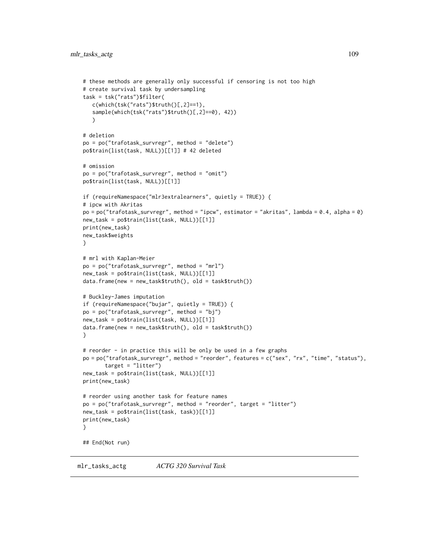```
# these methods are generally only successful if censoring is not too high
# create survival task by undersampling
task = tsk("rats")$filter(
  c(which(tsk("rats")$truth()[,2]==1),
   sample(which(tsk("rats")$truth()[,2]==0), 42))
   )
# deletion
po = po("trafotask_survregr", method = "delete")
po$train(list(task, NULL))[[1]] # 42 deleted
# omission
po = po("trafotask_survregr", method = "omit")
po$train(list(task, NULL))[[1]]
if (requireNamespace("mlr3extralearners", quietly = TRUE)) {
# ipcw with Akritas
po = po("trafotask_survregr", method = "ipcw", estimator = "akritas", lambda = 0.4, alpha = 0)
new_task = po$train(list(task, NULL))[[1]]
print(new_task)
new_task$weights
}
# mrl with Kaplan-Meier
po = po("trafotask_survregr", method = "mrl")
new_task = po$train(list(task, NULL))[[1]]
data.frame(new = new_task$truth(), old = task$truth())
# Buckley-James imputation
if (requireNamespace("bujar", quietly = TRUE)) {
po = po("trafotask_survregr", method = "bj")
new_task = po$train(list(task, NULL))[[1]]
data.frame(new = new_task$truth(), old = task$truth())
}
# reorder - in practice this will be only be used in a few graphs
po = po("trafotask_survregr", method = "reorder", features = c("sex", "rx", "time", "status"),
       target = "litter")
new_task = po$train(list(task, NULL))[[1]]
print(new_task)
# reorder using another task for feature names
po = po("trafotask_survregr", method = "reorder", target = "litter")
new_task = po$train(list(task, task))[[1]]
print(new_task)
}
## End(Not run)
```
mlr\_tasks\_actg *ACTG 320 Survival Task*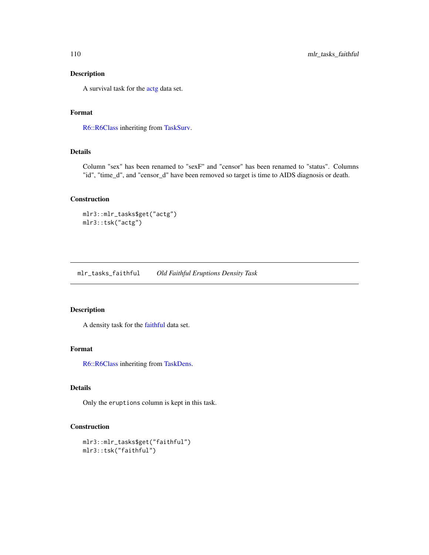#### Description

A survival task for the [actg](#page-5-0) data set.

#### Format

[R6::R6Class](#page-0-0) inheriting from [TaskSurv.](#page-127-0)

# Details

Column "sex" has been renamed to "sexF" and "censor" has been renamed to "status". Columns "id", "time\_d", and "censor\_d" have been removed so target is time to AIDS diagnosis or death.

# Construction

mlr3::mlr\_tasks\$get("actg") mlr3::tsk("actg")

mlr\_tasks\_faithful *Old Faithful Eruptions Density Task*

#### Description

A density task for the [faithful](#page-0-0) data set.

#### Format

[R6::R6Class](#page-0-0) inheriting from [TaskDens.](#page-126-0)

# Details

Only the eruptions column is kept in this task.

#### Construction

```
mlr3::mlr_tasks$get("faithful")
mlr3::tsk("faithful")
```
<span id="page-109-0"></span>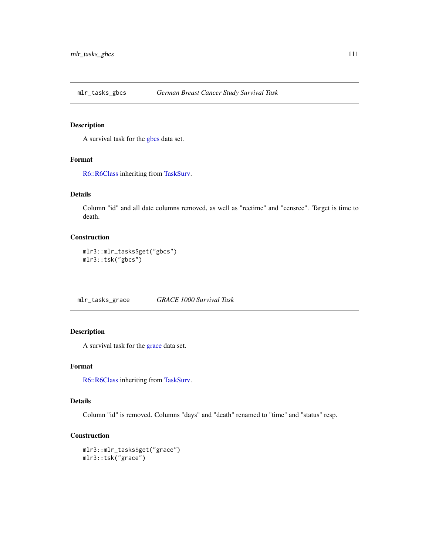<span id="page-110-0"></span>

#### Description

A survival task for the [gbcs](#page-6-0) data set.

# Format

[R6::R6Class](#page-0-0) inheriting from [TaskSurv.](#page-127-0)

#### Details

Column "id" and all date columns removed, as well as "rectime" and "censrec". Target is time to death.

# Construction

```
mlr3::mlr_tasks$get("gbcs")
mlr3::tsk("gbcs")
```
mlr\_tasks\_grace *GRACE 1000 Survival Task*

# Description

A survival task for the [grace](#page-7-0) data set.

#### Format

[R6::R6Class](#page-0-0) inheriting from [TaskSurv.](#page-127-0)

# Details

Column "id" is removed. Columns "days" and "death" renamed to "time" and "status" resp.

# Construction

```
mlr3::mlr_tasks$get("grace")
mlr3::tsk("grace")
```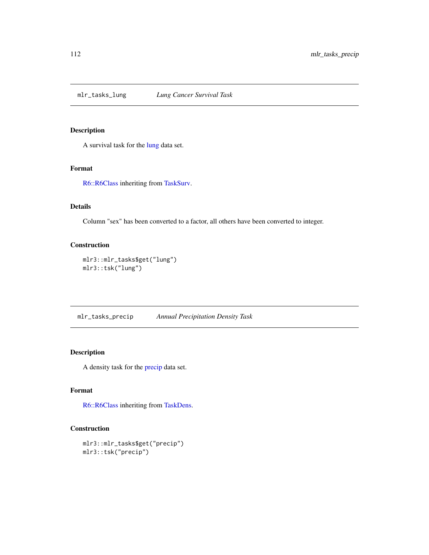<span id="page-111-0"></span>mlr\_tasks\_lung *Lung Cancer Survival Task*

# Description

A survival task for the [lung](#page-0-0) data set.

#### Format

[R6::R6Class](#page-0-0) inheriting from [TaskSurv.](#page-127-0)

#### Details

Column "sex" has been converted to a factor, all others have been converted to integer.

#### Construction

mlr3::mlr\_tasks\$get("lung") mlr3::tsk("lung")

mlr\_tasks\_precip *Annual Precipitation Density Task*

# Description

A density task for the [precip](#page-0-0) data set.

# Format

[R6::R6Class](#page-0-0) inheriting from [TaskDens.](#page-126-0)

# Construction

mlr3::mlr\_tasks\$get("precip") mlr3::tsk("precip")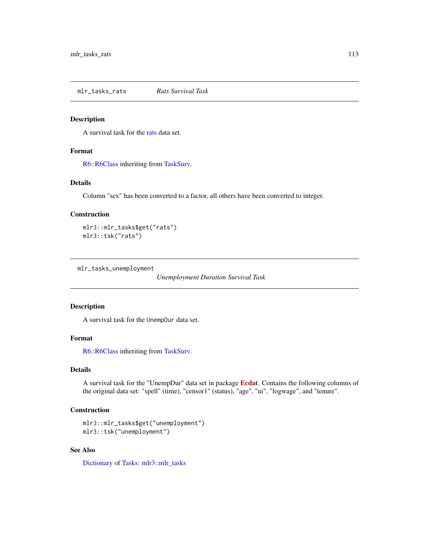<span id="page-112-0"></span>mlr\_tasks\_rats *Rats Survival Task*

# Description

A survival task for the [rats](#page-0-0) data set.

#### Format

[R6::R6Class](#page-0-0) inheriting from [TaskSurv.](#page-127-0)

# Details

Column "sex" has been converted to a factor, all others have been converted to integer.

# Construction

mlr3::mlr\_tasks\$get("rats") mlr3::tsk("rats")

mlr\_tasks\_unemployment

*Unemployment Duration Survival Task*

#### Description

A survival task for the UnempDur data set.

#### Format

[R6::R6Class](#page-0-0) inheriting from [TaskSurv.](#page-127-0)

# Details

A survival task for the "UnempDur" data set in package [Ecdat](https://CRAN.R-project.org/package=Ecdat). Contains the following columns of the original data set: "spell" (time), "censor1" (status), "age", "ui", "logwage", and "tenure".

#### Construction

```
mlr3::mlr_tasks$get("unemployment")
mlr3::tsk("unemployment")
```
#### See Also

[Dictionary](#page-0-0) of [Tasks:](#page-0-0) [mlr3::mlr\\_tasks](#page-0-0)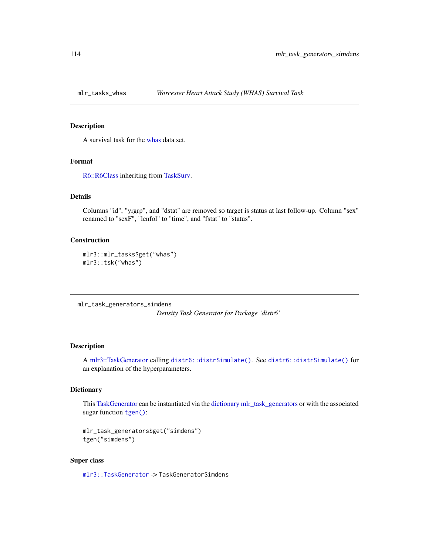<span id="page-113-0"></span>

#### Description

A survival task for the [whas](#page-129-0) data set.

# Format

[R6::R6Class](#page-0-0) inheriting from [TaskSurv.](#page-127-0)

#### Details

Columns "id", "yrgrp", and "dstat" are removed so target is status at last follow-up. Column "sex" renamed to "sexF", "lenfol" to "time", and "fstat" to "status".

#### **Construction**

mlr3::mlr\_tasks\$get("whas") mlr3::tsk("whas")

mlr\_task\_generators\_simdens *Density Task Generator for Package 'distr6'*

# Description

A [mlr3::TaskGenerator](#page-0-0) calling [distr6::distrSimulate\(\)](#page-0-0). See [distr6::distrSimulate\(\)](#page-0-0) for an explanation of the hyperparameters.

#### **Dictionary**

This [TaskGenerator](#page-0-0) can be instantiated via the [dictionary](#page-0-0) [mlr\\_task\\_generators](#page-0-0) or with the associated sugar function [tgen\(\)](#page-0-0):

```
mlr_task_generators$get("simdens")
tgen("simdens")
```
#### Super class

[mlr3::TaskGenerator](#page-0-0) -> TaskGeneratorSimdens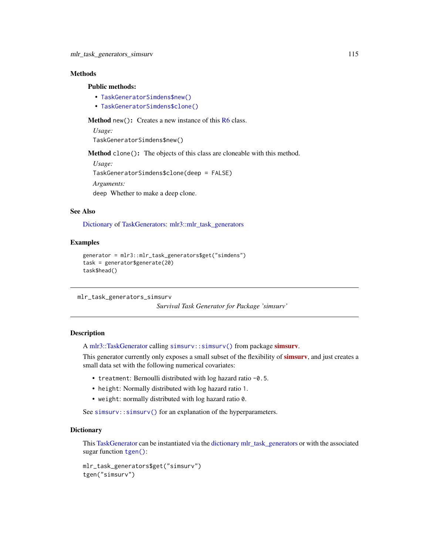# <span id="page-114-0"></span>**Methods**

#### Public methods:

- [TaskGeneratorSimdens\\$new\(\)](#page-8-0)
- [TaskGeneratorSimdens\\$clone\(\)](#page-9-0)

**Method** new(): Creates a new instance of this  $R6$  class.

*Usage:*

TaskGeneratorSimdens\$new()

Method clone(): The objects of this class are cloneable with this method.

*Usage:* TaskGeneratorSimdens\$clone(deep = FALSE) *Arguments:* deep Whether to make a deep clone.

#### See Also

[Dictionary](#page-0-0) of [TaskGenerators:](#page-0-0) [mlr3::mlr\\_task\\_generators](#page-0-0)

# Examples

```
generator = mlr3::mlr_task_generators$get("simdens")
task = generator$generate(20)
task$head()
```

```
mlr_task_generators_simsurv
```
*Survival Task Generator for Package 'simsurv'*

#### **Description**

A [mlr3::TaskGenerator](#page-0-0) calling [simsurv::simsurv\(\)](#page-0-0) from package [simsurv](https://CRAN.R-project.org/package=simsurv).

This generator currently only exposes a small subset of the flexibility of **[simsurv](https://CRAN.R-project.org/package=simsurv)**, and just creates a small data set with the following numerical covariates:

- treatment: Bernoulli distributed with log hazard ratio -0.5.
- height: Normally distributed with log hazard ratio 1.
- weight: normally distributed with log hazard ratio 0.

See simsurv:: simsurv() for an explanation of the hyperparameters.

# Dictionary

This [TaskGenerator](#page-0-0) can be instantiated via the [dictionary](#page-0-0) [mlr\\_task\\_generators](#page-0-0) or with the associated sugar function [tgen\(\)](#page-0-0):

```
mlr_task_generators$get("simsurv")
tgen("simsurv")
```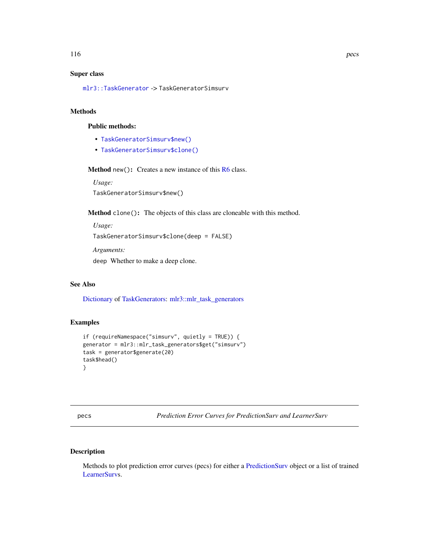#### <span id="page-115-0"></span>Super class

[mlr3::TaskGenerator](#page-0-0) -> TaskGeneratorSimsurv

# Methods

#### Public methods:

- [TaskGeneratorSimsurv\\$new\(\)](#page-8-0)
- [TaskGeneratorSimsurv\\$clone\(\)](#page-9-0)

Method new(): Creates a new instance of this [R6](#page-0-0) class.

*Usage:* TaskGeneratorSimsurv\$new()

Method clone(): The objects of this class are cloneable with this method.

*Usage:*

TaskGeneratorSimsurv\$clone(deep = FALSE)

*Arguments:*

deep Whether to make a deep clone.

# See Also

[Dictionary](#page-0-0) of [TaskGenerators:](#page-0-0) [mlr3::mlr\\_task\\_generators](#page-0-0)

#### Examples

```
if (requireNamespace("simsurv", quietly = TRUE)) {
generator = mlr3::mlr_task_generators$get("simsurv")
task = generator$generate(20)
task$head()
}
```
pecs *Prediction Error Curves for PredictionSurv and LearnerSurv*

# Description

Methods to plot prediction error curves (pecs) for either a [PredictionSurv](#page-124-0) object or a list of trained [LearnerSurvs](#page-9-1).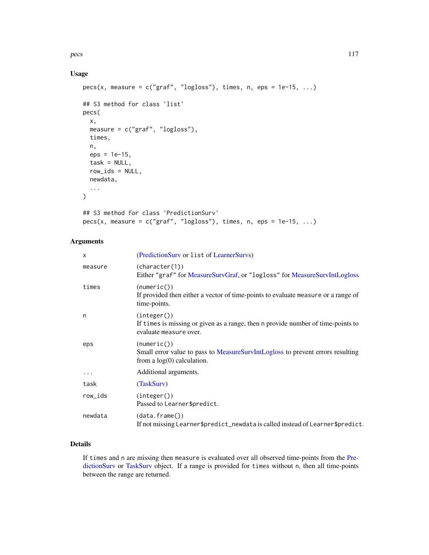# <span id="page-116-0"></span>Usage

```
pecs(x, measure = c("graf", "logloss"), times, n,eps = 1e-15, ...)## S3 method for class 'list'
pecs(
 x,
 measure = c("graf", "logloss"),
 times,
 n,
 eps = 1e-15,
  task = NULL,row_ids = NULL,
 newdata,
  ...
)
## S3 method for class 'PredictionSurv'
pecs(x, measure = c("graf", "logloss"), times, n,eps = 1e-15, ...)
```
# Arguments

| $\mathsf{x}$ | (PredictionSurv or list of LearnerSurvs)                                                                                      |
|--------------|-------------------------------------------------------------------------------------------------------------------------------|
| measure      | (character(1))<br>Either "graf" for MeasureSurvGraf, or "logloss" for MeasureSurvIntLogloss                                   |
| times        | (numeric())<br>If provided then either a vector of time-points to evaluate measure or a range of<br>time-points.              |
| n            | (integer())<br>If times is missing or given as a range, then n provide number of time-points to<br>evaluate measure over.     |
| eps          | (numeric())<br>Small error value to pass to MeasureSurvIntLogloss to prevent errors resulting<br>from a $log(0)$ calculation. |
| $\cdots$     | Additional arguments.                                                                                                         |
| task         | (TaskSurv)                                                                                                                    |
| row_ids      | (integer())<br>Passed to Learner\$predict.                                                                                    |
| newdata      | (data frame())<br>If not missing Learner\$predict_newdata is called instead of Learner\$predict.                              |

# Details

If times and n are missing then measure is evaluated over all observed time-points from the [Pre](#page-124-0)[dictionSurv](#page-124-0) or [TaskSurv](#page-127-0) object. If a range is provided for times without n, then all time-points between the range are returned.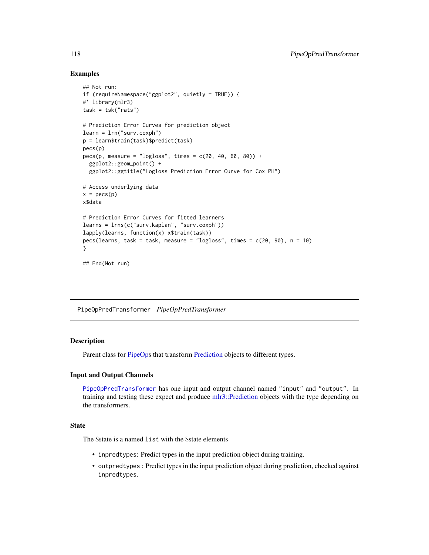#### <span id="page-117-1"></span>Examples

```
## Not run:
if (requireNamespace("ggplot2", quietly = TRUE)) {
#' library(mlr3)
task = tsk("rats")
# Prediction Error Curves for prediction object
learn = lrn("surv.coxph")
p = learn$train(task)$predict(task)
pecs(p)
pecs(p, measure = "logloss", times = c(20, 40, 60, 80)) +ggplot2::geom_point() +
  ggplot2::ggtitle("Logloss Prediction Error Curve for Cox PH")
# Access underlying data
x = pecs(p)x$data
# Prediction Error Curves for fitted learners
learns = lrns(c("surv.kaplan", "surv.coxph"))
lapply(learns, function(x) x$train(task))
pecs(learns, task = task, measure = "logloss", times = c(20, 90), n = 10)
}
## End(Not run)
```
<span id="page-117-0"></span>PipeOpPredTransformer *PipeOpPredTransformer*

#### Description

Parent class for [PipeOps](#page-0-0) that transform [Prediction](#page-0-0) objects to different types.

#### Input and Output Channels

[PipeOpPredTransformer](#page-117-0) has one input and output channel named "input" and "output". In training and testing these expect and produce [mlr3::Prediction](#page-0-0) objects with the type depending on the transformers.

#### State

The \$state is a named list with the \$state elements

- inpredtypes: Predict types in the input prediction object during training.
- outpredtypes : Predict types in the input prediction object during prediction, checked against inpredtypes.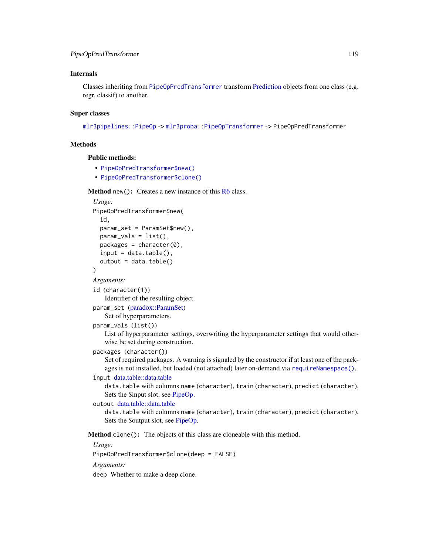# <span id="page-118-0"></span>Internals

Classes inheriting from [PipeOpPredTransformer](#page-117-0) transform [Prediction](#page-0-0) objects from one class (e.g. regr, classif) to another.

#### Super classes

[mlr3pipelines::PipeOp](#page-0-0) -> [mlr3proba::PipeOpTransformer](#page-0-0) -> PipeOpPredTransformer

#### Methods

#### Public methods:

- [PipeOpPredTransformer\\$new\(\)](#page-8-0)
- [PipeOpPredTransformer\\$clone\(\)](#page-9-0)

**Method** new( $)$ : Creates a new instance of this  $R6$  class.

```
Usage:
PipeOpPredTransformer$new(
  id,
 param_set = ParamSet$new(),
 param_values = list(),
 package = character(0),
  input = data_table(),output = data.table()
)
```

```
Arguments:
```
id (character(1))

Identifier of the resulting object.

```
param_set (paradox::ParamSet)
   Set of hyperparameters.
```
param\_vals (list())

List of hyperparameter settings, overwriting the hyperparameter settings that would otherwise be set during construction.

packages (character())

Set of required packages. A warning is signaled by the constructor if at least one of the packages is not installed, but loaded (not attached) later on-demand via [requireNamespace\(\)](#page-0-0).

input [data.table::data.table](#page-0-0)

data.table with columns name (character), train (character), predict (character). Sets the \$input slot, see [PipeOp.](#page-0-0)

```
output data.table::data.table
```
data.table with columns name (character), train (character), predict (character). Sets the \$output slot, see [PipeOp.](#page-0-0)

Method clone(): The objects of this class are cloneable with this method.

*Usage:*

PipeOpPredTransformer\$clone(deep = FALSE)

*Arguments:*

deep Whether to make a deep clone.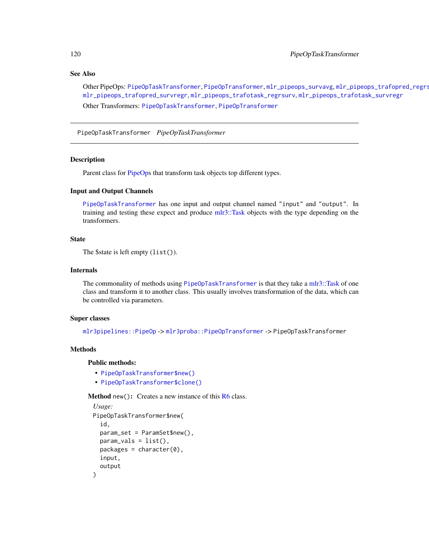# <span id="page-119-1"></span>See Also

Other PipeOps: [PipeOpTaskTransformer](#page-119-0), [PipeOpTransformer](#page-120-0), [mlr\\_pipeops\\_survavg](#page-99-0), [mlr\\_pipeops\\_trafopred\\_regrsurv](#page-100-0), [mlr\\_pipeops\\_trafopred\\_survregr](#page-102-0), [mlr\\_pipeops\\_trafotask\\_regrsurv](#page-104-0), [mlr\\_pipeops\\_trafotask\\_survregr](#page-105-0) Other Transformers: [PipeOpTaskTransformer](#page-119-0), [PipeOpTransformer](#page-120-0)

<span id="page-119-0"></span>PipeOpTaskTransformer *PipeOpTaskTransformer*

#### **Description**

Parent class for [PipeOps](#page-0-0) that transform task objects top different types.

#### Input and Output Channels

[PipeOpTaskTransformer](#page-119-0) has one input and output channel named "input" and "output". In training and testing these expect and produce [mlr3::Task](#page-0-0) objects with the type depending on the transformers.

# **State**

```
The $state is left empty (list()).
```
# Internals

The commonality of methods using [PipeOpTaskTransformer](#page-119-0) is that they take a [mlr3::Task](#page-0-0) of one class and transform it to another class. This usually involves transformation of the data, which can be controlled via parameters.

#### Super classes

[mlr3pipelines::PipeOp](#page-0-0) -> [mlr3proba::PipeOpTransformer](#page-0-0) -> PipeOpTaskTransformer

#### Methods

# Public methods:

- [PipeOpTaskTransformer\\$new\(\)](#page-8-0)
- [PipeOpTaskTransformer\\$clone\(\)](#page-9-0)

Method new(): Creates a new instance of this [R6](#page-0-0) class.

```
Usage:
PipeOpTaskTransformer$new(
  id,
 param_set = ParamSet$new(),
 param\_vals = list(),
 packages = character(0),
  input,
  output
)
```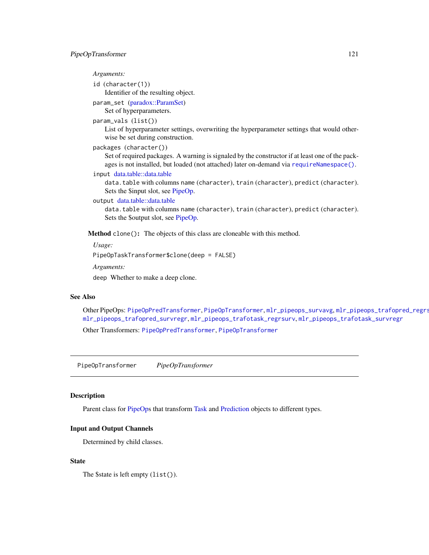#### <span id="page-120-1"></span>*Arguments:*

```
id (character(1))
   Identifier of the resulting object.
param_set (paradox::ParamSet)
```
# Set of hyperparameters.

```
param_vals (list())
```
List of hyperparameter settings, overwriting the hyperparameter settings that would otherwise be set during construction.

```
packages (character())
```
Set of required packages. A warning is signaled by the constructor if at least one of the packages is not installed, but loaded (not attached) later on-demand via [requireNamespace\(\)](#page-0-0).

```
input data.table::data.table
```
data.table with columns name (character), train (character), predict (character). Sets the \$input slot, see [PipeOp.](#page-0-0)

# output [data.table::data.table](#page-0-0)

data.table with columns name (character), train (character), predict (character). Sets the \$output slot, see [PipeOp.](#page-0-0)

Method clone(): The objects of this class are cloneable with this method.

*Usage:*

PipeOpTaskTransformer\$clone(deep = FALSE)

*Arguments:*

deep Whether to make a deep clone.

# See Also

Other PipeOps: [PipeOpPredTransformer](#page-117-0), [PipeOpTransformer](#page-120-0), [mlr\\_pipeops\\_survavg](#page-99-0), [mlr\\_pipeops\\_trafopred\\_regrsurv](#page-100-0), [mlr\\_pipeops\\_trafopred\\_survregr](#page-102-0), [mlr\\_pipeops\\_trafotask\\_regrsurv](#page-104-0), [mlr\\_pipeops\\_trafotask\\_survregr](#page-105-0) Other Transformers: [PipeOpPredTransformer](#page-117-0), [PipeOpTransformer](#page-120-0)

<span id="page-120-0"></span>PipeOpTransformer *PipeOpTransformer*

# Description

Parent class for [PipeOps](#page-0-0) that transform [Task](#page-0-0) and [Prediction](#page-0-0) objects to different types.

#### Input and Output Channels

Determined by child classes.

#### **State**

The \$state is left empty (list()).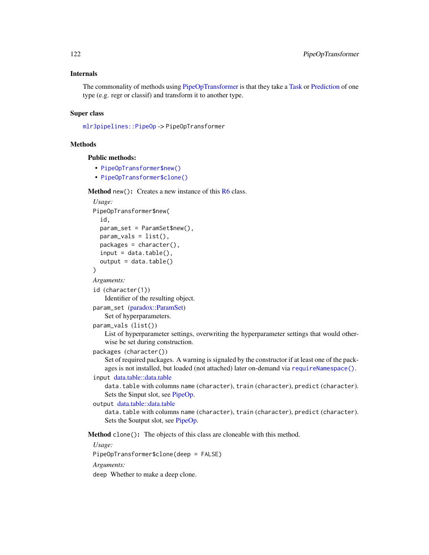# <span id="page-121-0"></span>Internals

The commonality of methods using [PipeOpTransformer](#page-120-0) is that they take a [Task](#page-0-0) or [Prediction](#page-0-0) of one type (e.g. regr or classif) and transform it to another type.

#### Super class

[mlr3pipelines::PipeOp](#page-0-0) -> PipeOpTransformer

#### Methods

Public methods:

- [PipeOpTransformer\\$new\(\)](#page-8-0)
- [PipeOpTransformer\\$clone\(\)](#page-9-0)

**Method** new( $)$ : Creates a new instance of this  $R6$  class.

```
Usage:
PipeOpTransformer$new(
  id,
 param_set = ParamSet$new(),
 param_values = list(),
 packages = character(),
  input = data_table(),output = data.table()
)
```
*Arguments:*

id (character(1))

Identifier of the resulting object.

```
param_set (paradox::ParamSet)
   Set of hyperparameters.
```
param\_vals (list())

List of hyperparameter settings, overwriting the hyperparameter settings that would otherwise be set during construction.

packages (character())

Set of required packages. A warning is signaled by the constructor if at least one of the packages is not installed, but loaded (not attached) later on-demand via [requireNamespace\(\)](#page-0-0).

input [data.table::data.table](#page-0-0)

data.table with columns name (character), train (character), predict (character). Sets the \$input slot, see [PipeOp.](#page-0-0)

```
output data.table::data.table
```
data.table with columns name (character), train (character), predict (character). Sets the \$output slot, see [PipeOp.](#page-0-0)

Method clone(): The objects of this class are cloneable with this method.

*Usage:*

PipeOpTransformer\$clone(deep = FALSE)

*Arguments:*

deep Whether to make a deep clone.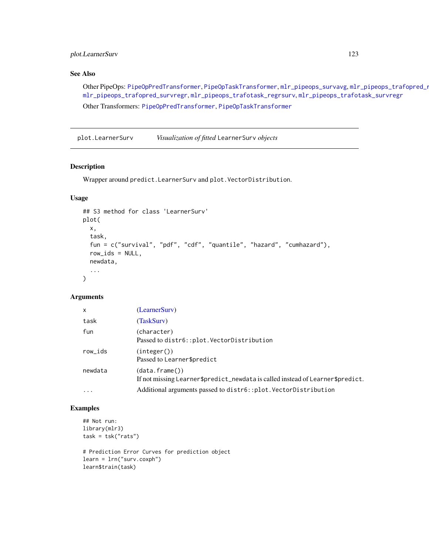# <span id="page-122-0"></span>plot.LearnerSurv 123

# See Also

Other PipeOps: [PipeOpPredTransformer](#page-117-0), [PipeOpTaskTransformer](#page-119-0), [mlr\\_pipeops\\_survavg](#page-99-0), mlr\_pipeops\_trafopred\_regre [mlr\\_pipeops\\_trafopred\\_survregr](#page-102-0), [mlr\\_pipeops\\_trafotask\\_regrsurv](#page-104-0), [mlr\\_pipeops\\_trafotask\\_survregr](#page-105-0) Other Transformers: [PipeOpPredTransformer](#page-117-0), [PipeOpTaskTransformer](#page-119-0)

plot.LearnerSurv *Visualization of fitted* LearnerSurv *objects*

# Description

Wrapper around predict.LearnerSurv and plot.VectorDistribution.

#### Usage

```
## S3 method for class 'LearnerSurv'
plot(
 x,
  task,
  fun = c("survival", "pdf", "cdf", "quantile", "hazard", "cumhazard"),
  row\_ids = NULL,newdata,
  ...
)
```
# Arguments

| $\mathsf{x}$ | (LearnerSurv)                                                                                     |
|--------------|---------------------------------------------------------------------------------------------------|
| task         | (TaskSury)                                                                                        |
| fun          | (character)<br>Passed to distr6::plot.VectorDistribution                                          |
| row_ids      | (integer())<br>Passed to Learner\$predict                                                         |
| newdata      | (data, frame())<br>If not missing Learner\$predict_newdata is called instead of Learner\$predict. |
| $\ddotsc$    | Additional arguments passed to distr6::plot.VectorDistribution                                    |

# Examples

```
## Not run:
library(mlr3)
task = tsk("rats")
```

```
# Prediction Error Curves for prediction object
learn = lrn("surv.coxph")
learn$train(task)
```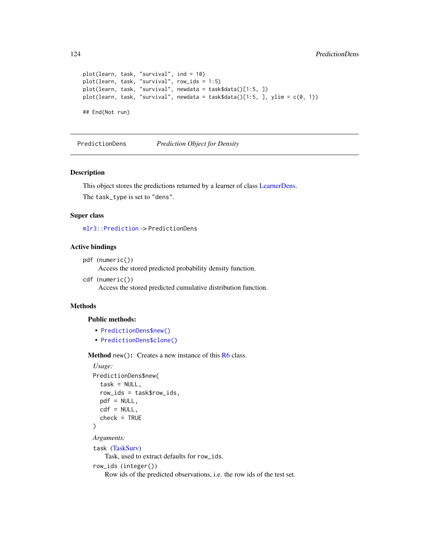```
plot(learn, task, "survival", ind = 10)
plot(learn, task, "survival", row_ids = 1:5)
plot(learn, task, "survival", newdata = task$data()[1:5, ])
plot(learn, task, "survival", newdata = task$data()[1:5, ], ylim = c(0, 1))
## End(Not run)
```
<span id="page-123-0"></span>PredictionDens *Prediction Object for Density*

# Description

This object stores the predictions returned by a learner of class [LearnerDens.](#page-7-1) The task\_type is set to "dens".

# Super class

[mlr3::Prediction](#page-0-0) -> PredictionDens

# Active bindings

pdf (numeric())

Access the stored predicted probability density function.

cdf (numeric()) Access the stored predicted cumulative distribution function.

#### Methods

#### Public methods:

- [PredictionDens\\$new\(\)](#page-8-0)
- [PredictionDens\\$clone\(\)](#page-9-0)

Method new(): Creates a new instance of this [R6](#page-0-0) class.

#### *Usage:*

```
PredictionDens$new(
  task = NULL,row_ids = task$row_ids,
  pdf = NULL,
  cdf = NULL,check = TRUE
\mathcal{L}Arguments:
```

```
task (TaskSurv)
```
Task, used to extract defaults for row\_ids.

row\_ids (integer())

Row ids of the predicted observations, i.e. the row ids of the test set.

<span id="page-123-1"></span>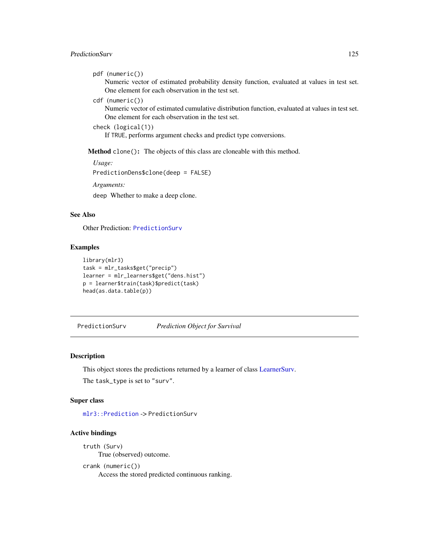# <span id="page-124-1"></span>PredictionSurv 125

```
pdf (numeric())
```
Numeric vector of estimated probability density function, evaluated at values in test set. One element for each observation in the test set.

cdf (numeric())

Numeric vector of estimated cumulative distribution function, evaluated at values in test set. One element for each observation in the test set.

check (logical(1))

If TRUE, performs argument checks and predict type conversions.

Method clone(): The objects of this class are cloneable with this method.

*Usage:*

PredictionDens\$clone(deep = FALSE)

*Arguments:*

deep Whether to make a deep clone.

#### See Also

Other Prediction: [PredictionSurv](#page-124-0)

#### Examples

```
library(mlr3)
task = mlr_tasks$get("precip")
learner = mlr_learners$get("dens.hist")
p = learner$train(task)$predict(task)
head(as.data.table(p))
```
<span id="page-124-0"></span>PredictionSurv *Prediction Object for Survival*

# Description

This object stores the predictions returned by a learner of class [LearnerSurv.](#page-9-1)

The task\_type is set to "surv".

# Super class

[mlr3::Prediction](#page-0-0) -> PredictionSurv

#### Active bindings

```
truth (Surv)
    True (observed) outcome.
crank (numeric())
     Access the stored predicted continuous ranking.
```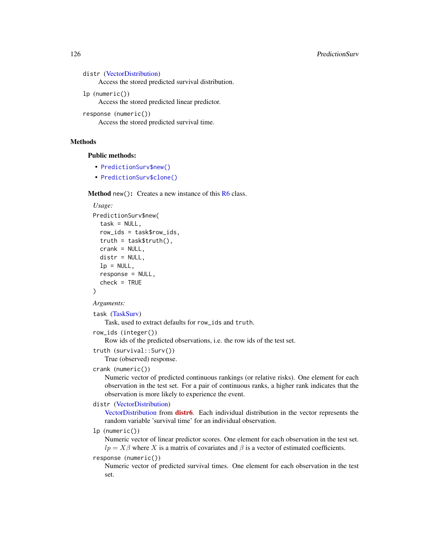```
distr (VectorDistribution)
     Access the stored predicted survival distribution.
```
- lp (numeric()) Access the stored predicted linear predictor.
- response (numeric()) Access the stored predicted survival time.

# Methods

#### Public methods:

- [PredictionSurv\\$new\(\)](#page-8-0)
- [PredictionSurv\\$clone\(\)](#page-9-0)

**Method** new(): Creates a new instance of this  $R6$  class.

```
Usage:
PredictionSurv$new(
 task = NULL,row_ids = task$row_ids,
  truth = task$truth(),
 crank = NULL,distr = NULL,
 lp = NULL,response = NULL,
 check = TRUE)
```
*Arguments:*

```
task (TaskSurv)
```
Task, used to extract defaults for row\_ids and truth.

```
row_ids (integer())
```
Row ids of the predicted observations, i.e. the row ids of the test set.

```
truth (survival::Surv())
```
True (observed) response.

crank (numeric())

Numeric vector of predicted continuous rankings (or relative risks). One element for each observation in the test set. For a pair of continuous ranks, a higher rank indicates that the observation is more likely to experience the event.

```
distr (VectorDistribution)
```
[VectorDistribution](#page-0-0) from [distr6](https://CRAN.R-project.org/package=distr6). Each individual distribution in the vector represents the random variable 'survival time' for an individual observation.

```
lp (numeric())
```
Numeric vector of linear predictor scores. One element for each observation in the test set.  $lp = X\beta$  where X is a matrix of covariates and  $\beta$  is a vector of estimated coefficients.

```
response (numeric())
```
Numeric vector of predicted survival times. One element for each observation in the test set.

<span id="page-125-0"></span>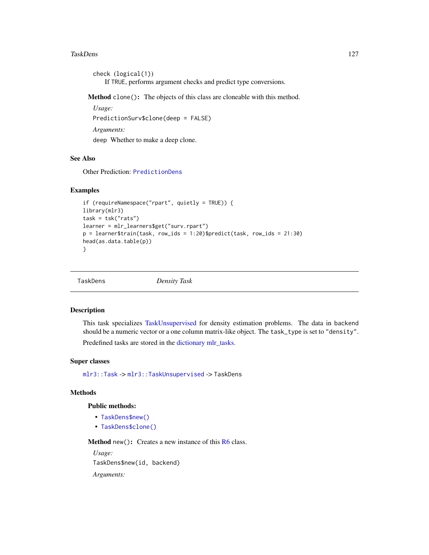#### <span id="page-126-1"></span>TaskDens 127

check (logical(1)) If TRUE, performs argument checks and predict type conversions.

Method clone(): The objects of this class are cloneable with this method.

```
Usage:
PredictionSurv$clone(deep = FALSE)
Arguments:
deep Whether to make a deep clone.
```
# See Also

Other Prediction: [PredictionDens](#page-123-0)

#### Examples

```
if (requireNamespace("rpart", quietly = TRUE)) {
library(mlr3)
task = tsk("rats")
learner = mlr_learners$get("surv.rpart")
p = learner$train(task, row_ids = 1:20)$predict(task, row_ids = 21:30)
head(as.data.table(p))
}
```
<span id="page-126-0"></span>

TaskDens *Density Task*

#### Description

This task specializes [TaskUnsupervised](#page-0-0) for density estimation problems. The data in backend should be a numeric vector or a one column matrix-like object. The task\_type is set to "density".

Predefined tasks are stored in the [dictionary](#page-0-0) [mlr\\_tasks.](#page-0-0)

#### Super classes

[mlr3::Task](#page-0-0) -> [mlr3::TaskUnsupervised](#page-0-0) -> TaskDens

# Methods

# Public methods:

- [TaskDens\\$new\(\)](#page-8-0)
- [TaskDens\\$clone\(\)](#page-9-0)

Method new(): Creates a new instance of this [R6](#page-0-0) class.

*Usage:*

TaskDens\$new(id, backend)

*Arguments:*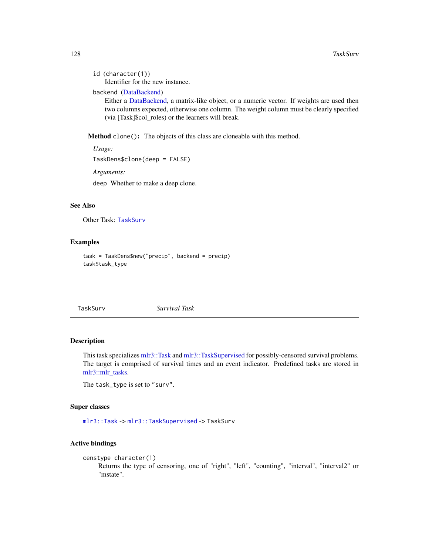```
id (character(1))
    Identifier for the new instance.
```
#### backend [\(DataBackend\)](#page-0-0)

Either a [DataBackend,](#page-0-0) a matrix-like object, or a numeric vector. If weights are used then two columns expected, otherwise one column. The weight column must be clearly specified (via [Task]\$col\_roles) or the learners will break.

Method clone(): The objects of this class are cloneable with this method.

*Usage:*

TaskDens\$clone(deep = FALSE)

*Arguments:*

deep Whether to make a deep clone.

# See Also

Other Task: [TaskSurv](#page-127-0)

#### Examples

```
task = TaskDens$new("precip", backend = precip)
task$task_type
```
<span id="page-127-0"></span>TaskSurv *Survival Task*

#### Description

This task specializes [mlr3::Task](#page-0-0) and [mlr3::TaskSupervised](#page-0-0) for possibly-censored survival problems. The target is comprised of survival times and an event indicator. Predefined tasks are stored in [mlr3::mlr\\_tasks.](#page-0-0)

The task\_type is set to "surv".

#### Super classes

[mlr3::Task](#page-0-0) -> [mlr3::TaskSupervised](#page-0-0) -> TaskSurv

# Active bindings

```
censtype character(1)
```
Returns the type of censoring, one of "right", "left", "counting", "interval", "interval2" or "mstate".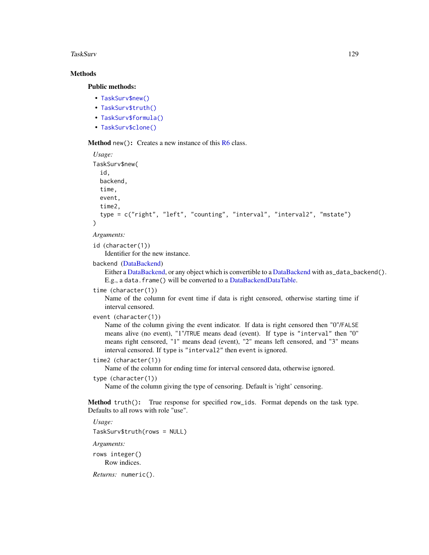#### <span id="page-128-2"></span>TaskSurv 129

# **Methods**

# Public methods:

- [TaskSurv\\$new\(\)](#page-8-0)
- [TaskSurv\\$truth\(\)](#page-128-0)
- [TaskSurv\\$formula\(\)](#page-128-1)
- [TaskSurv\\$clone\(\)](#page-9-0)

#### **Method** new( $)$ : Creates a new instance of this  $R6$  class.

```
Usage:
TaskSurv$new(
  id,
 backend,
 time,
 event,
 time2,
  type = c("right", "left", "counting", "interval", "interval2", "mstate")
\lambda
```
#### *Arguments:*

id (character(1)) Identifier for the new instance.

backend [\(DataBackend\)](#page-0-0)

Either a [DataBackend,](#page-0-0) or any object which is convertible to a [DataBackend](#page-0-0) with as\_data\_backend(). E.g., a data.frame() will be converted to a [DataBackendDataTable.](#page-0-0)

```
time (character(1))
```
Name of the column for event time if data is right censored, otherwise starting time if interval censored.

```
event (character(1))
```
Name of the column giving the event indicator. If data is right censored then "0"/FALSE means alive (no event), "1"/TRUE means dead (event). If type is "interval" then "0" means right censored, "1" means dead (event), "2" means left censored, and "3" means interval censored. If type is "interval2" then event is ignored.

```
time2 (character(1))
```
Name of the column for ending time for interval censored data, otherwise ignored.

```
type (character(1))
```
Name of the column giving the type of censoring. Default is 'right' censoring.

<span id="page-128-0"></span>Method truth(): True response for specified row\_ids. Format depends on the task type. Defaults to all rows with role "use".

*Usage:*

TaskSurv\$truth(rows = NULL)

*Arguments:*

rows integer() Row indices.

<span id="page-128-1"></span>*Returns:* numeric().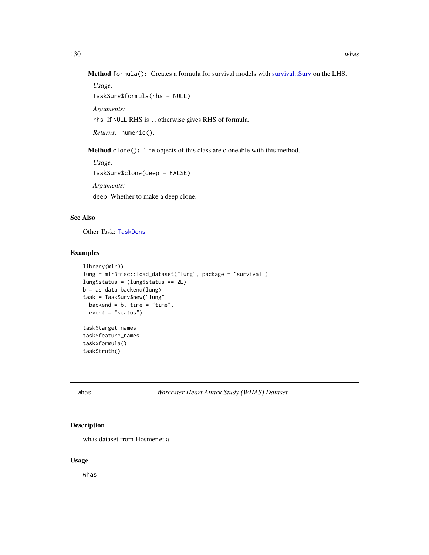<span id="page-129-1"></span>Method formula(): Creates a formula for survival models with [survival::Surv](#page-0-0) on the LHS.

*Usage:* TaskSurv\$formula(rhs = NULL) *Arguments:* rhs If NULL RHS is ., otherwise gives RHS of formula. *Returns:* numeric().

Method clone(): The objects of this class are cloneable with this method.

*Usage:* TaskSurv\$clone(deep = FALSE) *Arguments:* deep Whether to make a deep clone.

# See Also

Other Task: [TaskDens](#page-126-0)

#### Examples

```
library(mlr3)
lung = mlr3misc::load_dataset("lung", package = "survival")
lung$status = (lung$status == 2L)
b = as_data_backend(lung)
task = TaskSurv$new("lung",
 backend = b, time = "time",
  event = "status")
task$target_names
task$feature_names
task$formula()
task$truth()
```
<span id="page-129-0"></span>whas *Worcester Heart Attack Study (WHAS) Dataset*

#### Description

whas dataset from Hosmer et al.

#### Usage

whas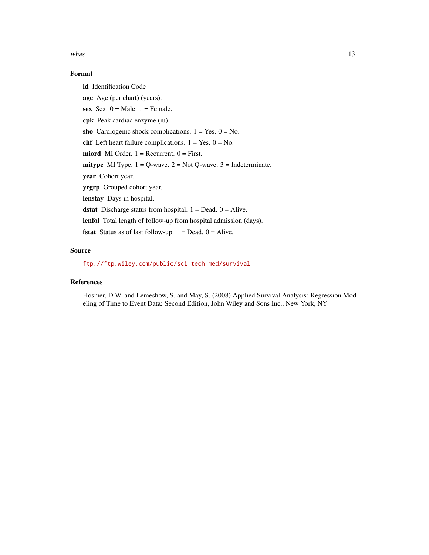whas 131

# Format

id Identification Code age Age (per chart) (years). sex Sex.  $0 =$  Male.  $1 =$  Female. cpk Peak cardiac enzyme (iu). sho Cardiogenic shock complications.  $1 = Yes$ .  $0 = No$ . chf Left heart failure complications.  $1 = Yes. 0 = No.$ miord MI Order.  $1 =$  Recurrent.  $0 =$  First. **mitype** MI Type.  $1 = Q$ -wave.  $2 = Not Q$ -wave.  $3 = Indeterminate$ . year Cohort year. yrgrp Grouped cohort year. lenstay Days in hospital. **dstat** Discharge status from hospital.  $1 = Dead$ .  $0 = Alice$ . lenfol Total length of follow-up from hospital admission (days). **fstat** Status as of last follow-up.  $1 = Dead$ .  $0 = Alice$ .

# Source

[ftp://ftp.wiley.com/public/sci\\_tech\\_med/survival](ftp://ftp.wiley.com/public/sci_tech_med/survival)

# References

Hosmer, D.W. and Lemeshow, S. and May, S. (2008) Applied Survival Analysis: Regression Modeling of Time to Event Data: Second Edition, John Wiley and Sons Inc., New York, NY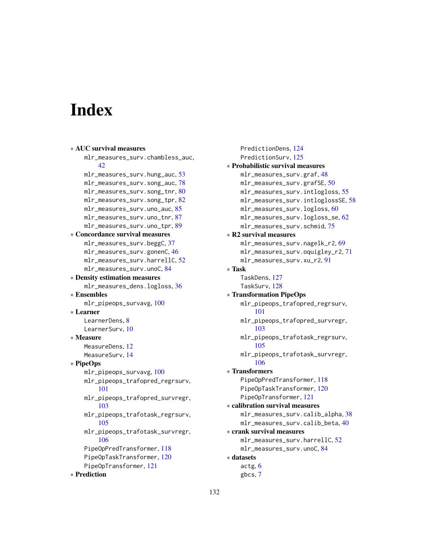# Index

```
∗ AUC survival measures
    mlr_measures_surv.chambless_auc,
        42
    mlr_measures_surv.hung_auc, 53
    mlr_measures_surv.song_auc, 78
    mlr_measures_surv.song_tnr, 80
    mlr_measures_surv.song_tpr, 82
    mlr_measures_surv.uno_auc, 85
    mlr_measures_surv.uno_tnr, 87
    89
∗ Concordance survival measures
    mlr_measures_surv.beggC, 37
    mlr_measures_surv.gonenC, 46
    mlr_measures_surv.harrellC, 52
    mlr_measures_surv.unoC, 84
∗ Density estimation measures
    mlr_measures_dens.logloss, 36
∗ Ensembles
    mlr_pipeops_survavg, 100
∗ Learner
    LearnerDens, 8
    LearnerSurv, 10
∗ Measure
   MeasureDens, 12
    MeasureSurv, 14
∗ PipeOps
    mlr_pipeops_survavg, 100
    mlr_pipeops_trafopred_regrsurv,
        101
    mlr_pipeops_trafopred_survregr,
        103
    mlr_pipeops_trafotask_regrsurv,
        105
    mlr_pipeops_trafotask_survregr,
        106
    PipeOpPredTransformer, 118
    PipeOpTaskTransformer, 120
    PipeOpTransformer, 121
```

```
∗ Prediction
```
PredictionDens, [124](#page-123-1) PredictionSurv, [125](#page-124-1) ∗ Probabilistic survival measures mlr\_measures\_surv.graf, [48](#page-47-1) mlr\_measures\_surv.grafSE, [50](#page-49-0) mlr\_measures\_surv.intlogloss, [55](#page-54-1) mlr\_measures\_surv.intloglossSE, [58](#page-57-0) mlr\_measures\_surv.logloss, [60](#page-59-0) mlr\_measures\_surv.logloss\_se, [62](#page-61-0) mlr\_measures\_surv.schmid, [75](#page-74-0) ∗ R2 survival measures mlr\_measures\_surv.nagelk\_r2, [69](#page-68-0) mlr\_measures\_surv.oquigley\_r2, [71](#page-70-0) mlr\_measures\_surv.xu\_r2, [91](#page-90-0) ∗ Task TaskDens, [127](#page-126-1) TaskSurv, [128](#page-127-1) ∗ Transformation PipeOps mlr\_pipeops\_trafopred\_regrsurv, [101](#page-100-1) mlr\_pipeops\_trafopred\_survregr, [103](#page-102-1) mlr\_pipeops\_trafotask\_regrsurv, [105](#page-104-1) mlr\_pipeops\_trafotask\_survregr, [106](#page-105-1) ∗ Transformers PipeOpPredTransformer, [118](#page-117-1) PipeOpTaskTransformer, [120](#page-119-1) PipeOpTransformer, [121](#page-120-1) ∗ calibration survival measures mlr\_measures\_surv.calib\_alpha, [38](#page-37-0) mlr\_measures\_surv.calib\_beta, [40](#page-39-0) ∗ crank survival measures mlr\_measures\_surv.harrellC, [52](#page-51-0) mlr\_measures\_surv.unoC, [84](#page-83-0) ∗ datasets actg, [6](#page-5-1) gbcs, [7](#page-6-1)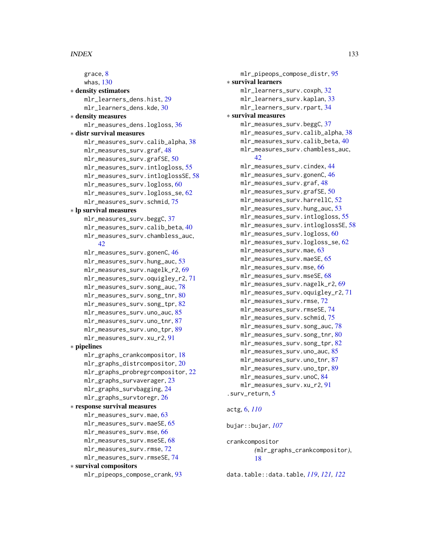grace, [8](#page-7-2) whas, [130](#page-129-1) ∗ density estimators mlr\_learners\_dens.hist, [29](#page-28-0) mlr\_learners\_dens.kde, [30](#page-29-0) ∗ density measures mlr\_measures\_dens.logloss, [36](#page-35-0) ∗ distr survival measures mlr\_measures\_surv.calib\_alpha, [38](#page-37-0) mlr\_measures\_surv.graf, [48](#page-47-1) mlr\_measures\_surv.grafSE, [50](#page-49-0) mlr\_measures\_surv.intlogloss, [55](#page-54-1) mlr\_measures\_surv.intloglossSE, [58](#page-57-0) mlr\_measures\_surv.logloss, [60](#page-59-0) mlr\_measures\_surv.logloss\_se, [62](#page-61-0) mlr\_measures\_surv.schmid, [75](#page-74-0) ∗ lp survival measures mlr\_measures\_surv.beggC, [37](#page-36-0) mlr\_measures\_surv.calib\_beta, [40](#page-39-0) mlr\_measures\_surv.chambless\_auc, [42](#page-41-0) mlr\_measures\_surv.gonenC, [46](#page-45-0) mlr\_measures\_surv.hung\_auc, [53](#page-52-0) mlr\_measures\_surv.nagelk\_r2, [69](#page-68-0) mlr\_measures\_surv.oquigley\_r2, [71](#page-70-0) mlr\_measures\_surv.song\_auc, [78](#page-77-0) mlr\_measures\_surv.song\_tnr, [80](#page-79-0) mlr\_measures\_surv.song\_tpr, [82](#page-81-0) mlr\_measures\_surv.uno\_auc, [85](#page-84-0) mlr\_measures\_surv.uno\_tnr, [87](#page-86-0) mlr\_measures\_surv.uno\_tpr, [89](#page-88-0) mlr\_measures\_surv.xu\_r2, [91](#page-90-0) ∗ pipelines mlr\_graphs\_crankcompositor, [18](#page-17-0) mlr\_graphs\_distrcompositor, [20](#page-19-0) mlr\_graphs\_probregrcompositor, [22](#page-21-0) mlr\_graphs\_survaverager, [23](#page-22-0) mlr\_graphs\_survbagging, [24](#page-23-0) mlr\_graphs\_survtoregr, [26](#page-25-0) ∗ response survival measures mlr\_measures\_surv.mae, [63](#page-62-0) mlr\_measures\_surv.maeSE, [65](#page-64-0) mlr\_measures\_surv.mse, [66](#page-65-0) mlr\_measures\_surv.mseSE, [68](#page-67-0) mlr\_measures\_surv.rmse, [72](#page-71-0) mlr\_measures\_surv.rmseSE, [74](#page-73-0) ∗ survival compositors mlr\_pipeops\_compose\_crank, [93](#page-92-0)

mlr\_pipeops\_compose\_distr, [95](#page-94-0) ∗ survival learners mlr\_learners\_surv.coxph, [32](#page-31-0) mlr\_learners\_surv.kaplan, [33](#page-32-0) mlr\_learners\_surv.rpart, [34](#page-33-0) ∗ survival measures mlr\_measures\_surv.beggC, [37](#page-36-0) mlr\_measures\_surv.calib\_alpha, [38](#page-37-0) mlr\_measures\_surv.calib\_beta, [40](#page-39-0) mlr\_measures\_surv.chambless\_auc, [42](#page-41-0) mlr\_measures\_surv.cindex, [44](#page-43-0) mlr\_measures\_surv.gonenC, [46](#page-45-0) mlr\_measures\_surv.graf, [48](#page-47-1) mlr\_measures\_surv.grafSE, [50](#page-49-0) mlr\_measures\_surv.harrellC, [52](#page-51-0) mlr\_measures\_surv.hung\_auc, [53](#page-52-0) mlr\_measures\_surv.intlogloss, [55](#page-54-1) mlr\_measures\_surv.intloglossSE, [58](#page-57-0) mlr\_measures\_surv.logloss, [60](#page-59-0) mlr\_measures\_surv.logloss\_se, [62](#page-61-0) mlr\_measures\_surv.mae, [63](#page-62-0) mlr\_measures\_surv.maeSE, [65](#page-64-0) mlr\_measures\_surv.mse, [66](#page-65-0) mlr\_measures\_surv.mseSE, [68](#page-67-0) mlr\_measures\_surv.nagelk\_r2, [69](#page-68-0) mlr\_measures\_surv.oquigley\_r2, [71](#page-70-0) mlr\_measures\_surv.rmse, [72](#page-71-0) mlr\_measures\_surv.rmseSE, [74](#page-73-0) mlr\_measures\_surv.schmid, [75](#page-74-0) mlr\_measures\_surv.song\_auc, [78](#page-77-0) mlr\_measures\_surv.song\_tnr, [80](#page-79-0) mlr\_measures\_surv.song\_tpr, [82](#page-81-0) mlr\_measures\_surv.uno\_auc, [85](#page-84-0) mlr\_measures\_surv.uno\_tnr, [87](#page-86-0) mlr\_measures\_surv.uno\_tpr, [89](#page-88-0) mlr\_measures\_surv.unoC, [84](#page-83-0) mlr\_measures\_surv.xu\_r2, [91](#page-90-0) .surv\_return, [5](#page-4-0)

#### actg, [6,](#page-5-1) *[110](#page-109-0)*

bujar::bujar, *[107](#page-106-0)*

```
crankcompositor
        (mlr_graphs_crankcompositor),
        18
```
data.table::data.table, *[119](#page-118-0)*, *[121,](#page-120-1) [122](#page-121-0)*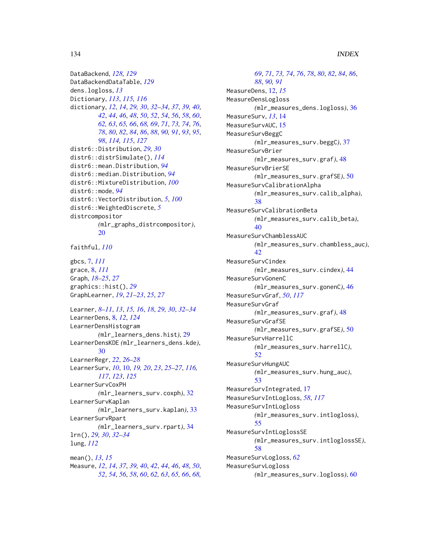#### 134 INDEX

DataBackend, *[128,](#page-127-1) [129](#page-128-2)* DataBackendDataTable, *[129](#page-128-2)* dens.logloss, *[13](#page-12-0)* Dictionary, *[113](#page-112-0)*, *[115,](#page-114-0) [116](#page-115-0)* dictionary, *[12](#page-11-0)*, *[14](#page-13-0)*, *[29,](#page-28-0) [30](#page-29-0)*, *[32–](#page-31-0)[34](#page-33-0)*, *[37](#page-36-0)*, *[39,](#page-38-0) [40](#page-39-0)*, *[42](#page-41-0)*, *[44](#page-43-0)*, *[46](#page-45-0)*, *[48](#page-47-1)*, *[50](#page-49-0)*, *[52](#page-51-0)*, *[54](#page-53-0)*, *[56](#page-55-0)*, *[58](#page-57-0)*, *[60](#page-59-0)*, *[62,](#page-61-0) [63](#page-62-0)*, *[65,](#page-64-0) [66](#page-65-0)*, *[68,](#page-67-0) [69](#page-68-0)*, *[71](#page-70-0)*, *[73,](#page-72-0) [74](#page-73-0)*, *[76](#page-75-0)*, *[78](#page-77-0)*, *[80](#page-79-0)*, *[82](#page-81-0)*, *[84](#page-83-0)*, *[86](#page-85-0)*, *[88](#page-87-0)*, *[90,](#page-89-0) [91](#page-90-0)*, *[93](#page-92-0)*, *[95](#page-94-0)*, *[98](#page-97-0)*, *[114,](#page-113-0) [115](#page-114-0)*, *[127](#page-126-1)* distr6::Distribution, *[29,](#page-28-0) [30](#page-29-0)* distr6::distrSimulate(), *[114](#page-113-0)* distr6::mean.Distribution, *[94](#page-93-0)* distr6::median.Distribution, *[94](#page-93-0)* distr6::MixtureDistribution, *[100](#page-99-1)* distr6::mode, *[94](#page-93-0)* distr6::VectorDistribution, *[5](#page-4-0)*, *[100](#page-99-1)* distr6::WeightedDiscrete, *[5](#page-4-0)* distrcompositor *(*mlr\_graphs\_distrcompositor*)*, [20](#page-19-0) faithful, *[110](#page-109-0)* gbcs, [7,](#page-6-1) *[111](#page-110-0)* grace, [8,](#page-7-2) *[111](#page-110-0)* Graph, *[18](#page-17-0)[–25](#page-24-0)*, *[27](#page-26-0)* graphics::hist(), *[29](#page-28-0)* GraphLearner, *[19](#page-18-0)*, *[21](#page-20-0)[–23](#page-22-0)*, *[25](#page-24-0)*, *[27](#page-26-0)* Learner, *[8](#page-7-2)[–11](#page-10-0)*, *[13](#page-12-0)*, *[15,](#page-14-0) [16](#page-15-0)*, *[18](#page-17-0)*, *[29,](#page-28-0) [30](#page-29-0)*, *[32–](#page-31-0)[34](#page-33-0)* LearnerDens, [8,](#page-7-2) *[12](#page-11-0)*, *[124](#page-123-1)* LearnerDensHistogram *(*mlr\_learners\_dens.hist*)*, [29](#page-28-0) LearnerDensKDE *(*mlr\_learners\_dens.kde*)*, [30](#page-29-0) LearnerRegr, *[22](#page-21-0)*, *[26](#page-25-0)[–28](#page-27-0)* LearnerSurv, *[10](#page-9-2)*, [10,](#page-9-2) *[19,](#page-18-0) [20](#page-19-0)*, *[23](#page-22-0)*, *[25–](#page-24-0)[27](#page-26-0)*, *[116,](#page-115-0) [117](#page-116-0)*, *[123](#page-122-0)*, *[125](#page-124-1)* LearnerSurvCoxPH *(*mlr\_learners\_surv.coxph*)*, [32](#page-31-0) LearnerSurvKaplan *(*mlr\_learners\_surv.kaplan*)*, [33](#page-32-0) LearnerSurvRpart *(*mlr\_learners\_surv.rpart*)*, [34](#page-33-0) lrn(), *[29,](#page-28-0) [30](#page-29-0)*, *[32](#page-31-0)[–34](#page-33-0)* lung, *[112](#page-111-0)*

mean(), *[13](#page-12-0)*, *[15](#page-14-0)* Measure, *[12](#page-11-0)*, *[14](#page-13-0)*, *[37](#page-36-0)*, *[39,](#page-38-0) [40](#page-39-0)*, *[42](#page-41-0)*, *[44](#page-43-0)*, *[46](#page-45-0)*, *[48](#page-47-1)*, *[50](#page-49-0)*, *[52](#page-51-0)*, *[54](#page-53-0)*, *[56](#page-55-0)*, *[58](#page-57-0)*, *[60](#page-59-0)*, *[62,](#page-61-0) [63](#page-62-0)*, *[65,](#page-64-0) [66](#page-65-0)*, *[68,](#page-67-0)*

*[69](#page-68-0)*, *[71](#page-70-0)*, *[73,](#page-72-0) [74](#page-73-0)*, *[76](#page-75-0)*, *[78](#page-77-0)*, *[80](#page-79-0)*, *[82](#page-81-0)*, *[84](#page-83-0)*, *[86](#page-85-0)*, *[88](#page-87-0)*, *[90,](#page-89-0) [91](#page-90-0)* MeasureDens, [12,](#page-11-0) *[15](#page-14-0)* MeasureDensLogloss *(*mlr\_measures\_dens.logloss*)*, [36](#page-35-0) MeasureSurv, *[13](#page-12-0)*, [14](#page-13-0) MeasureSurvAUC, [15](#page-14-0) MeasureSurvBeggC *(*mlr\_measures\_surv.beggC*)*, [37](#page-36-0) MeasureSurvBrier *(*mlr\_measures\_surv.graf*)*, [48](#page-47-1) MeasureSurvBrierSE *(*mlr\_measures\_surv.grafSE*)*, [50](#page-49-0) MeasureSurvCalibrationAlpha *(*mlr\_measures\_surv.calib\_alpha*)*, [38](#page-37-0) MeasureSurvCalibrationBeta *(*mlr\_measures\_surv.calib\_beta*)*, [40](#page-39-0) MeasureSurvChamblessAUC *(*mlr\_measures\_surv.chambless\_auc*)*, [42](#page-41-0) MeasureSurvCindex *(*mlr\_measures\_surv.cindex*)*, [44](#page-43-0) MeasureSurvGonenC *(*mlr\_measures\_surv.gonenC*)*, [46](#page-45-0) MeasureSurvGraf, *[50](#page-49-0)*, *[117](#page-116-0)* MeasureSurvGraf *(*mlr\_measures\_surv.graf*)*, [48](#page-47-1) MeasureSurvGrafSE *(*mlr\_measures\_surv.grafSE*)*, [50](#page-49-0) MeasureSurvHarrellC *(*mlr\_measures\_surv.harrellC*)*, [52](#page-51-0) MeasureSurvHungAUC *(*mlr\_measures\_surv.hung\_auc*)*, [53](#page-52-0) MeasureSurvIntegrated, [17](#page-16-0) MeasureSurvIntLogloss, *[58](#page-57-0)*, *[117](#page-116-0)* MeasureSurvIntLogloss *(*mlr\_measures\_surv.intlogloss*)*, [55](#page-54-1) MeasureSurvIntLoglossSE *(*mlr\_measures\_surv.intloglossSE*)*, [58](#page-57-0) MeasureSurvLogloss, *[62](#page-61-0)* MeasureSurvLogloss *(*mlr\_measures\_surv.logloss*)*, [60](#page-59-0)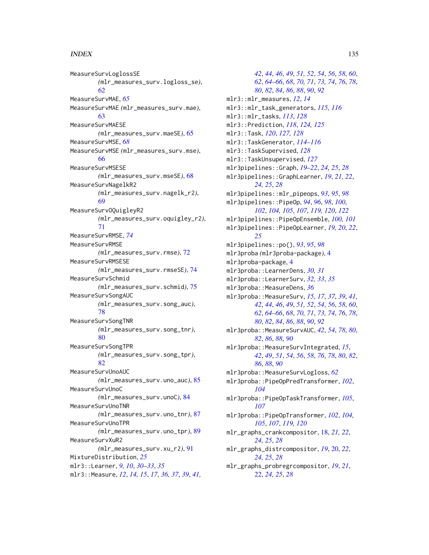#### INDEX 135

MeasureSurvLoglossSE *(*mlr\_measures\_surv.logloss\_se*)*, [62](#page-61-0) MeasureSurvMAE, *[65](#page-64-0)* MeasureSurvMAE *(*mlr\_measures\_surv.mae*)*, [63](#page-62-0) MeasureSurvMAESE *(*mlr\_measures\_surv.maeSE*)*, [65](#page-64-0) MeasureSurvMSE, *[68](#page-67-0)* MeasureSurvMSE *(*mlr\_measures\_surv.mse*)*, [66](#page-65-0) MeasureSurvMSESE *(*mlr\_measures\_surv.mseSE*)*, [68](#page-67-0) MeasureSurvNagelkR2 *(*mlr\_measures\_surv.nagelk\_r2*)*, [69](#page-68-0) MeasureSurvOQuigleyR2 *(*mlr\_measures\_surv.oquigley\_r2*)*, [71](#page-70-0) MeasureSurvRMSE, *[74](#page-73-0)* MeasureSurvRMSE *(*mlr\_measures\_surv.rmse*)*, [72](#page-71-0) MeasureSurvRMSESE *(*mlr\_measures\_surv.rmseSE*)*, [74](#page-73-0) MeasureSurvSchmid *(*mlr\_measures\_surv.schmid*)*, [75](#page-74-0) MeasureSurvSongAUC *(*mlr\_measures\_surv.song\_auc*)*, [78](#page-77-0) MeasureSurvSongTNR *(*mlr\_measures\_surv.song\_tnr*)*, [80](#page-79-0) MeasureSurvSongTPR *(*mlr\_measures\_surv.song\_tpr*)*, [82](#page-81-0) MeasureSurvUnoAUC *(*mlr\_measures\_surv.uno\_auc*)*, [85](#page-84-0) MeasureSurvUnoC *(*mlr\_measures\_surv.unoC*)*, [84](#page-83-0) MeasureSurvUnoTNR *(*mlr\_measures\_surv.uno\_tnr*)*, [87](#page-86-0) MeasureSurvUnoTPR *(*mlr\_measures\_surv.uno\_tpr*)*, [89](#page-88-0) MeasureSurvXuR2 *(*mlr\_measures\_surv.xu\_r2*)*, [91](#page-90-0) MixtureDistribution, *[25](#page-24-0)* mlr3::Learner, *[9,](#page-8-1) [10](#page-9-2)*, *[30–](#page-29-0)[33](#page-32-0)*, *[35](#page-34-0)* mlr3::Measure, *[12](#page-11-0)*, *[14,](#page-13-0) [15](#page-14-0)*, *[17](#page-16-0)*, *[36,](#page-35-0) [37](#page-36-0)*, *[39](#page-38-0)*, *[41,](#page-40-0)*

*[42](#page-41-0)*, *[44](#page-43-0)*, *[46](#page-45-0)*, *[49](#page-48-0)*, *[51,](#page-50-0) [52](#page-51-0)*, *[54](#page-53-0)*, *[56](#page-55-0)*, *[58](#page-57-0)*, *[60](#page-59-0)*, *[62](#page-61-0)*, *[64](#page-63-0)[–66](#page-65-0)*, *[68](#page-67-0)*, *[70,](#page-69-0) [71](#page-70-0)*, *[73,](#page-72-0) [74](#page-73-0)*, *[76](#page-75-0)*, *[78](#page-77-0)*, *[80](#page-79-0)*, *[82](#page-81-0)*, *[84](#page-83-0)*, *[86](#page-85-0)*, *[88](#page-87-0)*, *[90](#page-89-0)*, *[92](#page-91-0)* mlr3::mlr\_measures, *[12](#page-11-0)*, *[14](#page-13-0)* mlr3::mlr\_task\_generators, *[115,](#page-114-0) [116](#page-115-0)* mlr3::mlr\_tasks, *[113](#page-112-0)*, *[128](#page-127-1)* mlr3::Prediction, *[118](#page-117-1)*, *[124,](#page-123-1) [125](#page-124-1)* mlr3::Task, *[120](#page-119-1)*, *[127,](#page-126-1) [128](#page-127-1)* mlr3::TaskGenerator, *[114](#page-113-0)[–116](#page-115-0)* mlr3::TaskSupervised, *[128](#page-127-1)* mlr3::TaskUnsupervised, *[127](#page-126-1)* mlr3pipelines::Graph, *[19](#page-18-0)[–22](#page-21-0)*, *[24,](#page-23-0) [25](#page-24-0)*, *[28](#page-27-0)* mlr3pipelines::GraphLearner, *[19](#page-18-0)*, *[21,](#page-20-0) [22](#page-21-0)*, *[24,](#page-23-0) [25](#page-24-0)*, *[28](#page-27-0)* mlr3pipelines::mlr\_pipeops, *[93](#page-92-0)*, *[95](#page-94-0)*, *[98](#page-97-0)* mlr3pipelines::PipeOp, *[94](#page-93-0)*, *[96](#page-95-0)*, *[98](#page-97-0)*, *[100](#page-99-1)*, *[102](#page-101-0)*, *[104,](#page-103-0) [105](#page-104-1)*, *[107](#page-106-0)*, *[119,](#page-118-0) [120](#page-119-1)*, *[122](#page-121-0)* mlr3pipelines::PipeOpEnsemble, *[100,](#page-99-1) [101](#page-100-1)* mlr3pipelines::PipeOpLearner, *[19,](#page-18-0) [20](#page-19-0)*, *[22](#page-21-0)*, *[25](#page-24-0)* mlr3pipelines::po(), *[93](#page-92-0)*, *[95](#page-94-0)*, *[98](#page-97-0)* mlr3proba *(*mlr3proba-package*)*, [4](#page-3-0) mlr3proba-package, [4](#page-3-0) mlr3proba::LearnerDens, *[30,](#page-29-0) [31](#page-30-0)* mlr3proba::LearnerSurv, *[32,](#page-31-0) [33](#page-32-0)*, *[35](#page-34-0)* mlr3proba::MeasureDens, [36](#page-35-0) mlr3proba::MeasureSurv, *[15](#page-14-0)*, *[17](#page-16-0)*, *[37](#page-36-0)*, *[39](#page-38-0)*, *[41,](#page-40-0) [42](#page-41-0)*, *[44](#page-43-0)*, *[46](#page-45-0)*, *[49](#page-48-0)*, *[51,](#page-50-0) [52](#page-51-0)*, *[54](#page-53-0)*, *[56](#page-55-0)*, *[58](#page-57-0)*, *[60](#page-59-0)*, *[62](#page-61-0)*, *[64](#page-63-0)[–66](#page-65-0)*, *[68](#page-67-0)*, *[70,](#page-69-0) [71](#page-70-0)*, *[73,](#page-72-0) [74](#page-73-0)*, *[76](#page-75-0)*, *[78](#page-77-0)*, *[80](#page-79-0)*, *[82](#page-81-0)*, *[84](#page-83-0)*, *[86](#page-85-0)*, *[88](#page-87-0)*, *[90](#page-89-0)*, *[92](#page-91-0)* mlr3proba::MeasureSurvAUC, *[42](#page-41-0)*, *[54](#page-53-0)*, *[78](#page-77-0)*, *[80](#page-79-0)*, *[82](#page-81-0)*, *[86](#page-85-0)*, *[88](#page-87-0)*, *[90](#page-89-0)* mlr3proba::MeasureSurvIntegrated, *[15](#page-14-0)*, *[42](#page-41-0)*, *[49](#page-48-0)*, *[51](#page-50-0)*, *[54](#page-53-0)*, *[56](#page-55-0)*, *[58](#page-57-0)*, *[76](#page-75-0)*, *[78](#page-77-0)*, *[80](#page-79-0)*, *[82](#page-81-0)*, *[86](#page-85-0)*, *[88](#page-87-0)*, *[90](#page-89-0)* mlr3proba::MeasureSurvLogloss, *[62](#page-61-0)* mlr3proba::PipeOpPredTransformer, *[102](#page-101-0)*, *[104](#page-103-0)* mlr3proba::PipeOpTaskTransformer, *[105](#page-104-1)*, *[107](#page-106-0)* mlr3proba::PipeOpTransformer, *[102](#page-101-0)*, *[104,](#page-103-0) [105](#page-104-1)*, *[107](#page-106-0)*, *[119,](#page-118-0) [120](#page-119-1)* mlr\_graphs\_crankcompositor, [18,](#page-17-0) *[21,](#page-20-0) [22](#page-21-0)*, *[24,](#page-23-0) [25](#page-24-0)*, *[28](#page-27-0)* mlr\_graphs\_distrcompositor, *[19](#page-18-0)*, [20,](#page-19-0) *[22](#page-21-0)*, *[24,](#page-23-0) [25](#page-24-0)*, *[28](#page-27-0)* mlr\_graphs\_probregrcompositor, *[19](#page-18-0)*, *[21](#page-20-0)*, [22,](#page-21-0) *[24,](#page-23-0) [25](#page-24-0)*, *[28](#page-27-0)*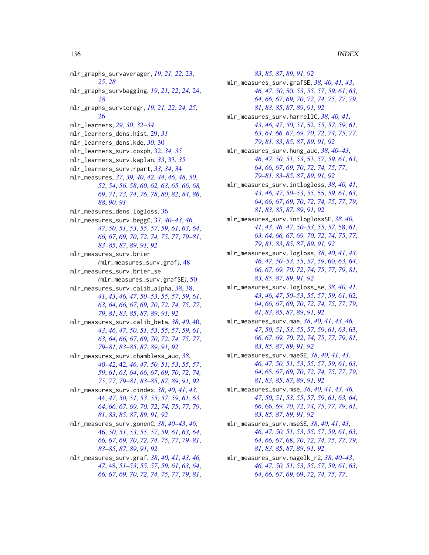mlr\_graphs\_survaverager, *[19](#page-18-0)*, *[21,](#page-20-0) [22](#page-21-0)*, [23,](#page-22-0) *[25](#page-24-0)*, *[28](#page-27-0)* mlr\_graphs\_survbagging, *[19](#page-18-0)*, *[21,](#page-20-0) [22](#page-21-0)*, *[24](#page-23-0)*, [24,](#page-23-0) *[28](#page-27-0)* mlr\_graphs\_survtoregr, *[19](#page-18-0)*, *[21,](#page-20-0) [22](#page-21-0)*, *[24,](#page-23-0) [25](#page-24-0)*, [26](#page-25-0) mlr\_learners, *[29,](#page-28-0) [30](#page-29-0)*, *[32–](#page-31-0)[34](#page-33-0)* mlr\_learners\_dens.hist, [29,](#page-28-0) *[31](#page-30-0)* mlr\_learners\_dens.kde, *[30](#page-29-0)*, [30](#page-29-0) mlr\_learners\_surv.coxph, [32,](#page-31-0) *[34,](#page-33-0) [35](#page-34-0)* mlr\_learners\_surv.kaplan, *[33](#page-32-0)*, [33,](#page-32-0) *[35](#page-34-0)* mlr\_learners\_surv.rpart, *[33,](#page-32-0) [34](#page-33-0)*, [34](#page-33-0) mlr\_measures, *[37](#page-36-0)*, *[39,](#page-38-0) [40](#page-39-0)*, *[42](#page-41-0)*, *[44](#page-43-0)*, *[46](#page-45-0)*, *[48](#page-47-1)*, *[50](#page-49-0)*, *[52](#page-51-0)*, *[54](#page-53-0)*, *[56](#page-55-0)*, *[58](#page-57-0)*, *[60](#page-59-0)*, *[62,](#page-61-0) [63](#page-62-0)*, *[65,](#page-64-0) [66](#page-65-0)*, *[68,](#page-67-0) [69](#page-68-0)*, *[71](#page-70-0)*, *[73,](#page-72-0) [74](#page-73-0)*, *[76](#page-75-0)*, *[78](#page-77-0)*, *[80](#page-79-0)*, *[82](#page-81-0)*, *[84](#page-83-0)*, *[86](#page-85-0)*, *[88](#page-87-0)*, *[90,](#page-89-0) [91](#page-90-0)* mlr\_measures\_dens.logloss, [36](#page-35-0) mlr\_measures\_surv.beggC, [37,](#page-36-0) *[40–](#page-39-0)[43](#page-42-0)*, *[46,](#page-45-0) [47](#page-46-0)*, *[50,](#page-49-0) [51](#page-50-0)*, *[53](#page-52-0)*, *[55](#page-54-1)*, *[57](#page-56-0)*, *[59](#page-58-0)*, *[61](#page-60-0)*, *[63,](#page-62-0) [64](#page-63-0)*, *[66,](#page-65-0) [67](#page-66-0)*, *[69,](#page-68-0) [70](#page-69-0)*, *[72](#page-71-0)*, *[74,](#page-73-0) [75](#page-74-0)*, *[77](#page-76-0)*, *[79–](#page-78-0)[81](#page-80-0)*, *[83](#page-82-0)[–85](#page-84-0)*, *[87](#page-86-0)*, *[89](#page-88-0)*, *[91,](#page-90-0) [92](#page-91-0)* mlr\_measures\_surv.brier *(*mlr\_measures\_surv.graf*)*, [48](#page-47-1) mlr\_measures\_surv.brier\_se *(*mlr\_measures\_surv.grafSE*)*, [50](#page-49-0) mlr\_measures\_surv.calib\_alpha, *[38](#page-37-0)*, [38,](#page-37-0) *[41](#page-40-0)*, *[43](#page-42-0)*, *[46,](#page-45-0) [47](#page-46-0)*, *[50–](#page-49-0)[53](#page-52-0)*, *[55](#page-54-1)*, *[57](#page-56-0)*, *[59](#page-58-0)*, *[61](#page-60-0)*, *[63,](#page-62-0) [64](#page-63-0)*, *[66,](#page-65-0) [67](#page-66-0)*, *[69,](#page-68-0) [70](#page-69-0)*, *[72](#page-71-0)*, *[74,](#page-73-0) [75](#page-74-0)*, *[77](#page-76-0)*, *[79](#page-78-0)*, *[81](#page-80-0)*, *[83](#page-82-0)*, *[85](#page-84-0)*, *[87](#page-86-0)*, *[89](#page-88-0)*, *[91,](#page-90-0) [92](#page-91-0)* mlr\_measures\_surv.calib\_beta, *[38](#page-37-0)*, *[40](#page-39-0)*, [40,](#page-39-0) *[43](#page-42-0)*, *[46,](#page-45-0) [47](#page-46-0)*, *[50,](#page-49-0) [51](#page-50-0)*, *[53](#page-52-0)*, *[55](#page-54-1)*, *[57](#page-56-0)*, *[59](#page-58-0)*, *[61](#page-60-0)*, *[63,](#page-62-0) [64](#page-63-0)*, *[66,](#page-65-0) [67](#page-66-0)*, *[69,](#page-68-0) [70](#page-69-0)*, *[72](#page-71-0)*, *[74,](#page-73-0) [75](#page-74-0)*, *[77](#page-76-0)*, *[79](#page-78-0)[–81](#page-80-0)*, *[83](#page-82-0)[–85](#page-84-0)*, *[87](#page-86-0)*, *[89](#page-88-0)*, *[91,](#page-90-0) [92](#page-91-0)* mlr\_measures\_surv.chambless\_auc, *[38](#page-37-0)*, *[40](#page-39-0)[–42](#page-41-0)*, [42,](#page-41-0) *[46,](#page-45-0) [47](#page-46-0)*, *[50,](#page-49-0) [51](#page-50-0)*, *[53](#page-52-0)*, *[55](#page-54-1)*, *[57](#page-56-0)*, *[59](#page-58-0)*, *[61](#page-60-0)*, *[63,](#page-62-0) [64](#page-63-0)*, *[66,](#page-65-0) [67](#page-66-0)*, *[69,](#page-68-0) [70](#page-69-0)*, *[72](#page-71-0)*, *[74,](#page-73-0) [75](#page-74-0)*, *[77](#page-76-0)*, *[79](#page-78-0)[–81](#page-80-0)*, *[83–](#page-82-0)[85](#page-84-0)*, *[87](#page-86-0)*, *[89](#page-88-0)*, *[91,](#page-90-0) [92](#page-91-0)* mlr\_measures\_surv.cindex, *[38](#page-37-0)*, *[40,](#page-39-0) [41](#page-40-0)*, *[43](#page-42-0)*, [44,](#page-43-0) *[47](#page-46-0)*, *[50,](#page-49-0) [51](#page-50-0)*, *[53](#page-52-0)*, *[55](#page-54-1)*, *[57](#page-56-0)*, *[59](#page-58-0)*, *[61](#page-60-0)*, *[63,](#page-62-0) [64](#page-63-0)*, *[66,](#page-65-0) [67](#page-66-0)*, *[69,](#page-68-0) [70](#page-69-0)*, *[72](#page-71-0)*, *[74,](#page-73-0) [75](#page-74-0)*, *[77](#page-76-0)*, *[79](#page-78-0)*, *[81](#page-80-0)*, *[83](#page-82-0)*, *[85](#page-84-0)*, *[87](#page-86-0)*, *[89](#page-88-0)*, *[91,](#page-90-0) [92](#page-91-0)* mlr\_measures\_surv.gonenC, *[38](#page-37-0)*, *[40–](#page-39-0)[43](#page-42-0)*, *[46](#page-45-0)*, [46,](#page-45-0) *[50,](#page-49-0) [51](#page-50-0)*, *[53](#page-52-0)*, *[55](#page-54-1)*, *[57](#page-56-0)*, *[59](#page-58-0)*, *[61](#page-60-0)*, *[63,](#page-62-0) [64](#page-63-0)*, *[66,](#page-65-0) [67](#page-66-0)*, *[69,](#page-68-0) [70](#page-69-0)*, *[72](#page-71-0)*, *[74,](#page-73-0) [75](#page-74-0)*, *[77](#page-76-0)*, *[79–](#page-78-0)[81](#page-80-0)*, *[83](#page-82-0)[–85](#page-84-0)*, *[87](#page-86-0)*, *[89](#page-88-0)*, *[91,](#page-90-0) [92](#page-91-0)* mlr\_measures\_surv.graf, *[38](#page-37-0)*, *[40,](#page-39-0) [41](#page-40-0)*, *[43](#page-42-0)*, *[46,](#page-45-0)*

*[47](#page-46-0)*, [48,](#page-47-1) *[51](#page-50-0)[–53](#page-52-0)*, *[55](#page-54-1)*, *[57](#page-56-0)*, *[59](#page-58-0)*, *[61](#page-60-0)*, *[63,](#page-62-0) [64](#page-63-0)*, *[66,](#page-65-0) [67](#page-66-0)*, *[69,](#page-68-0) [70](#page-69-0)*, *[72](#page-71-0)*, *[74,](#page-73-0) [75](#page-74-0)*, *[77](#page-76-0)*, *[79](#page-78-0)*, *[81](#page-80-0)*,

*[83](#page-82-0)*, *[85](#page-84-0)*, *[87](#page-86-0)*, *[89](#page-88-0)*, *[91,](#page-90-0) [92](#page-91-0)* mlr\_measures\_surv.grafSE, *[38](#page-37-0)*, *[40,](#page-39-0) [41](#page-40-0)*, *[43](#page-42-0)*, *[46,](#page-45-0) [47](#page-46-0)*, *[50](#page-49-0)*, [50,](#page-49-0) *[53](#page-52-0)*, *[55](#page-54-1)*, *[57](#page-56-0)*, *[59](#page-58-0)*, *[61](#page-60-0)*, *[63,](#page-62-0) [64](#page-63-0)*, *[66,](#page-65-0) [67](#page-66-0)*, *[69,](#page-68-0) [70](#page-69-0)*, *[72](#page-71-0)*, *[74,](#page-73-0) [75](#page-74-0)*, *[77](#page-76-0)*, *[79](#page-78-0)*, *[81](#page-80-0)*, *[83](#page-82-0)*, *[85](#page-84-0)*, *[87](#page-86-0)*, *[89](#page-88-0)*, *[91,](#page-90-0) [92](#page-91-0)* mlr\_measures\_surv.harrellC, *[38](#page-37-0)*, *[40,](#page-39-0) [41](#page-40-0)*, *[43](#page-42-0)*, *[46,](#page-45-0) [47](#page-46-0)*, *[50,](#page-49-0) [51](#page-50-0)*, [52,](#page-51-0) *[55](#page-54-1)*, *[57](#page-56-0)*, *[59](#page-58-0)*, *[61](#page-60-0)*, *[63,](#page-62-0) [64](#page-63-0)*, *[66,](#page-65-0) [67](#page-66-0)*, *[69,](#page-68-0) [70](#page-69-0)*, *[72](#page-71-0)*, *[74,](#page-73-0) [75](#page-74-0)*, *[77](#page-76-0)*, *[79](#page-78-0)*, *[81](#page-80-0)*, *[83](#page-82-0)*, *[85](#page-84-0)*, *[87](#page-86-0)*, *[89](#page-88-0)*, *[91,](#page-90-0) [92](#page-91-0)* mlr\_measures\_surv.hung\_auc, *[38](#page-37-0)*, *[40](#page-39-0)[–43](#page-42-0)*, *[46,](#page-45-0) [47](#page-46-0)*, *[50,](#page-49-0) [51](#page-50-0)*, *[53](#page-52-0)*, [53,](#page-52-0) *[57](#page-56-0)*, *[59](#page-58-0)*, *[61](#page-60-0)*, *[63,](#page-62-0) [64](#page-63-0)*, *[66,](#page-65-0) [67](#page-66-0)*, *[69,](#page-68-0) [70](#page-69-0)*, *[72](#page-71-0)*, *[74,](#page-73-0) [75](#page-74-0)*, *[77](#page-76-0)*, *[79](#page-78-0)[–81](#page-80-0)*, *[83](#page-82-0)[–85](#page-84-0)*, *[87](#page-86-0)*, *[89](#page-88-0)*, *[91,](#page-90-0) [92](#page-91-0)* mlr\_measures\_surv.intlogloss, *[38](#page-37-0)*, *[40,](#page-39-0) [41](#page-40-0)*, *[43](#page-42-0)*, *[46,](#page-45-0) [47](#page-46-0)*, *[50](#page-49-0)[–53](#page-52-0)*, *[55](#page-54-1)*, [55,](#page-54-1) *[59](#page-58-0)*, *[61](#page-60-0)*, *[63,](#page-62-0) [64](#page-63-0)*, *[66,](#page-65-0) [67](#page-66-0)*, *[69,](#page-68-0) [70](#page-69-0)*, *[72](#page-71-0)*, *[74,](#page-73-0) [75](#page-74-0)*, *[77](#page-76-0)*, *[79](#page-78-0)*, *[81](#page-80-0)*, *[83](#page-82-0)*, *[85](#page-84-0)*, *[87](#page-86-0)*, *[89](#page-88-0)*, *[91,](#page-90-0) [92](#page-91-0)* mlr\_measures\_surv.intloglossSE, *[38](#page-37-0)*, *[40,](#page-39-0) [41](#page-40-0)*, *[43](#page-42-0)*, *[46,](#page-45-0) [47](#page-46-0)*, *[50](#page-49-0)[–53](#page-52-0)*, *[55](#page-54-1)*, *[57](#page-56-0)*, [58,](#page-57-0) *[61](#page-60-0)*, *[63,](#page-62-0) [64](#page-63-0)*, *[66,](#page-65-0) [67](#page-66-0)*, *[69,](#page-68-0) [70](#page-69-0)*, *[72](#page-71-0)*, *[74,](#page-73-0) [75](#page-74-0)*, *[77](#page-76-0)*, *[79](#page-78-0)*, *[81](#page-80-0)*, *[83](#page-82-0)*, *[85](#page-84-0)*, *[87](#page-86-0)*, *[89](#page-88-0)*, *[91,](#page-90-0) [92](#page-91-0)* mlr\_measures\_surv.logloss, *[38](#page-37-0)*, *[40,](#page-39-0) [41](#page-40-0)*, *[43](#page-42-0)*, *[46,](#page-45-0) [47](#page-46-0)*, *[50](#page-49-0)[–53](#page-52-0)*, *[55](#page-54-1)*, *[57](#page-56-0)*, *[59](#page-58-0)*, [60,](#page-59-0) *[63,](#page-62-0) [64](#page-63-0)*, *[66,](#page-65-0) [67](#page-66-0)*, *[69,](#page-68-0) [70](#page-69-0)*, *[72](#page-71-0)*, *[74,](#page-73-0) [75](#page-74-0)*, *[77](#page-76-0)*, *[79](#page-78-0)*, *[81](#page-80-0)*, *[83](#page-82-0)*, *[85](#page-84-0)*, *[87](#page-86-0)*, *[89](#page-88-0)*, *[91,](#page-90-0) [92](#page-91-0)* mlr\_measures\_surv.logloss\_se, *[38](#page-37-0)*, *[40,](#page-39-0) [41](#page-40-0)*, *[43](#page-42-0)*, *[46,](#page-45-0) [47](#page-46-0)*, *[50](#page-49-0)[–53](#page-52-0)*, *[55](#page-54-1)*, *[57](#page-56-0)*, *[59](#page-58-0)*, *[61](#page-60-0)*, [62,](#page-61-0) *[64](#page-63-0)*, *[66,](#page-65-0) [67](#page-66-0)*, *[69,](#page-68-0) [70](#page-69-0)*, *[72](#page-71-0)*, *[74,](#page-73-0) [75](#page-74-0)*, *[77](#page-76-0)*, *[79](#page-78-0)*, *[81](#page-80-0)*, *[83](#page-82-0)*, *[85](#page-84-0)*, *[87](#page-86-0)*, *[89](#page-88-0)*, *[91,](#page-90-0) [92](#page-91-0)* mlr\_measures\_surv.mae, *[38](#page-37-0)*, *[40,](#page-39-0) [41](#page-40-0)*, *[43](#page-42-0)*, *[46,](#page-45-0) [47](#page-46-0)*, *[50,](#page-49-0) [51](#page-50-0)*, *[53](#page-52-0)*, *[55](#page-54-1)*, *[57](#page-56-0)*, *[59](#page-58-0)*, *[61](#page-60-0)*, *[63](#page-62-0)*, [63,](#page-62-0) *[66,](#page-65-0) [67](#page-66-0)*, *[69,](#page-68-0) [70](#page-69-0)*, *[72](#page-71-0)*, *[74,](#page-73-0) [75](#page-74-0)*, *[77](#page-76-0)*, *[79](#page-78-0)*, *[81](#page-80-0)*, *[83](#page-82-0)*, *[85](#page-84-0)*, *[87](#page-86-0)*, *[89](#page-88-0)*, *[91,](#page-90-0) [92](#page-91-0)* mlr\_measures\_surv.maeSE, *[38](#page-37-0)*, *[40,](#page-39-0) [41](#page-40-0)*, *[43](#page-42-0)*, *[46,](#page-45-0) [47](#page-46-0)*, *[50,](#page-49-0) [51](#page-50-0)*, *[53](#page-52-0)*, *[55](#page-54-1)*, *[57](#page-56-0)*, *[59](#page-58-0)*, *[61](#page-60-0)*, *[63,](#page-62-0) [64](#page-63-0)*, [65,](#page-64-0) *[67](#page-66-0)*, *[69,](#page-68-0) [70](#page-69-0)*, *[72](#page-71-0)*, *[74,](#page-73-0) [75](#page-74-0)*, *[77](#page-76-0)*, *[79](#page-78-0)*, *[81](#page-80-0)*, *[83](#page-82-0)*, *[85](#page-84-0)*, *[87](#page-86-0)*, *[89](#page-88-0)*, *[91,](#page-90-0) [92](#page-91-0)* mlr\_measures\_surv.mse, *[38](#page-37-0)*, *[40,](#page-39-0) [41](#page-40-0)*, *[43](#page-42-0)*, *[46,](#page-45-0) [47](#page-46-0)*, *[50,](#page-49-0) [51](#page-50-0)*, *[53](#page-52-0)*, *[55](#page-54-1)*, *[57](#page-56-0)*, *[59](#page-58-0)*, *[61](#page-60-0)*, *[63,](#page-62-0) [64](#page-63-0)*, *[66](#page-65-0)*, [66,](#page-65-0) *[69,](#page-68-0) [70](#page-69-0)*, *[72](#page-71-0)*, *[74,](#page-73-0) [75](#page-74-0)*, *[77](#page-76-0)*, *[79](#page-78-0)*, *[81](#page-80-0)*, *[83](#page-82-0)*, *[85](#page-84-0)*, *[87](#page-86-0)*, *[89](#page-88-0)*, *[91,](#page-90-0) [92](#page-91-0)* mlr\_measures\_surv.mseSE, *[38](#page-37-0)*, *[40,](#page-39-0) [41](#page-40-0)*, *[43](#page-42-0)*, *[46,](#page-45-0) [47](#page-46-0)*, *[50,](#page-49-0) [51](#page-50-0)*, *[53](#page-52-0)*, *[55](#page-54-1)*, *[57](#page-56-0)*, *[59](#page-58-0)*, *[61](#page-60-0)*, *[63,](#page-62-0) [64](#page-63-0)*, *[66,](#page-65-0) [67](#page-66-0)*, [68,](#page-67-0) *[70](#page-69-0)*, *[72](#page-71-0)*, *[74,](#page-73-0) [75](#page-74-0)*, *[77](#page-76-0)*, *[79](#page-78-0)*, *[81](#page-80-0)*, *[83](#page-82-0)*, *[85](#page-84-0)*, *[87](#page-86-0)*, *[89](#page-88-0)*, *[91,](#page-90-0) [92](#page-91-0)*

mlr\_measures\_surv.nagelk\_r2, *[38](#page-37-0)*, *[40](#page-39-0)[–43](#page-42-0)*, *[46,](#page-45-0) [47](#page-46-0)*, *[50,](#page-49-0) [51](#page-50-0)*, *[53](#page-52-0)*, *[55](#page-54-1)*, *[57](#page-56-0)*, *[59](#page-58-0)*, *[61](#page-60-0)*, *[63,](#page-62-0) [64](#page-63-0)*, *[66,](#page-65-0) [67](#page-66-0)*, *[69](#page-68-0)*, [69,](#page-68-0) *[72](#page-71-0)*, *[74,](#page-73-0) [75](#page-74-0)*, *[77](#page-76-0)*,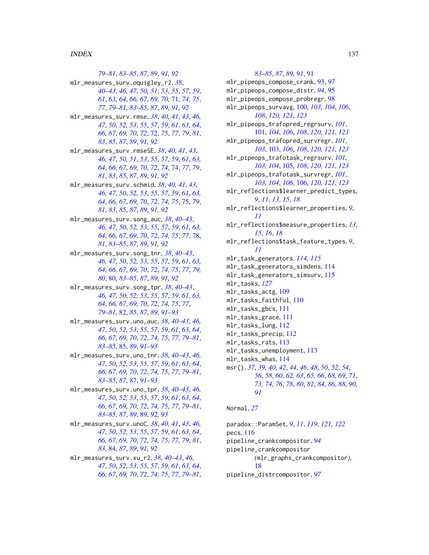*[79](#page-78-0)[–81](#page-80-0)*, *[83](#page-82-0)[–85](#page-84-0)*, *[87](#page-86-0)*, *[89](#page-88-0)*, *[91,](#page-90-0) [92](#page-91-0)* mlr\_measures\_surv.oquigley\_r2, *[38](#page-37-0)*, *[40](#page-39-0)[–43](#page-42-0)*, *[46,](#page-45-0) [47](#page-46-0)*, *[50,](#page-49-0) [51](#page-50-0)*, *[53](#page-52-0)*, *[55](#page-54-1)*, *[57](#page-56-0)*, *[59](#page-58-0)*, *[61](#page-60-0)*, *[63,](#page-62-0) [64](#page-63-0)*, *[66,](#page-65-0) [67](#page-66-0)*, *[69,](#page-68-0) [70](#page-69-0)*, [71,](#page-70-0) *[74,](#page-73-0) [75](#page-74-0)*, *[77](#page-76-0)*, *[79](#page-78-0)[–81](#page-80-0)*, *[83–](#page-82-0)[85](#page-84-0)*, *[87](#page-86-0)*, *[89](#page-88-0)*, *[91,](#page-90-0) [92](#page-91-0)* mlr\_measures\_surv.rmse, *[38](#page-37-0)*, *[40,](#page-39-0) [41](#page-40-0)*, *[43](#page-42-0)*, *[46,](#page-45-0) [47](#page-46-0)*, *[50](#page-49-0)*, *[52,](#page-51-0) [53](#page-52-0)*, *[55](#page-54-1)*, *[57](#page-56-0)*, *[59](#page-58-0)*, *[61](#page-60-0)*, *[63,](#page-62-0) [64](#page-63-0)*, *[66,](#page-65-0) [67](#page-66-0)*, *[69,](#page-68-0) [70](#page-69-0)*, *[72](#page-71-0)*, [72,](#page-71-0) *[75](#page-74-0)*, *[77](#page-76-0)*, *[79](#page-78-0)*, *[81](#page-80-0)*, *[83](#page-82-0)*, *[85](#page-84-0)*, *[87](#page-86-0)*, *[89](#page-88-0)*, *[91,](#page-90-0) [92](#page-91-0)* mlr\_measures\_surv.rmseSE, *[38](#page-37-0)*, *[40,](#page-39-0) [41](#page-40-0)*, *[43](#page-42-0)*, *[46,](#page-45-0) [47](#page-46-0)*, *[50,](#page-49-0) [51](#page-50-0)*, *[53](#page-52-0)*, *[55](#page-54-1)*, *[57](#page-56-0)*, *[59](#page-58-0)*, *[61](#page-60-0)*, *[63,](#page-62-0) [64](#page-63-0)*, *[66,](#page-65-0) [67](#page-66-0)*, *[69,](#page-68-0) [70](#page-69-0)*, *[72](#page-71-0)*, *[74](#page-73-0)*, [74,](#page-73-0) *[77](#page-76-0)*, *[79](#page-78-0)*, *[81](#page-80-0)*, *[83](#page-82-0)*, *[85](#page-84-0)*, *[87](#page-86-0)*, *[89](#page-88-0)*, *[91,](#page-90-0) [92](#page-91-0)* mlr\_measures\_surv.schmid, *[38](#page-37-0)*, *[40,](#page-39-0) [41](#page-40-0)*, *[43](#page-42-0)*, *[46,](#page-45-0) [47](#page-46-0)*, *[50](#page-49-0)*, *[52,](#page-51-0) [53](#page-52-0)*, *[55](#page-54-1)*, *[57](#page-56-0)*, *[59](#page-58-0)*, *[61](#page-60-0)*, *[63,](#page-62-0) [64](#page-63-0)*, *[66,](#page-65-0) [67](#page-66-0)*, *[69,](#page-68-0) [70](#page-69-0)*, *[72](#page-71-0)*, *[74,](#page-73-0) [75](#page-74-0)*, [75,](#page-74-0) *[79](#page-78-0)*, *[81](#page-80-0)*, *[83](#page-82-0)*, *[85](#page-84-0)*, *[87](#page-86-0)*, *[89](#page-88-0)*, *[91,](#page-90-0) [92](#page-91-0)* mlr\_measures\_surv.song\_auc, *[38](#page-37-0)*, *[40–](#page-39-0)[43](#page-42-0)*, *[46,](#page-45-0) [47](#page-46-0)*, *[50](#page-49-0)*, *[52,](#page-51-0) [53](#page-52-0)*, *[55](#page-54-1)*, *[57](#page-56-0)*, *[59](#page-58-0)*, *[61](#page-60-0)*, *[63,](#page-62-0) [64](#page-63-0)*, *[66,](#page-65-0) [67](#page-66-0)*, *[69,](#page-68-0) [70](#page-69-0)*, *[72](#page-71-0)*, *[74,](#page-73-0) [75](#page-74-0)*, *[77](#page-76-0)*, [78,](#page-77-0) *[81](#page-80-0)*, *[83](#page-82-0)[–85](#page-84-0)*, *[87](#page-86-0)*, *[89](#page-88-0)*, *[91,](#page-90-0) [92](#page-91-0)* mlr\_measures\_surv.song\_tnr, *[38](#page-37-0)*, *[40–](#page-39-0)[43](#page-42-0)*, *[46,](#page-45-0) [47](#page-46-0)*, *[50](#page-49-0)*, *[52,](#page-51-0) [53](#page-52-0)*, *[55](#page-54-1)*, *[57](#page-56-0)*, *[59](#page-58-0)*, *[61](#page-60-0)*, *[63,](#page-62-0) [64](#page-63-0)*, *[66,](#page-65-0) [67](#page-66-0)*, *[69,](#page-68-0) [70](#page-69-0)*, *[72](#page-71-0)*, *[74,](#page-73-0) [75](#page-74-0)*, *[77](#page-76-0)*, *[79,](#page-78-0) [80](#page-79-0)*, [80,](#page-79-0) *[83](#page-82-0)[–85](#page-84-0)*, *[87](#page-86-0)*, *[89](#page-88-0)*, *[91,](#page-90-0) [92](#page-91-0)* mlr\_measures\_surv.song\_tpr, *[38](#page-37-0)*, *[40–](#page-39-0)[43](#page-42-0)*, *[46,](#page-45-0) [47](#page-46-0)*, *[50](#page-49-0)*, *[52,](#page-51-0) [53](#page-52-0)*, *[55](#page-54-1)*, *[57](#page-56-0)*, *[59](#page-58-0)*, *[61](#page-60-0)*, *[63,](#page-62-0) [64](#page-63-0)*, *[66,](#page-65-0) [67](#page-66-0)*, *[69,](#page-68-0) [70](#page-69-0)*, *[72](#page-71-0)*, *[74,](#page-73-0) [75](#page-74-0)*, *[77](#page-76-0)*, *[79](#page-78-0)[–81](#page-80-0)*, [82,](#page-81-0) *[85](#page-84-0)*, *[87](#page-86-0)*, *[89](#page-88-0)*, *[91–](#page-90-0)[93](#page-92-0)* mlr\_measures\_surv.uno\_auc, *[38](#page-37-0)*, *[40–](#page-39-0)[43](#page-42-0)*, *[46,](#page-45-0) [47](#page-46-0)*, *[50](#page-49-0)*, *[52,](#page-51-0) [53](#page-52-0)*, *[55](#page-54-1)*, *[57](#page-56-0)*, *[59](#page-58-0)*, *[61](#page-60-0)*, *[63,](#page-62-0) [64](#page-63-0)*, *[66,](#page-65-0) [67](#page-66-0)*, *[69,](#page-68-0) [70](#page-69-0)*, *[72](#page-71-0)*, *[74,](#page-73-0) [75](#page-74-0)*, *[77](#page-76-0)*, *[79–](#page-78-0)[81](#page-80-0)*, *[83](#page-82-0)[–85](#page-84-0)*, [85,](#page-84-0) *[89](#page-88-0)*, *[91–](#page-90-0)[93](#page-92-0)* mlr\_measures\_surv.uno\_tnr, *[38](#page-37-0)*, *[40–](#page-39-0)[43](#page-42-0)*, *[46,](#page-45-0) [47](#page-46-0)*, *[50](#page-49-0)*, *[52,](#page-51-0) [53](#page-52-0)*, *[55](#page-54-1)*, *[57](#page-56-0)*, *[59](#page-58-0)*, *[61](#page-60-0)*, *[63,](#page-62-0) [64](#page-63-0)*, *[66,](#page-65-0) [67](#page-66-0)*, *[69,](#page-68-0) [70](#page-69-0)*, *[72](#page-71-0)*, *[74,](#page-73-0) [75](#page-74-0)*, *[77](#page-76-0)*, *[79–](#page-78-0)[81](#page-80-0)*, *[83](#page-82-0)[–85](#page-84-0)*, *[87](#page-86-0)*, [87,](#page-86-0) *[91–](#page-90-0)[93](#page-92-0)* mlr\_measures\_surv.uno\_tpr, *[38](#page-37-0)*, *[40–](#page-39-0)[43](#page-42-0)*, *[46,](#page-45-0) [47](#page-46-0)*, *[50](#page-49-0)*, *[52,](#page-51-0) [53](#page-52-0)*, *[55](#page-54-1)*, *[57](#page-56-0)*, *[59](#page-58-0)*, *[61](#page-60-0)*, *[63,](#page-62-0) [64](#page-63-0)*, *[66,](#page-65-0) [67](#page-66-0)*, *[69,](#page-68-0) [70](#page-69-0)*, *[72](#page-71-0)*, *[74,](#page-73-0) [75](#page-74-0)*, *[77](#page-76-0)*, *[79–](#page-78-0)[81](#page-80-0)*, *[83](#page-82-0)[–85](#page-84-0)*, *[87](#page-86-0)*, *[89](#page-88-0)*, [89,](#page-88-0) *[92,](#page-91-0) [93](#page-92-0)* mlr\_measures\_surv.unoC, *[38](#page-37-0)*, *[40,](#page-39-0) [41](#page-40-0)*, *[43](#page-42-0)*, *[46,](#page-45-0) [47](#page-46-0)*, *[50](#page-49-0)*, *[52,](#page-51-0) [53](#page-52-0)*, *[55](#page-54-1)*, *[57](#page-56-0)*, *[59](#page-58-0)*, *[61](#page-60-0)*, *[63,](#page-62-0) [64](#page-63-0)*, *[66,](#page-65-0) [67](#page-66-0)*, *[69,](#page-68-0) [70](#page-69-0)*, *[72](#page-71-0)*, *[74,](#page-73-0) [75](#page-74-0)*, *[77](#page-76-0)*, *[79](#page-78-0)*, *[81](#page-80-0)*, *[83](#page-82-0)*, [84,](#page-83-0) *[87](#page-86-0)*, *[89](#page-88-0)*, *[91,](#page-90-0) [92](#page-91-0)* mlr\_measures\_surv.xu\_r2, *[38](#page-37-0)*, *[40–](#page-39-0)[43](#page-42-0)*, *[46,](#page-45-0) [47](#page-46-0)*, *[50](#page-49-0)*, *[52,](#page-51-0) [53](#page-52-0)*, *[55](#page-54-1)*, *[57](#page-56-0)*, *[59](#page-58-0)*, *[61](#page-60-0)*, *[63,](#page-62-0) [64](#page-63-0)*, *[66,](#page-65-0) [67](#page-66-0)*, *[69,](#page-68-0) [70](#page-69-0)*, *[72](#page-71-0)*, *[74,](#page-73-0) [75](#page-74-0)*, *[77](#page-76-0)*, *[79–](#page-78-0)[81](#page-80-0)*,

*[83](#page-82-0)[–85](#page-84-0)*, *[87](#page-86-0)*, *[89](#page-88-0)*, *[91](#page-90-0)*, [91](#page-90-0) mlr\_pipeops\_compose\_crank, [93,](#page-92-0) *[97](#page-96-0)* mlr\_pipeops\_compose\_distr, *[94](#page-93-0)*, [95](#page-94-0) mlr\_pipeops\_compose\_probregr, [98](#page-97-0) mlr\_pipeops\_survavg, [100,](#page-99-1) *[103,](#page-102-1) [104](#page-103-0)*, *[106](#page-105-1)*, *[108](#page-107-0)*, *[120,](#page-119-1) [121](#page-120-1)*, *[123](#page-122-0)* mlr\_pipeops\_trafopred\_regrsurv, *[101](#page-100-1)*, [101,](#page-100-1) *[104](#page-103-0)*, *[106](#page-105-1)*, *[108](#page-107-0)*, *[120,](#page-119-1) [121](#page-120-1)*, *[123](#page-122-0)* mlr\_pipeops\_trafopred\_survregr, *[101](#page-100-1)*, *[103](#page-102-1)*, [103,](#page-102-1) *[106](#page-105-1)*, *[108](#page-107-0)*, *[120,](#page-119-1) [121](#page-120-1)*, *[123](#page-122-0)* mlr\_pipeops\_trafotask\_regrsurv, *[101](#page-100-1)*, *[103,](#page-102-1) [104](#page-103-0)*, [105,](#page-104-1) *[108](#page-107-0)*, *[120,](#page-119-1) [121](#page-120-1)*, *[123](#page-122-0)* mlr\_pipeops\_trafotask\_survregr, *[101](#page-100-1)*, *[103,](#page-102-1) [104](#page-103-0)*, *[106](#page-105-1)*, [106,](#page-105-1) *[120,](#page-119-1) [121](#page-120-1)*, *[123](#page-122-0)* mlr\_reflections\$learner\_predict\_types, *[9](#page-8-1)*, *[11](#page-10-0)*, *[13](#page-12-0)*, *[15](#page-14-0)*, *[18](#page-17-0)* mlr\_reflections\$learner\_properties, *[9](#page-8-1)*, *[11](#page-10-0)* mlr\_reflections\$measure\_properties, *[13](#page-12-0)*, *[15,](#page-14-0) [16](#page-15-0)*, *[18](#page-17-0)* mlr\_reflections\$task\_feature\_types, *[9](#page-8-1)*, *[11](#page-10-0)* mlr\_task\_generators, *[114,](#page-113-0) [115](#page-114-0)* mlr\_task\_generators\_simdens, [114](#page-113-0) mlr\_task\_generators\_simsurv, [115](#page-114-0) mlr\_tasks, *[127](#page-126-1)* mlr\_tasks\_actg, [109](#page-108-0) mlr\_tasks\_faithful, [110](#page-109-0) mlr\_tasks\_gbcs, [111](#page-110-0) mlr\_tasks\_grace, [111](#page-110-0) mlr\_tasks\_lung, [112](#page-111-0) mlr\_tasks\_precip, [112](#page-111-0) mlr\_tasks\_rats, [113](#page-112-0) mlr\_tasks\_unemployment, [113](#page-112-0) mlr\_tasks\_whas, [114](#page-113-0) msr(), *[37](#page-36-0)*, *[39,](#page-38-0) [40](#page-39-0)*, *[42](#page-41-0)*, *[44](#page-43-0)*, *[46](#page-45-0)*, *[48](#page-47-1)*, *[50](#page-49-0)*, *[52](#page-51-0)*, *[54](#page-53-0)*, *[56](#page-55-0)*, *[58](#page-57-0)*, *[60](#page-59-0)*, *[62,](#page-61-0) [63](#page-62-0)*, *[65,](#page-64-0) [66](#page-65-0)*, *[68,](#page-67-0) [69](#page-68-0)*, *[71](#page-70-0)*, *[73,](#page-72-0) [74](#page-73-0)*, *[76](#page-75-0)*, *[78](#page-77-0)*, *[80](#page-79-0)*, *[82](#page-81-0)*, *[84](#page-83-0)*, *[86](#page-85-0)*, *[88](#page-87-0)*, *[90,](#page-89-0) [91](#page-90-0)*

#### Normal, *[27](#page-26-0)*

paradox::ParamSet, *[9](#page-8-1)*, *[11](#page-10-0)*, *[119](#page-118-0)*, *[121,](#page-120-1) [122](#page-121-0)* pecs, [116](#page-115-0) pipeline\_crankcompositor, *[94](#page-93-0)* pipeline\_crankcompositor *(*mlr\_graphs\_crankcompositor*)*, [18](#page-17-0) pipeline\_distrcompositor, *[97](#page-96-0)*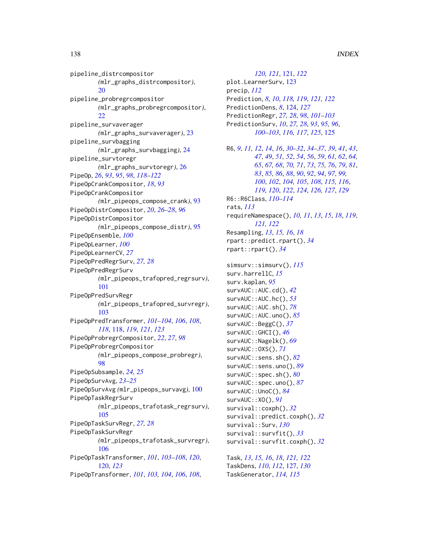pipeline\_distrcompositor *(*mlr\_graphs\_distrcompositor*)*, [20](#page-19-0) pipeline\_probregrcompositor *(*mlr\_graphs\_probregrcompositor*)*, [22](#page-21-0) pipeline\_survaverager *(*mlr\_graphs\_survaverager*)*, [23](#page-22-0) pipeline\_survbagging *(*mlr\_graphs\_survbagging*)*, [24](#page-23-0) pipeline\_survtoregr *(*mlr\_graphs\_survtoregr*)*, [26](#page-25-0) PipeOp, *[26](#page-25-0)*, *[93](#page-92-0)*, *[95](#page-94-0)*, *[98](#page-97-0)*, *[118–](#page-117-1)[122](#page-121-0)* PipeOpCrankCompositor, *[18](#page-17-0)*, *[93](#page-92-0)* PipeOpCrankCompositor *(*mlr\_pipeops\_compose\_crank*)*, [93](#page-92-0) PipeOpDistrCompositor, *[20](#page-19-0)*, *[26–](#page-25-0)[28](#page-27-0)*, *[96](#page-95-0)* PipeOpDistrCompositor *(*mlr\_pipeops\_compose\_distr*)*, [95](#page-94-0) PipeOpEnsemble, *[100](#page-99-1)* PipeOpLearner, *[100](#page-99-1)* PipeOpLearnerCV, *[27](#page-26-0)* PipeOpPredRegrSurv, *[27,](#page-26-0) [28](#page-27-0)* PipeOpPredRegrSurv *(*mlr\_pipeops\_trafopred\_regrsurv*)*, [101](#page-100-1) PipeOpPredSurvRegr *(*mlr\_pipeops\_trafopred\_survregr*)*, [103](#page-102-1) PipeOpPredTransformer, *[101–](#page-100-1)[104](#page-103-0)*, *[106](#page-105-1)*, *[108](#page-107-0)*, *[118](#page-117-1)*, [118,](#page-117-1) *[119](#page-118-0)*, *[121](#page-120-1)*, *[123](#page-122-0)* PipeOpProbregrCompositor, *[22](#page-21-0)*, *[27](#page-26-0)*, *[98](#page-97-0)* PipeOpProbregrCompositor *(*mlr\_pipeops\_compose\_probregr*)*, [98](#page-97-0) PipeOpSubsample, *[24,](#page-23-0) [25](#page-24-0)* PipeOpSurvAvg, *[23](#page-22-0)[–25](#page-24-0)* PipeOpSurvAvg *(*mlr\_pipeops\_survavg*)*, [100](#page-99-1) PipeOpTaskRegrSurv *(*mlr\_pipeops\_trafotask\_regrsurv*)*, [105](#page-104-1) PipeOpTaskSurvRegr, *[27,](#page-26-0) [28](#page-27-0)* PipeOpTaskSurvRegr *(*mlr\_pipeops\_trafotask\_survregr*)*, [106](#page-105-1) PipeOpTaskTransformer, *[101](#page-100-1)*, *[103–](#page-102-1)[108](#page-107-0)*, *[120](#page-119-1)*, [120,](#page-119-1) *[123](#page-122-0)* PipeOpTransformer, *[101](#page-100-1)*, *[103,](#page-102-1) [104](#page-103-0)*, *[106](#page-105-1)*, *[108](#page-107-0)*,

*[120,](#page-119-1) [121](#page-120-1)*, [121,](#page-120-1) *[122](#page-121-0)* plot.LearnerSurv, [123](#page-122-0) precip, *[112](#page-111-0)* Prediction, *[8](#page-7-2)*, *[10](#page-9-2)*, *[118,](#page-117-1) [119](#page-118-0)*, *[121,](#page-120-1) [122](#page-121-0)* PredictionDens, *[8](#page-7-2)*, [124,](#page-123-1) *[127](#page-126-1)* PredictionRegr, *[27,](#page-26-0) [28](#page-27-0)*, *[98](#page-97-0)*, *[101](#page-100-1)[–103](#page-102-1)* PredictionSurv, *[10](#page-9-2)*, *[27,](#page-26-0) [28](#page-27-0)*, *[93](#page-92-0)*, *[95,](#page-94-0) [96](#page-95-0)*, *[100](#page-99-1)[–103](#page-102-1)*, *[116,](#page-115-0) [117](#page-116-0)*, *[125](#page-124-1)*, [125](#page-124-1) R6, *[9](#page-8-1)*, *[11,](#page-10-0) [12](#page-11-0)*, *[14](#page-13-0)*, *[16](#page-15-0)*, *[30](#page-29-0)[–32](#page-31-0)*, *[34](#page-33-0)[–37](#page-36-0)*, *[39](#page-38-0)*, *[41](#page-40-0)*, *[43](#page-42-0)*, *[47](#page-46-0)*, *[49](#page-48-0)*, *[51,](#page-50-0) [52](#page-51-0)*, *[54](#page-53-0)*, *[56](#page-55-0)*, *[59](#page-58-0)*, *[61,](#page-60-0) [62](#page-61-0)*, *[64,](#page-63-0) [65](#page-64-0)*, *[67,](#page-66-0) [68](#page-67-0)*, *[70,](#page-69-0) [71](#page-70-0)*, *[73](#page-72-0)*, *[75,](#page-74-0) [76](#page-75-0)*, *[79](#page-78-0)*, *[81](#page-80-0)*, *[83](#page-82-0)*, *[85,](#page-84-0) [86](#page-85-0)*, *[88](#page-87-0)*, *[90](#page-89-0)*, *[92](#page-91-0)*, *[94](#page-93-0)*, *[97](#page-96-0)*, *[99,](#page-98-0) [100](#page-99-1)*, *[102](#page-101-0)*, *[104,](#page-103-0) [105](#page-104-1)*, *[108](#page-107-0)*, *[115,](#page-114-0) [116](#page-115-0)*, *[119,](#page-118-0) [120](#page-119-1)*, *[122](#page-121-0)*, *[124](#page-123-1)*, *[126,](#page-125-0) [127](#page-126-1)*, *[129](#page-128-2)* R6::R6Class, *[110](#page-109-0)[–114](#page-113-0)* rats, *[113](#page-112-0)* requireNamespace(), *[10,](#page-9-2) [11](#page-10-0)*, *[13](#page-12-0)*, *[15](#page-14-0)*, *[18](#page-17-0)*, *[119](#page-118-0)*, *[121,](#page-120-1) [122](#page-121-0)* Resampling, *[13](#page-12-0)*, *[15,](#page-14-0) [16](#page-15-0)*, *[18](#page-17-0)* rpart::predict.rpart(), *[34](#page-33-0)* rpart::rpart(), *[34](#page-33-0)* simsurv::simsurv(), *[115](#page-114-0)* surv.harrellC, *[15](#page-14-0)* surv.kaplan, *[95](#page-94-0)* survAUC::AUC.cd(), *[42](#page-41-0)* survAUC::AUC.hc(), *[53](#page-52-0)* survAUC::AUC.sh(), *[78](#page-77-0)* survAUC::AUC.uno(), *[85](#page-84-0)* survAUC::BeggC(), *[37](#page-36-0)* survAUC::GHCI(), *[46](#page-45-0)* survAUC::Nagelk(), *[69](#page-68-0)* survAUC::OXS(), *[71](#page-70-0)* survAUC::sens.sh(), *[82](#page-81-0)* survAUC::sens.uno(), *[89](#page-88-0)* survAUC::spec.sh(), *[80](#page-79-0)* survAUC::spec.uno(), *[87](#page-86-0)* survAUC::UnoC(), *[84](#page-83-0)* survAUC::XO(), *[91](#page-90-0)* survival::coxph(), *[32](#page-31-0)* survival::predict.coxph(), *[32](#page-31-0)* survival::Surv, *[130](#page-129-1)* survival::survfit(), *[33](#page-32-0)* survival::survfit.coxph(), *[32](#page-31-0)* Task, *[13](#page-12-0)*, *[15,](#page-14-0) [16](#page-15-0)*, *[18](#page-17-0)*, *[121,](#page-120-1) [122](#page-121-0)* TaskDens, *[110](#page-109-0)*, *[112](#page-111-0)*, [127,](#page-126-1) *[130](#page-129-1)*

TaskGenerator, *[114,](#page-113-0) [115](#page-114-0)*